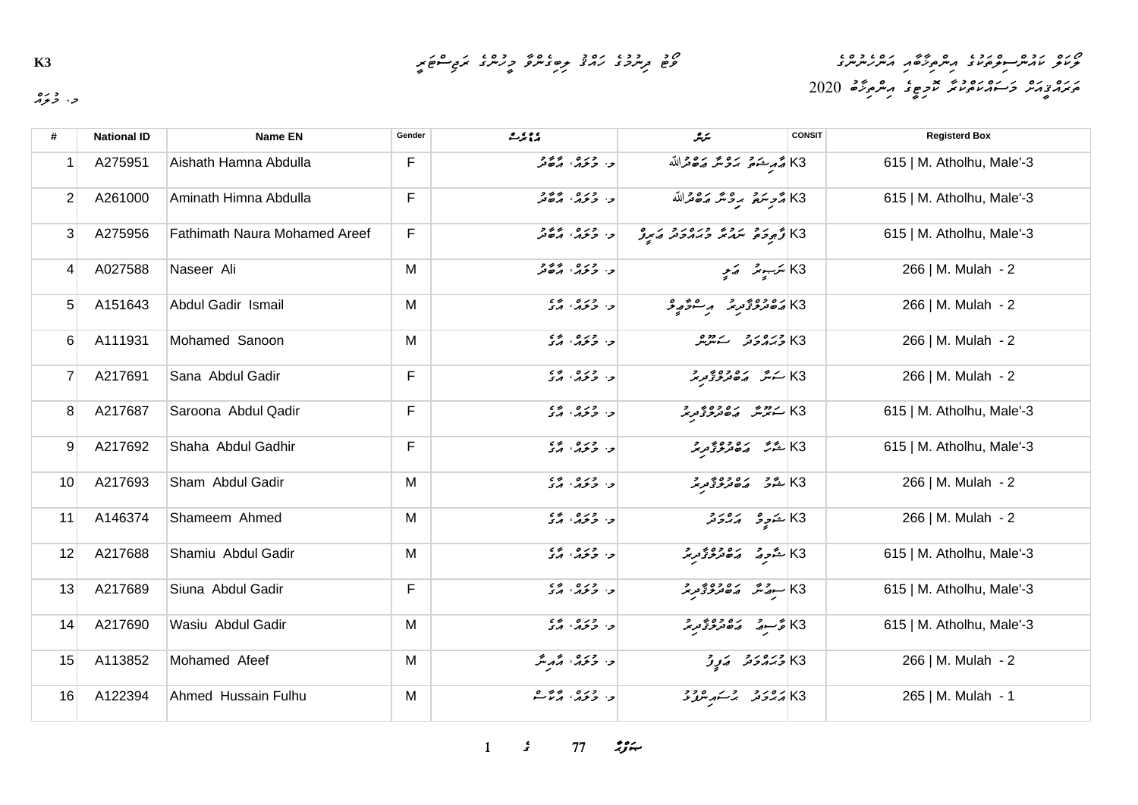*sCw7q7s5w7m< o<n9nOoAw7o< sCq;mAwBoEw7q<m; wBm;vB* م من المرة المرة المرة المرجع المرجع في المركبة 2020<br>مجم*د المريض المربوط المربع المرجع في المراجع المركبة* 

| #              | <b>National ID</b> | Name EN                              | Gender      | ړ، پر                                                                                                                                                                                                                                                                                                                          | سرپر                                                                  | <b>CONSIT</b> | <b>Registerd Box</b>      |
|----------------|--------------------|--------------------------------------|-------------|--------------------------------------------------------------------------------------------------------------------------------------------------------------------------------------------------------------------------------------------------------------------------------------------------------------------------------|-----------------------------------------------------------------------|---------------|---------------------------|
| 1              | A275951            | Aishath Hamna Abdulla                | F           | $5.65$ , $2.55$                                                                                                                                                                                                                                                                                                                | K3 مَّ مِ شَمَّع بَرْحِ مَّرَ مَصْغَرِ اللَّهُ                        |               | 615   M. Atholhu, Male'-3 |
| $\overline{2}$ | A261000            | Aminath Himna Abdulla                | F           | 300, 0000                                                                                                                                                                                                                                                                                                                      | K3 <i>مَّجِسَعَة بِ</i> حِسَّ <i>مَـُهَّمْ</i> اللَّه                 |               | 615   M. Atholhu, Male'-3 |
| $\mathbf{3}$   | A275956            | <b>Fathimath Naura Mohamed Areef</b> | $\mathsf F$ |                                                                                                                                                                                                                                                                                                                                | K3 رُّجِوَكَ سَمَّدَ مُرَوْرٍ مَسْرِوْ مِسْرِوْ مِنْ دَوْرٌ مُرَةَ رَ |               | 615   M. Atholhu, Male'-3 |
| 4              | A027588            | Naseer Ali                           | M           | د وره په دو                                                                                                                                                                                                                                                                                                                    | K3 سَرَسِي سَرَ مَرَ مِ                                               |               | 266   M. Mulah - 2        |
| 5              | A151643            | Abdul Gadir Ismail                   | M           | 5.99900                                                                                                                                                                                                                                                                                                                        | K3 مەھەر ئۇتوپر مەر ئەگەر ئىچ                                         |               | 266   M. Mulah - 2        |
| 6              | A111931            | Mohamed Sanoon                       | M           | $\begin{bmatrix} 1 & 0 & 0 & 0 \\ 0 & 0 & 0 & 0 \\ 0 & 0 & 0 & 0 \\ 0 & 0 & 0 & 0 \\ 0 & 0 & 0 & 0 \\ 0 & 0 & 0 & 0 \\ 0 & 0 & 0 & 0 \\ 0 & 0 & 0 & 0 \\ 0 & 0 & 0 & 0 \\ 0 & 0 & 0 & 0 \\ 0 & 0 & 0 & 0 \\ 0 & 0 & 0 & 0 & 0 \\ 0 & 0 & 0 & 0 & 0 \\ 0 & 0 & 0 & 0 & 0 \\ 0 & 0 & 0 & 0 & 0 \\ 0 & 0 & 0 & 0 & 0 \\ 0 & 0 & $ | K3 دېږونه خوړه د                                                      |               | 266   M. Mulah - 2        |
| $\overline{7}$ | A217691            | Sana Abdul Gadir                     | $\mathsf F$ | ا د. د ترو، کړې                                                                                                                                                                                                                                                                                                                | K3 سەشرە ھەھەر <i>بىرىتى</i>                                          |               | 266   M. Mulah - 2        |
| 8              | A217687            | Saroona Abdul Qadir                  | F           | $\begin{bmatrix} 1 & 0 & 0 & 0 \\ 0 & 0 & 0 & 0 \\ 0 & 0 & 0 & 0 \\ 0 & 0 & 0 & 0 \\ 0 & 0 & 0 & 0 \\ 0 & 0 & 0 & 0 \\ 0 & 0 & 0 & 0 \\ 0 & 0 & 0 & 0 \\ 0 & 0 & 0 & 0 \\ 0 & 0 & 0 & 0 \\ 0 & 0 & 0 & 0 \\ 0 & 0 & 0 & 0 & 0 \\ 0 & 0 & 0 & 0 & 0 \\ 0 & 0 & 0 & 0 & 0 \\ 0 & 0 & 0 & 0 & 0 \\ 0 & 0 & 0 & 0 & 0 \\ 0 & 0 & $ | / K3 شەرق مەھەر <i>جەنى</i> ر بىر                                     |               | 615   M. Atholhu, Male'-3 |
| 9              | A217692            | Shaha Abdul Gadhir                   | F           | 5.89900                                                                                                                                                                                                                                                                                                                        | K3 حَدَّثَ صَ <i>ەمودُوَّت</i> ْدِير                                  |               | 615   M. Atholhu, Male'-3 |
| 10             | A217693            | Sham Abdul Gadir                     | M           | $\begin{bmatrix} 1 & 0 & 0 & 0 \\ 0 & 0 & 0 & 0 \\ 0 & 0 & 0 & 0 \\ 0 & 0 & 0 & 0 \\ 0 & 0 & 0 & 0 \\ 0 & 0 & 0 & 0 \\ 0 & 0 & 0 & 0 \\ 0 & 0 & 0 & 0 \\ 0 & 0 & 0 & 0 \\ 0 & 0 & 0 & 0 \\ 0 & 0 & 0 & 0 \\ 0 & 0 & 0 & 0 & 0 \\ 0 & 0 & 0 & 0 & 0 \\ 0 & 0 & 0 & 0 & 0 \\ 0 & 0 & 0 & 0 & 0 \\ 0 & 0 & 0 & 0 & 0 \\ 0 & 0 & $ | K3 څگړ <i>ه م</i> ه <i>مونونگ</i> ورنگ                                |               | 266   M. Mulah - 2        |
| 11             | A146374            | Shameem Ahmed                        | M           | ا د. د ترو، کړې                                                                                                                                                                                                                                                                                                                | K3 خوي <i>مېڅو</i> تر                                                 |               | 266   M. Mulah - 2        |
| 12             | A217688            | Shamiu Abdul Gadir                   | M           | $rac{c_1}{c_2}$ , $rac{c_2}{c_3}$ , $rac{c_3}{c_4}$                                                                                                                                                                                                                                                                            | K3 ش <i>ۇرۇ مەھەر ئۇ</i> توپر                                         |               | 615   M. Atholhu, Male'-3 |
| 13             | A217689            | Siuna Abdul Gadir                    | F           |                                                                                                                                                                                                                                                                                                                                | K3 سو <i>ماش م</i> ەھىرى <i>مۇ ت</i> وپرىر                            |               | 615   M. Atholhu, Male'-3 |
| 14             | A217690            | Wasiu Abdul Gadir                    | M           | 5.99900                                                                                                                                                                                                                                                                                                                        | K3 قُرْسِيْرَ مُتَصْغَرِ قُرْبِرَ =                                   |               | 615   M. Atholhu, Male'-3 |
| 15             | A113852            | Mohamed Afeef                        | M           | ه و و داره برمر                                                                                                                                                                                                                                                                                                                | K3 <i>جەيگە چۇ ھۇ</i> ر                                               |               | 266   M. Mulah - 2        |
| 16             | A122394            | Ahmed Hussain Fulhu                  | M           | و· وفره، وتما ش                                                                                                                                                                                                                                                                                                                | K3 كەردى بىر ئەسكەر مىرىكى ئى                                         |               | 265   M. Mulah - 1        |

*w<mBq> .>*

*1 s* 77  $294$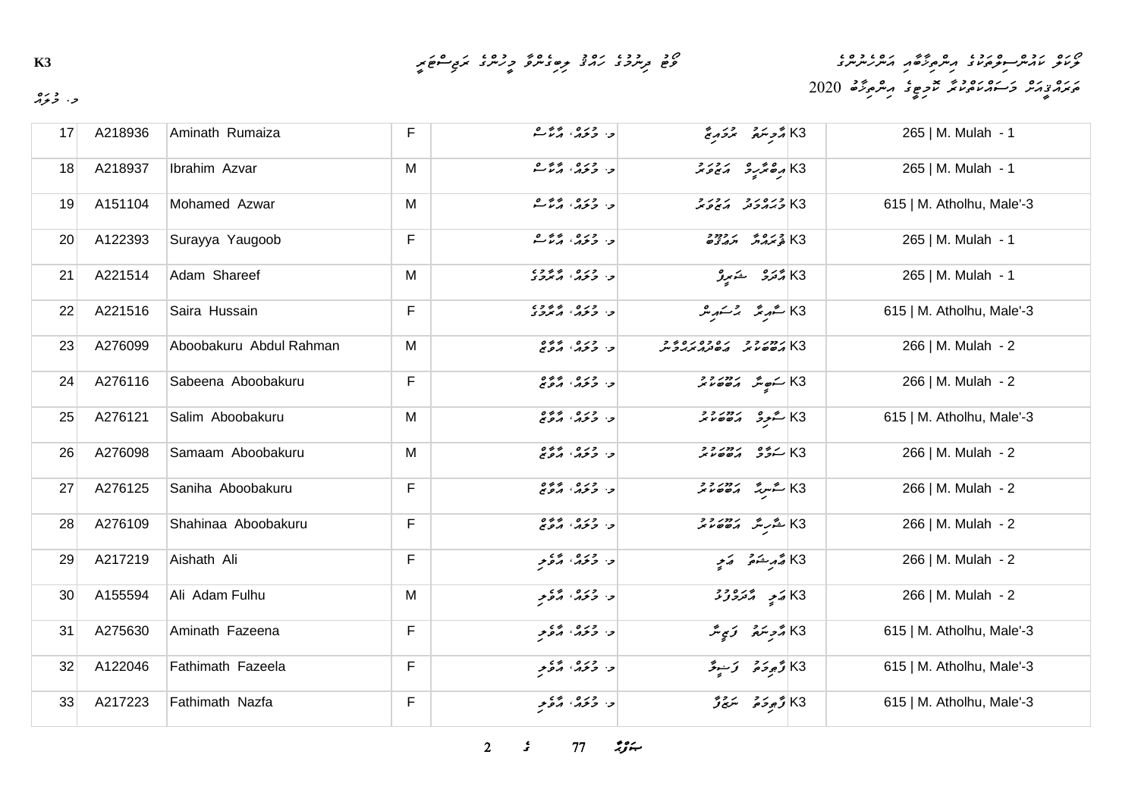*sCw7q7s5w7m< o<n9nOoAw7o< sCq;mAwBoEw7q<m; wBm;vB* م من المرة المرة المرة المرجع المرجع في المركبة 2020<br>مجم*د المريض المربوط المربع المرجع في المراجع المركبة* 

| 17 | A218936 | Aminath Rumaiza         | F           | د په دره په پېړل ک                                                              | K3 مُحرِسَعُهُ مُحَدَّمِةً                         | 265   M. Mulah - 1        |
|----|---------|-------------------------|-------------|---------------------------------------------------------------------------------|----------------------------------------------------|---------------------------|
| 18 | A218937 | Ibrahim Azvar           | M           | و. ووه، درام                                                                    | K3 مەھە <i>ترى</i> دۇ مەم مى                       | 265   M. Mulah - 1        |
| 19 | A151104 | Mohamed Azwar           | M           | و· ووه، چړه پ                                                                   |                                                    | 615   M. Atholhu, Male'-3 |
| 20 | A122393 | Surayya Yaugoob         | F           | و. ووه، درّ ک                                                                   | $\frac{2722}{88}$ $\frac{20}{20}$ $\frac{2}{3}$ K3 | 265   M. Mulah - 1        |
| 21 | A221514 | Adam Shareef            | M           | و: ووه، پژووه<br>و: وفره، پژبروی                                                | K3 گەترى شەمرى <sub>ر</sub> ى                      | 265   M. Mulah - 1        |
| 22 | A221516 | Saira Hussain           | $\mathsf F$ | ور وره به دوه<br>و <sup>.</sup> وفراد اړمروز                                    | K3 س <sup>م</sup> وبٹر بر <i>سکو</i> بٹر           | 615   M. Atholhu, Male'-3 |
| 23 | A276099 | Aboobakuru Abdul Rahman | M           | ور وره . ووی                                                                    | 83 - 220000 - 22000 x 2000                         | 266   M. Mulah - 2        |
| 24 | A276116 | Sabeena Aboobakuru      | $\mathsf F$ | ور وره موده<br>د ونوا <i>د ارو</i> ی                                            | $2222$ $-202$ $-13$                                | 266   M. Mulah - 2        |
| 25 | A276121 | Salim Aboobakuru        | M           | $\begin{array}{cc} 0 & 0 & 0 & 0 \\ 0 & 0 & 0 & 0 \\ 0 & 0 & 0 & 0 \end{array}$ | $22222$ $-225$ $-123$                              | 615   M. Atholhu, Male'-3 |
| 26 | A276098 | Samaam Aboobakuru       | M           | $\begin{array}{cc} 0 & 0 & 0 & 0 \\ 0 & 0 & 0 & 0 \\ 0 & 0 & 0 & 0 \end{array}$ | $22222$ $25 - 13$                                  | 266   M. Mulah - 2        |
| 27 | A276125 | Saniha Aboobakuru       | $\mathsf F$ | ور وره، شه                                                                      | $22222$ $242$ $13$                                 | 266   M. Mulah - 2        |
| 28 | A276109 | Shahinaa Aboobakuru     | F           | ور وره . ووی                                                                    | K3 شَرِسَّ مُصَ <i>حَّدٍ دِ</i>                    | 266   M. Mulah - 2        |
| 29 | A217219 | Aishath Ali             | F           | والمتحدث أزهر                                                                   | K3 م <i>ەم ھەم</i> چە ھەمچە                        | 266   M. Mulah - 2        |
| 30 | A155594 | Ali Adam Fulhu          | M           | والمحرقري أزعرم                                                                 | K3 <i>جَيِ جُمْعَ وَوْ</i> عْ                      | 266   M. Mulah - 2        |
| 31 | A275630 | Aminath Fazeena         | $\mathsf F$ | والمتحرق أقرعهم                                                                 | K3 م <i>ۇم تىتى قۇم</i> ئىر                        | 615   M. Atholhu, Male'-3 |
| 32 | A122046 | Fathimath Fazeela       | F           | والمحتوم المنفوخ                                                                | K3 رَّجِ حَمَّى وَسِعَّ                            | 615   M. Atholhu, Male'-3 |
| 33 | A217223 | Fathimath Nazfa         | $\mathsf F$ | والمتحاوي المجميح                                                               | K3 تَ <i>مُّ وَحَمَّ</i> سَمَّةَ تَرَ              | 615   M. Atholhu, Male'-3 |

*2 sC 77 nNw?mS*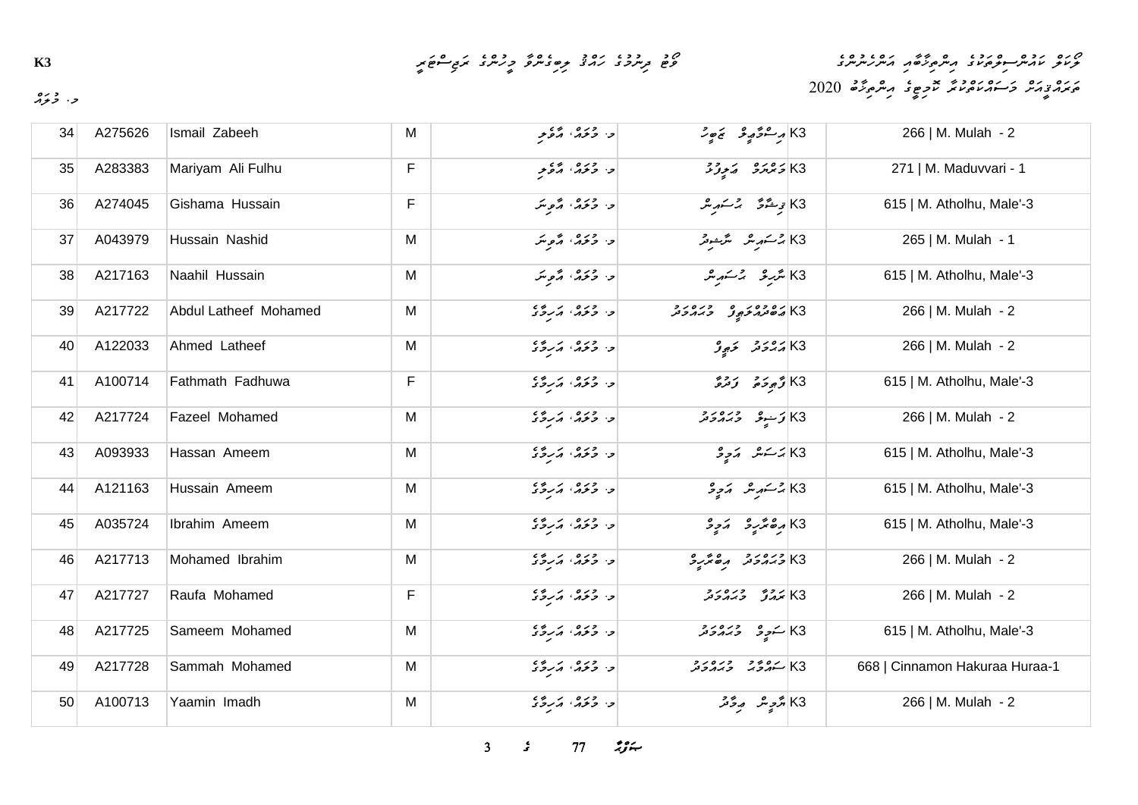*sCw7q7s5w7m< o<n9nOoAw7o< sCq;mAwBoEw7q<m; wBm;vB* م من المرة المرة المرة المرجع المرجع في المركبة 2020<br>مجم*د المريض المربوط المربع المرجع في المراجع المركبة* 

| 34 | A275626 | Ismail Zabeeh         | M            | د وتوه، شوېر                                                          | K3  مرڪو <i>گوري چي ج</i>                                                                                      | 266   M. Mulah - 2             |
|----|---------|-----------------------|--------------|-----------------------------------------------------------------------|----------------------------------------------------------------------------------------------------------------|--------------------------------|
| 35 | A283383 | Mariyam Ali Fulhu     | F            | أور وقره المتحافي                                                     | K3 كا <i>كار برگار مكروگ</i> ر                                                                                 | 271   M. Maduvvari - 1         |
| 36 | A274045 | Gishama Hussain       | F            | د کا کار محمد الله محمد الله استرا                                    | K3 ت <sub>و</sub> ڪرڻ پرڪ <i>رينل</i>                                                                          | 615   M. Atholhu, Male'-3      |
| 37 | A043979 | Hussain Nashid        | M            | د وره، ژُهِ شَ                                                        | K3 يُرْسَمْ مِيْرْ مُتَرْسِمْ مِيْرَ                                                                           | 265   M. Mulah - 1             |
| 38 | A217163 | Naahil Hussain        | M            | د و و و په کام شو متر                                                 | K3 ب <i>گردی بر شهر بگ</i> ر                                                                                   | 615   M. Atholhu, Male'-3      |
| 39 | A217722 | Abdul Latheef Mohamed | $\mathsf{M}$ | $\begin{bmatrix} 2 & 2 & 3 & 3 & 3 \ 2 & 2 & 3 & 3 & 3 \end{bmatrix}$ | K3 בסינג פופי פי פי פי בי בי האי בי האדי בי האדי בי האדי בי האדי בי האדי בי האדי בי האדי בי האדי בי האדי בי הא | 266   M. Mulah - 2             |
| 40 | A122033 | Ahmed Latheef         | M            | والمحرق كمرمى                                                         | K3   كەش <sup>ى</sup> كىرى كىلىمى ئىلگى قىلىپ ئى                                                               | 266   M. Mulah - 2             |
| 41 | A100714 | Fathmath Fadhuwa      | F            | $55\sqrt{2}$                                                          | K3 وَّجِ وَمَعْ وَمَرَةً                                                                                       | 615   M. Atholhu, Male'-3      |
| 42 | A217724 | Fazeel Mohamed        | M            | د وی مرده                                                             | K3 تۇخيى ئەممىز ئەرەپىر                                                                                        | 266   M. Mulah - 2             |
| 43 | A093933 | Hassan Ameem          | M            | والمحرق كمرتجى                                                        | K3   ټر <i>ټرو</i> د مخ                                                                                        | 615   M. Atholhu, Male'-3      |
| 44 | A121163 | Hussain Ameem         | M            | $55\sqrt{2}$                                                          | K3 يُرْسَمبر مَّثَرَ مَرَّحَدٍ \$                                                                              | 615   M. Atholhu, Male'-3      |
| 45 | A035724 | Ibrahim Ameem         | M            | والمحرق كمرتجى                                                        | K3 مەھم <i>گىي</i> ۇ م <i>ەم</i> وۋ                                                                            | 615   M. Atholhu, Male'-3      |
| 46 | A217713 | Mohamed Ibrahim       | M            | والمحرق كمرتجى                                                        | K3  <i>وبروبرو م</i> وشرو                                                                                      | 266   M. Mulah - 2             |
| 47 | A217727 | Raufa Mohamed         | F            | والمحتوار أكرامي                                                      | K3 <i>بَدْوَدٌ وَبَدُودُو</i>                                                                                  | 266   M. Mulah - 2             |
| 48 | A217725 | Sameem Mohamed        | M            | د و وَوَه، مَرِوْءَ                                                   | K3  س <i>َوِ</i> دُ دَيَرْدُدَتْر                                                                              | 615   M. Atholhu, Male'-3      |
| 49 | A217728 | Sammah Mohamed        | M            | د وی مرده                                                             | $52025 - 592$ K3                                                                                               | 668   Cinnamon Hakuraa Huraa-1 |
| 50 | A100713 | Yaamin Imadh          | M            | والمحرق كمرتجى                                                        | K3 مَّرِيْد مِرَّتْد                                                                                           | 266   M. Mulah - 2             |

*3 sC 77 nNw?mS*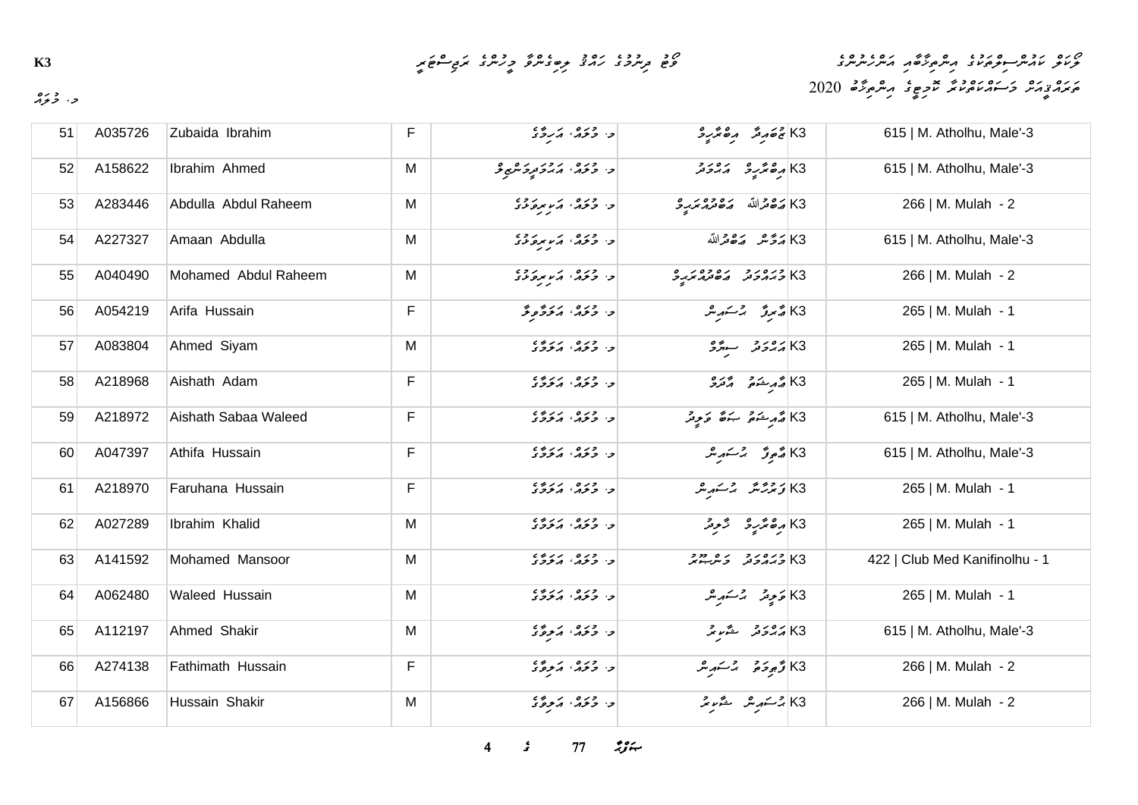*sCw7q7s5w7m< o<n9nOoAw7o< sCq;mAwBoEw7q<m; wBm;vB* م من المرة المرة المرة المرجع المرجع في المركبة 2020<br>مجم*د المريض المربوط المربع المرجع في المراجع المركبة* 

| 51 | A035726 | Zubaida Ibrahim       | F | والمتحرق كمرتجى                             | K3 ىنھەرىگە مەھە <i>گرى</i> 3                                                                                 | 615   M. Atholhu, Male'-3      |
|----|---------|-----------------------|---|---------------------------------------------|---------------------------------------------------------------------------------------------------------------|--------------------------------|
| 52 | A158622 | Ibrahim Ahmed         | M | د وی پرور عروم عرض الله د                   | K3 مەھەرىرى مەمەدىر                                                                                           | 615   M. Atholhu, Male'-3      |
| 53 | A283446 | Abdulla Abdul Raheem  | M | والمحتوك كمامولال                           | K3 حَدَّهُ مَرْاللَّهُ مَنْ صَعْرَ مُرْمَرِ حَرْ                                                              | 266   M. Mulah - 2             |
| 54 | A227327 | Amaan Abdulla         | M | والمحروم المسابرون                          | K3 كەڭ شەھقەللە                                                                                               | 615   M. Atholhu, Male'-3      |
| 55 | A040490 | Mohamed Abdul Raheem  | M | والمحتوك كالمولولات                         | K3 درورو رووور و                                                                                              | 266   M. Mulah - 2             |
| 56 | A054219 | Arifa Hussain         | F | والمحرورة المركز وتحري                      | K3 م <i>مَّعِينٌ بِرُسَمَّتِ</i> هِ مَ <i>نْ</i>                                                              | 265   M. Mulah - 1             |
| 57 | A083804 | Ahmed Siyam           | M | ور وره کرده و<br>د ونور، کرونو              | K3 كەبرى كى سەر ئىچى بىر                                                                                      | 265   M. Mulah - 1             |
| 58 | A218968 | Aishath Adam          | F | ور وره کرده و<br>و <sup>.</sup> ونوړ کرونون | K3 مُم شَمَّعُ مُحَمَّدٌ                                                                                      | 265   M. Mulah - 1             |
| 59 | A218972 | Aishath Sabaa Waleed  | F | والمتحص كمنجرة                              | K3 مَّەمِشَەتْھ سَەھَ قَرَمِيْتْر                                                                             | 615   M. Atholhu, Male'-3      |
| 60 | A047397 | Athifa Hussain        | F | ور وره کرده و<br>و <sup>.</sup> ونوړ کرونون | K3 م <i>ۇمۇق بۇستىرىش</i>                                                                                     | 615   M. Atholhu, Male'-3      |
| 61 | A218970 | Faruhana Hussain      | F | ور وره کرده و<br>و <sup>.</sup> ونوړ کرونون | K3 ۇىر <i>گىگە</i> بۇسكەبلى                                                                                   | 265   M. Mulah - 1             |
| 62 | A027289 | Ibrahim Khalid        | M | ور وره کرده و<br>و <sup>.</sup> ونوړ کرونون | K3 ب <i>ر&amp;ټرْرِی ڈوِتر</i>                                                                                | 265   M. Mulah - 1             |
| 63 | A141592 | Mohamed Mansoor       | M | ور وره کرده و<br>وسی در کرد                 | K3 دېږدونر کې دوم                                                                                             | 422   Club Med Kanifinolhu - 1 |
| 64 | A062480 | <b>Waleed Hussain</b> | M | ور وره . دروه                               | K3  قامچ پٽر - پر شکور بنگر                                                                                   | 265   M. Mulah - 1             |
| 65 | A112197 | Ahmed Shakir          | M | والمحتوكة المتعرفري                         | K3 كەبرى قىر ئىقسى قىلىشى ئىقسان ئىقسان ئىقسان ئىقسان ئىقسان ئىقسان ئىقسان ئىقسان ئىقسان ئىقسان ئىقسان ئىقسان | 615   M. Atholhu, Male'-3      |
| 66 | A274138 | Fathimath Hussain     | F | والمحتجمة المتجفى                           | K3 <i>ۋ<sub>ې</sub>ودَه برېسر</i> سر                                                                          | 266   M. Mulah - 2             |
| 67 | A156866 | Hussain Shakir        | M | والمحرق كمرجى                               | K3 يُرْسَمْ مِيْرْ مُسْتَمَرِيْرَ                                                                             | 266   M. Mulah - 2             |

*4 sC 77 nNw?mS*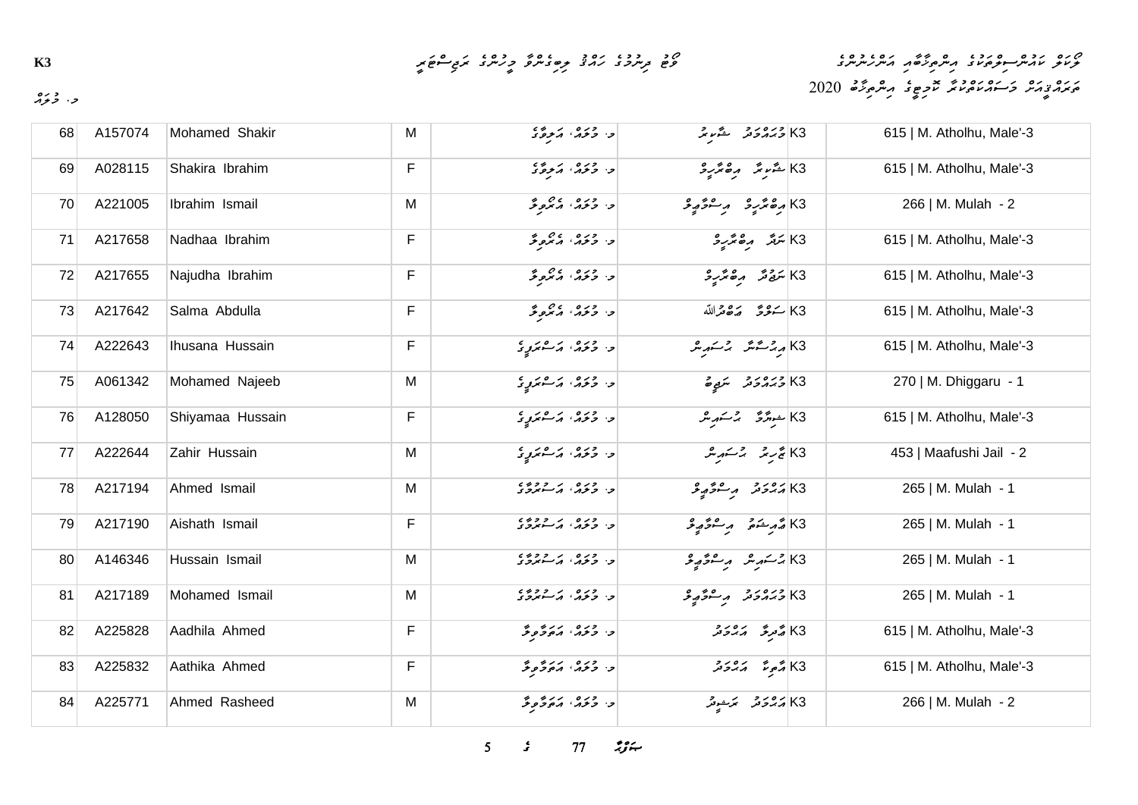*sCw7q7s5w7m< o<n9nOoAw7o< sCq;mAwBoEw7q<m; wBm;vB* م من المرة المرة المرة المرجع المرجع في المركبة 2020<br>مجم*د المريض المربوط المربع المرجع في المراجع المركبة* 

| 68 | A157074 | Mohamed Shakir   | M           | والمتحرق كمتوقى             | K3 <i>جەمگە ئىرىمى</i> –                   | 615   M. Atholhu, Male'-3 |
|----|---------|------------------|-------------|-----------------------------|--------------------------------------------|---------------------------|
| 69 | A028115 | Shakira Ibrahim  | F           | والمحتوم كالمعرفري          | K3 ش <i>ۇرىگە مەھەتگەي</i> ى               | 615   M. Atholhu, Male'-3 |
| 70 | A221005 | Ibrahim Ismail   | M           | والمتحدث ومكرونخر           | K3 مەھم <i>گى</i> رو مەش <i>ۇم</i> ۇ       | 266   M. Mulah - 2        |
| 71 | A217658 | Nadhaa Ibrahim   | F           | ور ووه، معروف               | K3 ىنى <i>گە مەھەگرى</i> ئ                 | 615   M. Atholhu, Male'-3 |
| 72 | A217655 | Najudha Ibrahim  | F           | ور ووه، معروف               | K3 ىتر <i>وقى مەھەر ب</i> و                | 615   M. Atholhu, Male'-3 |
| 73 | A217642 | Salma Abdulla    | $\mathsf F$ | ور و ده. مرکزه د            | K3 كورً <i>ة مَ</i> هْتَراللَّه            | 615   M. Atholhu, Male'-3 |
| 74 | A222643 | Ihusana Hussain  | F           | د . و د د ۲ . د ۳ . د و د   | K3 مەشكەنگە - جەشمەنلىر                    | 615   M. Atholhu, Male'-3 |
| 75 | A061342 | Mohamed Najeeb   | M           | و. ووه، پر عبر و            | K3 <i>وُبُرُمُ دَوْ</i> سَرَب <i>ِي صَ</i> | 270   M. Dhiggaru - 1     |
| 76 | A128050 | Shiyamaa Hussain | F           | والمحروم المركبوري          | K3 ج <i>مگردگر</i> بر <i>سکو</i> یٹر       | 615   M. Atholhu, Male'-3 |
| 77 | A222644 | Zahir Hussain    | M           | والمحرم المراضري            | K3 يُح بِ بِرْ بِرْ سَنَهِ بِرْ            | 453   Maafushi Jail - 2   |
| 78 | A217194 | Ahmed Ismail     | M           | ور و وه، در دوه و           | K3 كەيمۇق مەمەمۇمۇ                         | 265   M. Mulah - 1        |
| 79 | A217190 | Aishath Ismail   | F           | ور وره .<br>د ونور، د سنورو | K3 مەم ئىقىم ب <i>ە ئىق</i> مومۇ           | 265   M. Mulah - 1        |
| 80 | A146346 | Hussain Ismail   | M           | والمتحص كالمستحرق           | K3 يُرْسَمب <sup>9</sup> مِرْ مِرْجُورِ وَ | 265   M. Mulah - 1        |
| 81 | A217189 | Mohamed Ismail   | M           | ور و وړه که شوه ووه و       | K3 دېم ده د مشوگه و                        | 265   M. Mulah - 1        |
| 82 | A225828 | Aadhila Ahmed    | F           | والمحروم المركز وتحريج      | K3 مَحْمِر مَحْرَ مَدَّوَمْر               | 615   M. Atholhu, Male'-3 |
| 83 | A225832 | Aathika Ahmed    | F           | ور و ده. درد و د            | K3 گەمەتتە كەبىر <i>دى</i> ر               | 615   M. Atholhu, Male'-3 |
| 84 | A225771 | Ahmed Rasheed    | M           | والمحركما المأوقوقر         | K3 كەبرى كىم كىرىنى <sub>ي</sub> ە ئىر     | 266   M. Mulah - 2        |

*5 sC 77 nNw?mS*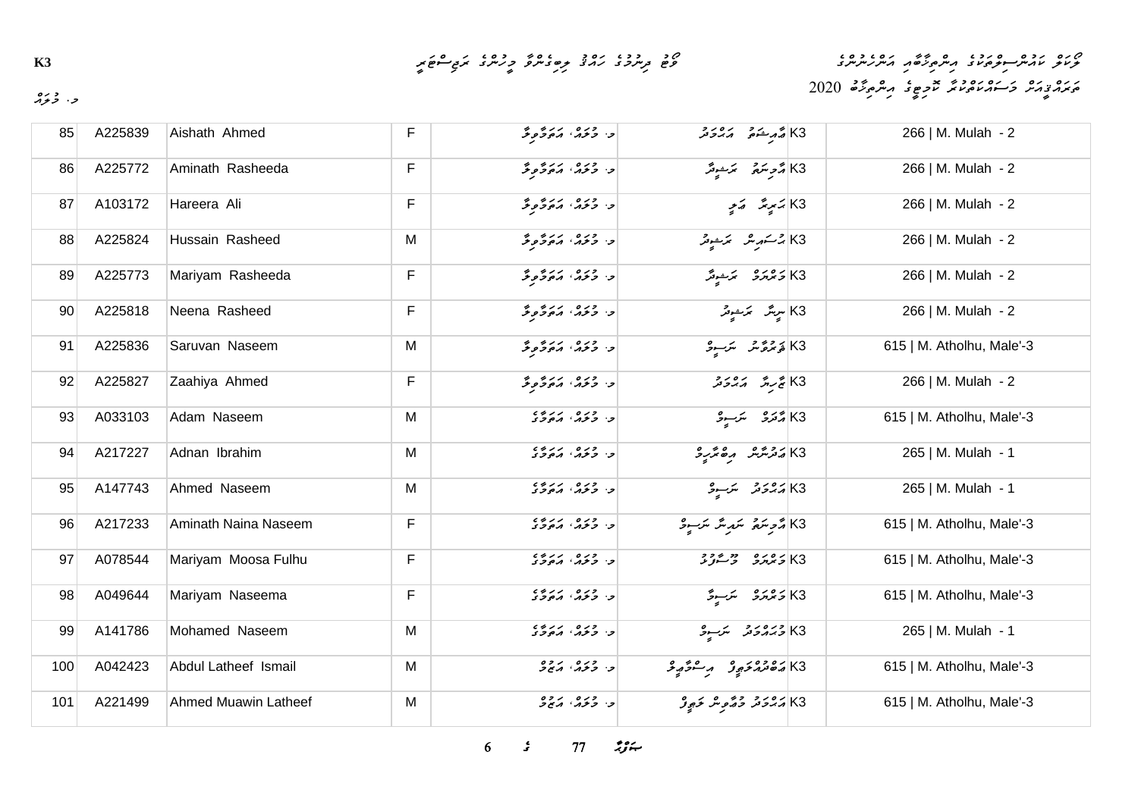*sCw7q7s5w7m< o<n9nOoAw7o< sCq;mAwBoEw7q<m; wBm;vB* م من المرة المرة المرة المرجع المرجع في المركبة 2020<br>مجم*د المريض المربوط المربع المرجع في المراجع المركبة* 

| 85  | A225839 | Aishath Ahmed               | F | والمحتور المتحرقوقر                    | K3 مەم ئىقتىم ئىم ئىكتى كىتىم كىتىم ئىشتار ئىشتار ئىشتار ئىشتار ئىشتار ئىشتار ئىشتار ئىشتار ئىشتار ئىشتا      | 266   M. Mulah - 2        |
|-----|---------|-----------------------------|---|----------------------------------------|---------------------------------------------------------------------------------------------------------------|---------------------------|
| 86  | A225772 | Aminath Rasheeda            | F | والمحروم المركز وتحريج                 | K3 مُرْحِ سَرَمْ مَرْسُوِمَّرُ                                                                                | 266   M. Mulah - 2        |
| 87  | A103172 | Hareera Ali                 | F | ور و ده. درو و د                       | K3 پرېگر ک <i>ړې</i>                                                                                          | 266   M. Mulah - 2        |
| 88  | A225824 | Hussain Rasheed             | M | ور وره درد و                           | K3 پرڪيريش ڪرش <sub>و</sub> يڙ                                                                                | 266   M. Mulah - 2        |
| 89  | A225773 | Mariyam Rasheeda            | F | والمحروم المراد وتحافي                 | K3 <i>ويم</i> هر محمد المتوفر                                                                                 | 266   M. Mulah - 2        |
| 90  | A225818 | Neena Rasheed               | F | ور و ده. درو و د                       | K3 سرینگر کمرشونڈ                                                                                             | 266   M. Mulah - 2        |
| 91  | A225836 | Saruvan Naseem              | M | والمتحوض المراد وتحري                  | K3 <sub>فۇ</sub> برۇبر بىرىيو 3                                                                               | 615   M. Atholhu, Male'-3 |
| 92  | A225827 | Zaahiya Ahmed               | F | ور و ده. درو و د                       | K3 تج برمجر مركز درم                                                                                          | 266   M. Mulah - 2        |
| 93  | A033103 | Adam Naseem                 | M | 5391.002.0000                          | K3 مُمَترَدٌ سَرَسِرَدُ                                                                                       | 615   M. Atholhu, Male'-3 |
| 94  | A217227 | Adnan Ibrahim               | M | 5391.922.5                             | K3 كەنگەنگەر مەھەر ي <sup>و</sup>                                                                             | 265   M. Mulah - 1        |
| 95  | A147743 | Ahmed Naseem                | M | 5991.0000000000                        | K3 كەبرى كىلى ئىرسو ئىستىدى كىلىن ئىستەن ئىستەن ئىستان ئىستان ئىستان ئىستان ئىستان ئىستان ئىستان ئىستان ئىستا | 265   M. Mulah - 1        |
| 96  | A217233 | Aminath Naina Naseem        | F | כי כנסי גנשים<br>כי כב <i>גי ה</i> פכצ | K3 أَمُّ حِسَمَةً سَمَدِسُّ سَرَسٍوڤ                                                                          | 615   M. Atholhu, Male'-3 |
| 97  | A078544 | Mariyam Moosa Fulhu         | F | 5391.002.0000                          | K3 ئەيرىۋە ج <sup>ەمب</sup> ور                                                                                | 615   M. Atholhu, Male'-3 |
| 98  | A049644 | Mariyam Naseema             | F |                                        | K3 كانجما <i>نكرن مكرسوم</i>                                                                                  | 615   M. Atholhu, Male'-3 |
| 99  | A141786 | Mohamed Naseem              | M | $5991^{099}$                           | K3  <i>وبروبروتر مترج</i> و                                                                                   | 265   M. Mulah - 1        |
| 100 | A042423 | Abdul Latheef Ismail        | M | כי כברי הבכ                            | K3 <i>مەھەممۇمۇمۇھەر بە</i> مەھەر ئ                                                                           | 615   M. Atholhu, Male'-3 |
| 101 | A221499 | <b>Ahmed Muawin Latheef</b> | M | כי כי <i>ברי ה</i> אפ                  | K3 كەبۇرى <i>دۇم</i> وبىر <del>ك</del> ېرۇ                                                                    | 615   M. Atholhu, Male'-3 |

*6 sC 77 nNw?mS*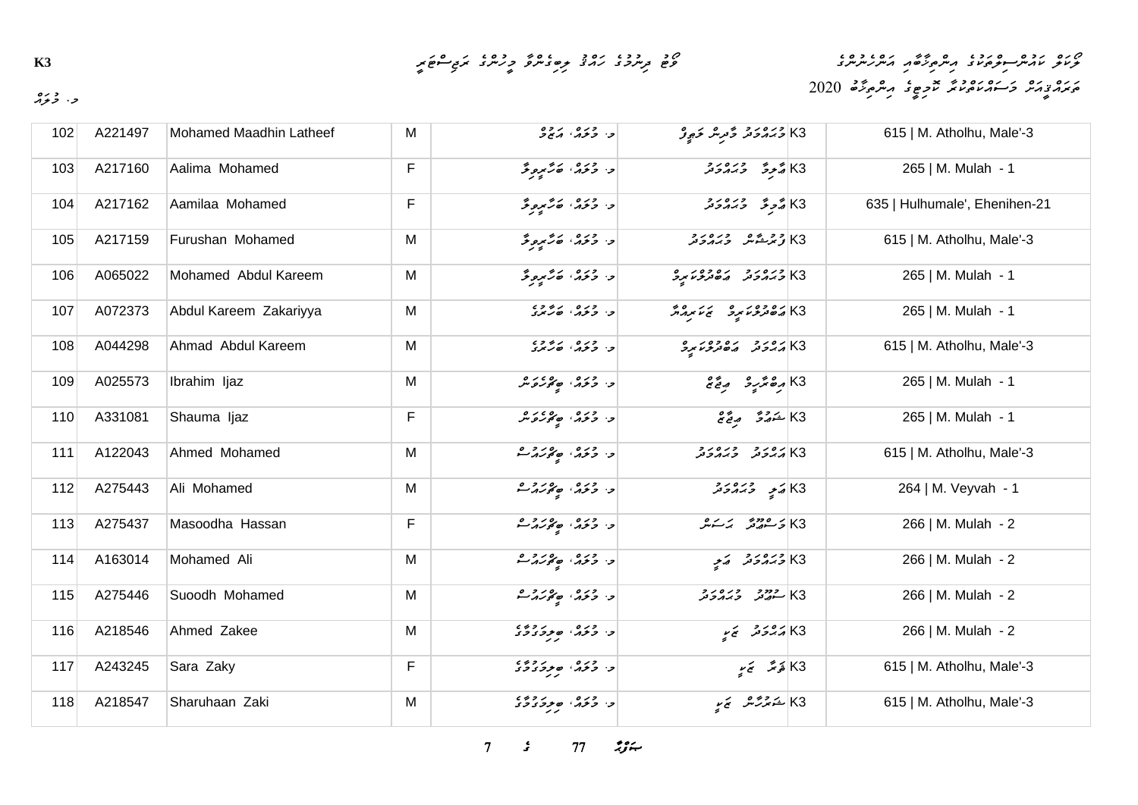*sCw7q7s5w7m< o<n9nOoAw7o< sCq;mAwBoEw7q<m; wBm;vB* م من المرة المرة المرة المرجع المرجع في المركبة 2020<br>مجم*د المريض المربوط المربع المرجع في المراجع المركبة* 

| 102 | A221497 | <b>Mohamed Maadhin Latheef</b> | M | د ونور، دی و               | K3 دَيَرْدُدَتْر دُّمَوِيْر دَبِرِوْ                                                | 615   M. Atholhu, Male'-3     |
|-----|---------|--------------------------------|---|----------------------------|-------------------------------------------------------------------------------------|-------------------------------|
| 103 | A217160 | Aalima Mohamed                 | F | والمحروم كالمتبروق         | K3 مَّعِرَّ 2َرَدُوَتَرَ                                                            | 265   M. Mulah - 1            |
| 104 | A217162 | Aamilaa Mohamed                | F | د وی کاربروی               | K3 مَّ <i>وِحْدَ دَيْرُودَ</i> رُ                                                   | 635   Hulhumale', Ehenihen-21 |
| 105 | A217159 | Furushan Mohamed               | M | و وده، ځرمونو              | K3 زېرېشتر <i>دېده د</i> ر                                                          | 615   M. Atholhu, Male'-3     |
| 106 | A065022 | Mohamed Abdul Kareem           | M | و و وه. ځرمونو             | K3 <i>دې ده د ده دو، ب</i> رو                                                       | 265   M. Mulah - 1            |
| 107 | A072373 | Abdul Kareem Zakariyya         | M | و و وه که ده د             | K3 مەھەر ئەرەكتە تەرەمگە K3                                                         | 265   M. Mulah - 1            |
| 108 | A044298 | Ahmad Abdul Kareem             | M | ور ه دره<br>و۰ وفره، ځرندو | K3 גלבת הסתכת <i>ת</i> כ                                                            | 615   M. Atholhu, Male'-3     |
| 109 | A025573 | Ibrahim ljaz                   | M | والمحروم كالمحركوش         | K3 م <i>ِی مُدَّرِدُ مِیْ مُ</i>                                                    | 265   M. Mulah - 1            |
| 110 | A331081 | Shauma Ijaz                    | F | و و و وه کاروند            | $\frac{2}{5}$ $\frac{2}{3}$ $\frac{2}{3}$ $\frac{1}{3}$ $\frac{1}{3}$ $\frac{1}{3}$ | 265   M. Mulah - 1            |
| 111 | A122043 | Ahmed Mohamed                  | M | و و وه، ه ورو ه            | K3 كەبرو <i>25 كەب</i> روتىر                                                        | 615   M. Atholhu, Male'-3     |
| 112 | A275443 | Ali Mohamed                    | M | و و وه، ه کار د ه          | K3   كەبىر بالاردىتىر                                                               | 264   M. Veyvah - 1           |
| 113 | A275437 | Masoodha Hassan                | F | و و وه، ه کارد ه           | K3 كەسىم ئەسەھ                                                                      | 266   M. Mulah - 2            |
| 114 | A163014 | Mohamed Ali                    | M | و و وه، ه کار د ه          | K3 دېمبروتر ک <i>ړې</i>                                                             | 266   M. Mulah - 2            |
| 115 | A275446 | Suoodh Mohamed                 | M | و و وه، ه ورو ه            | K3 جوړو وره دي                                                                      | 266   M. Mulah - 2            |
| 116 | A218546 | Ahmed Zakee                    | M | כי כברי סְבְבְצֵבִ         | K3 كەبر <i>25 كى يى</i>                                                             | 266   M. Mulah - 2            |
| 117 | A243245 | Sara Zaky                      | F | כי כבהי פיכבבב             | K3  <sub>فقو</sub> تمر بچ پر                                                        | 615   M. Atholhu, Male'-3     |
| 118 | A218547 | Sharuhaan Zaki                 | M | د. وره موځ ده د            | K3 ڪيمر <i>گنگر</i> تج پر                                                           | 615   M. Atholhu, Male'-3     |

*7 sC 77 nNw?mS*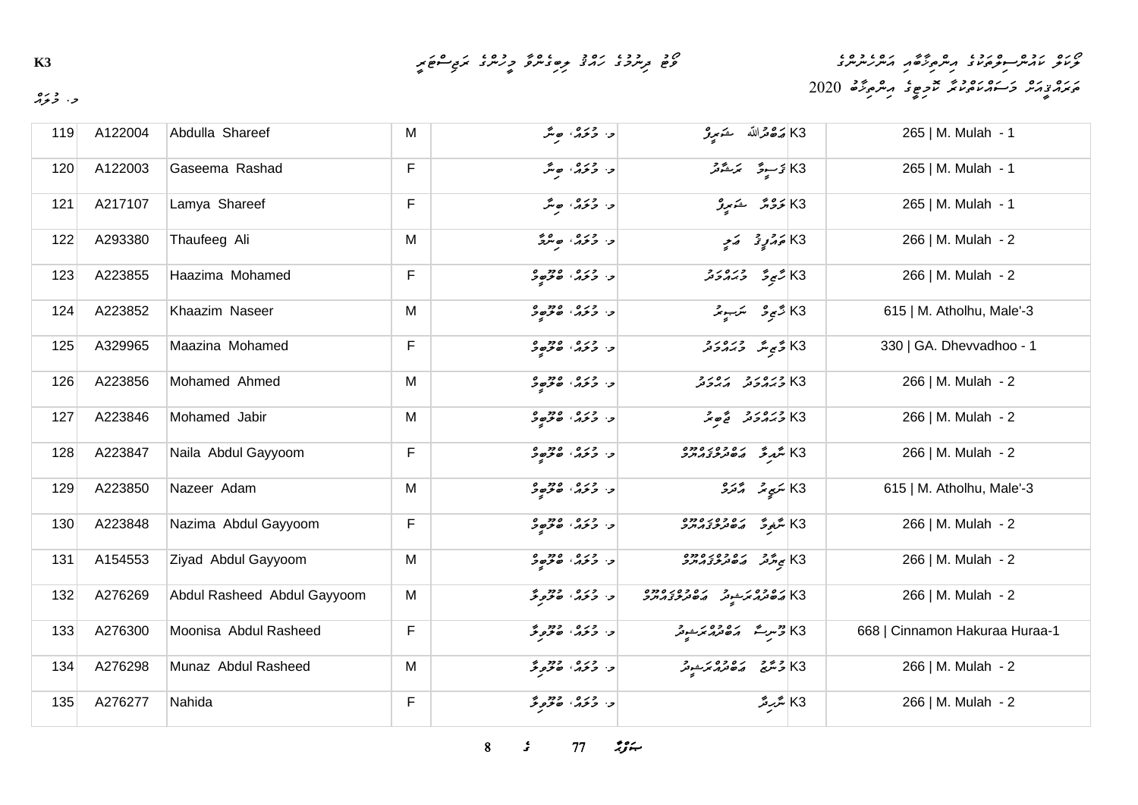*sCw7q7s5w7m< o<n9nOoAw7o< sCq;mAwBoEw7q<m; wBm;vB* م من المرة المرة المرة المرجع المرجع في المركبة 2020<br>مجم*د المريض المربوط المربع المرجع في المراجع المركبة* 

| 119 | A122004 | Abdulla Shareef             | M           | د. د دَرَمْ، صِنَّر                            | K3 كەڭداللە خ <i>ەمرۇ</i>                                         | 265   M. Mulah - 1             |
|-----|---------|-----------------------------|-------------|------------------------------------------------|-------------------------------------------------------------------|--------------------------------|
| 120 | A122003 | Gaseema Rashad              | F           | د. و و در، جگ                                  | K3 كۆسەد كەشگەن <i>گە</i>                                         | 265   M. Mulah - 1             |
| 121 | A217107 | Lamya Shareef               | F           | و. و و دار ه ش                                 | K3 كر <i>ونگە</i> شە <i>يول</i>                                   | 265   M. Mulah - 1             |
| 122 | A293380 | Thaufeeg Ali                | M           | والمحرور المحارثة                              | K3 <i>کا مرکز پاڈھ کی چ</i>                                       | 266   M. Mulah - 2             |
| 123 | A223855 | Haazima Mohamed             | F           |                                                | K3 رَّىمٍ قَرَ مَرَ مَرَّ مَرَّ مَرَّ مَرَّ مِرْ                  | 266   M. Mulah - 2             |
| 124 | A223852 | Khaazim Naseer              | M           |                                                | K3 گەي <sup>8</sup> - س <i>كىبوي</i> تر                           | 615   M. Atholhu, Male'-3      |
| 125 | A329965 | Maazina Mohamed             | F           | و . و ده . و ده و<br>و . و <i>و ده</i> و خرج و | K3 دَّىمٍ مَّرَ دَبَرْدَدَرَ                                      | 330   GA. Dhevvadhoo - 1       |
| 126 | A223856 | Mohamed Ahmed               | M           | 99900222                                       | K3 دره ده بره دو                                                  | 266   M. Mulah - 2             |
| 127 | A223846 | Mohamed Jabir               | M           | 99900222                                       | K3 <i>جەمگە جۇھەتم</i>                                            | 266   M. Mulah - 2             |
| 128 | A223847 | Naila Abdul Gayyoom         | $\mathsf F$ |                                                | K3 سُمبر دَ مَصْرُحْرَ مُمَّرَّد                                  | 266   M. Mulah - 2             |
| 129 | A223850 | Nazeer Adam                 | M           | 0.700072.7                                     | K3 سَمِي جَمَد - مُرْتَدَدُ                                       | 615   M. Atholhu, Male'-3      |
| 130 | A223848 | Nazima Abdul Gayyoom        | F           |                                                | K3 سَّن <i>ْج</i> حَرَّ م <i>ُ</i> صَ <i>فَرْحَ وَ مُ</i> مَرَّدَ | 266   M. Mulah - 2             |
| 131 | A154553 | Ziyad Abdul Gayyoom         | M           | 0.700072.7                                     | K3 <sub>א</sub> یژن پره وه <i>بره دده</i>                         | 266   M. Mulah - 2             |
| 132 | A276269 | Abdul Rasheed Abdul Gayyoom | M           | ور و ده دود و                                  | 02011 م 02010 مر 020102<br>K3 مصرم مرشوتر مصرفر وملاح             | 266   M. Mulah - 2             |
| 133 | A276300 | Moonisa Abdul Rasheed       | $\mathsf F$ | ور و ده ودو څ                                  | K3 ۋېرىگە كەھ <i>ەر مە</i> ھىرىد                                  | 668   Cinnamon Hakuraa Huraa-1 |
| 134 | A276298 | Munaz Abdul Rasheed         | M           | د. وده، هوه و                                  | K3 د شرح مەھەر مەرسىدىر<br>K3 د شرح مەھەر مەرسىدىر                | 266   M. Mulah - 2             |
| 135 | A276277 | Nahida                      | F           | والمتحامي المحيض والمحتجم ومحر                 | K3 بَرْبِرَدَّ                                                    | 266   M. Mulah - 2             |

**8** *s* **77** *z***<sub>***s***</sub>** *z***<sub></sub>**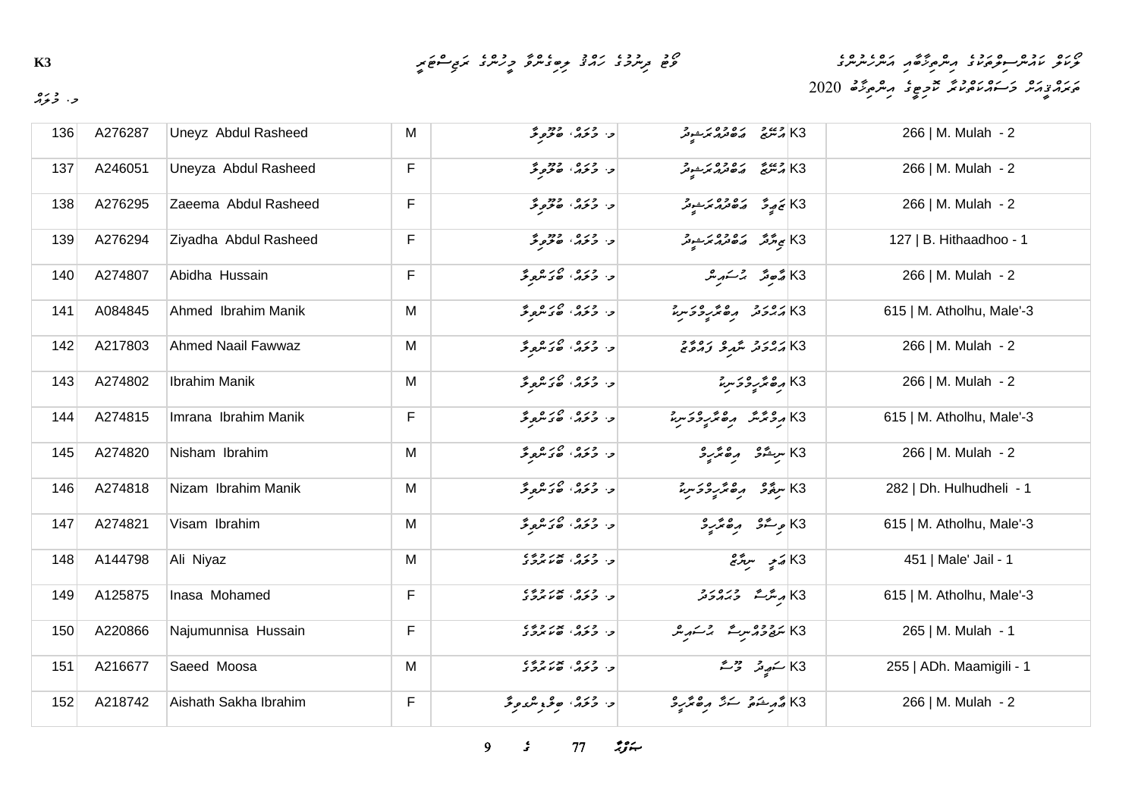*sCw7q7s5w7m< o<n9nOoAw7o< sCq;mAwBoEw7q<m; wBm;vB* م من المرة المرة المرة المرجع المرجع في المركبة 2020<br>مجم*د المريض المربوط المربع المرجع في المراجع المركبة* 

| 136 | A276287 | Uneyz Abdul Rasheed       | M | والمحروم المحتجونج              | K3 مەسىم مەھ <i>ەممىش</i> ومر                  | 266   M. Mulah - 2        |
|-----|---------|---------------------------|---|---------------------------------|------------------------------------------------|---------------------------|
| 137 | A246051 | Uneyza Abdul Rasheed      | F | و. ووه، هوه و                   | K3 كەشتى كەھەر <i>مەرىنى</i> دىر               | 266   M. Mulah - 2        |
| 138 | A276295 | Zaeema Abdul Rasheed      | F | و ووه، هوه و                    | K3 تج <i>مر<sup>ة</sup> ما قافرە تر</i> شونتر  | 266   M. Mulah - 2        |
| 139 | A276294 | Ziyadha Abdul Rasheed     | F | ور و ده.<br>و او و ده. ه وو و گ | K3 ىې ترگر كەھەر <i>مەرىبى</i> دىر             | 127   B. Hithaadhoo - 1   |
| 140 | A274807 | Abidha Hussain            | F | ور و ده، ځای شونگه              | K3 مُەمَّر ئەسەر ش                             | 266   M. Mulah - 2        |
| 141 | A084845 | Ahmed Ibrahim Manik       | M | ور و ده ٢٥ مره و څ              | K3 <i>בُ.2 دەھگردۇ ئېرى</i>                    | 615   M. Atholhu, Male'-3 |
| 142 | A217803 | <b>Ahmed Naail Fawwaz</b> | M | وره صره وي                      | K3 <i>גُرْدُوَنْدُ سُمْدِ وُ دُوَّى</i>        | 266   M. Mulah - 2        |
| 143 | A274802 | <b>Ibrahim Manik</b>      | M | وره صره عديد                    | K3 مەھەر پەدىر سرى <i>ت</i>                    | 266   M. Mulah - 2        |
| 144 | A274815 | Imrana Ibrahim Manik      | F | وره صره وره عم                  | K3 مەۋىگىگە مەھە <i>گرى</i> دۇ كەبرى <i>تا</i> | 615   M. Atholhu, Male'-3 |
| 145 | A274820 | Nisham Ibrahim            | M | ور وره مي ده د                  | K3 سرشگ م <i>ی شرک</i> و                       | 266   M. Mulah - 2        |
| 146 | A274818 | Nizam Ibrahim Manik       | M | وره صده عمره عم                 | K3 سِهَّرَ مِهْ مُرْرِدْدَ سِرْ                | 282   Dh. Hulhudheli - 1  |
| 147 | A274821 | Visam Ibrahim             | M | ور و ده ٢٥ مره و څ              | K3 مِ سُمَّرَ مِنْ مِرْدِدْ                    | 615   M. Atholhu, Male'-3 |
| 148 | A144798 | Ali Niyaz                 | M |                                 | K3 <i>ڇَجِ سِرَدُّ</i> ج                       | 451   Male' Jail - 1      |
| 149 | A125875 | Inasa Mohamed             | F | $5991\times 0197$               | K3 مەشرىقە <i>مەندە تە</i>                     | 615   M. Atholhu, Male'-3 |
| 150 | A220866 | Najumunnisa Hussain       | F | $5991\%$ $599$                  | K3 ى <i>تەۋۋىرىت جىتوپى</i> ر                  | 265   M. Mulah - 1        |
| 151 | A216677 | Saeed Moosa               | M | כי כנס מדנים<br>כי כבהי שממכצ   | K3 ڪهي تر حي                                   | 255   ADh. Maamigili - 1  |
| 152 | A218742 | Aishath Sakha Ibrahim     | F | د. د دَرُه، ھوڏي شمور گ         | K3 مُەمشۇ سَنَّ مەھمَّرىد                      | 266   M. Mulah - 2        |

*9 sC 77 nNw?mS*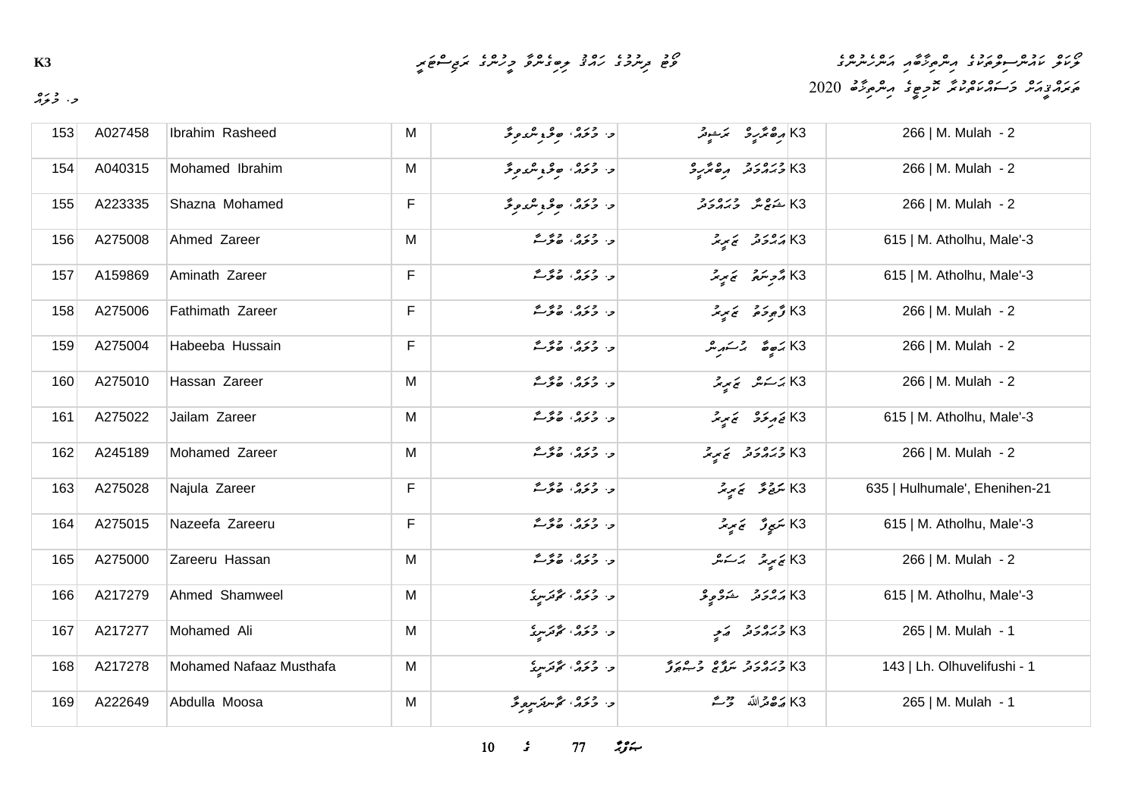*sCw7q7s5w7m< o<n9nOoAw7o< sCq;mAwBoEw7q<m; wBm;vB* م من المرة المرة المرة المرجع المرجع في المركبة 2020<br>مجم*د المريض المربوط المربع المرجع في المراجع المركبة* 

| 153 | A027458 | Ibrahim Rasheed         | M            | د. د دَرٌ، ھوڏي شروعو  | K3 ب <i>ر&amp;ټرُرٍ\$ بَرَحوِيْر</i>                                                                | 266   M. Mulah - 2            |
|-----|---------|-------------------------|--------------|------------------------|-----------------------------------------------------------------------------------------------------|-------------------------------|
| 154 | A040315 | Mohamed Ibrahim         | M            | د کرکړي ھوءِ شروعو گ   | K3 <i>ڈیزوونو م</i> ھٹر <i>ی</i> و                                                                  | 266   M. Mulah - 2            |
| 155 | A223335 | Shazna Mohamed          | F            | د وتوکر، ھوڏيھوموتر    | K3 خەنج ئىز ئەير ئەردىر                                                                             | 266   M. Mulah - 2            |
| 156 | A275008 | Ahmed Zareer            | M            | د. دره، هڙَٽُ          | K3 <i>مَدْدُوَنْتْ</i> كَالْمَرْيْتْر                                                               | 615   M. Atholhu, Male'-3     |
| 157 | A159869 | Aminath Zareer          | $\mathsf{F}$ | و٠ ووه، هوَ گ          | K3 مُرْحِسَةً بِمَ بِرَتْمَرِ                                                                       | 615   M. Atholhu, Male'-3     |
| 158 | A275006 | Fathimath Zareer        | $\mathsf F$  | د. دره، هڙڪ            | K3 رَّج <i>وحَمْ</i> يَمَ يِهْرُ                                                                    | 266   M. Mulah - 2            |
| 159 | A275004 | Habeeba Hussain         | F            | د. دىد، ھۇش            | K3 كەھ <b>ەت</b> ە كەسكەر بىر                                                                       | 266   M. Mulah - 2            |
| 160 | A275010 | Hassan Zareer           | M            | د. دده، هوٌتُ          | K3   پُرسُدش نج پریژ                                                                                | 266   M. Mulah - 2            |
| 161 | A275022 | Jailam Zareer           | M            | د. دىرە، ھۇش           | K3 <i>قەدىخ</i> ۇ   ئەمرىتر                                                                         | 615   M. Atholhu, Male'-3     |
| 162 | A245189 | Mohamed Zareer          | M            | و ووه، هوگ             | K3 <i>\$22,23 بخ بوير</i> ً                                                                         | 266   M. Mulah - 2            |
| 163 | A275028 | Najula Zareer           | F            | د. دره، هڙڪ            | K3 بىر <sub>قى</sub> ئۇ سىم بىرىگە                                                                  | 635   Hulhumale', Ehenihen-21 |
| 164 | A275015 | Nazeefa Zareeru         | F            | و. ووه، ەۋىش           | K3 سَمِوِرٌ تَمَ سِرْتُهُ                                                                           | 615   M. Atholhu, Male'-3     |
| 165 | A275000 | Zareeru Hassan          | M            | د. دره، هڙڪ            | K3 ئىم يېڭر كەشكەر                                                                                  | 266   M. Mulah - 2            |
| 166 | A217279 | Ahmed Shamweel          | M            | و و و وه، گاورس        | K3  كەبرى قىمى ئىكرى ئىچە ئىچە ئىچە ئىككەن ئىچە ئىككەن ئىككەن ئىككەن ئىككەن ئىككەن ئىككەن ئىككەن ئى | 615   M. Atholhu, Male'-3     |
| 167 | A217277 | Mohamed Ali             | M            | و و و وه گوترس         | K3 ديرورو ك <i>ي</i> ر                                                                              | 265   M. Mulah - 1            |
| 168 | A217278 | Mohamed Nafaaz Musthafa | M            | د و و وه محمد سره      | K3 دېره د د سري د ده دي.<br>K3 د بربرونر سرگړي و جمهون                                              | 143   Lh. Olhuvelifushi - 1   |
| 169 | A222649 | Abdulla Moosa           | M            | و وكوه، كالملاس للمحمد | K3 مَرْحُوثَرالله حَرْثَة                                                                           | 265   M. Mulah - 1            |

*10 sC 77 nNw?mS*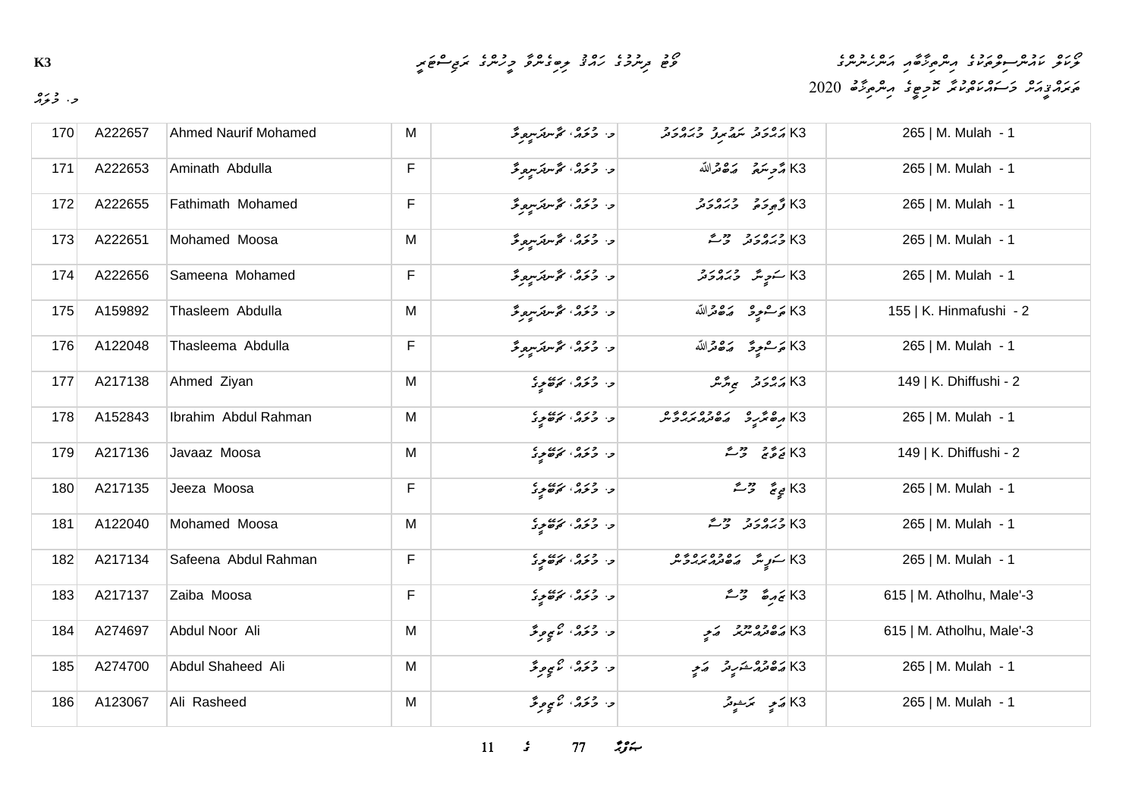*sCw7q7s5w7m< o<n9nOoAw7o< sCq;mAwBoEw7q<m; wBm;vB* م من المرة المرة المرة المرجع المرجع في المركبة 2020<br>مجم*د المريض المربوط المربع المرجع في المراجع المركبة* 

| 170 | A222657 | <b>Ahmed Naurif Mohamed</b> | M | و- وَتَوَكَّى، گُوسِيْرَسِيْدِ تَرُ       | K3 روبر تر تر وبروبر و بر                     | 265   M. Mulah - 1        |
|-----|---------|-----------------------------|---|-------------------------------------------|-----------------------------------------------|---------------------------|
| 171 | A222653 | Aminath Abdulla             | F | و- وَتَوَكَّى، گُوسِيْرَسِيْدِ تَرُ       | K3 م <i>ُّ جِ سَمَّة مُ</i> صُوَّراللَّه      | 265   M. Mulah - 1        |
| 172 | A222655 | Fathimath Mohamed           | F | و . وَوَكْرُ ، كَاسْتَرْسِعِ وَّ          | K3 <i>ڈوِحَمْ حُمُدُحَ</i> تْر                | 265   M. Mulah - 1        |
| 173 | A222651 | Mohamed Moosa               | M | و . وَوَكْرُ ، كَلُّ سِهْرَ سِهِ وَّ      | 13) <i>3، ج. ج. ج.</i> سمج ستر                | 265   M. Mulah - 1        |
| 174 | A222656 | Sameena Mohamed             | F | و . وَوَكْرُ ، كَلُّ سِهْرَ سِهِ وَّ      | K3 سَمَّوٍ <i>مَدَّ دَيْرُوتَر</i> َ          | 265   M. Mulah - 1        |
| 175 | A159892 | Thasleem Abdulla            | M | والمحركة المحمولين                        | K3 <i>حَرْ شُهُودٌ حَ</i> مَّاهُ سَمَّاللَّهُ | 155   K. Hinmafushi - 2   |
| 176 | A122048 | Thasleema Abdulla           | F | و و و و و استرسمه                         | K3 <i>حَرْ—جُوجَّة حَ</i> مُّ هُمَّاللَّه     | 265   M. Mulah - 1        |
| 177 | A217138 | Ahmed Ziyan                 | M | د. وره به ده د                            | K3 <i>ړېږي پې</i> ر شر                        | 149   K. Dhiffushi - 2    |
| 178 | A152843 | Ibrahim Abdul Rahman        | M | د. وده، نمکام د                           | CA ROZOLO COLORO K3                           | 265   M. Mulah - 1        |
| 179 | A217136 | Javaaz Moosa                | M | ور ووه، نمکان کا                          | $23 - 22 - 163$                               | 149   K. Dhiffushi - 2    |
| 180 | A217135 | Jeeza Moosa                 | F | و. ووه، نځه وو                            | $23$ ایم ج $83$                               | 265   M. Mulah - 1        |
| 181 | A122040 | Mohamed Moosa               | M | و ووه، نمکان د                            | K3 درورو وحيد                                 | 265   M. Mulah - 1        |
| 182 | A217134 | Safeena Abdul Rahman        | F | د. وده، نه ده د                           | K3 خۇش مەھىر <i>ە جە</i> رەپ                  | 265   M. Mulah - 1        |
| 183 | A217137 | Zaiba Moosa                 | F | و . و ده . دع و د<br>و . و و در . کوه و د | $23$ $5\%$ K3                                 | 615   M. Atholhu, Male'-3 |
| 184 | A274697 | Abdul Noor Ali              | M | د کاموړي لکمونونځه                        | K3 رەم دەم دەم كېمبر كې                       | 615   M. Atholhu, Male'-3 |
| 185 | A274700 | Abdul Shaheed Ali           | M | د کاموري لاي و ځا                         | K3 كەھ <i>ىرم شەرىتى كەي</i>                  | 265   M. Mulah - 1        |
| 186 | A123067 | Ali Rasheed                 | M | د کاموری انگلو و بخا                      | K3 كەمچە كىرىشون <i>ى</i> ر                   | 265   M. Mulah - 1        |

 $11$  *s* 77  $23$   $\div$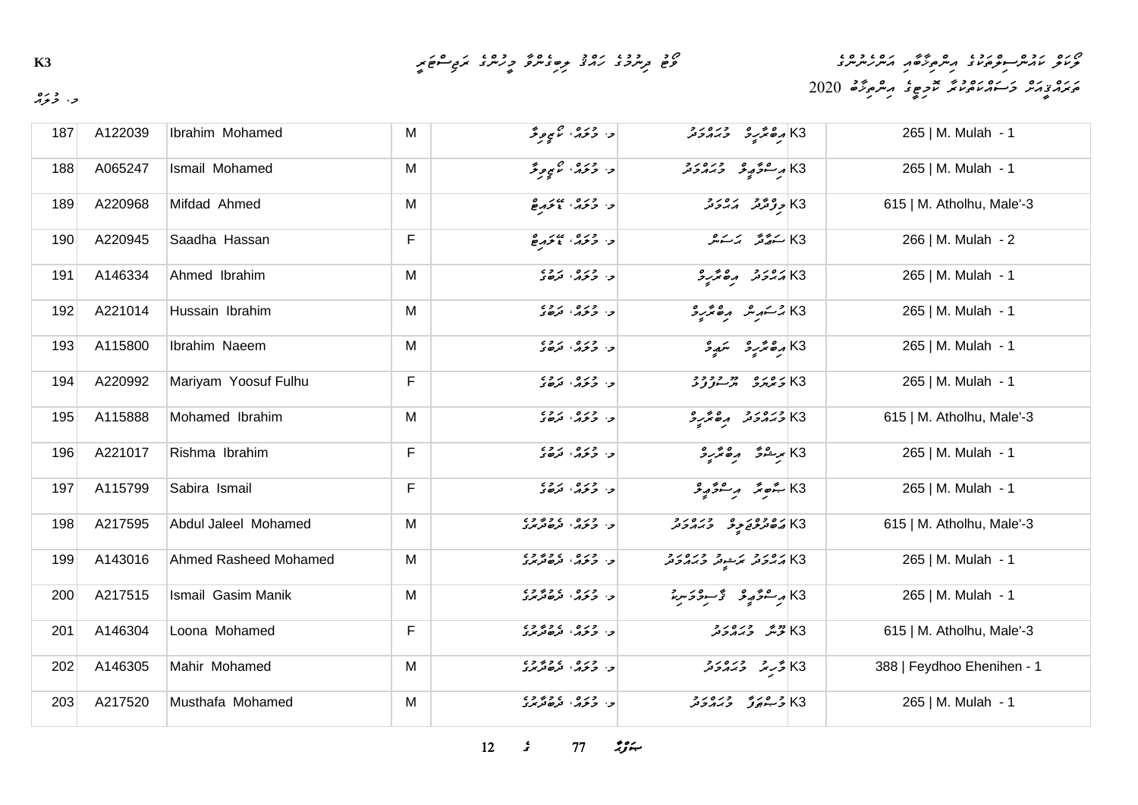*sCw7q7s5w7m< o<n9nOoAw7o< sCq;mAwBoEw7q<m; wBm;vB* م من المرة المرة المرة المرجع المرجع في المركبة 2020<br>مجم*د المريض المربوط المربع المرجع في المراجع المركبة* 

| 187 | A122039 | Ibrahim Mohamed           | M           | د· د د د ۲، ۲ په وگ             | K3 رەئزى <sub>ر</sub> و دېرەرد                | 265   M. Mulah - 1         |
|-----|---------|---------------------------|-------------|---------------------------------|-----------------------------------------------|----------------------------|
| 188 | A065247 | Ismail Mohamed            | M           | د کاموري لاي و ځا               | K3 <sub>م</sub> ر <i>مۇم</i> ۇ ئەرەر ئەر      | 265   M. Mulah - 1         |
| 189 | A220968 | Mifdad Ahmed              | M           | 5.52.20                         | K3 وِوْمَّة كَمَدْدَة لَّا                    | 615   M. Atholhu, Male'-3  |
| 190 | A220945 | Saadha Hassan             | F           |                                 | K3 س <i>َمَدَّةَ بَرَسَ</i> سَ                | 266   M. Mulah - 2         |
| 191 | A146334 | Ahmed Ibrahim             | M           | ور ه دو و<br>و۰ و بور و تره و   | K3 <i>جَهُدَوتر م</i> ِ <i>هُ بَرْبِ</i> دُ   | 265   M. Mulah - 1         |
| 192 | A221014 | Hussain Ibrahim           | M           | ور ه دو و<br>و۰ و بور و تره و   | K3 يُرْسَمبر شَر مِرْكَة مِرْرِدْ             | 265   M. Mulah - 1         |
| 193 | A115800 | Ibrahim Naeem             | M           | ور ه دو و<br>و۰ و بور و تره و   | K3 مەھم <i>گىي</i> ۇ ش <sub>ە</sub> پى        | 265   M. Mulah - 1         |
| 194 | A220992 | Mariyam Yoosuf Fulhu      | F           | ور ه دو و<br>و۰ و بور و تره و   | K3 ئەيرە ھەمبەدە                              | 265   M. Mulah - 1         |
| 195 | A115888 | Mohamed Ibrahim           | M           | و . وړه . ده .<br>و . ونو       | K3 دُبَر دور مِرْهُ بَرْدِ                    | 615   M. Atholhu, Male'-3  |
| 196 | A221017 | Rishma Ibrahim            | F           | ور ه دو و<br>و۰ و بور و تره و   | K3 برڪو <i>گر مرھنگري</i> و                   | 265   M. Mulah - 1         |
| 197 | A115799 | Sabira Ismail             | $\mathsf F$ | و. وره، دره،                    | K3 جۇھەتتە ب <i>وس<sup>ى</sup>ۋەي</i> تو      | 265   M. Mulah - 1         |
| 198 | A217595 | Abdul Jaleel Mohamed      | M           | ور و ده.<br>د و څه تره ترمر     | K3 <i>مەھەرى بو</i> بۇ ب <i>ەر دەر د</i>      | 615   M. Atholhu, Male'-3  |
| 199 | A143016 | Ahmed Rasheed Mohamed     | M           | وره عود دور<br>د ونور، تره تریر | K3 كەندۇقر كەندىر <i>25مەدە</i> تر            | 265   M. Mulah - 1         |
| 200 | A217515 | <b>Ismail Gasim Manik</b> | M           | وره ووه وو.<br>د ونور، تره تریر | K3 <sub>م</sub> رے دُر <sub>و</sub> ڈ گروگریز | 265   M. Mulah - 1         |
| 201 | A146304 | Loona Mohamed             | F           | وره ورود.<br>د ونور، تره تریر   | K3 تۇنئر ب <i>ەردەرد</i>                      | 615   M. Atholhu, Male'-3  |
| 202 | A146305 | Mahir Mohamed             | M           | وره ووه وو.<br>د ونور، تره تریر | K3 دُرِيْر وَبَرُودَوْر                       | 388   Feydhoo Ehenihen - 1 |
| 203 | A217520 | Musthafa Mohamed          | M           | وره پوه وي.<br>د ونور، تره ترير | K3 ۋەرە دىرەرد                                | 265   M. Mulah - 1         |

 $12$  *s* 77 *i*<sub>s</sub>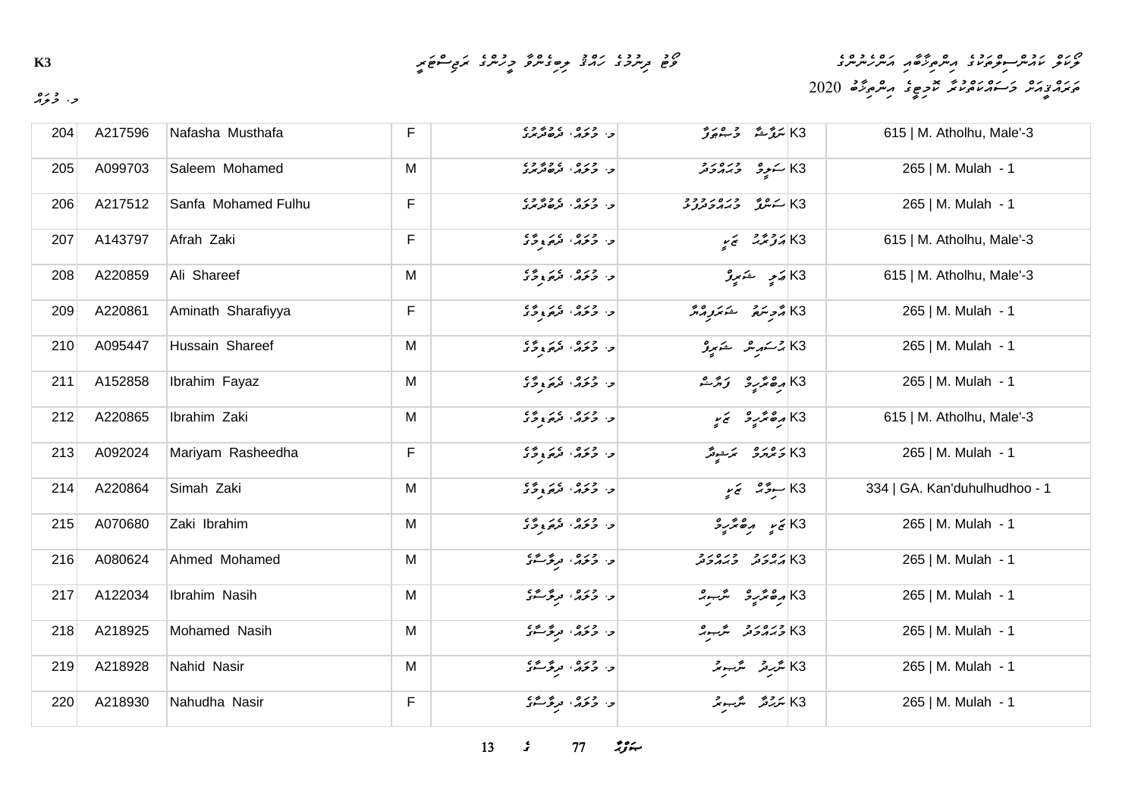*sCw7q7s5w7m< o<n9nOoAw7o< sCq;mAwBoEw7q<m; wBm;vB* م من المرة المرة المرة المرجع المرجع في المركبة 2020<br>مجم*د المريض المربوط المربع المرجع في المراجع المركبة* 

| 204 | A217596 | Nafasha Musthafa    | F           | وره پروه وي<br>د ونور، تره ترير               | K3 يَرَتَّتْ تَرْبَعُ بِرَ               | 615   M. Atholhu, Male'-3     |
|-----|---------|---------------------|-------------|-----------------------------------------------|------------------------------------------|-------------------------------|
| 205 | A099703 | Saleem Mohamed      | M           | وره دوود.<br>و· ونوړ، تره تریزی               | K3  سَموِة دَيَرُومَرُ                   | 265   M. Mulah - 1            |
| 206 | A217512 | Sanfa Mohamed Fulhu | F           | وره عروبر<br>د ونور، تره تریر                 | K3 شەير دىرە دور                         | 265   M. Mulah - 1            |
| 207 | A143797 | Afrah Zaki          | F           | وره دره در ده                                 | K3 كەتى <i>تىڭگى تى</i> ر                | 615   M. Atholhu, Male'-3     |
| 208 | A220859 | Ali Shareef         | M           | و . وره . ور . و .<br>و . و توهر . ترج و تو . | K3 كەمچە ھەمچەر                          | 615   M. Atholhu, Male'-3     |
| 209 | A220861 | Aminath Sharafiyya  | $\mathsf F$ | و وره ور وه                                   | K3 مُرْحِسَمُ شَمَعَرُو مُشَ             | 265   M. Mulah - 1            |
| 210 | A095447 | Hussain Shareef     | M           | ور وره عدد ده                                 | K3   جُسَمرِ شَرِ مُحَمَّدٍ وَ           | 265   M. Mulah - 1            |
| 211 | A152858 | Ibrahim Fayaz       | M           | ور وره عدد ده                                 | K3 رەئزىرى زىرمى                         | 265   M. Mulah - 1            |
| 212 | A220865 | Ibrahim Zaki        | M           | ور وره در ود                                  | K3 مەھم <i>گىي</i> تىم يىم كى            | 615   M. Atholhu, Male'-3     |
| 213 | A092024 | Mariyam Rasheedha   | F           | و . وره . ور . و .<br>و . و توهر . ترج و تو . | K3 كەنگەنگە كەنسىرەنگر                   | 265   M. Mulah - 1            |
| 214 | A220864 | Simah Zaki          | M           | وره دره در ده                                 | K3 س <i>وڤر</i> تم پر                    | 334   GA. Kan'duhulhudhoo - 1 |
| 215 | A070680 | Zaki Ibrahim        | M           | و ووه، ترجيع ود                               | K3 ئىم مەھم <i>گى</i> ر 3                | 265   M. Mulah - 1            |
| 216 | A080624 | Ahmed Mohamed       | M           | و وده، مروٌ شی                                | K3 كەبرو مەمدىر                          | 265   M. Mulah - 1            |
| 217 | A122034 | Ibrahim Nasih       | M           | و ووه، مروَّسَو                               | K3 رەمگرى <sub>د</sub> ۇ س <i>گىب</i> ور | 265   M. Mulah - 1            |
| 218 | A218925 | Mohamed Nasih       | M           | و وده مروٌ شي                                 | K3  <i>وَيَهُوَفَرُ</i> سُرْجِيْرُ       | 265   M. Mulah - 1            |
| 219 | A218928 | Nahid Nasir         | M           | و ووه، مروَّسَو                               | K3 م <i>گرب</i> قر مگرجونقر              | 265   M. Mulah - 1            |
| 220 | A218930 | Nahudha Nasir       | F           | و . و وه. مروٌ گوء                            | K3 ى <i>زدۇ مەتبەت</i> ر                 | 265   M. Mulah - 1            |

 $13$  *s* 77 *i*<sub>s</sub>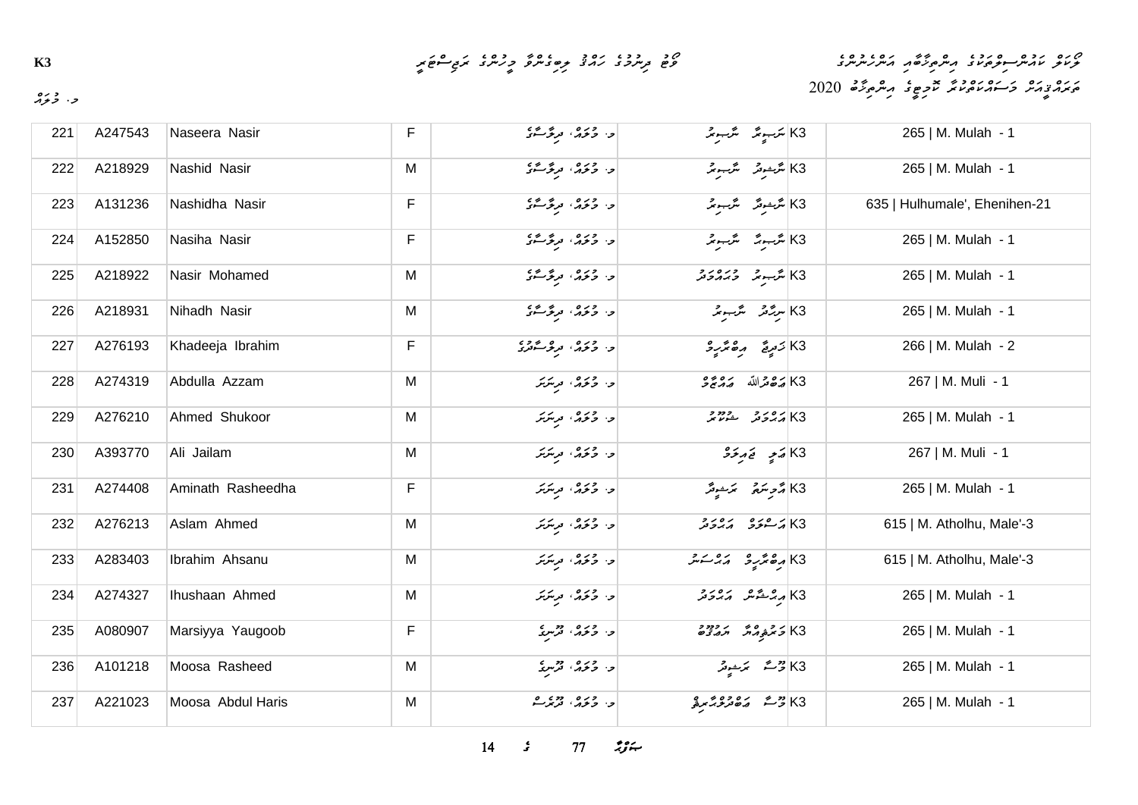*sCw7q7s5w7m< o<n9nOoAw7o< sCq;mAwBoEw7q<m; wBm;vB* م من المرة المرة المرة المرجع المرجع في المركبة 2020<br>مجم*د المريض المربوط المربع المرجع في المراجع المركبة* 

| 221 | A247543 | Naseera Nasir     | $\mathsf F$ | و وی مرگ                   | K3 مَرْسِوِمَّر - مَرْسِومَرُ-                                   | 265   M. Mulah - 1            |
|-----|---------|-------------------|-------------|----------------------------|------------------------------------------------------------------|-------------------------------|
| 222 | A218929 | Nashid Nasir      | M           | و . و و د او و د کار و د ا | K3 مَرْدِمِرْ - مَرْسِمْ-                                        | 265   M. Mulah - 1            |
| 223 | A131236 | Nashidha Nasir    | F           | و ووه، مروَّسَوَ           | K3 سَّرَسُومَّر سَّرَسِومَرُ                                     | 635   Hulhumale', Ehenihen-21 |
| 224 | A152850 | Nasiha Nasir      | $\mathsf F$ | <i>و د وه</i> ، مرگزشی     | K3 سَّرَ- سَرَ- سَرَ- سَرَ- سَرَ- سَرَ                           | 265   M. Mulah - 1            |
| 225 | A218922 | Nasir Mohamed     | M           | و ووه، مروَّسَوَ           | K3 بترجو بالمحدد ورود                                            | 265   M. Mulah - 1            |
| 226 | A218931 | Nihadh Nasir      | M           | و وی مرگ                   | K3 س <i>رگ<sup>و</sup>گہ مگ</i> سومگر                            | 265   M. Mulah - 1            |
| 227 | A276193 | Khadeeja Ibrahim  | F           | و٠ وکړي، تروکورۍ           | K3 دَمِيعٌ مِنْ صُرِّرِ \$                                       | 266   M. Mulah - 2            |
| 228 | A274319 | Abdulla Azzam     | M           | والمحركة الإسكاكر          | $5222$ $-222$ $-152$ $-153$                                      | 267   M. Muli - 1             |
| 229 | A276210 | Ahmed Shukoor     | M           | أوا وتحاثى الإنترنز        | K3 كەبرو ھەدە                                                    | 265   M. Mulah - 1            |
| 230 | A393770 | Ali Jailam        | M           | والمحركة المستركر          | K3 <i>جَرِج غ</i> ير <i>حَ</i> و                                 | 267   M. Muli - 1             |
| 231 | A274408 | Aminath Rasheedha | $\mathsf F$ | والمحتجالي فرنترش          | K3 مُرْحِ سَرَمْ - سَرَسْوِسَّرْ                                 | 265   M. Mulah - 1            |
| 232 | A276213 | Aslam Ahmed       | M           | والمحتوار المريتركر        | K3 كەشكى ئەرەبىرى بىر                                            | 615   M. Atholhu, Male'-3     |
| 233 | A283403 | Ibrahim Ahsanu    | M           | والمحتجالي فرنترش          | K3 مەھەرىپى مەركىتىلى                                            | 615   M. Atholhu, Male'-3     |
| 234 | A274327 | Ihushaan Ahmed    | M           | د. وتحدث مریتر             | K3 مەشقىر مەد <i>ە</i> ر                                         | 265   M. Mulah - 1            |
| 235 | A080907 | Marsiyya Yaugoob  | F           | والمحتوار المحرسي          | K3 د بروره بر دورد<br>K3 د بر <sub>فتو</sub> ربر مرم <i>د</i> وه | 265   M. Mulah - 1            |
| 236 | A101218 | Moosa Rasheed     | M           | والمحروم اقرامهم           | K3 تۆگ ئىزىنى <sub>د</sub> ىر                                    | 265   M. Mulah - 1            |
| 237 | A221023 | Moosa Abdul Haris | M           | و٠ ووه، ودې ه              | K3 تۆستە ھەھەر <i>ۋەتىرى</i>                                     | 265   M. Mulah - 1            |

*14 s* 77 *n*<sub>3</sub> *s*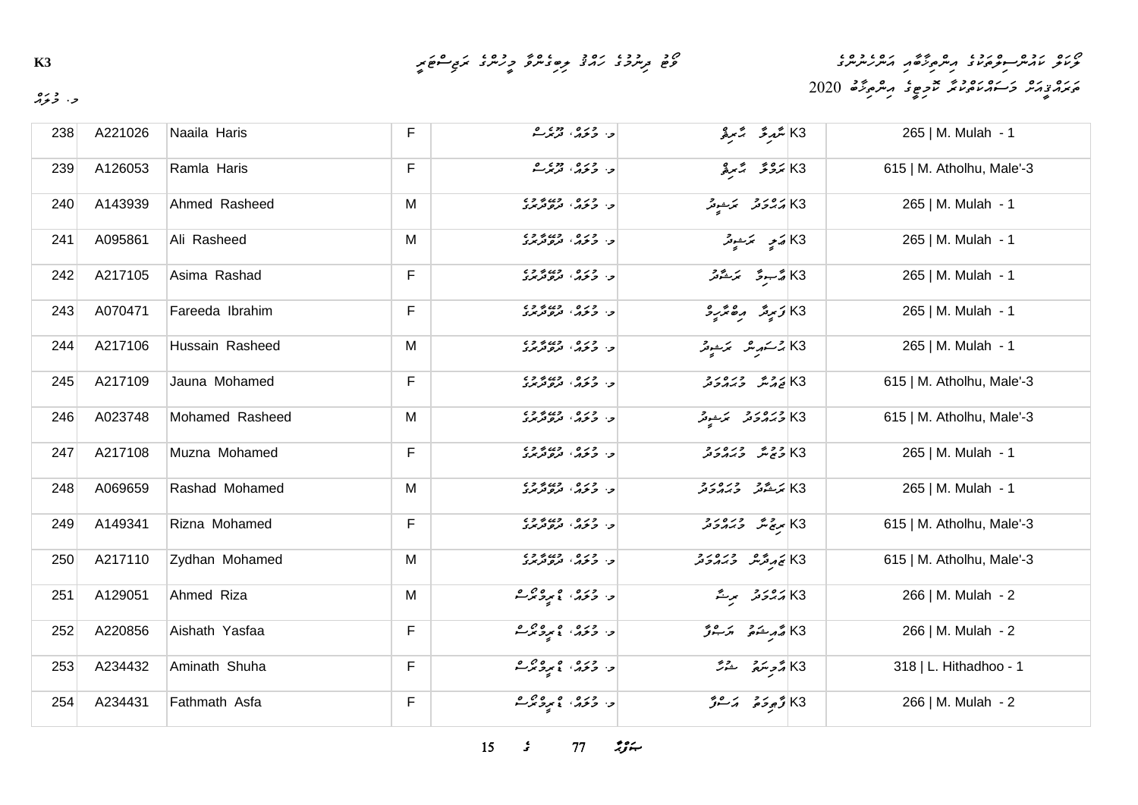*sCw7q7s5w7m< o<n9nOoAw7o< sCq;mAwBoEw7q<m; wBm;vB* م من المرة المرة المرة المرجع المرجع في المركبة 2020<br>مجم*د المريض المربوط المربع المرجع في المراجع المركبة* 

| 238 | A221026 | Naaila Haris    | F           | و٠ ووه، ودې ه                                    | K3 سَمَدِ مَثَّـ سَمَّدِهِ الْمَ                                                                               | 265   M. Mulah - 1        |
|-----|---------|-----------------|-------------|--------------------------------------------------|----------------------------------------------------------------------------------------------------------------|---------------------------|
| 239 | A126053 | Ramla Haris     | F           | و٠ ووه، توپوگ                                    | K3 ىزدى ئەرت <sub>ەر</sub>                                                                                     | 615   M. Atholhu, Male'-3 |
| 240 | A143939 | Ahmed Rasheed   | M           | وره وړه وي.<br>د ونون ترجوتربرو                  | K3 كەنزى كى كەر كىيەن كىر                                                                                      | 265   M. Mulah - 1        |
| 241 | A095861 | Ali Rasheed     | M           | وره دده ورود<br>و· و نوه، توج توس                | K3 كەمچە كەشپەتر                                                                                               | 265   M. Mulah - 1        |
| 242 | A217105 | Asima Rashad    | $\mathsf F$ | وره وړه وي.<br>د ونون ترجوتربری                  | K3 مُرْسِوتٌ مَرْسُدُتْر                                                                                       | 265   M. Mulah - 1        |
| 243 | A070471 | Fareeda Ibrahim | F           | وره وړه وي.<br>و۰ ونون تروتربرو                  | K3 كۆمچى <i>گە مەھەتگەپ</i> ى                                                                                  | 265   M. Mulah - 1        |
| 244 | A217106 | Hussain Rasheed | M           | وره وړه وي.<br>د ونون تر <i>و</i> تر <i>بر</i> ی | K3  ترسكور محرجومر                                                                                             | 265   M. Mulah - 1        |
| 245 | A217109 | Jauna Mohamed   | F           | وره وړه وي<br>و۰ ونوړ، تروتربرو                  | K3 يَوَمَّشَ حَيَدَ مِرَّةٍ                                                                                    | 615   M. Atholhu, Male'-3 |
| 246 | A023748 | Mohamed Rasheed | M           | وره دده ورود<br>و· و نوه، توج توس                | K3  <i>ويەم</i> ۇتر - ير <sub>ەپو</sub> تر                                                                     | 615   M. Atholhu, Male'-3 |
| 247 | A217108 | Muzna Mohamed   | F           | وره وړه وي.<br>د ونون ترجوتربری                  | K3 دُيْمَتَر دِبَرْدُدَتَر                                                                                     | 265   M. Mulah - 1        |
| 248 | A069659 | Rashad Mohamed  | M           | وره وړه وي.<br>د ونون تروتربرو                   | K3 بَرْڪُٽر <i>جنہون</i> ر                                                                                     | 265   M. Mulah - 1        |
| 249 | A149341 | Rizna Mohamed   | F           | وره ورد وي وي<br>و· ونوړ، تروتربرو               | K3 برېم بگر   د بر د د تر                                                                                      | 615   M. Atholhu, Male'-3 |
| 250 | A217110 | Zydhan Mohamed  | M           | وره دده ورود<br>و· و نوه، توج توس                | K3 ىَدِيَّرْسْ دَبَرْدْدَيْر                                                                                   | 615   M. Atholhu, Male'-3 |
| 251 | A129051 | Ahmed Riza      | M           | و و و ده ، ، ، برو بر ۳                          | K3 كەش <sup>ى</sup> كەشقە سىمبەتتە                                                                             | 266   M. Mulah - 2        |
| 252 | A220856 | Aishath Yasfaa  | F           | ور وره و وه وه                                   | K3 مۇم ھۇم مەركىتى كىلىدىكىتى كىتا ئىستان ئىستان ئىستان ئىستان ئىستان ئىستان ئىستان ئىستان ئىستان ئىستان ئىستا | 266   M. Mulah - 2        |
| 253 | A234432 | Aminath Shuha   | F           | د. وره و وه وه                                   | K3 مُرْحِسَمُ مِسْتَمَّ                                                                                        | 318   L. Hithadhoo - 1    |
| 254 | A234431 | Fathmath Asfa   | F           | والمحركرة الممرح بمرت                            | K3 رُج <i>وحَمْ مَ</i> سُرُمٌ                                                                                  | 266   M. Mulah - 2        |

 $15$   $3$   $77$   $35$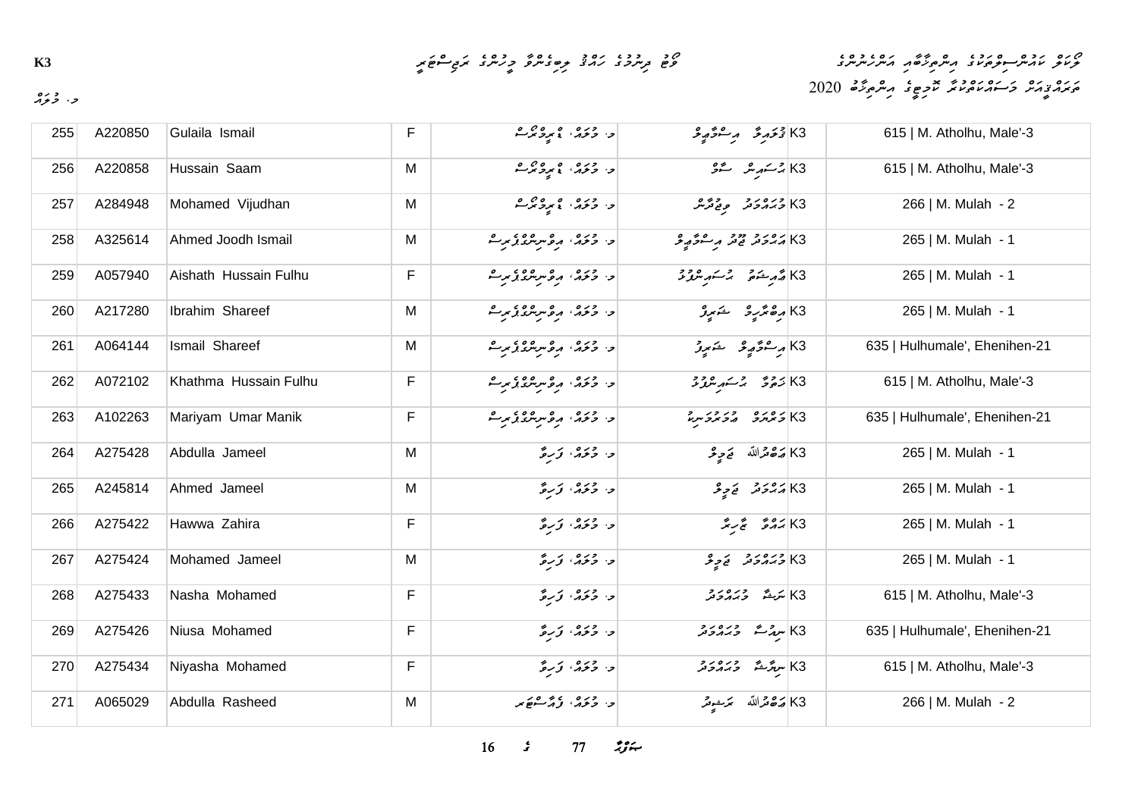*sCw7q7s5w7m< o<n9nOoAw7o< sCq;mAwBoEw7q<m; wBm;vB* م من المرة المرة المرة المرجع المرجع في المركبة 2020<br>مجم*د المريض المربوط المربع المرجع في المراجع المركبة* 

| 255 | A220850 | Gulaila Ismail        | F            | د. وره و وه وه            | K3   تۇمَر <sub>ى</sub> مىتى مەركىۋە يەنى                                                                                     | 615   M. Atholhu, Male'-3     |
|-----|---------|-----------------------|--------------|---------------------------|-------------------------------------------------------------------------------------------------------------------------------|-------------------------------|
| 256 | A220858 | Hussain Saam          | M            | د. وره و وه وه            | K3 برسکوہ شرحہ مس <i>مر</i>                                                                                                   | 615   M. Atholhu, Male'-3     |
| 257 | A284948 | Mohamed Vijudhan      | M            | و. ووه، ، بروتر           | K3   <i>3&gt;, 2006 م وق</i> متر                                                                                              | 266   M. Mulah - 2            |
| 258 | A325614 | Ahmed Joodh Ismail    | M            | د. دده، موسیق و مرت       | K3 كەردە تەتر بەس <i>ەۋرى</i> تى                                                                                              | 265   M. Mulah - 1            |
| 259 | A057940 | Aishath Hussain Fulhu | F            | و وی روسهووی ده           | K3 مەم شەھ بىر شەم بىر ئىرىمىتى ئىر                                                                                           | 265   M. Mulah - 1            |
| 260 | A217280 | Ibrahim Shareef       | M            | و وی موسرهوری است         | K3 ب <i>رھ مُرَبِ</i> حُسَمِيوْ                                                                                               | 265   M. Mulah - 1            |
| 261 | A064144 | <b>Ismail Shareef</b> | M            | د. درو، روسهگار برگ       | K3 <sub>م</sub> رےد <i>و پو</i> و خونور                                                                                       | 635   Hulhumale', Ehenihen-21 |
| 262 | A072102 | Khathma Hussain Fulhu | F            | د. دوه، مؤسس دوء برگ      | K3 دَيْرَةَ بِرْسَمَ سِرْرِيْرَ مِنْ                                                                                          | 615   M. Atholhu, Male'-3     |
| 263 | A102263 | Mariyam Umar Manik    | F            | و وی روسهروی ده           | $\frac{3}{2}$ $\frac{3}{2}$ $\frac{3}{2}$ $\frac{3}{2}$ $\frac{3}{2}$ $\frac{3}{2}$ $\frac{3}{2}$ $\frac{3}{2}$ $\frac{3}{2}$ | 635   Hulhumale', Ehenihen-21 |
| 264 | A275428 | Abdulla Jameel        | M            | والمحتمان وكرامح          | K3 مَەھمَراللە ق <sub>ە</sub> مەم                                                                                             | 265   M. Mulah - 1            |
| 265 | A245814 | Ahmed Jameel          | M            | والمحتمان وكباء           | K3 كەنزى كى قارىخ                                                                                                             | 265   M. Mulah - 1            |
| 266 | A275422 | Hawwa Zahira          | $\mathsf{F}$ | والمحتمان وكباء           | K3 <i>يَدْهُ تَيْ بِ</i> مَّ                                                                                                  | 265   M. Mulah - 1            |
| 267 | A275424 | Mohamed Jameel        | M            | والمحتمده تخيفى           | K3  3 <i>5222 - في و</i> فر                                                                                                   | 265   M. Mulah - 1            |
| 268 | A275433 | Nasha Mohamed         | F            | أوا وتخاره ورده           | K3 سَرْمَتْہ بِحَرْبِہِ جَرَمَّہِ بِہِ جَس                                                                                    | 615   M. Atholhu, Male'-3     |
| 269 | A275426 | Niusa Mohamed         | F            | والمحتمان وكباء           | K3 سرقر محمد المحمد المحمد المحمد المحمد المحمد المحمد المحمد المحمد المحمد المحمد المحمد المحمد الم                          | 635   Hulhumale', Ehenihen-21 |
| 270 | A275434 | Niyasha Mohamed       | $\mathsf F$  | والمحتمان وكباء           | K3 سرگر شکر در در در                                                                                                          | 615   M. Atholhu, Male'-3     |
| 271 | A065029 | Abdulla Rasheed       | M            | والمحروم الملاحظ والمستضح | K3 كَەھمەللە كَر <sub>ْسُو</sub> مْر                                                                                          | 266   M. Mulah - 2            |

 $16$   $\frac{2}{3}$   $77$   $\frac{20}{3}$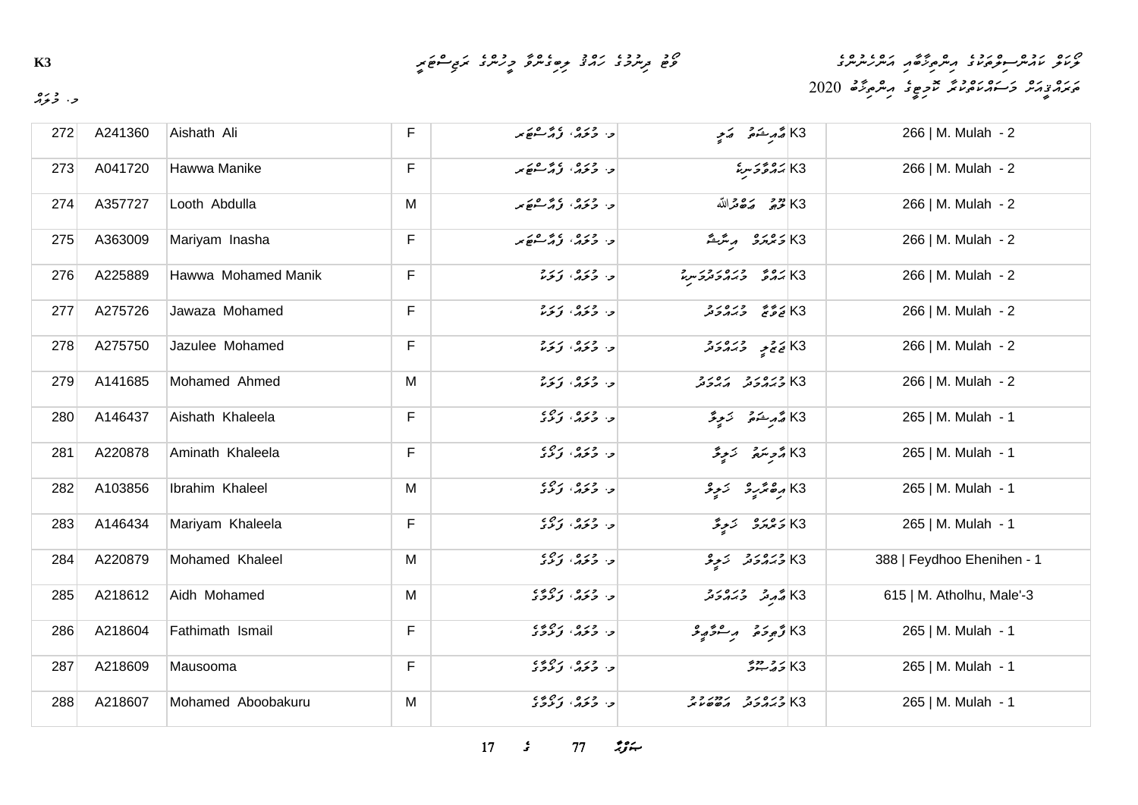*sCw7q7s5w7m< o<n9nOoAw7o< sCq;mAwBoEw7q<m; wBm;vB* م من المرة المرة المرة المرجع المرجع في المركبة 2020<br>مجم*د المريض المربوط المربع المرجع في المراجع المركبة* 

| 272 | A241360 | Aishath Ali         | F            | والمحركون وترك وكالمع              | K3 م <i>ۇم شۇھ</i> م <i>ۇم</i>               | 266   M. Mulah - 2         |
|-----|---------|---------------------|--------------|------------------------------------|----------------------------------------------|----------------------------|
| 273 | A041720 | Hawwa Manike        | F            | والمحروم الملاح والمستوقع مر       | K3 ئەرمۇ ئەسرىئە                             | 266   M. Mulah - 2         |
| 274 | A357727 | Looth Abdulla       | M            | والمحروم الملاحية والمستضغر        | K3 حوفي م <i>ن ه</i> قرالله                  | 266   M. Mulah - 2         |
| 275 | A363009 | Mariyam Inasha      | $\mathsf F$  | ور و ده، و ده شوه بر               | K3 كەنگەنگە مەمگەنىگە                        | 266   M. Mulah - 2         |
| 276 | A225889 | Hawwa Mohamed Manik | F            | والمتحصم وكمرو                     | K3 يُروء ديره دور د                          | 266   M. Mulah - 2         |
| 277 | A275726 | Jawaza Mohamed      | $\mathsf{F}$ | والمتحص وكمرد                      | K3 يَوَمَّعُ حَبَيْهِ حَبَيْدِ               | 266   M. Mulah - 2         |
| 278 | A275750 | Jazulee Mohamed     | F            | والمتحصم وكمرد                     | K3 <i>في حي حيد وجد و</i> تر                 | 266   M. Mulah - 2         |
| 279 | A141685 | Mohamed Ahmed       | M            | والمتحصم وكمرو                     | K3 دره ده بره دو                             | 266   M. Mulah - 2         |
| 280 | A146437 | Aishath Khaleela    | F            | ه . و وه، د ۹۵                     | K3 مَەمِسْتَمْ كَرَمْتِيْرَ                  | 265   M. Mulah - 1         |
| 281 | A220878 | Aminath Khaleela    | F            | و: وتوه، وړه ،                     | K3 مَّ <i>حِ سَيْمَ</i> كَمَ حِيمً           | 265   M. Mulah - 1         |
| 282 | A103856 | Ibrahim Khaleel     | M            | والمتحرق وحماء                     | K3 ب <i>ر&amp;ټرپر\$ ڏچ</i> و                | 265   M. Mulah - 1         |
| 283 | A146434 | Mariyam Khaleela    | F            | والمتحرش كرجمي                     | K3∫ <i>ۇن<sub>م</sub>ىرۇ زې<sub>چ</sub>ۇ</i> | 265   M. Mulah - 1         |
| 284 | A220879 | Mohamed Khaleel     | M            | ه د وره ده د                       | K3 <i>دُبَہ دُوَنَہ دَوِیْ</i>               | 388   Feydhoo Ehenihen - 1 |
| 285 | A218612 | Aidh Mohamed        | M            | ور وره ره ور<br>ور ونود، ونرور     | K3 <i>مُجمِعْدِ</i> حَ <i>مَحْمَدَوْمَر</i>  | 615   M. Atholhu, Male'-3  |
| 286 | A218604 | Fathimath Ismail    | F            | ور وره کرده ور<br>ور ونوړ، تونونون | K3 <i>وَّجِوَءَ بِ سُؤُمِ</i> وْ             | 265   M. Mulah - 1         |
| 287 | A218609 | Mausooma            | F            | وره دره در<br>د ونور، ژندود        | $3.23$ K3                                    | 265   M. Mulah - 1         |
| 288 | A218607 | Mohamed Aboobakuru  | M            | ور وره کرده ده<br>و· ونود، تونووی  | 22222222228                                  | 265   M. Mulah - 1         |

*17 s 77 <i>n*<sub>2</sub> *s*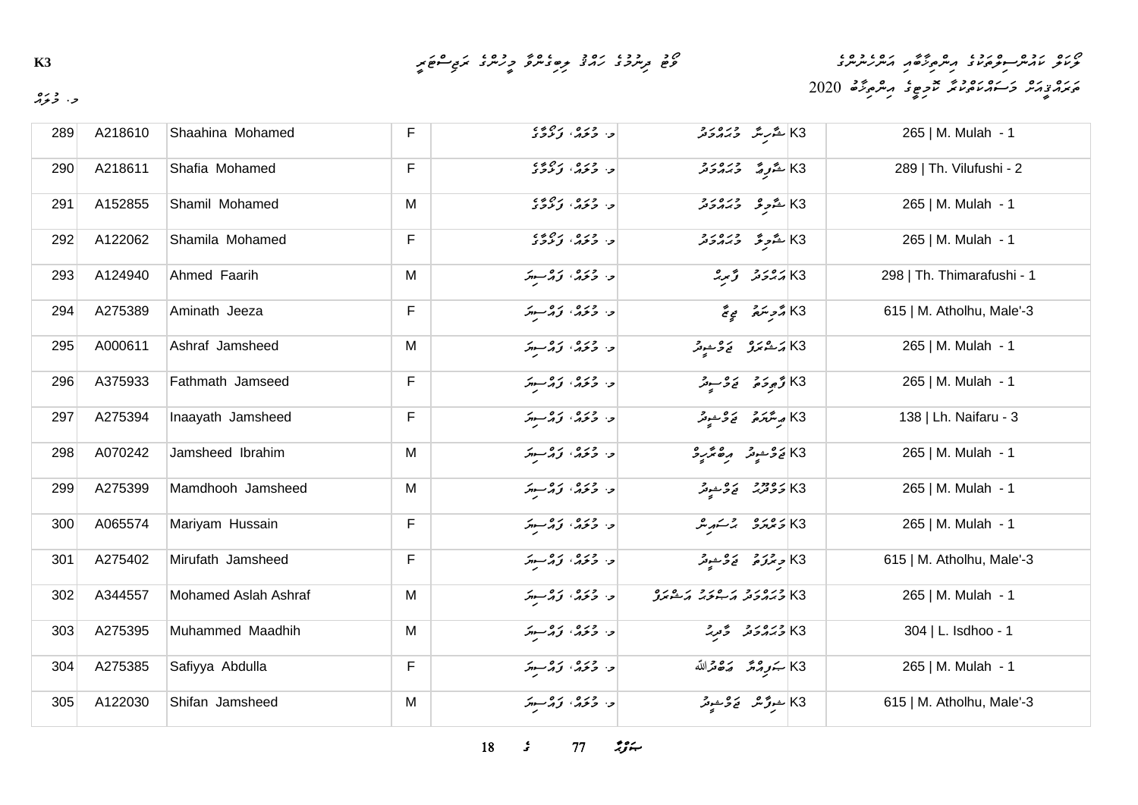*sCw7q7s5w7m< o<n9nOoAw7o< sCq;mAwBoEw7q<m; wBm;vB* م من المرة المرة المرة المرجع المرجع في المركبة 2020<br>مجم*د المريض المربوط المربع المرجع في المراجع المركبة* 

| 289 | A218610 | Shaahina Mohamed            | F           | د· د ده، ژندو،                       | K3 يَثْرِبْتُر <i>جَهُدُدُود</i> ُ              | 265   M. Mulah - 1         |
|-----|---------|-----------------------------|-------------|--------------------------------------|-------------------------------------------------|----------------------------|
| 290 | A218611 | Shafia Mohamed              | F           | وره دره در<br>د ونور، ژندود          | K3 څوړ <i>ه د ډه</i> ونر                        | 289   Th. Vilufushi - 2    |
| 291 | A152855 | Shamil Mohamed              | M           | ور ه دره دره د .<br>د ۱ و د بر کرد د | K3 حَمَوِعْ وَيَهْدَمْ                          | 265   M. Mulah - 1         |
| 292 | A122062 | Shamila Mohamed             | F           | ور وره کرده ده<br>وسی محرک کردگری    | K3 حَدَّو قَدَ الله عَمَدَ الله عَمَدَ الله     | 265   M. Mulah - 1         |
| 293 | A124940 | Ahmed Faarih                | M           | والمحروم وكالمسهور                   | K3 كەنزى قى ئىر بۇ ئىلىنى ئىل                   | 298   Th. Thimarafushi - 1 |
| 294 | A275389 | Aminath Jeeza               | F           | والمحروم وكالمسهر                    | K3 مُجِسَعُهُ بِيءٌَ                            | 615   M. Atholhu, Male'-3  |
| 295 | A000611 | Ashraf Jamsheed             | M           | والمحركوم كوار سعاكر                 | K3  كەشقە <i>كىڭ قا</i> قرىقى ئىچە ئىراقلىر     | 265   M. Mulah - 1         |
| 296 | A375933 | Fathmath Jamseed            | $\mathsf F$ | والمحتجم وكالمسهو                    | K3 <i>وَّجوحَمْ ف</i> َحْرَ مِثْرَ              | 265   M. Mulah - 1         |
| 297 | A275394 | Inaayath Jamsheed           | F           | والمحتجمة كمكار المستركة             | K3 م <i>ېنگىزى ق§</i> شوتر                      | 138   Lh. Naifaru - 3      |
| 298 | A070242 | Jamsheed Ibrahim            | M           | والمحتوماء كماكر مستركة              | K3 يَوْشِيْرَ مِنْ مُرْرِدْ                     | 265   M. Mulah - 1         |
| 299 | A275399 | Mamdhooh Jamsheed           | M           | والمحترج وكالمستهر                   | 13) ك <sup>رەبىر</sup> چە كەھ ش <sub>ە</sub> تر | 265   M. Mulah - 1         |
| 300 | A065574 | Mariyam Hussain             | F           | والمحتوارا كماد كالمستهر             | K3 كا <i>كا جريري جي سك</i> ر سر                | 265   M. Mulah - 1         |
| 301 | A275402 | Mirufath Jamsheed           | $\mathsf F$ | والمحتجمة كمكار المستركة             | K3 <i>ويترونج في وحيوتر</i>                     | 615   M. Atholhu, Male'-3  |
| 302 | A344557 | <b>Mohamed Aslah Ashraf</b> | M           | والمتحرق وكالمستهر                   | K3 دېرورو تر شونرله تر شومرو                    | 265   M. Mulah - 1         |
| 303 | A275395 | Muhammed Maadhih            | M           | والمحركوم كوار سعاكر                 | K3  ج <i>ر ج</i> و جو محمد محمد محمد الس        | 304   L. Isdhoo - 1        |
| 304 | A275385 | Safiyya Abdulla             | F           | والمحتوارا والمرسيس                  | K3 ج <i>وړنگر ټرګونگ</i> رالله                  | 265   M. Mulah - 1         |
| 305 | A122030 | Shifan Jamsheed             | M           | والمحتوارا كمكار والمراجين           | K3 حو <i>وٌ ش يح</i> و حومت <sub>و</sub> تر     | 615   M. Atholhu, Male'-3  |

**18** *s* **77** *n***<sub>s</sub>**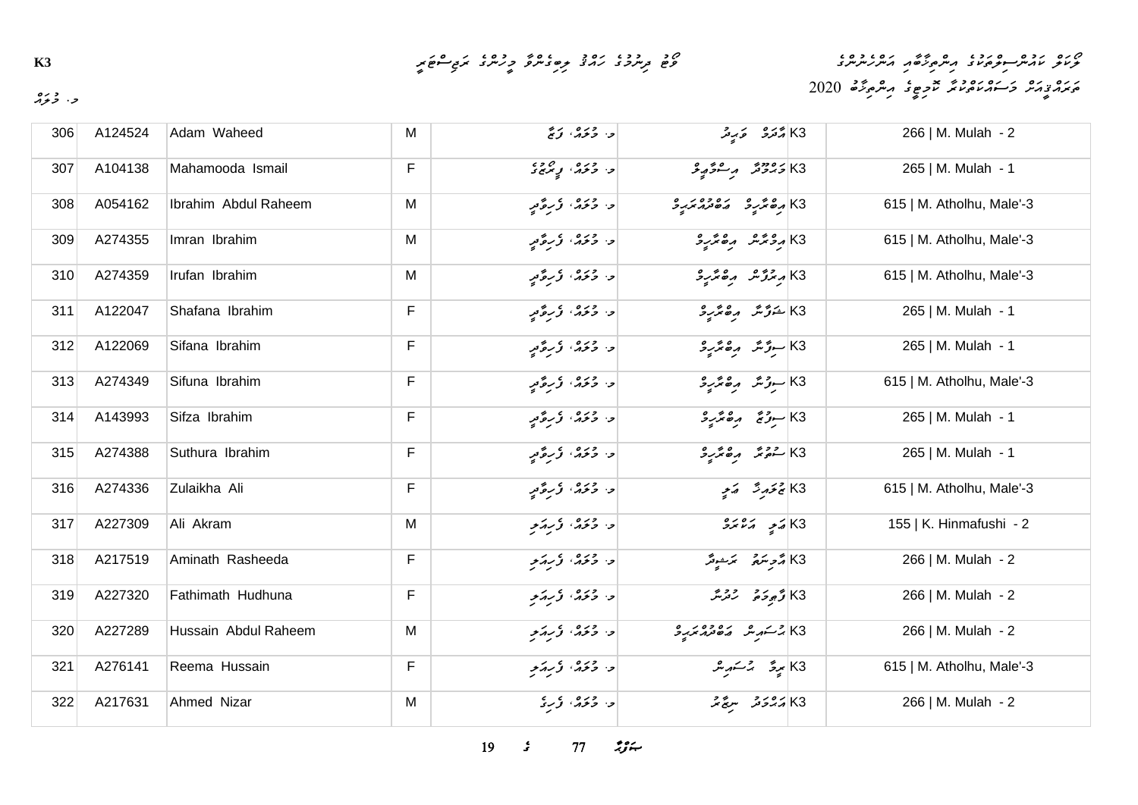*sCw7q7s5w7m< o<n9nOoAw7o< sCq;mAwBoEw7q<m; wBm;vB* م من المرة المرة المرة المرجع المرجع في المركبة 2020<br>مجم*د المريض المربوط المربع المرجع في المراجع المركبة* 

| 306 | A124524 | Adam Waheed          | M | والمحتجم والمحمج            | K3 مُرْمَرْد - حَ بِرِ مْرْ        | 266   M. Mulah - 2        |
|-----|---------|----------------------|---|-----------------------------|------------------------------------|---------------------------|
| 307 | A104138 | Mahamooda Ismail     | F | و . و و و . و . و . و .     | K3 <i>جەددىگە م سۇمب</i> ۇ         | 265   M. Mulah - 1        |
| 308 | A054162 | Ibrahim Abdul Raheem | M | والمحتوكا كمخرج فير         | K3 مەھمەد ھەممەدە ئەرىج            | 615   M. Atholhu, Male'-3 |
| 309 | A274355 | Imran Ibrahim        | M | و وتوه، وروٌ په             | K3 مۇنمەش م <i>ەنگەد</i> ۇ         | 615   M. Atholhu, Male'-3 |
| 310 | A274359 | Irufan Ibrahim       | M | و وتوه، وروٌ په             | K3 <sub>م</sub> ېزر شو موځيږ و     | 615   M. Atholhu, Male'-3 |
| 311 | A122047 | Shafana Ibrahim      | F | والمحركة كمركوبي            | K3 خۇتىگە م <i>ەھترى</i> رى        | 265   M. Mulah - 1        |
| 312 | A122069 | Sifana Ibrahim       | F | و . وَتَوَارُ ، وَرِحَ مِرِ | K3 سو <i>ڈنڈ م</i> یھ <i>گری</i> ڈ | 265   M. Mulah - 1        |
| 313 | A274349 | Sifuna Ibrahim       | F | والمحروما ومروحي            | K3 سورْسَّر م <i>ەھترى</i> دۇ      | 615   M. Atholhu, Male'-3 |
| 314 | A143993 | Sifza Ibrahim        | F | و . وَتَوَارُ ، وَرِحٌ مِرِ | K3 سو <i>قعً م</i> ەھم <i>رى</i> د | 265   M. Mulah - 1        |
| 315 | A274388 | Suthura Ibrahim      | F | والمحركة كمركوبي            | K3 سومبر مرہ برد و                 | 265   M. Mulah - 1        |
| 316 | A274336 | Zulaikha Ali         | F | والمحتوها كمركوبي           | K3 جح <i>قرق مک</i> ر              | 615   M. Atholhu, Male'-3 |
| 317 | A227309 | Ali Akram            | M | والمحرقما كربرتر            | K3 <i>جَرِيْہِ مَنْ مَرَّدُ</i>    | 155   K. Hinmafushi - 2   |
| 318 | A217519 | Aminath Rasheeda     | F | والمحروما كالرمكع           | K3 مَّ حِ سَمَّةٍ مَ سَوِيمَّ      | 266   M. Mulah - 2        |
| 319 | A227320 | Fathimath Hudhuna    | F | والمحترج وكريزم             | K3 <i>وَّجِوَدَة</i> رَمْرَسَّ     | 266   M. Mulah - 2        |
| 320 | A227289 | Hussain Abdul Raheem | M | والمحركري وكريزي            |                                    | 266   M. Mulah - 2        |
| 321 | A276141 | Reema Hussain        | F | والمحركاء كربركرم           | K3 برِوَّ کے شہر سُر               | 615   M. Atholhu, Male'-3 |
| 322 | A217631 | Ahmed Nizar          | M | د و و ده، و د               | K3 كەبرى قىر سىنى ئىر              | 266   M. Mulah - 2        |

*19 sC 77 nNw?mS*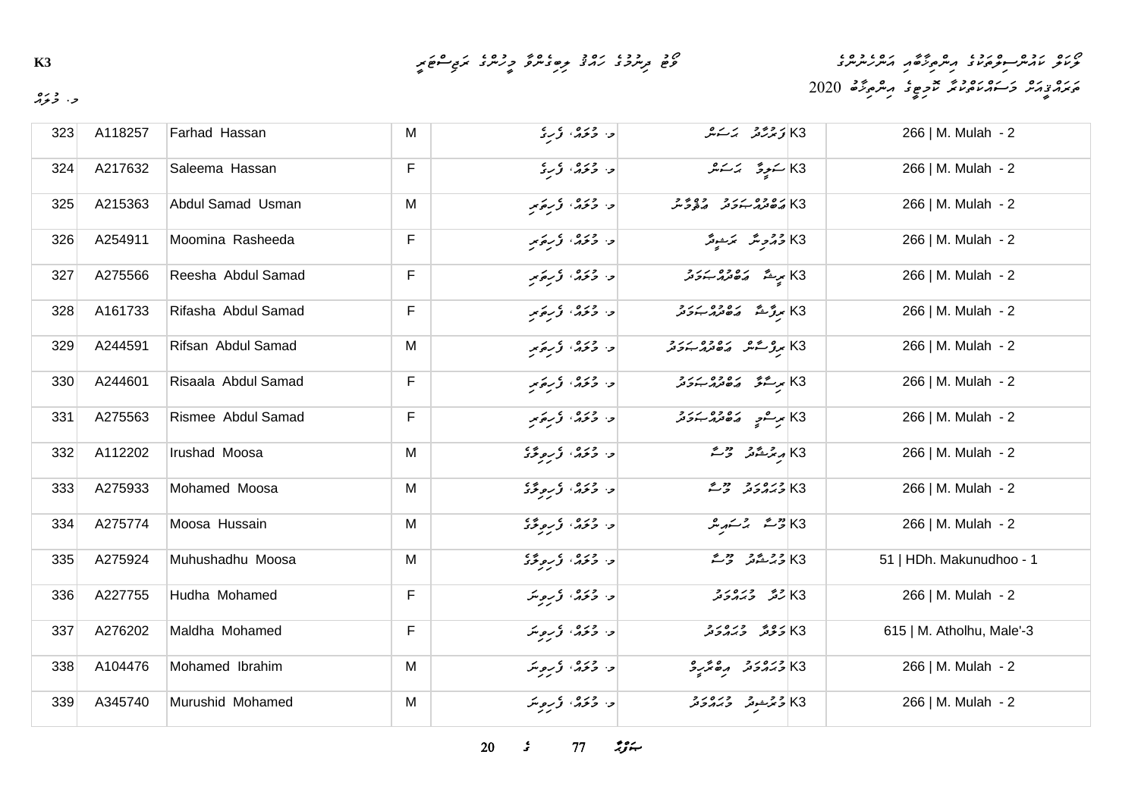*sCw7q7s5w7m< o<n9nOoAw7o< sCq;mAwBoEw7q<m; wBm;vB* م من المرة المرة المرة المرجع المرجع في المركبة 2020<br>مجم*د المريض المربوط المربع المرجع في المراجع المركبة* 

| 323 | A118257 | Farhad Hassan       | M            | والمحتوه، توری         | K3 كۆيۈرگىز كەشكەر                                      | 266   M. Mulah - 2        |
|-----|---------|---------------------|--------------|------------------------|---------------------------------------------------------|---------------------------|
| 324 | A217632 | Saleema Hassan      | F            | د وتخه، توری           | K3   س <i>َجِ</i> رة   بَرسَسْ                          | 266   M. Mulah - 2        |
| 325 | A215363 | Abdul Samad Usman   | M            | والمحروم، وكريمير      | K3 مەھەربەر دەپرە<br>K3 مەھەرمەدىر مەھ                  | 266   M. Mulah - 2        |
| 326 | A254911 | Moomina Rasheeda    | F            | والمحتوكا كالريخير     | K3 دُمْرَمِ مَّرْ مَرْسُومَّر                           | 266   M. Mulah - 2        |
| 327 | A275566 | Reesha Abdul Samad  | F            | والمحروما كمركوب       | K3 ىرىش كەھ <i>ەركە دە</i> ر                            | 266   M. Mulah - 2        |
| 328 | A161733 | Rifasha Abdul Samad | F            | والمحروم، وكريمير      | K3 بروَّثَ <sub>م</sub> َ <i>مُعْتَرْمُ بِنْ وَفِرْ</i> | 266   M. Mulah - 2        |
| 329 | A244591 | Rifsan Abdul Samad  | M            | والمحروم، وكريمير      | K3 برو گرمش مقصد مسرور د                                | 266   M. Mulah - 2        |
| 330 | A244601 | Risaala Abdul Samad | F            | أوالمحتوكما كالربائي   | K3 مر گرم می تروه مرد و<br>K3                           | 266   M. Mulah - 2        |
| 331 | A275563 | Rismee Abdul Samad  | F            | والمحركما كالمركامير   | K3 برگو <i>مەھەرە بەدە</i>                              | 266   M. Mulah - 2        |
| 332 | A112202 | Irushad Moosa       | M            | ه وده، ڈروڈی           | K3 بريزشتر ترتم                                         | 266   M. Mulah - 2        |
| 333 | A275933 | Mohamed Moosa       | M            | والمحروم وكروبجى       | K3 درورو وحيد                                           | 266   M. Mulah - 2        |
| 334 | A275774 | Moosa Hussain       | M            | والمحروم وكروبجى       | K3 جُرْمُتُہ بِرُسَمَ <i>رِيمُ</i>                      | 266   M. Mulah - 2        |
| 335 | A275924 | Muhushadhu Moosa    | M            | والمحروم وكروبجى       | K3 كَرْسُتْعَمْرَ حَرْسَةُ                              | 51   HDh. Makunudhoo - 1  |
| 336 | A227755 | Hudha Mohamed       | F            | والمحتوها كمخ بالمحاشر | K3 رُمَّزُ 2525 رُور                                    | 266   M. Mulah - 2        |
| 337 | A276202 | Maldha Mohamed      | F            | والمحرقان وكربوس       | K3 كۇقر ئ <i>ەيدۇن</i> ر                                | 615   M. Atholhu, Male'-3 |
| 338 | A104476 | Mohamed Ibrahim     | $\mathsf{M}$ | ه ويهم، وروس           | K3 دُبَرْدُدَتَرَ مِعْبَرِدْ                            | 266   M. Mulah - 2        |
| 339 | A345740 | Murushid Mohamed    | M            | والمحترجة كمخرج لتر    | K3   <i>ويرحونه وبرودونر</i>                            | 266   M. Mulah - 2        |

 $20$  *s* 77 *n***<sub>s</sub>** $\infty$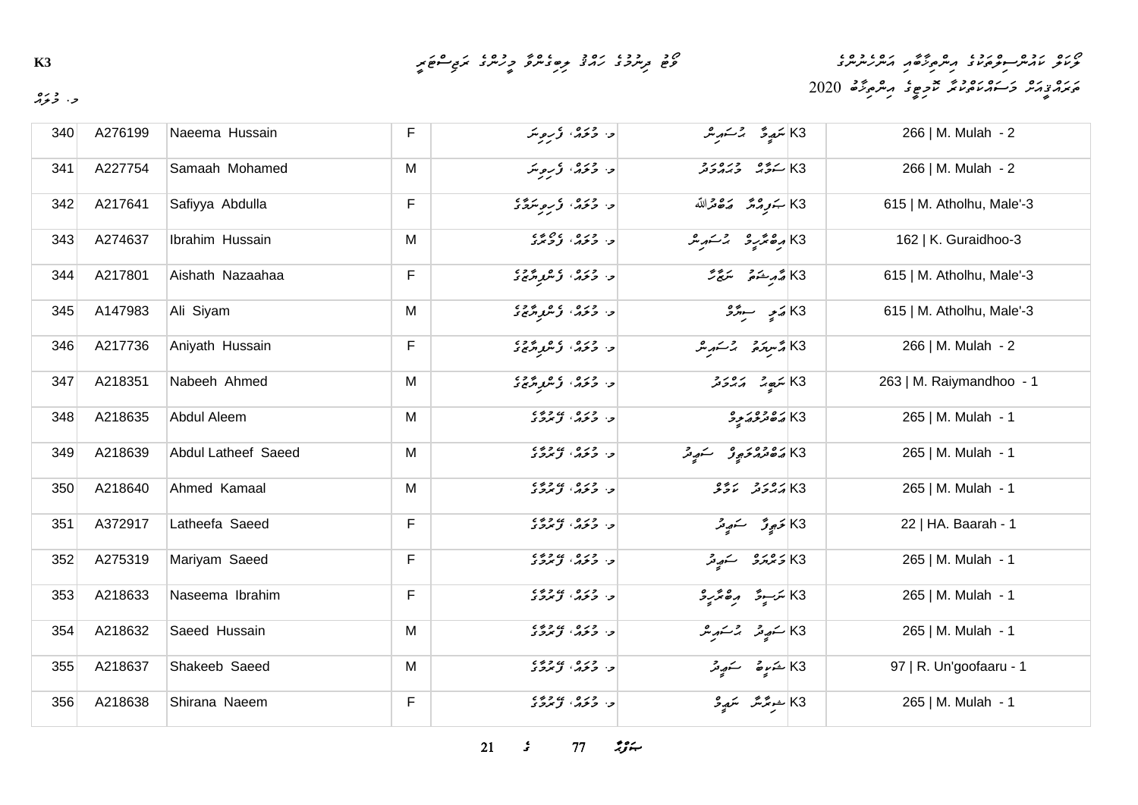*sCw7q7s5w7m< o<n9nOoAw7o< sCq;mAwBoEw7q<m; wBm;vB* م من المرة المرة المرة المرجع المرجع في المركبة 2020<br>مجم*د المريض المربوط المربع المرجع في المراجع المركبة* 

| 340 | A276199 | Naeema Hussain             | F | د· وتخه، وتبویتر                                                                                                                                                                                                                                                                                                            | K3 بَتَمَدٍ حٌ يَتَشَمِر مِنْز       | 266   M. Mulah - 2        |
|-----|---------|----------------------------|---|-----------------------------------------------------------------------------------------------------------------------------------------------------------------------------------------------------------------------------------------------------------------------------------------------------------------------------|--------------------------------------|---------------------------|
| 341 | A227754 | Samaah Mohamed             | M | والمحروم، وكروس                                                                                                                                                                                                                                                                                                             | $52025 - 252$ K3                     | 266   M. Mulah - 2        |
| 342 | A217641 | Safiyya Abdulla            | F | والمحروم كالموسروي                                                                                                                                                                                                                                                                                                          | K3 ج <i>وړنگر ټرې تو</i> لله         | 615   M. Atholhu, Male'-3 |
| 343 | A274637 | Ibrahim Hussain            | M | $\begin{bmatrix} 1 & 0 & 0 & 0 & 0 & 0 \\ 0 & 0 & 0 & 0 & 0 \\ 0 & 0 & 0 & 0 & 0 \\ 0 & 0 & 0 & 0 & 0 \\ 0 & 0 & 0 & 0 & 0 \\ 0 & 0 & 0 & 0 & 0 \\ 0 & 0 & 0 & 0 & 0 \\ 0 & 0 & 0 & 0 & 0 \\ 0 & 0 & 0 & 0 & 0 \\ 0 & 0 & 0 & 0 & 0 \\ 0 & 0 & 0 & 0 & 0 \\ 0 & 0 & 0 & 0 & 0 & 0 \\ 0 & 0 & 0 & 0 & 0 & 0 \\ 0 & 0 & 0 & $ | K3 مەھەر بىر ئەسەمبىر                | 162   K. Guraidhoo-3      |
| 344 | A217801 | Aishath Nazaahaa           | F | والمحروم المحمومين                                                                                                                                                                                                                                                                                                          | K3 صَمَّدِ مِشْتَمَّةٍ مَسَمَّةٍ سَ  | 615   M. Atholhu, Male'-3 |
| 345 | A147983 | Ali Siyam                  | M | ور وره وهر وده                                                                                                                                                                                                                                                                                                              | K3 رَمٍ سِ <i>وَرٌوْ</i>             | 615   M. Atholhu, Male'-3 |
| 346 | A217736 | Aniyath Hussain            | F | و. ووه، وعرضي                                                                                                                                                                                                                                                                                                               | K3 مُسِ <i>مَعُ بِرْسَمَ بِ</i>      | 266   M. Mulah - 2        |
| 347 | A218351 | Nabeeh Ahmed               | M | ور وره و عرومون                                                                                                                                                                                                                                                                                                             | K3 سَهِ پُر مَدْدَتَر                | 263   M. Raiymandhoo - 1  |
| 348 | A218635 | Abdul Aleem                | M | د. دره، به دوه                                                                                                                                                                                                                                                                                                              | K3 كەھەر <i>دە بو</i> ۋ              | 265   M. Mulah - 1        |
| 349 | A218639 | <b>Abdul Latheef Saeed</b> | M | و . وره . د. د د .<br>او . و نوبر ، تو برو د                                                                                                                                                                                                                                                                                | K3 كەھە <i>تەمگە قويۇ</i> سەمپەتر    | 265   M. Mulah - 1        |
| 350 | A218640 | Ahmed Kamaal               | M | ور وره عددود و<br>د ونور، ژیمزد د                                                                                                                                                                                                                                                                                           |                                      | 265   M. Mulah - 1        |
| 351 | A372917 | Latheefa Saeed             | F | وره عدده.<br>د· د در، ژبرد د                                                                                                                                                                                                                                                                                                | K3 كَيْهِ وَ كَيْهِ مِثْرٌ           | 22   HA. Baarah - 1       |
| 352 | A275319 | Mariyam Saeed              | F | ور وره عاووي<br>وسي و مرد و مروى                                                                                                                                                                                                                                                                                            | K3 كەنگەنى سى <i>مبەن</i> گ          | 265   M. Mulah - 1        |
| 353 | A218633 | Naseema Ibrahim            | F | ور وره عادون<br>وسي و محمد المحمد محمد المحمد                                                                                                                                                                                                                                                                               | K3 سَرَــوِدَ مِنْ مِرْحِدِدْ        | 265   M. Mulah - 1        |
| 354 | A218632 | Saeed Hussain              | M | د. دره به دوه<br>د. <del>د د</del> ر، ژبردر                                                                                                                                                                                                                                                                                 | K3 س <i>َمِيِيْرَ بِرْسَمْدِيْرَ</i> | 265   M. Mulah - 1        |
| 355 | A218637 | Shakeeb Saeed              | M | ور وره پی وده پا<br>و۰ و بور، تخ مرد و                                                                                                                                                                                                                                                                                      | K3 خَدَمٍ صَ <sub>مَ</sub> مِتْرَ    | 97   R. Un'goofaaru - 1   |
| 356 | A218638 | Shirana Naeem              | F | وره عددون<br>د ونوم، تومودی                                                                                                                                                                                                                                                                                                 | K3 ح <i>ومرٌسٌ سَمِي</i> وُ          | 265   M. Mulah - 1        |

 $21$  *s* 77  $29$   $\leftarrow$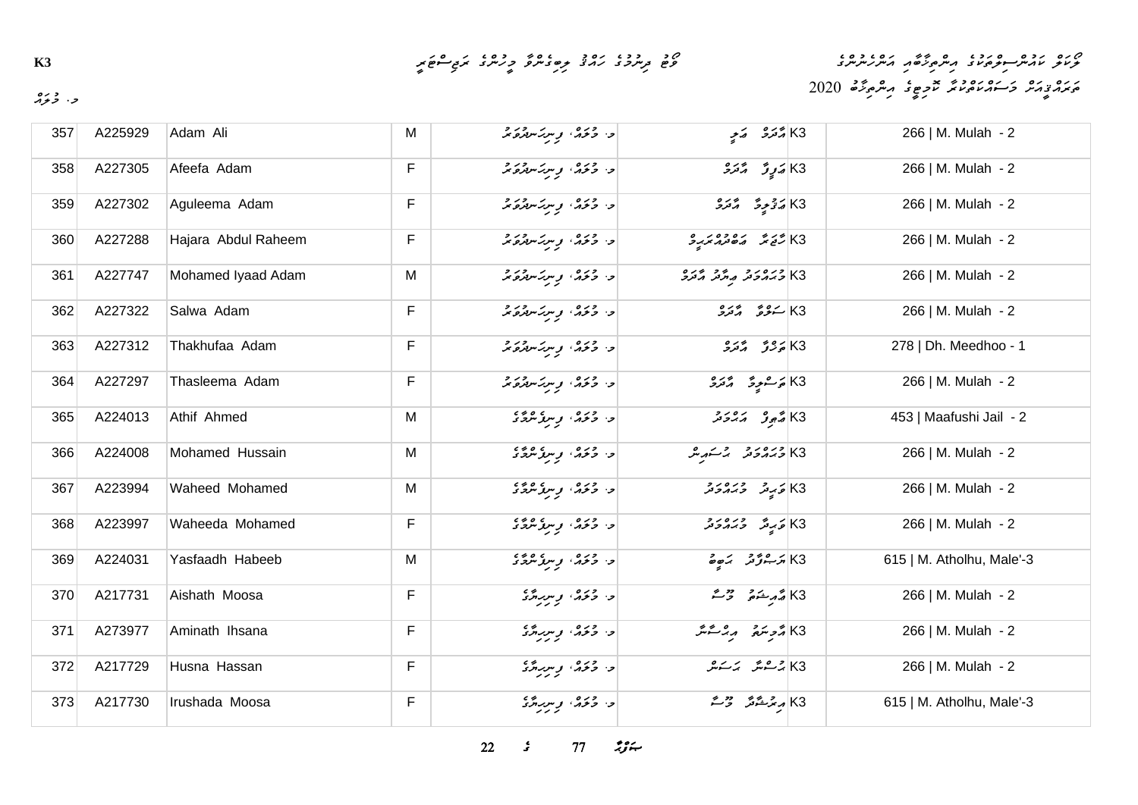*sCw7q7s5w7m< o<n9nOoAw7o< sCq;mAwBoEw7q<m; wBm;vB* م من المرة المرة المرة المرجع المرجع في المركبة 2020<br>مجم*د المريض المربوط المربع المرجع في المراجع المركبة* 

| 357 | A225929 | Adam Ali            | M | والمحتجمة الإسرنس وراد     | K3 چ <i>گری چ</i> و                     | 266   M. Mulah - 2        |
|-----|---------|---------------------|---|----------------------------|-----------------------------------------|---------------------------|
| 358 | A227305 | Afeefa Adam         | F | والمحكمة المستراد والمحمدة | K3 <i>مَرْدٍ دَّ مَ</i> حَرَدُ          | 266   M. Mulah - 2        |
| 359 | A227302 | Aguleema Adam       | F | والمحتوك وبررسيرون         | K3 كَيَوْمٍ فِي مُحْرَمَ \$             | 266   M. Mulah - 2        |
| 360 | A227288 | Hajara Abdul Raheem | F | والمحتجم وبركان ورو        | K3 تَّفَعَّرُ مَصْرُمْتَرَبِّرَ         | 266   M. Mulah - 2        |
| 361 | A227747 | Mohamed Iyaad Adam  | M | أوا وتحمد وسركس ورو        | K3 دُيرُود و مِرْتَر وَتَرَدَّ          | 266   M. Mulah - 2        |
| 362 | A227322 | Salwa Adam          | F | والمحتجمة الإسريكس وراد    | K3 س <i>توفر مج</i> رو                  | 266   M. Mulah - 2        |
| 363 | A227312 | Thakhufaa Adam      | F | والمحكم والمركاللالمحدوث   | K3 جَرْبَرَ مَ <i>مَّرَدُ</i>           | 278   Dh. Meedhoo - 1     |
| 364 | A227297 | Thasleema Adam      | F | والمحركة الإسرائيلي وراد   | K3 <sub>تح</sub> رشوچ گ <sup>ی</sup> رو | 266   M. Mulah - 2        |
| 365 | A224013 | Athif Ahmed         | M | و ژۇپ، رېبرىرچ             | K3 مَّ جوز مَ <sup>رو</sup> د مَ        | 453   Maafushi Jail - 2   |
| 366 | A224008 | Mohamed Hussain     | M | و. وده، وسؤمده،            | K3 درورو جسکهبر                         | 266   M. Mulah - 2        |
| 367 | A223994 | Waheed Mohamed      | M | و. وتور، وسوسوه            | K3  <i>قېرى</i> قر ب <i>ەشمەدى</i> ر    | 266   M. Mulah - 2        |
| 368 | A223997 | Waheeda Mohamed     | F | والمحكمة وسكامعدة          | K3 ك <i>ەببەتگە خەنم</i> ەھىر           | 266   M. Mulah - 2        |
| 369 | A224031 | Yasfaadh Habeeb     | M | و وتحمد وسومعد             | K3 يز بەر ئەھ                           | 615   M. Atholhu, Male'-3 |
| 370 | A217731 | Aishath Moosa       | F | والمحتوك وسراكري           | K3 گەرىشىتى ق <sup>ىم</sup> گ           | 266   M. Mulah - 2        |
| 371 | A273977 | Aminath Ihsana      | F | و. ووه، وسرچ               | K3 أ <i>مَّ حِ سَعَة مِدْ</i> سَمَّسَّر | 266   M. Mulah - 2        |
| 372 | A217729 | Husna Hassan        | F | والمحتوك وسراكري           | K3 پڑے پڑ پڑے پڑ                        | 266   M. Mulah - 2        |
| 373 | A217730 | Irushada Moosa      | F | כי כצה' קייקית ב           | K3 ب <i>ویژگو ڈے</i>                    | 615   M. Atholhu, Male'-3 |

*22 sC 77 nNw?mS*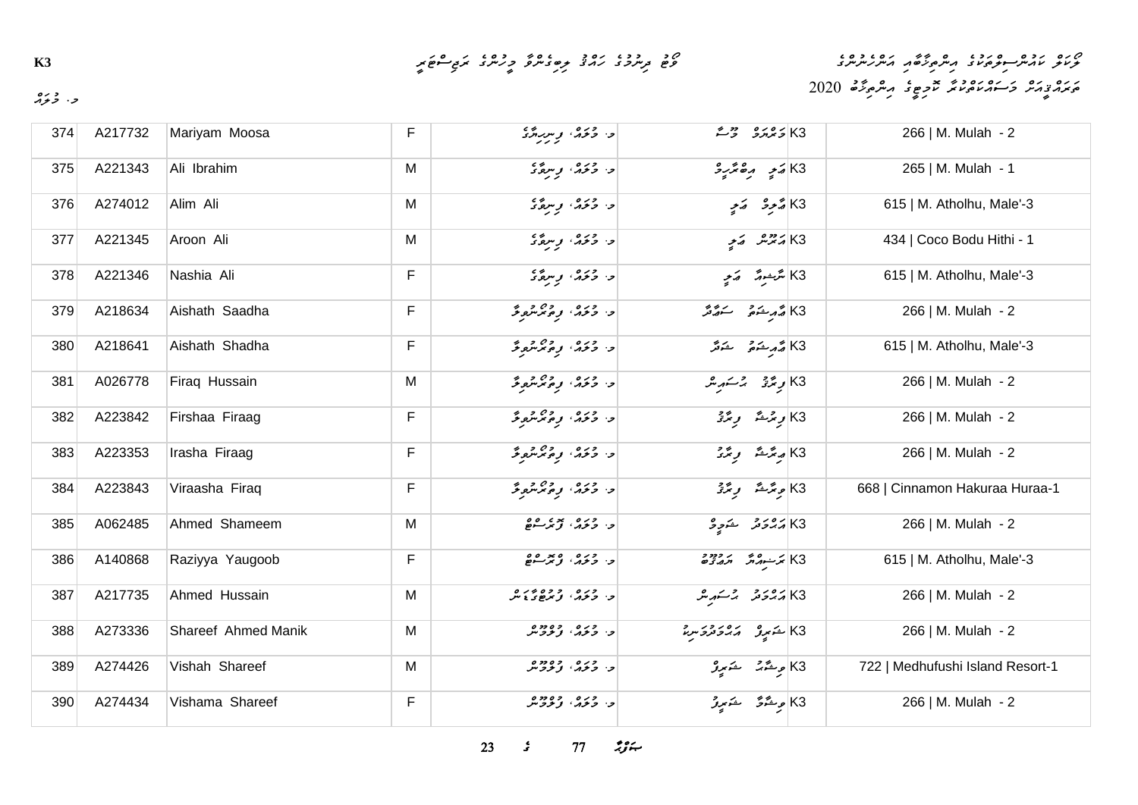*sCw7q7s5w7m< o<n9nOoAw7o< sCq;mAwBoEw7q<m; wBm;vB* م من المرة المرة المرة المرجع المرجع في المركبة 2020<br>مجم*د المريض المربوط المربع المرجع في المراجع المركبة* 

| 374 | A217732 | Mariyam Moosa       | F           | כי כצה' קייקיות                             | K3 كا <i>5 بردۇ</i> ق                                              | 266   M. Mulah - 2               |
|-----|---------|---------------------|-------------|---------------------------------------------|--------------------------------------------------------------------|----------------------------------|
| 375 | A221343 | Ali Ibrahim         | M           | د. ووه، وسرون                               | K3 <i>جَرِمٍ م</i> ِ صَمَّر <sub>ِ ت</sub> ِ 5                     | 265   M. Mulah - 1               |
| 376 | A274012 | Alim Ali            | M           | والمحركرة وسرحى                             | K3 م <i>حُوِرٌ مَي</i>                                             | 615   M. Atholhu, Male'-3        |
| 377 | A221345 | Aroon Ali           | M           | د وتوه، وسره د                              | K3 <i>ډيژنگر چې</i>                                                | 434   Coco Bodu Hithi - 1        |
| 378 | A221346 | Nashia Ali          | F           | والمحركرا وببرة والمحالي                    | K3 سُرْشِيرَ کَمَ مِي                                              | 615   M. Atholhu, Male'-3        |
| 379 | A218634 | Aishath Saadha      | $\mathsf F$ | و وتور، په وه په شونځه                      | K3 مەم ئىقتى سى <i>مەتى</i> ر                                      | 266   M. Mulah - 2               |
| 380 | A218641 | Aishath Shadha      | F           | د· د د کار ده بر شهر د ک                    | K3 مُرمِشَمُ شَمَرَّ                                               | 615   M. Atholhu, Male'-3        |
| 381 | A026778 | Firaq Hussain       | M           | و و و و و و و و پر ټرو تر                   | K3 وِ بَرَّۃٌ کے سَمب <sup>و</sup> ر                               | 266   M. Mulah - 2               |
| 382 | A223842 | Firshaa Firaag      | F           | و وتور، په وه په شونځه                      | K3 وِيَرْتُمْ وِيَرْتْرُ                                           | 266   M. Mulah - 2               |
| 383 | A223353 | Irasha Firaag       | F           | و وتور، په وه په شونځه                      | K3 مەيتىڭ ب <i>ويتى</i> تى                                         | 266   M. Mulah - 2               |
| 384 | A223843 | Viraasha Firaq      | F           | و وتور، په وه په شونځه                      | K3 مِ مَّرْتُہٗ وِ مَّرَةٌ ۖ                                       | 668   Cinnamon Hakuraa Huraa-1   |
| 385 | A062485 | Ahmed Shameem       | M           | والمحركة المخرج وه                          | K3 <i>ډېر د شو</i> و                                               | 266   M. Mulah - 2               |
| 386 | A140868 | Raziyya Yaugoob     | F           | ور و ده. و پر ده                            | $\begin{array}{cc} 2.22 & 2.6 \ \text{K3} & \text{K3} \end{array}$ | 615   M. Atholhu, Male'-3        |
| 387 | A217735 | Ahmed Hussain       | M           | ور و دره و ده و دره<br>ور و وړ، و مرجون و ش | K3 كەبرى بىر بىر ئىكتەر بىر                                        | 266   M. Mulah - 2               |
| 388 | A273336 | Shareef Ahmed Manik | M           | כי כיברי ציבכית.<br>כי כיברי ציבכית         | K3 خەمرۇ مەردىر <i>ە دە</i>                                        | 266   M. Mulah - 2               |
| 389 | A274426 | Vishah Shareef      | M           | כי כים, כסמם<br>כי כי <i>ברי ציבב</i> ית    | K3 <sub>ھو</sub> شترتر ختمبریز                                     | 722   Medhufushi Island Resort-1 |
| 390 | A274434 | Vishama Shareef     | F           | כי כיברי בסמם<br>כי כיברי ציבכית            | K3 مِشَرَّ شَہْرِتْر                                               | 266   M. Mulah - 2               |

*23 sC 77 nNw?mS*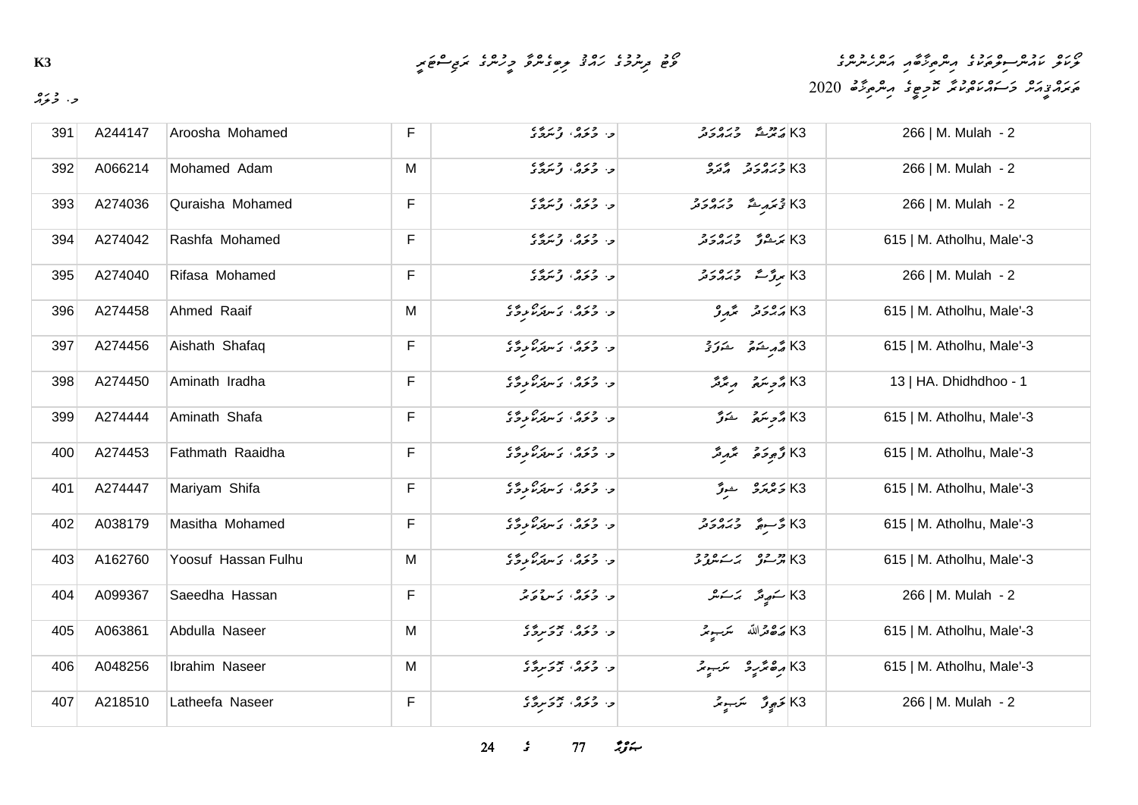*sCw7q7s5w7m< o<n9nOoAw7o< sCq;mAwBoEw7q<m; wBm;vB* م من المرة المرة المرة المرجع المرجع في المركبة 2020<br>مجم*د المريض المربوط المربع المرجع في المراجع المركبة* 

| 391 | A244147 | Aroosha Mohamed     | F           | د. وده، وتروی                                                                                                                                                                                                                  | K3 كەنترىش <i>دىم</i> ەردىر            | 266   M. Mulah - 2        |
|-----|---------|---------------------|-------------|--------------------------------------------------------------------------------------------------------------------------------------------------------------------------------------------------------------------------------|----------------------------------------|---------------------------|
| 392 | A066214 | Mohamed Adam        | M           | و. ووه، وتروه                                                                                                                                                                                                                  | K3 دبره دبر و پره                      | 266   M. Mulah - 2        |
| 393 | A274036 | Quraisha Mohamed    | F           | כי כיבהי ציינביב                                                                                                                                                                                                               | K3 تۇتترىرىش ئ <i>ۇتتەدەت</i> ر        | 266   M. Mulah - 2        |
| 394 | A274042 | Rashfa Mohamed      | F           | כי כנם במשב                                                                                                                                                                                                                    | K3 ترشۇ ئىمەد ئىر                      | 615   M. Atholhu, Male'-3 |
| 395 | A274040 | Rifasa Mohamed      | F           | כי כבחי ציינבים                                                                                                                                                                                                                | K3 بروَّے دی۔ دور                      | 266   M. Mulah - 2        |
| 396 | A274458 | Ahmed Raaif         | M           | والمحتوم والمعتزما لموقوى                                                                                                                                                                                                      | K3 كەش <sup>ى</sup> كەرگە ئىگەرگە      | 615   M. Atholhu, Male'-3 |
| 397 | A274456 | Aishath Shafaq      | F           | والمحتوارا وسيركا لودة                                                                                                                                                                                                         | K3 گەم شەھ ھەر تى                      | 615   M. Atholhu, Male'-3 |
| 398 | A274450 | Aminath Iradha      | F           | والمتحرمي والمركز والمحالي                                                                                                                                                                                                     | K3 مَّ حِ سَهَمَّة مِ سَمَّةً          | 13   HA. Dhidhdhoo - 1    |
| 399 | A274444 | Aminath Shafa       | F           | والمحتوم والمعتزما لموقوى                                                                                                                                                                                                      | K3 مُجِسَّعَ <sub>ة</sub> شَرَ         | 615   M. Atholhu, Male'-3 |
| 400 | A274453 | Fathmath Raaidha    | F           | والمحتوها كالمعجز للمورج والمحالي                                                                                                                                                                                              | K3 رَّج <i>وحَمَّة مُ</i> مَّدِمَّدَ   | 615   M. Atholhu, Male'-3 |
| 401 | A274447 | Mariyam Shifa       | $\mathsf F$ | و ووه د روه ده<br>و ونوه، د سرگرم لوڅ                                                                                                                                                                                          | K3 كۆپر <i>ۇ خى</i> رگر                | 615   M. Atholhu, Male'-3 |
| 402 | A038179 | Masitha Mohamed     | F           | والمتحرمي والمركز والمحالي                                                                                                                                                                                                     | K3 وَّسِبَّرَ وَيَرْدُونَرَ            | 615   M. Atholhu, Male'-3 |
| 403 | A162760 | Yoosuf Hassan Fulhu | M           | والمحروم وسيرتا ولمحد                                                                                                                                                                                                          | K3 پرېشنو برېشونه د                    | 615   M. Atholhu, Male'-3 |
| 404 | A099367 | Saeedha Hassan      | F           | والمتحرم المحاسرة والمراج                                                                                                                                                                                                      | K3 ڪ <sub>ھي</sub> نڙ برڪش             | 266   M. Mulah - 2        |
| 405 | A063861 | Abdulla Naseer      | M           | ور و ده بدر و ،                                                                                                                                                                                                                | K3 مَرْحَدِّرْاللَّهُ     مَرْسِوِمْرُ | 615   M. Atholhu, Male'-3 |
| 406 | A048256 | Ibrahim Naseer      | M           | وره بدر ده                                                                                                                                                                                                                     | K3 مەھەرىرى سىرىيەتمە                  | 615   M. Atholhu, Male'-3 |
| 407 | A218510 | Latheefa Naseer     | F           | والمحرور المحر المحمدة والمحمدة والمحمدة والمحمدة والمحمدة والمحمدة والمحمدة والمحمدة والمحمدة والمحمدة والمحمدة والمحمدة والمحمدة والمحمدة والمحمدة والمحمدة والمحمدة والمحمدة والمحمدة والمحمدة والمحمدة والمحمدة والمحمدة و | K3 كَرْجِورٌ مَرْسِوِيْرٌ              | 266   M. Mulah - 2        |

*24 sC 77 nNw?mS*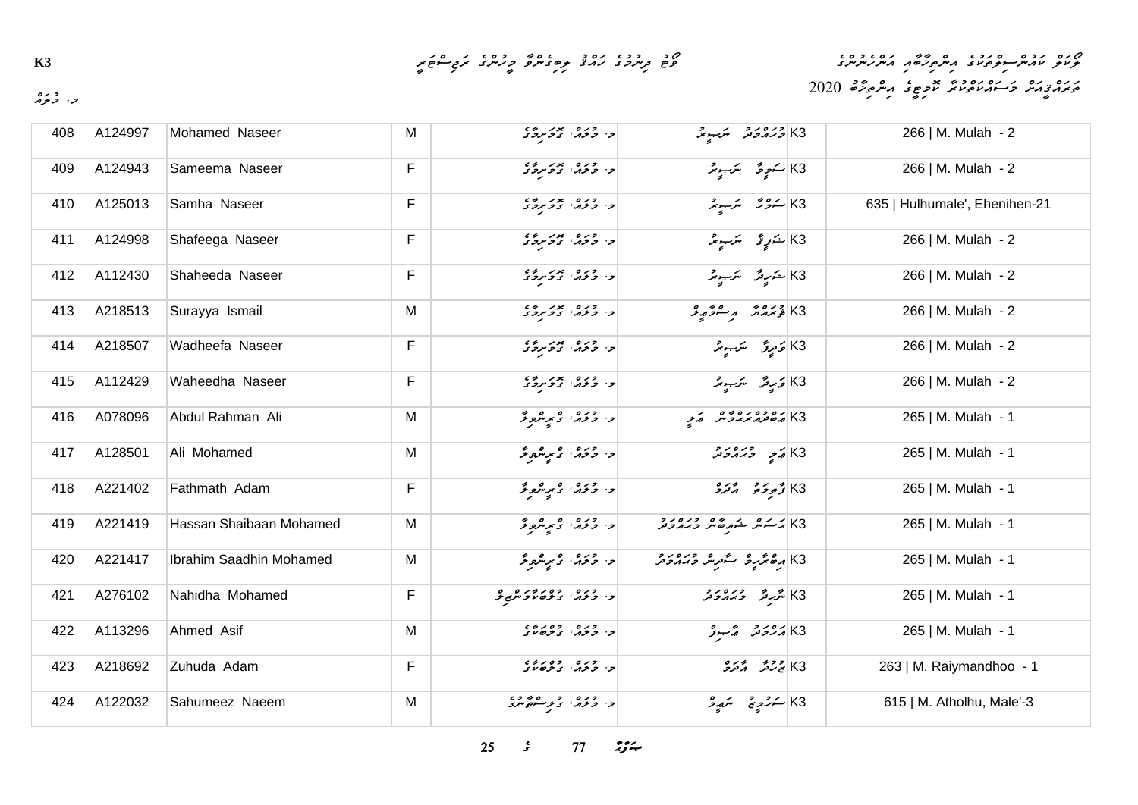*sCw7q7s5w7m< o<n9nOoAw7o< sCq;mAwBoEw7q<m; wBm;vB* م من المرة المرة المرة المرجع المرجع في المركبة 2020<br>مجم*د المريض المربوط المربع المرجع في المراجع المركبة* 

| 408 | A124997 | Mohamed Naseer          | M            | د و وه، نور ده                  | K3  <i>وټرونو پرېپوټر</i>                   | 266   M. Mulah - 2            |
|-----|---------|-------------------------|--------------|---------------------------------|---------------------------------------------|-------------------------------|
| 409 | A124943 | Sameema Naseer          | F            | ور وره بدر ده                   | K3∣ڪوٍوَ <i>ّة سَہوم</i> ُر                 | 266   M. Mulah - 2            |
| 410 | A125013 | Samha Naseer            | F            | وره بدر ده                      | K3 س <i>کرونگ متن</i> ہونٹر                 | 635   Hulhumale', Ehenihen-21 |
| 411 | A124998 | Shafeega Naseer         | F            | وره بور ده.<br>و· ونور، وونړون  | K3 ڪو <i>پوڻ مڌيومڙ</i>                     | 266   M. Mulah - 2            |
| 412 | A112430 | Shaheeda Naseer         | $\mathsf{F}$ | ور وره بدر ده                   | K3 ڪر <i>ينگ سرڪينگ</i>                     | 266   M. Mulah - 2            |
| 413 | A218513 | Surayya Ismail          | M            | ور وره بدر ده                   | K3 <i>ڤوتدم</i> مر مشر <i>گور</i> و         | 266   M. Mulah - 2            |
| 414 | A218507 | Wadheefa Naseer         | F            | والمحرور المحر المحمد المحمد    | K3  ق میروگر    سرسیو <i>پر</i>             | 266   M. Mulah - 2            |
| 415 | A112429 | Waheedha Naseer         | $\mathsf F$  | وره بورده                       | K3 كۈيەنگە سىمبىيەتمە                       | 266   M. Mulah - 2            |
| 416 | A078096 | Abdul Rahman Ali        | M            | د وره، وبرعوثر                  | K3 مەھ <i>ىرم بەر مۇ مۇج</i>                | 265   M. Mulah - 1            |
| 417 | A128501 | Ali Mohamed             | M            | د وده، دېرمهږ                   | K3 كەمچە ج <sup>ىر م</sup> ەرجىر            | 265   M. Mulah - 1            |
| 418 | A221402 | Fathmath Adam           | F            | د کا کار و مر شهر محمد بر       | K3 وَّجِوحَة مُحَمَّدة                      | 265   M. Mulah - 1            |
| 419 | A221419 | Hassan Shaibaan Mohamed | M            | د وی وی ویرشونگ                 | K3 ټرخش خ <i>وړځ و د ده د</i> و             | 265   M. Mulah - 1            |
| 420 | A221417 | Ibrahim Saadhin Mohamed | M            | و. د دو، د پر شهر د             | K3 رەڭرى <sup>3</sup> گېرىش <i>دىن</i> مىزى | 265   M. Mulah - 1            |
| 421 | A276102 | Nahidha Mohamed         | $\mathsf{F}$ | وره وه دوروره وه                | K3 سَّر <i>ِيرة حُمَدُونو</i>               | 265   M. Mulah - 1            |
| 422 | A113296 | Ahmed Asif              | M            |                                 | K3 <i>چرى چېدۇ</i>                          | 265   M. Mulah - 1            |
| 423 | A218692 | Zuhuda Adam             | F            | د وره وه دعه.<br>د وگره د گرفتن |                                             | 263   M. Raiymandhoo - 1      |
| 424 | A122032 | Sahumeez Naeem          | M            | و و و وه و و ده و و و           | K3  س <i>تارج</i> چ سم <i>ه</i> ود          | 615   M. Atholhu, Male'-3     |

*25 sC 77 nNw?mS*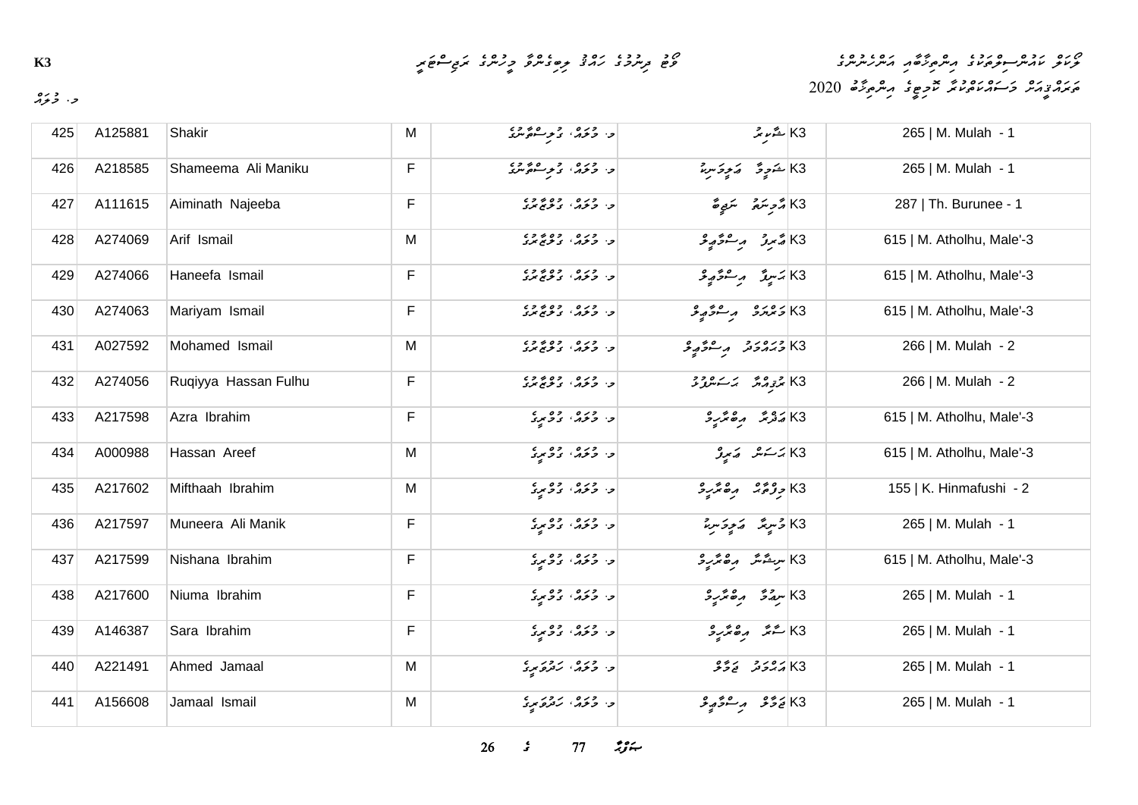*sCw7q7s5w7m< o<n9nOoAw7o< sCq;mAwBoEw7q<m; wBm;vB* م من المرة المرة المرة المرجع المرجع في المركبة 2020<br>مجم*د المريض المربوط المربع المرجع في المراجع المركبة* 

| 425 | A125881 | Shakir               | M           | و وتوه، وتوسفوس                               | 5) گھرىمتە                                     | 265   M. Mulah - 1        |
|-----|---------|----------------------|-------------|-----------------------------------------------|------------------------------------------------|---------------------------|
| 426 | A218585 | Shameema Ali Maniku  | F           | والمحتوم المحتجم والمحافرة                    | K3∣ڪوچ <i>وَ "مَوِجَ</i> سِر <i>ة</i>          | 265   M. Mulah - 1        |
| 427 | A111615 | Aiminath Najeeba     | F           | ور و ده وه ده ده<br>د گروها د گرم مرد         | K3 مُّحِسَمُ مَّ سَمِّعٍ صَّ                   | 287   Th. Burunee - 1     |
| 428 | A274069 | Arif Ismail          | M           | ور و ده وه و و و د<br>و او و و هر او و محر در | K3 مەمرۇ بەس <sup>ە</sup> ئەرىج                | 615   M. Atholhu, Male'-3 |
| 429 | A274066 | Haneefa Ismail       | F           | وره ۔ وه پوه<br>وسرحرحد کو مخرج محرک          | K3 بَسِيَّرٌ مِسْتَوَّمٍ وَ                    | 615   M. Atholhu, Male'-3 |
| 430 | A274063 | Mariyam Ismail       | F           | وره وه وه ده<br>و· ونوړ، د نومۍ مرد           | K3 كانجريزى المراشرة كالمحمد المحركة           | 615   M. Atholhu, Male'-3 |
| 431 | A027592 | Mohamed Ismail       | M           | ور وره وه وه وه<br>و· ونوه، د نوم مرد         | K3  <i>وټم</i> ونر مشو <i>گون</i> و            | 266   M. Mulah - 2        |
| 432 | A274056 | Ruqiyya Hassan Fulhu | $\mathsf F$ | ور و ده وه ده ده<br>د گرفتن د گرمی مرد        | K3 بر <sub>ۇ</sub> رۇ ئەسەھرى                  | 266   M. Mulah - 2        |
| 433 | A217598 | Azra Ibrahim         | F           | ور و ده وه وه<br>و د ترکه کاربول              | K3 <i>مَعْرَمَّہ مِـ هُمَّرِ</i> دُ            | 615   M. Atholhu, Male'-3 |
| 434 | A000988 | Hassan Areef         | M           | و وره وه د                                    | K3 ټريند که پرو                                | 615   M. Atholhu, Male'-3 |
| 435 | A217602 | Mifthaah Ibrahim     | M           | و وړه وه د<br>و ونون دومړی                    | K3 <i>وِرْوَيْهِ مِرْهِ مِّرْرِدْ</i>          | 155   K. Hinmafushi - 2   |
| 436 | A217597 | Muneera Ali Manik    | F           | و وړه وه د<br>و ونون دومړی                    | K3  3سرپنگ    <sub>م</sub> وچ سری <sup>2</sup> | 265   M. Mulah - 1        |
| 437 | A217599 | Nishana Ibrahim      | F           | ور و ده وه وه<br>و د ترکه کاربول              | K3 سرشگىنگ م <i>ەھەكرى</i> ئ                   | 615   M. Atholhu, Male'-3 |
| 438 | A217600 | Niuma Ibrahim        | F           | و ووه وه و                                    | K3 سرقە ئەھەتگە يەھ                            | 265   M. Mulah - 1        |
| 439 | A146387 | Sara Ibrahim         | $\mathsf F$ | و ووه وه و                                    | K3 گەنگە م <i>ەھتى</i> رى                      | 265   M. Mulah - 1        |
| 440 | A221491 | Ahmed Jamaal         | M           | والمتحوها الروران                             | K3 <i>جَدْدُ فَ</i> حَرَّمْ                    | 265   M. Mulah - 1        |
| 441 | A156608 | Jamaal Ismail        | M           | و وره رور و                                   | K3  يَرَدُّو بِرِ سُرَّبِهِ وَ                 | 265   M. Mulah - 1        |

 $26$  *s* 77 *n***<sub>3</sub> <b>***n*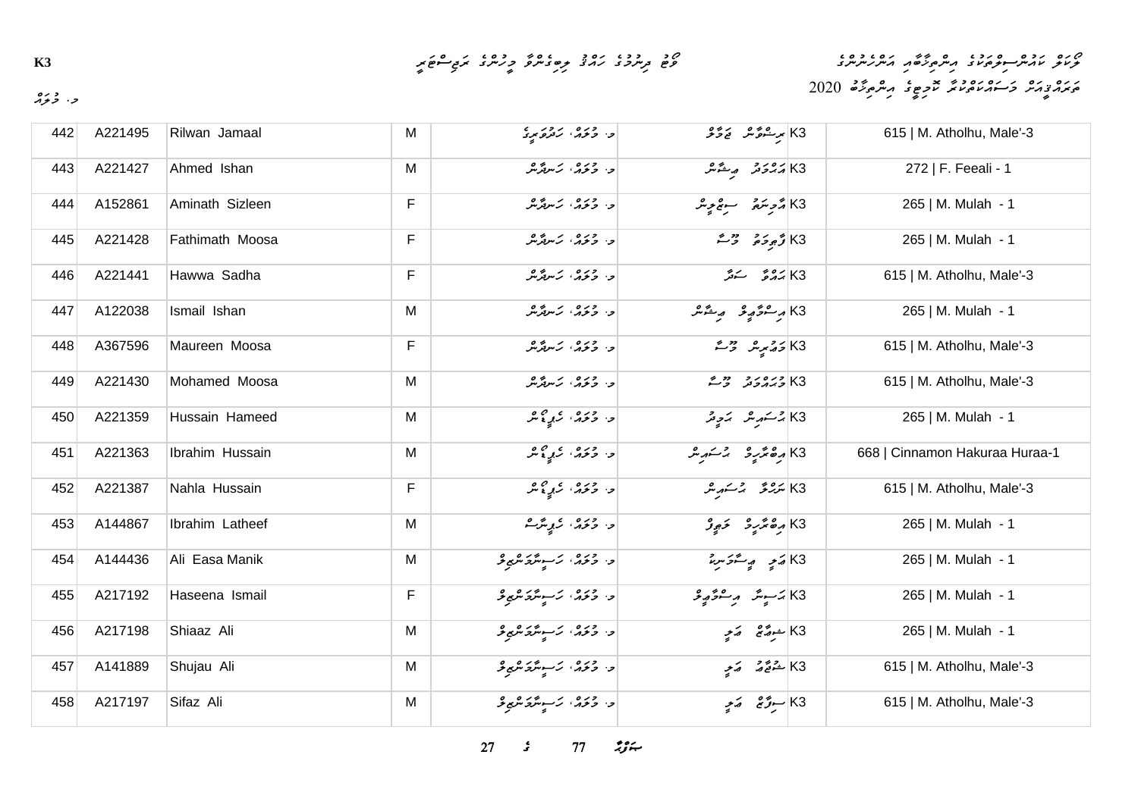*sCw7q7s5w7m< o<n9nOoAw7o< sCq;mAwBoEw7q<m; wBm;vB* م من المرة المرة المرة المرجع المرجع في المركبة 2020<br>مجم*د المريض المربوط المربع المرجع في المراجع المركبة* 

| 442 | A221495 | Rilwan Jamaal   | M            | و . و و و المرور المرد المرد المرد المرد المرد المرد المرد المرد المرد المرد المرد المرد المرد المرد ا | K3 برىش <i>ۇش قۇ</i> گر           | 615   M. Atholhu, Male'-3      |
|-----|---------|-----------------|--------------|--------------------------------------------------------------------------------------------------------|-----------------------------------|--------------------------------|
| 443 | A221427 | Ahmed Ishan     | M            | والمحروم الكسر وهوالله                                                                                 | K3 كەبر <i>ۇقر بې</i> شگىر        | 272   F. Feeali - 1            |
| 444 | A152861 | Aminath Sizleen | F            | والمحركوما كالمعتمد                                                                                    | K3 مُرْحِسَمُ مِسْتَعْجِيْرُ      | 265   M. Mulah - 1             |
| 445 | A221428 | Fathimath Moosa | $\mathsf{F}$ | والمحروم الكسروهي                                                                                      | K3 وَج <i>وح</i> و حق             | 265   M. Mulah - 1             |
| 446 | A221441 | Hawwa Sadha     | F            | والمحركوما كالمعتمد                                                                                    | K3 يَرْدُوَّ سَقَرَ               | 615   M. Atholhu, Male'-3      |
| 447 | A122038 | Ismail Ishan    | M            | والمحروم الكسرهريش                                                                                     | K3 برےوً ہو ہو جگہ                | 265   M. Mulah - 1             |
| 448 | A367596 | Maureen Moosa   | F            | والمحركوما كالمعتمد                                                                                    | K3 <i>كەنجى</i> ر قريم            | 615   M. Atholhu, Male'-3      |
| 449 | A221430 | Mohamed Moosa   | M            | والمحروم الكسروهي                                                                                      | K3 دېمبروتر وحت                   | 615   M. Atholhu, Male'-3      |
| 450 | A221359 | Hussain Hameed  | M            | د. درو، ژړی پر                                                                                         | K3 بڑے پر بڑ بر برچ تر            | 265   M. Mulah - 1             |
| 451 | A221363 | Ibrahim Hussain | M            | د و دوه، د و مهر                                                                                       | K3 <sub>م</sub> ەمگەر 2 گەسكەبلىر | 668   Cinnamon Hakuraa Huraa-1 |
| 452 | A221387 | Nahla Hussain   | F            | د و دوه، د و مهر                                                                                       | K3 ىتر <i>ىگە</i> جەسەمەش         | 615   M. Atholhu, Male'-3      |
| 453 | A144867 | Ibrahim Latheef | M            | د. دره، ژوِیژگ                                                                                         | K3 ب <i>ر&amp;ټرپر\$ خېږو</i> ْ   | 265   M. Mulah - 1             |
| 454 | A144436 | Ali Easa Manik  | M            | د. درو، ئەسمىگەش بو                                                                                    |                                   | 265   M. Mulah - 1             |
| 455 | A217192 | Haseena Ismail  | F            | د. د دَرُه، رَسِيتَرَتَتْرَ وَ                                                                         | K3 ئەسەنئر ب <i>ەرشۇرپ</i> ۇ      | 265   M. Mulah - 1             |
| 456 | A217198 | Shiaaz Ali      | M            | ە دىگە، ئاسىر ئىگەنگەنى ئى                                                                             | K3 ش <i>وشٌ تمَ مَ</i> ح          | 265   M. Mulah - 1             |
| 457 | A141889 | Shujau Ali      | M            | ە دىگە، ئاسىر ئىگەنگەنى ئى                                                                             | K3 څوڅ <i>چې</i> کې               | 615   M. Atholhu, Male'-3      |
| 458 | A217197 | Sifaz Ali       | M            | ەر 33%، كەسپەتكەتكى بى                                                                                 | K3 سِوَّج مَي                     | 615   M. Atholhu, Male'-3      |

*27 sC 77 nNw?mS*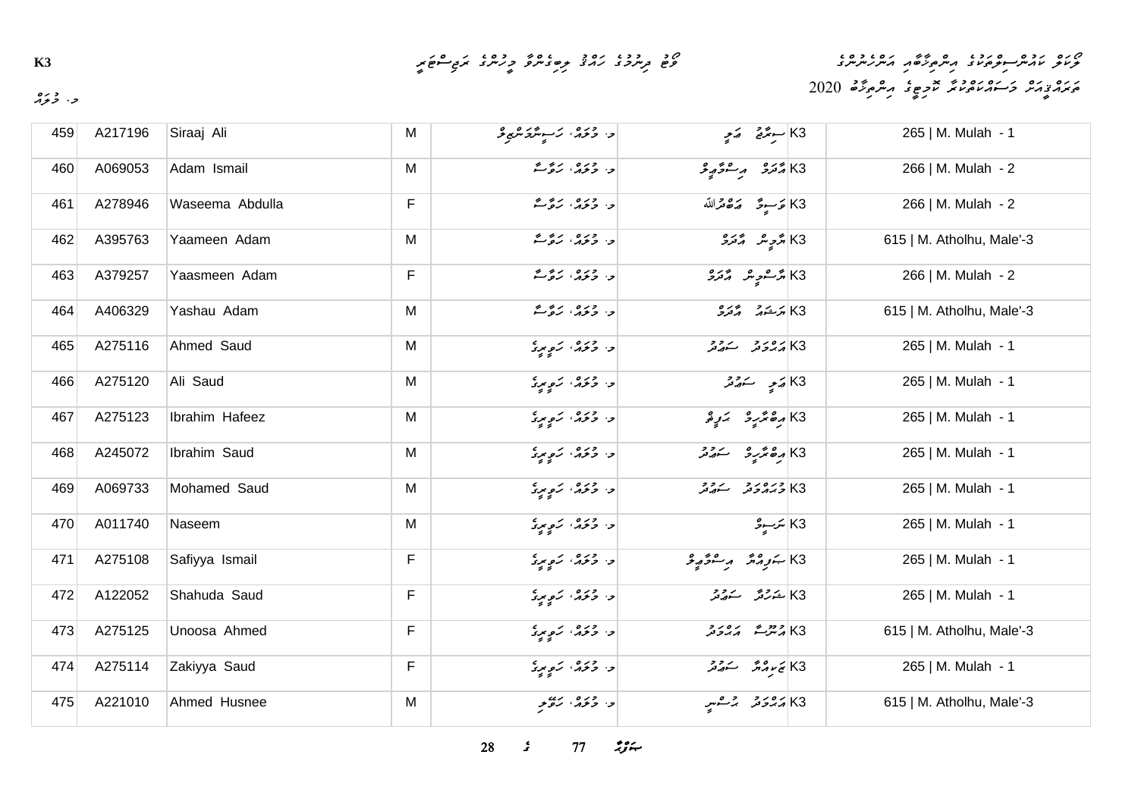*sCw7q7s5w7m< o<n9nOoAw7o< sCq;mAwBoEw7q<m; wBm;vB* م من المرة المرة المرة المرجع المرجع في المركبة 2020<br>مجم*د المريض المربوط المربع المرجع في المراجع المركبة* 

| 459 | A217196 | Siraaj Ali      | M            |                         | K3 سو <i>مڈنٹی م</i> ہوپہ              | 265   M. Mulah - 1        |
|-----|---------|-----------------|--------------|-------------------------|----------------------------------------|---------------------------|
| 460 | A069053 | Adam Ismail     | M            | و. ووه، رَوْسٌ          | K3 جۇمۇھ ب <i>وس<sup>ۇ</sup>مۇھ</i>    | 266   M. Mulah - 2        |
| 461 | A278946 | Waseema Abdulla | F            | و ووه، ژۇش              |                                        | 266   M. Mulah - 2        |
| 462 | A395763 | Yaameen Adam    | M            | و. ووه، زوٌ تُ          | K3 گر <i>ویٹر گ<sup>و</sup>ن</i> و     | 615   M. Atholhu, Male'-3 |
| 463 | A379257 | Yaasmeen Adam   | $\mathsf{F}$ | أوا وتوادا الكاريخ لتقر | K3 "گرے۔ پٹر گ <i>ر قر</i>             | 266   M. Mulah - 2        |
| 464 | A406329 | Yashau Adam     | M            | والمتحصص كروهم شر       | K3 بَرْڪَ <i>هُ " بُرُوَرُ</i>         | 615   M. Atholhu, Male'-3 |
| 465 | A275116 | Ahmed Saud      | M            | د و و و ده رو برد       | K3 كەبروتر سىھەتر                      | 265   M. Mulah - 1        |
| 466 | A275120 | Ali Saud        | M            | د وره، ژوپر             | K3 كەير سە <i>م</i> ەتر                | 265   M. Mulah - 1        |
| 467 | A275123 | Ibrahim Hafeez  | M            | ه د وره، زویږد          | K3 م <i>ەھتىپ</i> ۇ تەرپۇ              | 265   M. Mulah - 1        |
| 468 | A245072 | Ibrahim Saud    | M            | و وی دیم کویږی          | K3 مەھم <i>گىي</i> ئىسكە ئىسكىتىكى كىل | 265   M. Mulah - 1        |
| 469 | A069733 | Mohamed Saud    | M            | و . و وه، رَوِمِرَ      | K3 دېرورو سوړو                         | 265   M. Mulah - 1        |
| 470 | A011740 | Naseem          | M            | و . و و و . کو برد      | K3 يترسوڤر                             | 265   M. Mulah - 1        |
| 471 | A275108 | Safiyya Ismail  | F            | و ویژه، زویږی           | K3 ج <i>زوڤر و جوڏو</i> ي              | 265   M. Mulah - 1        |
| 472 | A122052 | Shahuda Saud    | F            | و وتوه، ژوپری           | K3 خەرقە سى <i>مەت</i> ر               | 265   M. Mulah - 1        |
| 473 | A275125 | Unoosa Ahmed    | $\mathsf F$  | و وی دیم کویږی          | K3 پر پیری که پروتر                    | 615   M. Atholhu, Male'-3 |
| 474 | A275114 | Zakiyya Saud    | F            | و وی دیم کویږی          | K3 ئىرى <i>م قىرىقى</i> ر              | 265   M. Mulah - 1        |
| 475 | A221010 | Ahmed Husnee    | M            | والمتحرق كتولو          | K3 كەبرى بىر بىر مەس <sub>ىر</sub>     | 615   M. Atholhu, Male'-3 |

*28 sC 77 nNw?mS*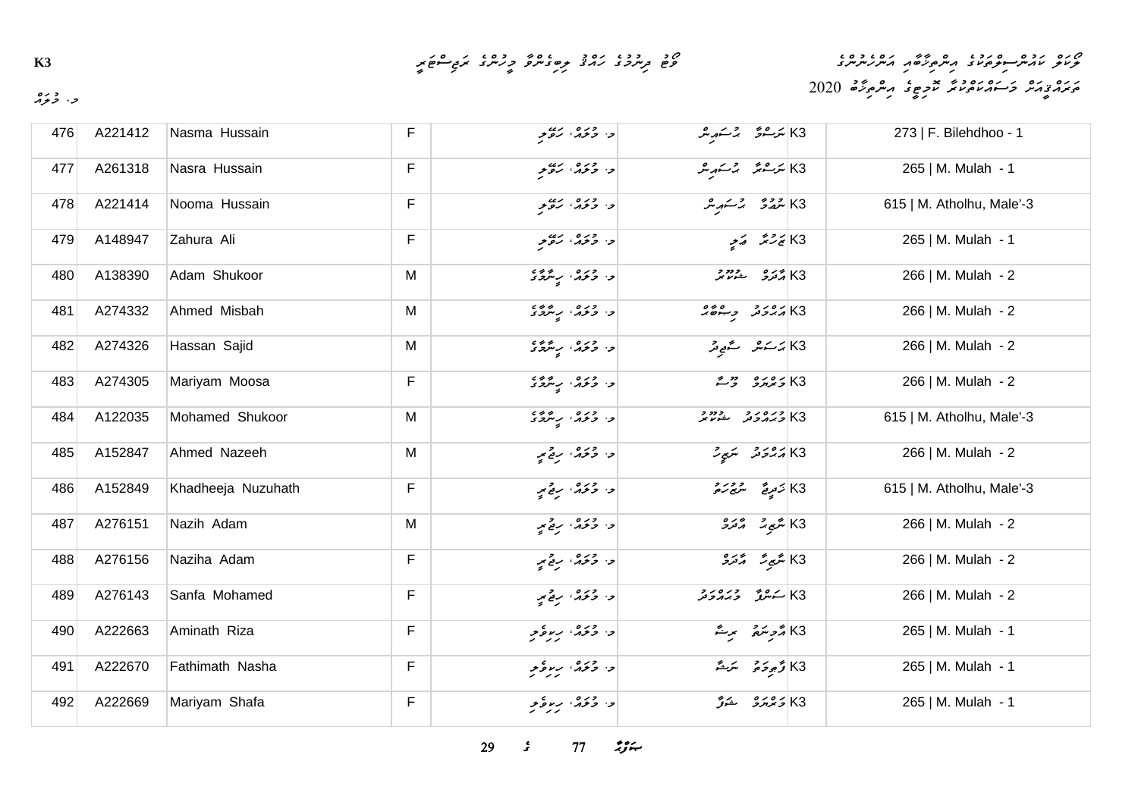*sCw7q7s5w7m< o<n9nOoAw7o< sCq;mAwBoEw7q<m; wBm;vB* م من المرة المرة المرة المرجع المراجع المراجع المراجع المراجع المراجع المراجع المراجع المراجع المراجع المراجع<br>مرين المراجع المراجع المرجع المراجع المراجع المراجع المراجع المراجع المراجع المراجع المراجع المراجع المراجع ال

| 476 | A221412 | Nasma Hussain      | F | والمحتوارا كتولو           | K3 ىترىشى <i>ۋە جەستىرى</i> ر                                                                       | 273   F. Bilehdhoo - 1    |
|-----|---------|--------------------|---|----------------------------|-----------------------------------------------------------------------------------------------------|---------------------------|
| 477 | A261318 | Nasra Hussain      | F | أوا وتخابئ كالمخالج        | K3 ىترىشەنتى كى <sup>م</sup> ىتى <i>م بىر</i>                                                       | 265   M. Mulah - 1        |
| 478 | A221414 | Nooma Hussain      | F | أوا وتخابئ كالمخالج        | K3 يتم <i>م 2 جي شم</i> ريشر                                                                        | 615   M. Atholhu, Male'-3 |
| 479 | A148947 | Zahura Ali         | F | والمحتوض كتفوج             | K3 يَحْرَجُمُ - مَ <sup>م</sup> حِ                                                                  | 265   M. Mulah - 1        |
| 480 | A138390 | Adam Shukoor       | M | د وره، رنگوی               | K3 گەنىرى ھەمدىن چە ئى                                                                              | 266   M. Mulah - 2        |
| 481 | A274332 | Ahmed Misbah       | M | و وی په پر                 | K3 كەبروتر ب <i>وشۇر</i>                                                                            | 266   M. Mulah - 2        |
| 482 | A274326 | Hassan Sajid       | M | د وره، رسمه                | K3   پرسکو سر سگھومتر                                                                               | 266   M. Mulah - 2        |
| 483 | A274305 | Mariyam Moosa      | F | د وره، رنگوی               | $23$ $22/5$ K3                                                                                      | 266   M. Mulah - 2        |
| 484 | A122035 | Mohamed Shukoor    | M | د. دره، ریزد               | K3 دېم دي. د دوم                                                                                    | 615   M. Atholhu, Male'-3 |
| 485 | A152847 | Ahmed Nazeeh       | M | و: وَوَكْرٌ، رِقْمٍرِ      | K3 كەندى كىرىمى ئىستى <i>م</i> ى                                                                    | 266   M. Mulah - 2        |
| 486 | A152849 | Khadheeja Nuzuhath | F | و: وَتَوَادُ، رِقِيَ بِرِ  | K3 كَتْرِيعٌ مُتَّمَّتَى مَرْكَزَةً وَ                                                              | 615   M. Atholhu, Male'-3 |
| 487 | A276151 | Nazih Adam         | M | د . و و و الله . و هم مو   | K3 بَمَّي پُرَ مُحَمَّدَة الْمُحَمَّدَة بِهِ الْمُحَمَّدَة بِهِ مَسَرِّدًا بِهِ مَسَرِّدًا بِهِ مَس | 266   M. Mulah - 2        |
| 488 | A276156 | Naziha Adam        | F | والمحتوك المطمو            | K3 سَمَى بَرَ مَحْرَدُّ                                                                             | 266   M. Mulah - 2        |
| 489 | A276143 | Sanfa Mohamed      | F | أوا وتخه" رقيعه            | K3 جوړې د دره در                                                                                    | 266   M. Mulah - 2        |
| 490 | A222663 | Aminath Riza       | F | و <sub>:</sub> وتخه، روتخو | K3 مُرْحِسَمُ مِنْ مِنْ                                                                             | 265   M. Mulah - 1        |
| 491 | A222670 | Fathimath Nasha    | F | د دبه رسور                 | K3 <i>وَّجِودَة</i> سَرَحَّة                                                                        | 265   M. Mulah - 1        |
| 492 | A222669 | Mariyam Shafa      | F | والمحترج الراباني          | K3 كەنگەنگە ئىكەنگە                                                                                 | 265   M. Mulah - 1        |

*29 sC 77 nNw?mS*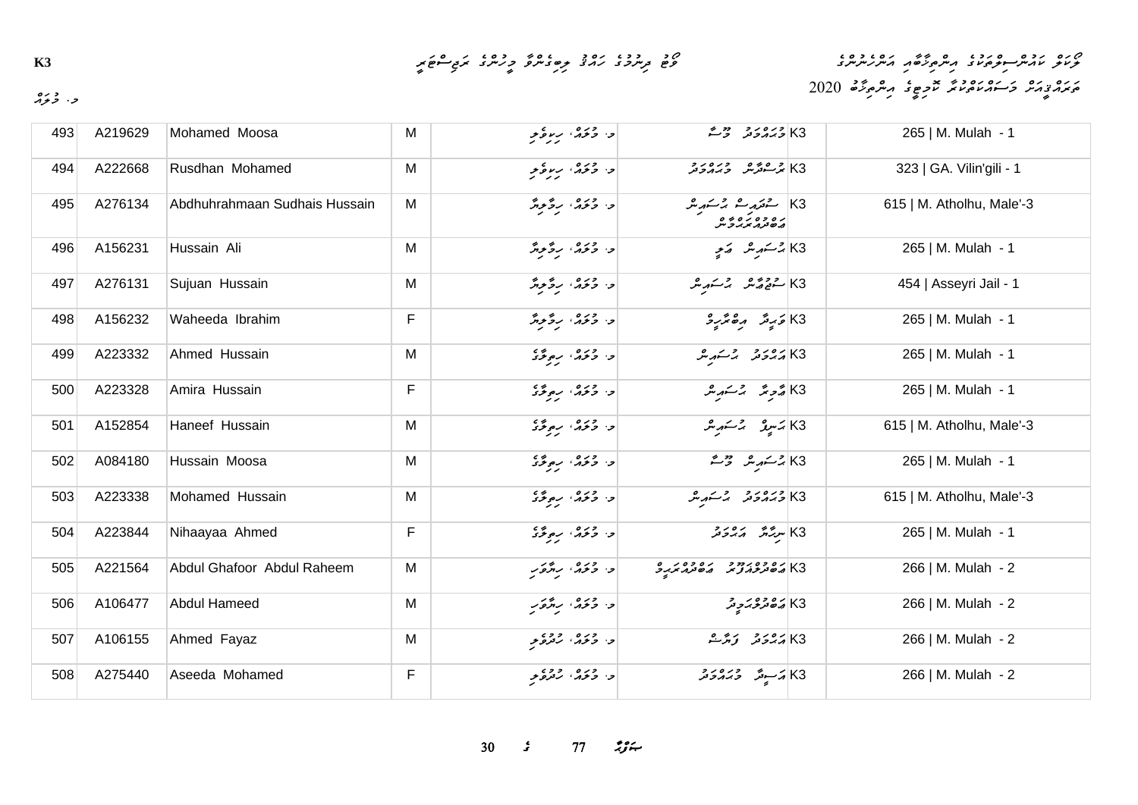*sCw7q7s5w7m< o<n9nOoAw7o< sCq;mAwBoEw7q<m; wBm;vB* م من المرة المرة المرة المرجع المراجع المراجع المراجع المراجع المراجع المراجع المراجع المراجع المراجع المراجع<br>مرين المراجع المراجع المرجع المراجع المراجع المراجع المراجع المراجع المراجع المراجع المراجع المراجع المراجع ال

| 493 | A219629 | Mohamed Moosa                 | M           | و· وحوكه، ربرة و         | K3 دېمبروتر وحت                                                   | 265   M. Mulah - 1        |
|-----|---------|-------------------------------|-------------|--------------------------|-------------------------------------------------------------------|---------------------------|
| 494 | A222668 | Rusdhan Mohamed               | M           | د و دو. سرور             | K3 برگشتر بر در در د                                              | 323   GA. Vilin'gili - 1  |
| 495 | A276134 | Abdhuhrahmaan Sudhais Hussain | M           | والمحترق بالحجاج         | K3 كے <i>قرم بے مجمسم بنگر</i><br>ره وه ره ده و.<br>پره تربر تر س | 615   M. Atholhu, Male'-3 |
| 496 | A156231 | Hussain Ali                   | M           | والمحترق بالحجاج         | K3 پر <i>ڪ<sub>يم</sub>بر چ</i> َيوِ                              | 265   M. Mulah - 1        |
| 497 | A276131 | Sujuan Hussain                | M           | والمحترق بالحجاج         | K3 جوړميز بر <i>سکو</i> بير                                       | 454   Asseyri Jail - 1    |
| 498 | A156232 | Waheeda Ibrahim               | F           | و: وُتَوَهُ، رِوُّتِهُمْ | K3 كۈيەن <i>گە مەھەتگەي</i> ى                                     | 265   M. Mulah - 1        |
| 499 | A223332 | Ahmed Hussain                 | M           | ه د و و و و و و و د      | K3 كەبرى بىر بىر ئىكتە بىر بىر                                    | 265   M. Mulah - 1        |
| 500 | A223328 | Amira Hussain                 | F           | د و و و و د به دو        | K3 م <i>ج جگہ جي ڪورنگ</i> ر                                      | 265   M. Mulah - 1        |
| 501 | A152854 | Haneef Hussain                | M           |                          | K3 كەسپۇ سىمكىرىش                                                 | 615   M. Atholhu, Male'-3 |
| 502 | A084180 | Hussain Moosa                 | M           |                          | K3 پر ستمبر شرح محر شده میشد.<br>ا                                | 265   M. Mulah - 1        |
| 503 | A223338 | Mohamed Hussain               | M           | و: وُتَوَهُ، رِهِ وُوَ   | K3 دېم <i>ده د جر</i> م شر                                        | 615   M. Atholhu, Male'-3 |
| 504 | A223844 | Nihaayaa Ahmed                | $\mathsf F$ | ه د و و د او د و د د     | K3 بىرتە <i>ئەر ئەرە</i> ر                                        | 265   M. Mulah - 1        |
| 505 | A221564 | Abdul Ghafoor Abdul Raheem    | M           | ه ويوه، رؤوب             | K3 رە دەبەدد دەرەر دەرىر د                                        | 266   M. Mulah - 2        |
| 506 | A106477 | <b>Abdul Hameed</b>           | M           | و و و و د المرور         | K3 كەھەترى <i>3 بە</i> تر                                         | 266   M. Mulah - 2        |
| 507 | A106155 | Ahmed Fayaz                   | M           | و و وه، ژوه و            | K3 كەبرى ئەگەشە                                                   | 266   M. Mulah - 2        |
| 508 | A275440 | Aseeda Mohamed                | F           | والمتحرمي المتحرمي       | K3 كەسپەتر <i>مەكەم</i> دىر                                       | 266   M. Mulah - 2        |

**30** *s* **77** *n***<sub>s</sub>**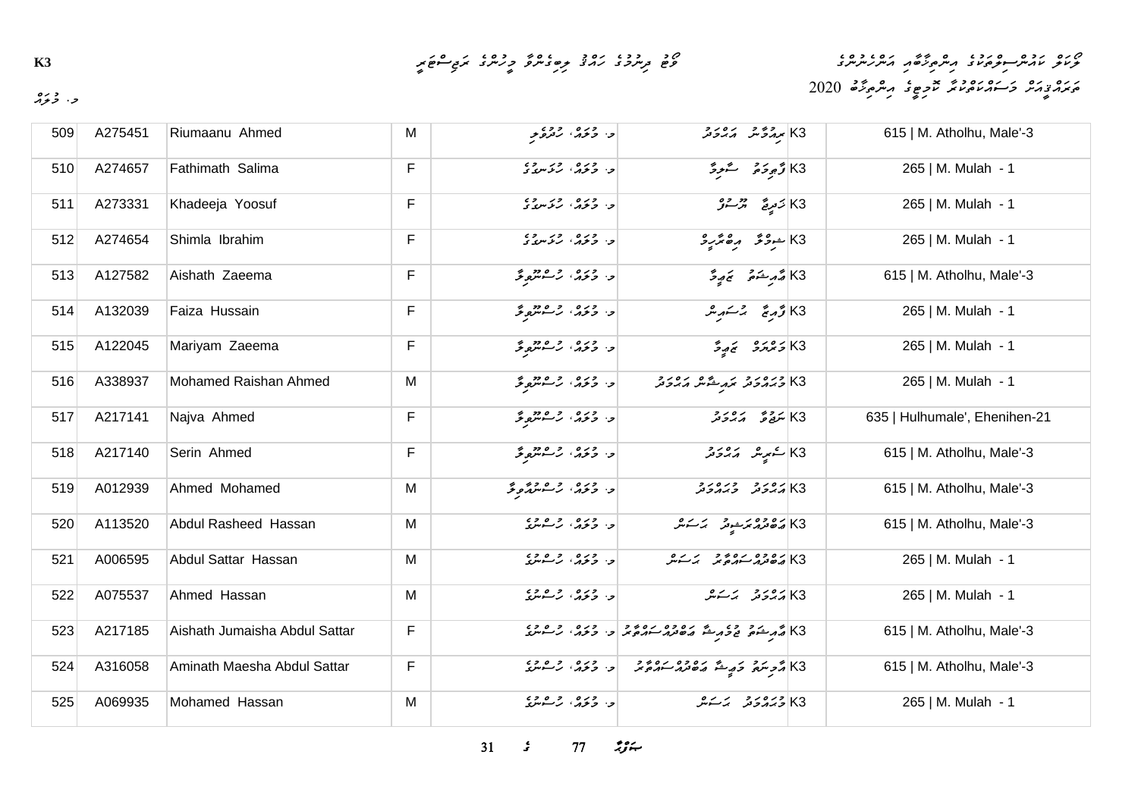*sCw7q7s5w7m< o<n9nOoAw7o< sCq;mAwBoEw7q<m; wBm;vB* م من المرة المرة المرة المرجع المراجع المراجع المراجع المراجع المراجع المراجع المراجع المراجع المراجع المراجع<br>مرين المراجع المراجع المرجع المراجع المراجع المراجع المراجع المراجع المراجع المراجع المراجع المراجع المراجع ال

| 509 | A275451 | Riumaanu Ahmed                | M | و ويوه، ژوره د                | K3 برقر محمد محمد المراكز فير                                                                                                                                                                                                                                                                                       | 615   M. Atholhu, Male'-3     |
|-----|---------|-------------------------------|---|-------------------------------|---------------------------------------------------------------------------------------------------------------------------------------------------------------------------------------------------------------------------------------------------------------------------------------------------------------------|-------------------------------|
| 510 | A274657 | Fathimath Salima              | F | والمحركة المكاسى              | K3 رَّج <i>ودَة</i> سَّعِرَةَ                                                                                                                                                                                                                                                                                       | 265   M. Mulah - 1            |
| 511 | A273331 | Khadeeja Yoosuf               | F | والمتحص فركم المروي           | K3 كَتَمْرِيعٌ مَرْتَّسُوْ                                                                                                                                                                                                                                                                                          | 265   M. Mulah - 1            |
| 512 | A274654 | Shimla Ibrahim                | F | ور و ده. در ده                | K3 جو <i>دۇ مۇمۇر</i> ۇ                                                                                                                                                                                                                                                                                             | 265   M. Mulah - 1            |
| 513 | A127582 | Aishath Zaeema                | F | والمحموم المستقرمة            | K3 مُمْ مِسْمَعْ نَجْ مِيْرَ                                                                                                                                                                                                                                                                                        | 615   M. Atholhu, Male'-3     |
| 514 | A132039 | Faiza Hussain                 | F | والمحركة الرحيحية             | K3 وَْرِجَ بِرْسَهِ مِرْ مِرْ                                                                                                                                                                                                                                                                                       | 265   M. Mulah - 1            |
| 515 | A122045 | Mariyam Zaeema                | F | والمحروم المرضوري             | K3 كا <i>كەنگەڭ تەم</i> ەق                                                                                                                                                                                                                                                                                          | 265   M. Mulah - 1            |
| 516 | A338937 | Mohamed Raishan Ahmed         | M | والمحمدة المراجع والمحمدة     | K3 درەرەتر بر <sub>ەرش</sub> ىر برەرد                                                                                                                                                                                                                                                                               | 265   M. Mulah - 1            |
| 517 | A217141 | Najva Ahmed                   | F | و. ووه، رئيسهونو              | K3 يَرْجَعُ مَ <i>مْدُوَمْر</i>                                                                                                                                                                                                                                                                                     | 635   Hulhumale', Ehenihen-21 |
| 518 | A217140 | Serin Ahmed                   | F | والمحموم المستقرمة            | K3∣ڪپريٹر <i>2,3</i> °5ر                                                                                                                                                                                                                                                                                            | 615   M. Atholhu, Male'-3     |
| 519 | A012939 | Ahmed Mohamed                 | M | و. وَوَكَّ رَّ سَمْسَمُّوَوَّ | K3 كەمەدە مەدەمەد                                                                                                                                                                                                                                                                                                   | 615   M. Atholhu, Male'-3     |
| 520 | A113520 | Abdul Rasheed Hassan          | M | و. ووه، ژگستن                 | K3 <i>مَـ ھُنْھُ مَرْجِيْ جِيْمَ بِ</i> سَنَمْسُ                                                                                                                                                                                                                                                                    | 615   M. Atholhu, Male'-3     |
| 521 | A006595 | Abdul Sattar Hassan           | M | د. وی و و و و و و و           | K3 <sub>مەھ</sub> ترە سەھ ئەرگە بەسەش                                                                                                                                                                                                                                                                               | 265   M. Mulah - 1            |
| 522 | A075537 | Ahmed Hassan                  | M | و. ووه، ژگستن                 | K3 كەبروتىق كەسكەنلىر                                                                                                                                                                                                                                                                                               | 265   M. Mulah - 1            |
| 523 | A217185 | Aishath Jumaisha Abdul Sattar | F |                               | $\frac{1}{2}$ $\frac{1}{2}$ $\frac{1}{2}$ $\frac{1}{2}$ $\frac{1}{2}$ $\frac{1}{2}$ $\frac{1}{2}$ $\frac{1}{2}$ $\frac{1}{2}$ $\frac{1}{2}$ $\frac{1}{2}$ $\frac{1}{2}$ $\frac{1}{2}$ $\frac{1}{2}$ $\frac{1}{2}$ $\frac{1}{2}$ $\frac{1}{2}$ $\frac{1}{2}$ $\frac{1}{2}$ $\frac{1}{2}$ $\frac{1}{2}$ $\frac{1}{2}$ | 615   M. Atholhu, Male'-3     |
| 524 | A316058 | Aminath Maesha Abdul Sattar   | F |                               | K3 رُوسَيْ دَرِيفَ رَهُ دَه دَه ده د د د د د د د د د د د                                                                                                                                                                                                                                                            | 615   M. Atholhu, Male'-3     |
| 525 | A069935 | Mohamed Hassan                | M | و. ووه، ژگستری                | K3 <i>جەمەدىرىكى</i> ش                                                                                                                                                                                                                                                                                              | 265   M. Mulah - 1            |

**31** *s* **77** *z***<sub>***s***</sub>**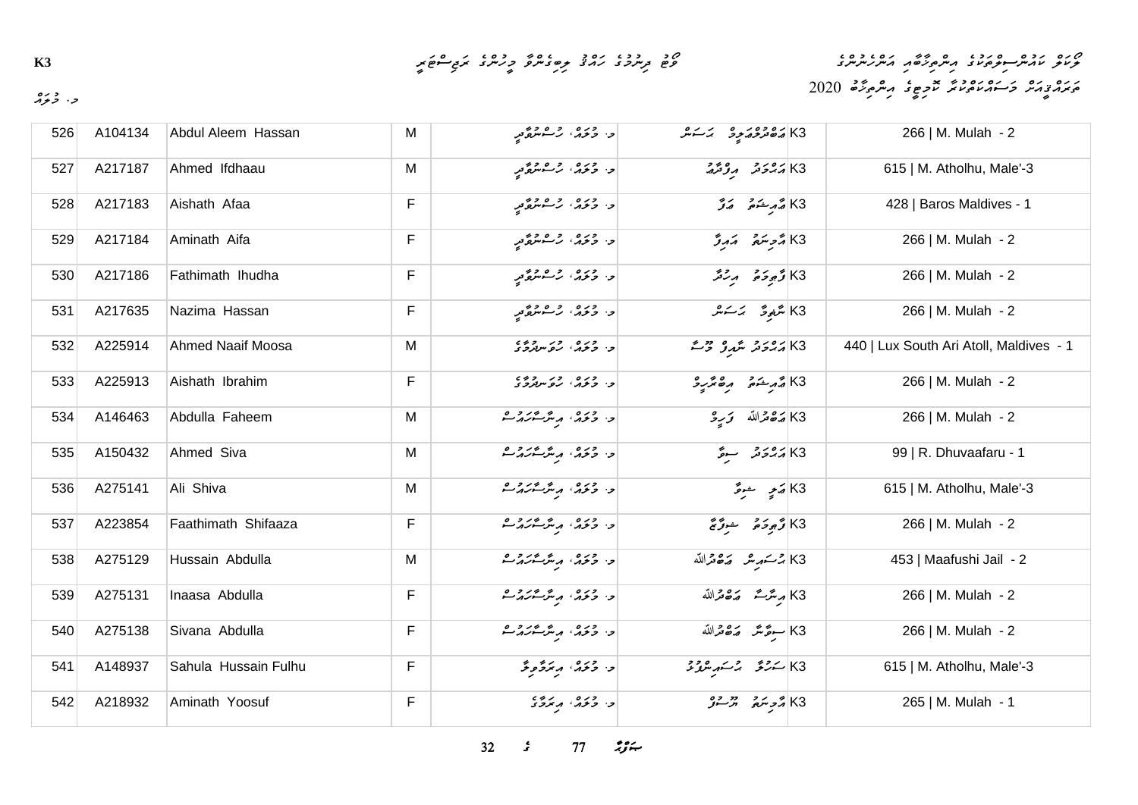*sCw7q7s5w7m< o<n9nOoAw7o< sCq;mAwBoEw7q<m; wBm;vB* م من المرة المرة المرة المرجع المراجع المراجع المراجع المراجع المراجع المراجع المراجع المراجع المراجع المراجع<br>مرين المراجع المراجع المرجع المراجع المراجع المراجع المراجع المراجع المراجع المراجع المراجع المراجع المراجع ال

| 526 | A104134 | Abdul Aleem Hassan   | M            | د· دُبُورُ، رُڪسھُورِ                 | K3 <i>مَـُـوْدُوْمِيْ</i> وْ <i>بَـُــَ</i> سُ | 266   M. Mulah - 2                      |
|-----|---------|----------------------|--------------|---------------------------------------|------------------------------------------------|-----------------------------------------|
| 527 | A217187 | Ahmed Ifdhaau        | M            | و. وره وه ووير                        | K3 كەبرى قىر موقى <i>گە</i>                    | 615   M. Atholhu, Male'-3               |
| 528 | A217183 | Aishath Afaa         | $\mathsf F$  | و. وتور، رئے سرچ مړ                   | K3 گەمەشكەق كەتى                               | 428   Baros Maldives - 1                |
| 529 | A217184 | Aminath Aifa         | F            | والمحمدة المراقية في                  | K3 مَّ <i>جِسَعَۃ مَہون</i> َّ                 | 266   M. Mulah - 2                      |
| 530 | A217186 | Fathimath Ihudha     | $\mathsf{F}$ | و. وتوكه، رقسه مهوّمرٍ                | K3 رَّج <i>وحَمْ دِرْمَّدَ</i>                 | 266   M. Mulah - 2                      |
| 531 | A217635 | Nazima Hassan        | $\mathsf F$  | و. وره، رقسه موفر                     | K3 سَّمَعِ حَسَّ سَسَر سَر                     | 266   M. Mulah - 2                      |
| 532 | A225914 | Ahmed Naaif Moosa    | M            | والمتحوم المتحصوص                     | K3 كەبرى ئەرى ئۇستە                            | 440   Lux South Ari Atoll, Maldives - 1 |
| 533 | A225913 | Aishath Ibrahim      | $\mathsf F$  | والمحروم المتحصوص                     | K3 مُ مِشَمَّ مِصْمَّرِدْ                      | 266   M. Mulah - 2                      |
| 534 | A146463 | Abdulla Faheem       | M            | و وی روگران                           | K3 مَەھمَراللە ك <i>ۆر</i> ِ ت                 | 266   M. Mulah - 2                      |
| 535 | A150432 | Ahmed Siva           | M            | و وفه، مشتر ده و                      | K3 كەيمە كەنتى سىر <i>ەڭ</i>                   | 99   R. Dhuvaafaru - 1                  |
| 536 | A275141 | Ali Shiva            | M            | و وی روشهرده                          | K3  رَمِ ِ سُورً                               | 615   M. Atholhu, Male'-3               |
| 537 | A223854 | Faathimath Shifaaza  | F            | و وی روشهرده                          | K3 رَّجِوحَة صَورَّجَ                          | 266   M. Mulah - 2                      |
| 538 | A275129 | Hussain Abdulla      | M            | و وفه، مس المرور                      | K3 يُرْسَمَّهِ مِنْ مَدَّةَ قَدَّاللَّهَ       | 453   Maafushi Jail - 2                 |
| 539 | A275131 | Inaasa Abdulla       | F            | و وی روشهرده                          | K3 مر <i>مَّرْتَہ مَ \$قر</i> اللّه            | 266   M. Mulah - 2                      |
| 540 | A275138 | Sivana Abdulla       | $\mathsf F$  | د. و <i>وَهُ، م</i> ِیتَرَ مِیتَ دَمِ | K3 سو <i>مَّةً مَّذَّ مَ</i> ةَ مِّرَاللَّهُ   | 266   M. Mulah - 2                      |
| 541 | A148937 | Sahula Hussain Fulhu | F            | والمحرق معرقوقر                       | K3 جائزنج برجم مرضوع                           | 615   M. Atholhu, Male'-3               |
| 542 | A218932 | Aminath Yoosuf       | F            | כי כברי המבי                          | K3 مُجرِسَع <sub>ة</sub> مُرْسُورْ             | 265   M. Mulah - 1                      |

**32** *s* **77** *n***<sub>s</sub>**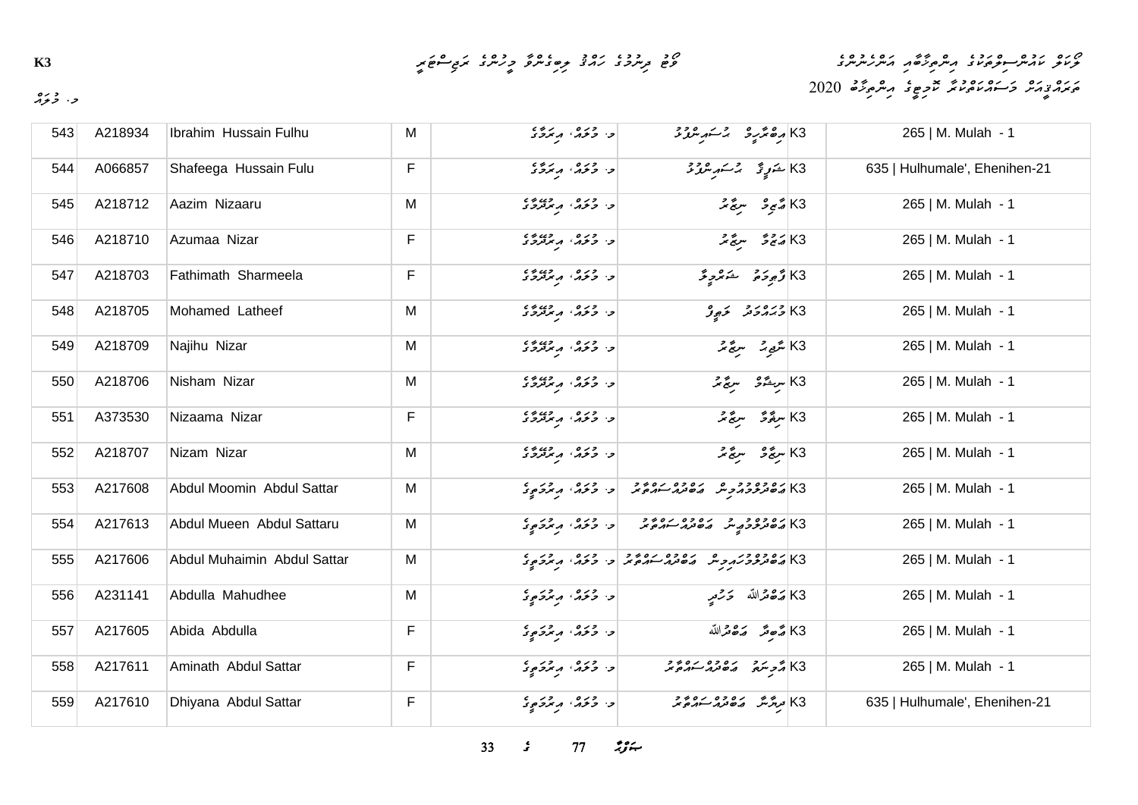*sCw7q7s5w7m< o<n9nOoAw7o< sCq;mAwBoEw7q<m; wBm;vB* م من المرة المرة المرة المرجع المراجع المراجع المراجع المراجع المراجع المراجع المراجع المراجع المراجع المراجع<br>مرين المراجع المراجع المرجع المراجع المراجع المراجع المراجع المراجع المراجع المراجع المراجع المراجع المراجع ال

| 543 | A218934 | Ibrahim Hussain Fulhu       | M           | د. وره، پرنزی                        | K3 مەھەمگەيدى بەرسىتىدىكى K3                | 265   M. Mulah - 1            |
|-----|---------|-----------------------------|-------------|--------------------------------------|---------------------------------------------|-------------------------------|
| 544 | A066857 | Shafeega Hussain Fulu       | F           | כי כבלי המבצ                         | K3 خ <i>ور تى تەر شۇ</i> تى                 | 635   Hulhumale', Ehenihen-21 |
| 545 | A218712 | Aazim Nizaaru               | M           | و د وه و وده و ه                     | K3 گەيىرى سىنى ئىر                          | 265   M. Mulah - 1            |
| 546 | A218710 | Azumaa Nizar                | $\mathsf F$ | و و وه دون<br>د ونور، د پرتروی       | K3 كەنىم قەسىنى ئىر                         | 265   M. Mulah - 1            |
| 547 | A218703 | Fathimath Sharmeela         | F           | و دوه معترون<br>د ونور، معترون       | K3 <i>وَّ پوءَ ۾</i> شکر <i>پو</i> ءَ       | 265   M. Mulah - 1            |
| 548 | A218705 | Mohamed Latheef             | M           | و و وه دون<br>د ونور، د پرتروی       | K3  <i>522,325 كر<sub>ت</sub>مبر</i> و      | 265   M. Mulah - 1            |
| 549 | A218709 | Najihu Nizar                | M           | و. ووه پرتروی                        | K3 سَّمِهِ شَرِيحَ سَمَّةٍ                  | 265   M. Mulah - 1            |
| 550 | A218706 | Nisham Nizar                | M           | و وره<br>د ونوړ، په پرترون           | K3 سريئيو گريم مر                           | 265   M. Mulah - 1            |
| 551 | A373530 | Nizaama Nizar               | F           | כי כיבה <sup>י</sup> הי <i>בטב</i> י | K3 سِهَّرَّ سِيَّ سَ                        | 265   M. Mulah - 1            |
| 552 | A218707 | Nizam Nizar                 | M           | و. ووه، پر پرووی                     | K3 سِيَّ جَ سِيَّ سَمَّ                     | 265   M. Mulah - 1            |
| 553 | A217608 | Abdul Moomin Abdul Sattar   | M           |                                      | צא נפכפכים נפכם נפכל כי כלם כנים            | 265   M. Mulah - 1            |
| 554 | A217613 | Abdul Mueen Abdul Sattaru   | M           |                                      |                                             | 265   M. Mulah - 1            |
| 555 | A217606 | Abdul Muhaimin Abdul Sattar | M           |                                      | K3 בספר בכל הס הספר הספר כי כיבתי היה בית ב | 265   M. Mulah - 1            |
| 556 | A231141 | Abdulla Mahudhee            | M           | و وی مرکز و                          | K3 كەھەراللە     كەتىر                      | 265   M. Mulah - 1            |
| 557 | A217605 | Abida Abdulla               | F           | أور وتوها أربرونوى                   | K3 مُذْھِقَّہ مَہُ صَمَّراللَّه             | 265   M. Mulah - 1            |
| 558 | A217611 | Aminath Abdul Sattar        | F           | والمحركة المتحرج والمحمد             | K3 گرم می می ده ده در در                    | 265   M. Mulah - 1            |
| 559 | A217610 | Dhiyana Abdul Sattar        | F           | و. ووه، معدومي                       | K3 مېرگرىگر مەھەرمەمەدە تەرەپچە             | 635   Hulhumale', Ehenihen-21 |

**33** *s* **77** *z***<sub>***s***</sub>**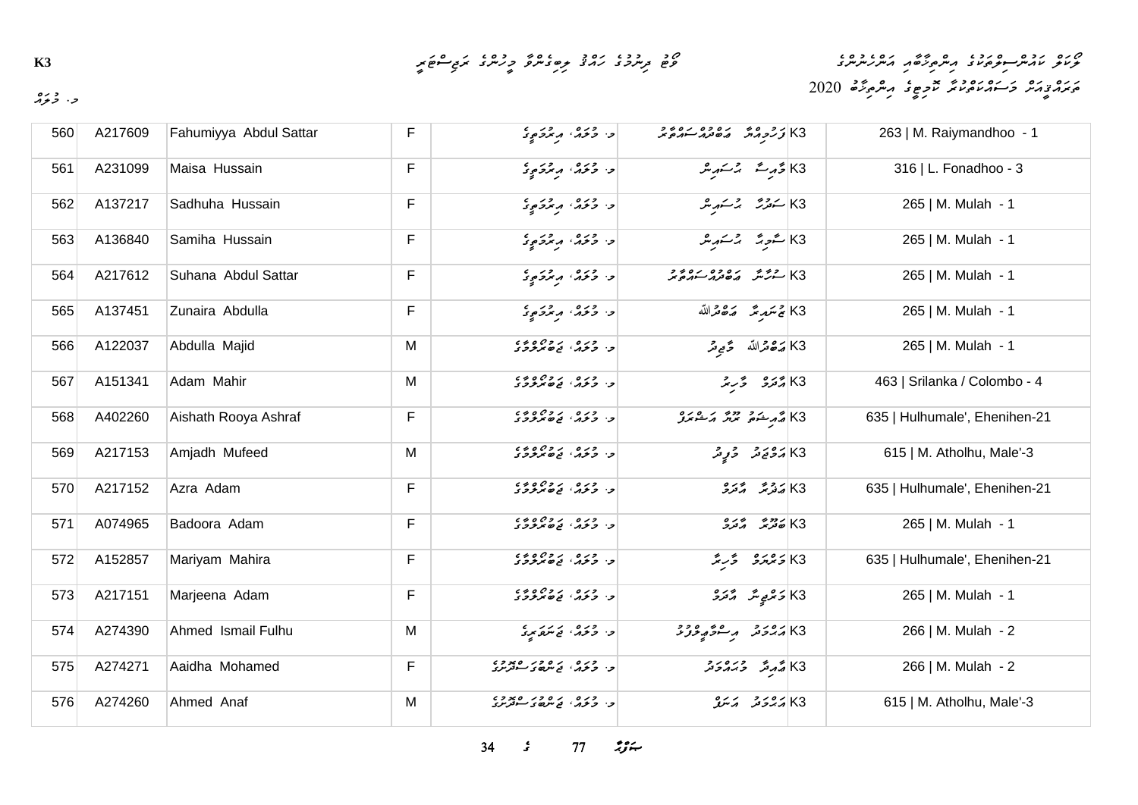*sCw7q7s5w7m< o<n9nOoAw7o< sCq;mAwBoEw7q<m; wBm;vB* م من المرة المرة المرة المرجع المراجع المراجع المراجع المراجع المراجع المراجع المراجع المراجع المراجع المراجع<br>مرين المراجع المراجع المرجع المراجع المراجع المراجع المراجع المراجع المراجع المراجع المراجع المراجع المراجع ال

| 560 | A217609 | Fahumiyya Abdul Sattar | F | و: د څرم، پر پر دې د                                                                | K3 زروره مەمەم دەپرى                         | 263   M. Raiymandhoo - 1      |
|-----|---------|------------------------|---|-------------------------------------------------------------------------------------|----------------------------------------------|-------------------------------|
| 561 | A231099 | Maisa Hussain          | F | و و و و د بروم و                                                                    | K3 گەرىش جىسىمبەھر                           | 316   L. Fonadhoo - 3         |
| 562 | A137217 | Sadhuha Hussain        | F | و و و و د بروم و                                                                    | K3∣ےقر <i>نگ بڑےم</i> ریش                    | 265   M. Mulah - 1            |
| 563 | A136840 | Samiha Hussain         | F | و. ووه، مرتزمور                                                                     | K3 گەچەتھ بۇ شەرىكە                          | 265   M. Mulah - 1            |
| 564 | A217612 | Suhana Abdul Sattar    | F | و و و و د برو د و                                                                   | K3 جۇڭ ئەھەرە يەمەدىسى بەر                   | 265   M. Mulah - 1            |
| 565 | A137451 | Zunaira Abdulla        | F | و و و و د برو و د                                                                   | K3 تح <i>مترم بمَّرٍ مَنْ هُ</i> قْرَاللَّهُ | 265   M. Mulah - 1            |
| 566 | A122037 | Abdulla Majid          | M | دره دره ده ده<br>د ونره نه <i>ه برود</i> د                                          | K3 كەھەراللە گەمەمگە                         | 265   M. Mulah - 1            |
| 567 | A151341 | Adam Mahir             | M | $\begin{array}{cc} c \neq o \ C \ni & \circ & \circ & \circ \end{array}$            | K3 <i>گەنگ</i> ۇ گەرىگە                      | 463   Srilanka / Colombo - 4  |
| 568 | A402260 | Aishath Rooya Ashraf   | F | $\begin{array}{cc} c & c & c & c & c \\ c & c & c & c \\ c & c & c & c \end{array}$ | K3 مەم شەم بىر مەشىر                         | 635   Hulhumale', Ehenihen-21 |
| 569 | A217153 | Amjadh Mufeed          | M | $\begin{array}{cc} c \neq o \ C \ni & \circ & \circ & \circ \end{array}$            | K3 كەۋق قى قىلىدىنى كىل                      | 615   M. Atholhu, Male'-3     |
| 570 | A217152 | Azra Adam              | F | در وره دروه وده<br>در ونور، فان مرود د                                              | K3 كەنىرىگە كەنىر <i>ى</i>                   | 635   Hulhumale', Ehenihen-21 |
| 571 | A074965 | Badoora Adam           | F | $\begin{array}{ccc} 0.9 & 0.9 & 0.9 & 0.9 \\ 0.9 & 0.9 & 0.9 & 0.9 \\ \end{array}$  | K3 ھەمرىتر گەندە.                            | 265   M. Mulah - 1            |
| 572 | A152857 | Mariyam Mahira         | F |                                                                                     | K3 كا <i>كا بريدگر</i> گريگر                 | 635   Hulhumale', Ehenihen-21 |
| 573 | A217151 | Marjeena Adam          | F | $\begin{array}{cc} c \neq o \ C \ni & \circ & \circ & \circ \end{array}$            | K3 كَرْجُمْ بِهِ مُرَّ مَرْجَمْ \$           | 265   M. Mulah - 1            |
| 574 | A274390 | Ahmed Ismail Fulhu     | M | والمحركم المحاسرة                                                                   | K3 <i>גېرې تر م</i> ېشو <i>پور</i> و ته      | 266   M. Mulah - 2            |
| 575 | A274271 | Aaidha Mohamed         | F | وره دره دوره بدوه<br>د ونور، فاس                                                    | K3 مَّەمِعَّ قَ <sup>ى</sup> دە <i>قى</i> ر  | 266   M. Mulah - 2            |
| 576 | A274260 | Ahmed Anaf             | M | وره دره دوره دوه<br>د ونژوي قاسوچاستوبرد                                            | K3 كەبر <i>ەي كەيتۇ</i>                      | 615   M. Atholhu, Male'-3     |

*34 sC 77 nNw?mS*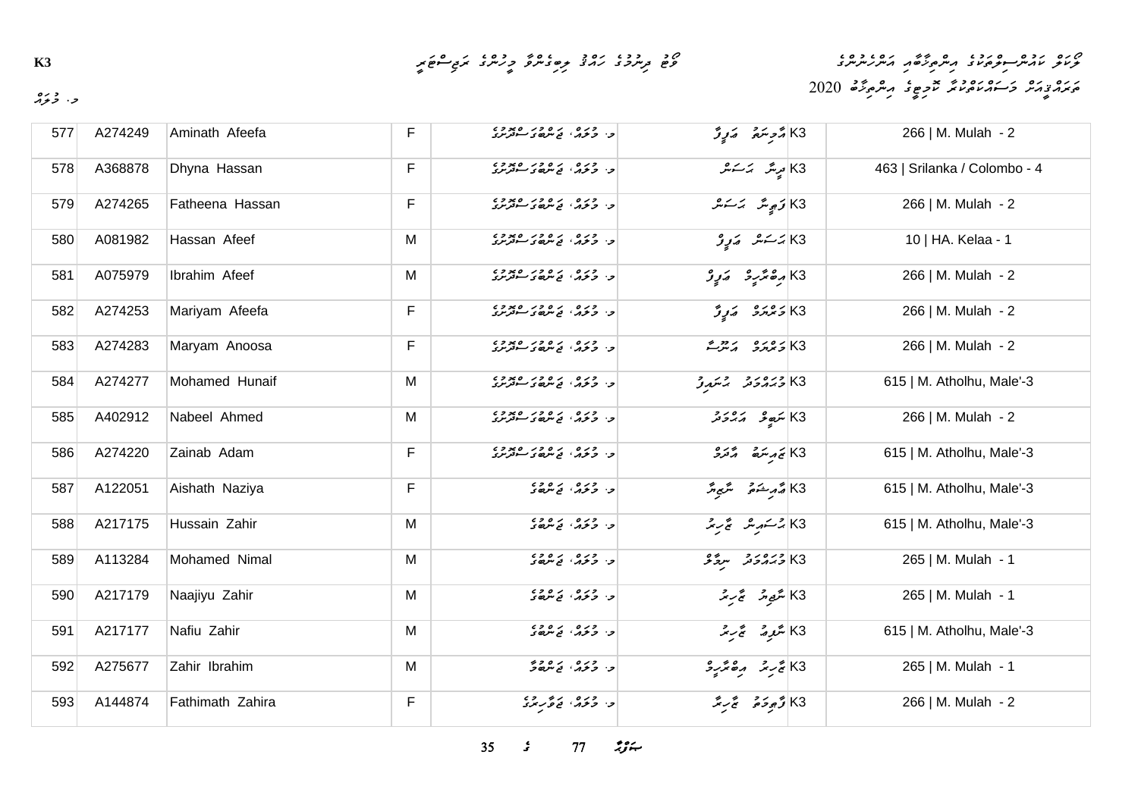*sCw7q7s5w7m< o<n9nOoAw7o< sCq;mAwBoEw7q<m; wBm;vB* م من المرة المرة المرة المرجع المراجع المراجع المراجع المراجع المراجع المراجع المراجع المراجع المراجع المراجع<br>مرين المراجع المراجع المرجع المراجع المراجع المراجع المراجع المراجع المراجع المراجع المراجع المراجع المراجع ال

| 577 | A274249 | Aminath Afeefa   | F | ور وره دره در ه برور<br>ور و نور، نخ سرهای سوتر برو                | K3 مَّحِ سَمَّۃ کَمَ <i>پِ</i> وَّ                                        | 266   M. Mulah - 2           |
|-----|---------|------------------|---|--------------------------------------------------------------------|---------------------------------------------------------------------------|------------------------------|
| 578 | A368878 | Dhyna Hassan     | F | وره د ه د ور ه پروه<br>د او د کلمه او سوترس                        | K3 مریٹر کرکٹر                                                            | 463   Srilanka / Colombo - 4 |
| 579 | A274265 | Fatheena Hassan  | F | وره ده دور ه پووه<br>د ونور، ن <sub>و</sub> سره <sub>ک</sub> سنترس | K3 كۆچە ئىر ئەسكەنلەر                                                     | 266   M. Mulah - 2           |
| 580 | A081982 | Hassan Afeef     | M | وره د ه د ور ويدو ع<br>د او د د کمي شود د او د                     | K3   پرستر م <i>ی می</i> وژ                                               | 10   HA. Kelaa - 1           |
| 581 | A075979 | Ibrahim Afeef    | M | دره ده ده در دوده<br>د ونرو، فاس دستربرد                           | K3 <sub>م</sub> ەتزىر <i>5 مۇ</i> رۇ                                      | 266   M. Mulah - 2           |
| 582 | A274253 | Mariyam Afeefa   | F | وره د ه د ور ويدو ع<br>د او د د کمي شود د او د                     | K3 كانجما <i>ترى كەنب</i> ۇ                                               | 266   M. Mulah - 2           |
| 583 | A274283 | Maryam Anoosa    | F | وره دره دوره دوره<br>د ونور، فاس                                   | K3 كەبۇر <i>ۇ مەيتر</i> ىگە                                               | 266   M. Mulah - 2           |
| 584 | A274277 | Mohamed Hunaif   | M | وره د ه د ور ه پروه<br>د او د کلمه او سوترس                        | K3 <i>جەممى بىر جىمبى</i> ر                                               | 615   M. Atholhu, Male'-3    |
| 585 | A402912 | Nabeel Ahmed     | M | وره د ه د ور ه پروه<br>د او د پره کا سور در                        | K3 سَھوڤ <i>مَدْدَ</i> مْر                                                | 266   M. Mulah - 2           |
| 586 | A274220 | Zainab Adam      | F | وره دره دوره دوه<br>د ونژوي قاسوچاستوبرد                           | K3 تج م <i>ج سترة محمد قر</i>                                             | 615   M. Atholhu, Male'-3    |
| 587 | A122051 | Aishath Naziya   | F | وره ده ده<br>د ونور، ق                                             | K3 مَدْمِ شَوْءِ مُسْتَدِمَّة مُسْتَدِمَّة مُسْتَدِمَّة مُسْتَدِمَّة مِنْ | 615   M. Atholhu, Male'-3    |
| 588 | A217175 | Hussain Zahir    | M | ور و ده د کاروه                                                    | K3   جُس <i>تمبر بنگ ل</i> مج سِر جم                                      | 615   M. Atholhu, Male'-3    |
| 589 | A113284 | Mohamed Nimal    | M | وره دره ده<br>د ونور، في س                                         | K3 <i>دېمم</i> وتر سرگو                                                   | 265   M. Mulah - 1           |
| 590 | A217179 | Naajiyu Zahir    | M | وره ده ده<br>د ونرم ق                                              | K3 سُمْعِ پِرْ مَجْرِ بِرْ                                                | 265   M. Mulah - 1           |
| 591 | A217177 | Nafiu Zahir      | M | وره ده ده<br>د ونور، في سرحو                                       | K3 ي <i>گوير چ</i> پر                                                     | 615   M. Atholhu, Male'-3    |
| 592 | A275677 | Zahir Ibrahim    | M | وره دره ده.<br>د ونور، في سرحاته                                   | K3 تجربتم م <i>رة تزري</i> ح                                              | 265   M. Mulah - 1           |
| 593 | A144874 | Fathimath Zahira | F | و . و وه. و و در و ،                                               | K3 <i>وَّجوحَةْ پِجْ</i> رِيمَّ                                           | 266   M. Mulah - 2           |

*35 sC 77 nNw?mS*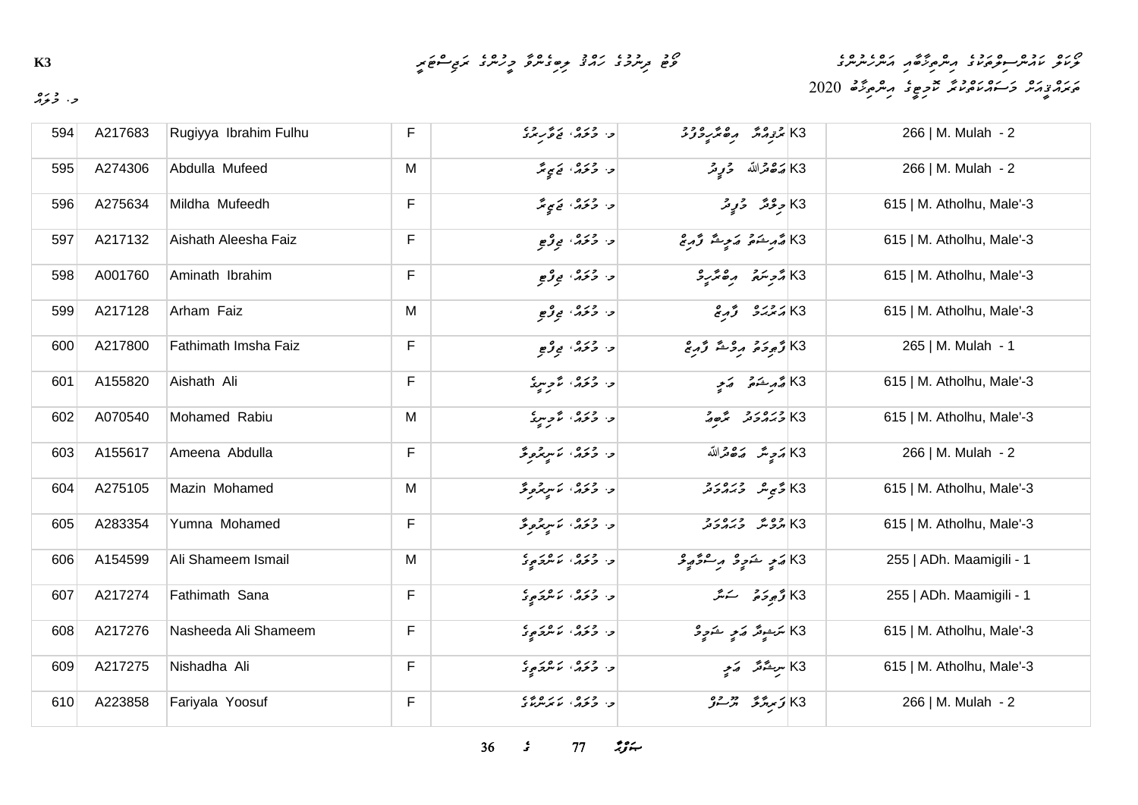*sCw7q7s5w7m< o<n9nOoAw7o< sCq;mAwBoEw7q<m; wBm;vB* م من المرة المرة المرة المرجع المراجع المراجع المراجع المراجع المراجع المراجع المراجع المراجع المراجع المراجع<br>مرين المراجع المراجع المرجع المراجع المراجع المراجع المراجع المراجع المراجع المراجع المراجع المراجع المراجع ال

| 594 | A217683 | Rugiyya Ibrahim Fulhu | F            | و و وه. فوربرد             | K3 بر <sub>قو</sub> مرنز مرگ <i>م بردو</i> ر | 266   M. Mulah - 2        |
|-----|---------|-----------------------|--------------|----------------------------|----------------------------------------------|---------------------------|
| 595 | A274306 | Abdulla Mufeed        | M            | د و و ده، ځې تر            | K3 كەھەراللە ق <i>ۇم</i> ۇمتر                | 266   M. Mulah - 2        |
| 596 | A275634 | Mildha Mufeedh        | $\mathsf{F}$ | د کا کام کام کام           | K3 دِ قِرْ تَرُ دِ تَرُ                      | 615   M. Atholhu, Male'-3 |
| 597 | A217132 | Aishath Aleesha Faiz  | $\mathsf F$  | والمحتوكما المحافي والمح   | K3 مَّەمِسْدَە كەرپسە گەرىج                  | 615   M. Atholhu, Male'-3 |
| 598 | A001760 | Aminath Ibrahim       | F            | د· دُنگر، ياۋە             |                                              | 615   M. Atholhu, Male'-3 |
| 599 | A217128 | Arham Faiz            | M            | د· دُنگر، ياژيخ            | K3 <i>جَهْدَة</i> وَ <i>مِ</i> ي             | 615   M. Atholhu, Male'-3 |
| 600 | A217800 | Fathimath Imsha Faiz  | $\mathsf{F}$ | د· دُنگر، ياژيخ            | K3 <i>وَّجِودَة و</i> ِدْعَة وَّمَرَة        | 265   M. Mulah - 1        |
| 601 | A155820 | Aishath Ali           | $\mathsf{F}$ | د. وده، ناوسی              | K3 م <i>ەم شەقىھ مەم</i> چ                   | 615   M. Atholhu, Male'-3 |
| 602 | A070540 | Mohamed Rabiu         | M            | و و و و و او موسره         | K3 دېم دې مگرحه کم                           | 615   M. Atholhu, Male'-3 |
| 603 | A155617 | Ameena Abdulla        | F            | و . و وَوَه، ئاسر پره و وَ | K3 كەچ <i>ىگە كەھى</i> مەللە                 | 266   M. Mulah - 2        |
| 604 | A275105 | Mazin Mohamed         | M            | والمحروم الأسر يمره فخر    | K3 دَّىمٍ شَرِ 25,25 كَر                     | 615   M. Atholhu, Male'-3 |
| 605 | A283354 | Yumna Mohamed         | F            | ه د و ده، مسرحه د          | K3 يۇھەر <i>25 دەرو</i>                      | 615   M. Atholhu, Male'-3 |
| 606 | A154599 | Ali Shameem Ismail    | M            | ور وره کړېږي ور            | K3  رَمِ حَدَوِدٌ بِرِحْدَّبِهِ وَ           | 255   ADh. Maamigili - 1  |
| 607 | A217274 | Fathimath Sana        | $\mathsf{F}$ | ور وره که مرد ک            | K3 <i>وَّجودَةْ</i> سَمَّتْر                 | 255   ADh. Maamigili - 1  |
| 608 | A217276 | Nasheeda Ali Shameem  | $\mathsf F$  | ور وره در در د             | K3 سَرَشِيشَ صَرِي حَدَوِ وَ                 | 615   M. Atholhu, Male'-3 |
| 609 | A217275 | Nishadha Ali          | F            | ور وره ، کاندونوی          | K3 سرشٌتَر <sub>ص</sub> َعٍ                  | 615   M. Atholhu, Male'-3 |
| 610 | A223858 | Fariyala Yoosuf       | F            | ور وره در دود              | K3 كۈيرە <i>گە قەرجى</i> ۋ                   | 266   M. Mulah - 2        |

**36** *s* 77 *n***<sub>s</sub>**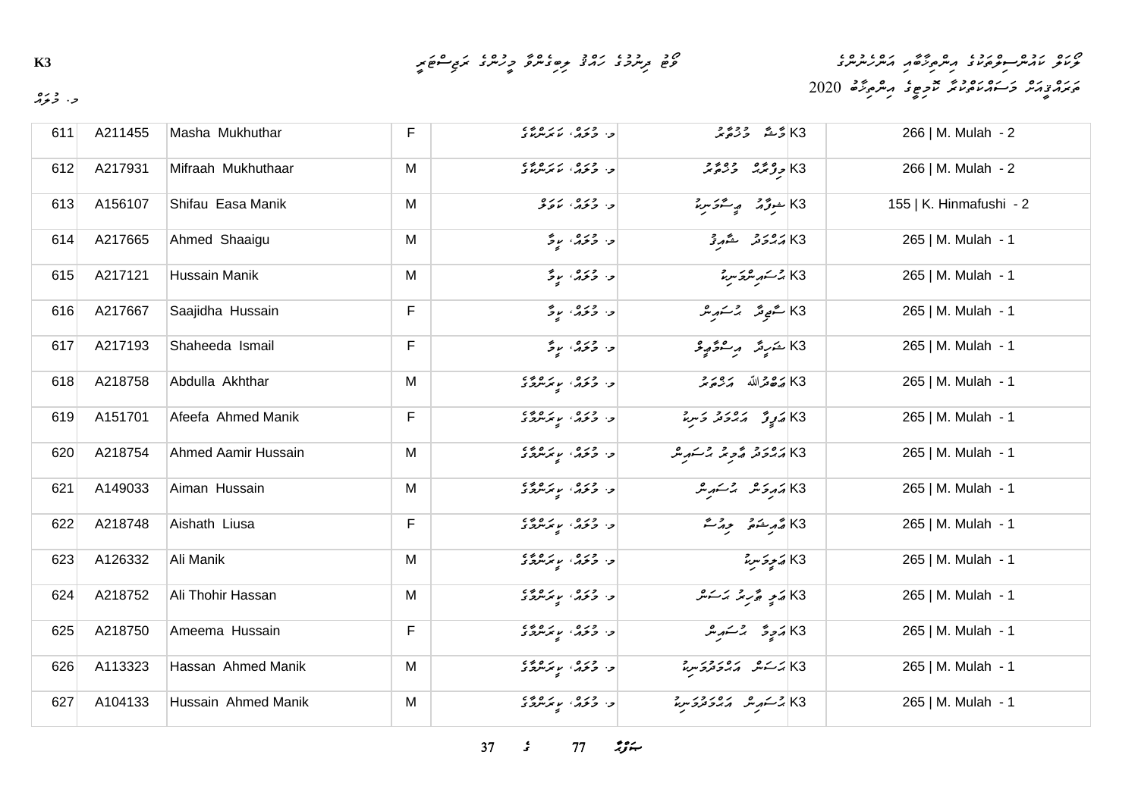*sCw7q7s5w7m< o<n9nOoAw7o< sCq;mAwBoEw7q<m; wBm;vB* م من المرة المرة المرة المرجع المرجع في المركبة 2020<br>مجم*د المريض المربوط المربع المرجع في المراجع المركبة* 

| 611 | A211455 | Masha Mukhuthar     | F           | والمتحومات بمترسمات                                                                         | K3 دَّـَّةَ وَرْمَّ بَر                                                                              | 266   M. Mulah - 2      |
|-----|---------|---------------------|-------------|---------------------------------------------------------------------------------------------|------------------------------------------------------------------------------------------------------|-------------------------|
| 612 | A217931 | Mifraah Mukhuthaar  | M           | $\begin{array}{cc} 0 & 0 & 0 & 0 & 0 \\ 0 & 0 & 0 & 0 & 0 \\ 0 & 0 & 0 & 0 & 0 \end{array}$ | K3 دِوْتَرَبَّرَ دَرْمَةِ زِ                                                                         | 266   M. Mulah - 2      |
| 613 | A156107 | Shifau Easa Manik   | M           | والمتحص كالحافى                                                                             | K3 جوڙڻ ۾ سگھ سري <sup>م</sup>                                                                       | 155   K. Hinmafushi - 2 |
| 614 | A217665 | Ahmed Shaaigu       | M           | ا د او دوه، بادگا                                                                           | K3 كەبرى كىرىم ئىگەرتى                                                                               | 265   M. Mulah - 1      |
| 615 | A217121 | Hussain Manik       | M           | والمحوكما الإقم                                                                             | K3   ير سمو يفرغه سرير                                                                               | 265   M. Mulah - 1      |
| 616 | A217667 | Saajidha Hussain    | $\mathsf F$ | د وتوه، باق                                                                                 | K3∥ےًمب <i>وماً باشکہ بنا</i> ر                                                                      | 265   M. Mulah - 1      |
| 617 | A217193 | Shaheeda Ismail     | $\mathsf F$ | ه وتوه، باق                                                                                 | K3 خَرِيمٌ مِرْ مُوَمِّدٍ \$                                                                         | 265   M. Mulah - 1      |
| 618 | A218758 | Abdulla Akhthar     | M           | وروه برترود                                                                                 |                                                                                                      | 265   M. Mulah - 1      |
| 619 | A151701 | Afeefa Ahmed Manik  | F           | ور وره ، په پرسرور                                                                          | K3 <i>مَرْدِ دَ" مَ"دَوَ</i> مَرِيمَ                                                                 | 265   M. Mulah - 1      |
| 620 | A218754 | Ahmed Aamir Hussain | M           | وروه برترود                                                                                 | K3 <i>בکا 3 جو جو جو سکو</i> میں میں                                                                 | 265   M. Mulah - 1      |
| 621 | A149033 | Aiman Hussain       | M           | ور وره ، په پرسرور                                                                          | K3 <i>مَہوَنگ بڑے ہ</i> ے                                                                            | 265   M. Mulah - 1      |
| 622 | A218748 | Aishath Liusa       | F           | و وی پروه                                                                                   | K3 مُرمِّسَمُو مِرْمَّتُ                                                                             | 265   M. Mulah - 1      |
| 623 | A126332 | Ali Manik           | M           | ور وره ، پروه ده                                                                            | K3 كەموق <sup>ى</sup> رى <i>ت</i>                                                                    | 265   M. Mulah - 1      |
| 624 | A218752 | Ali Thohir Hassan   | M           | و وده، په پرمده و                                                                           | K3 كەيپ ئ <i>ۆرىتى بەسەنل</i>                                                                        | 265   M. Mulah - 1      |
| 625 | A218750 | Ameema Hussain      | $\mathsf F$ | ور و ده په ترمرون                                                                           | K3 كەرچ گە سەمبەش                                                                                    | 265   M. Mulah - 1      |
| 626 | A113323 | Hassan Ahmed Manik  | M           | ور و ده په ترمرون                                                                           | K3 ئەسەمىر مەر <i>ەر دىن</i> بىر                                                                     | 265   M. Mulah - 1      |
| 627 | A104133 | Hussain Ahmed Manik | M           | و. ووه، په ترسرون                                                                           | K3 يُرْسَمْ مِيْتَمْ مِيْتَمْ مِيْتَمْ مِيْتَمْ مِيْتَمْ مِيْتَمْ مِيْتَمْ مِيْتَمْ مِيْتَمْ مِيْتَم | 265   M. Mulah - 1      |

*37 sC 77 nNw?mS*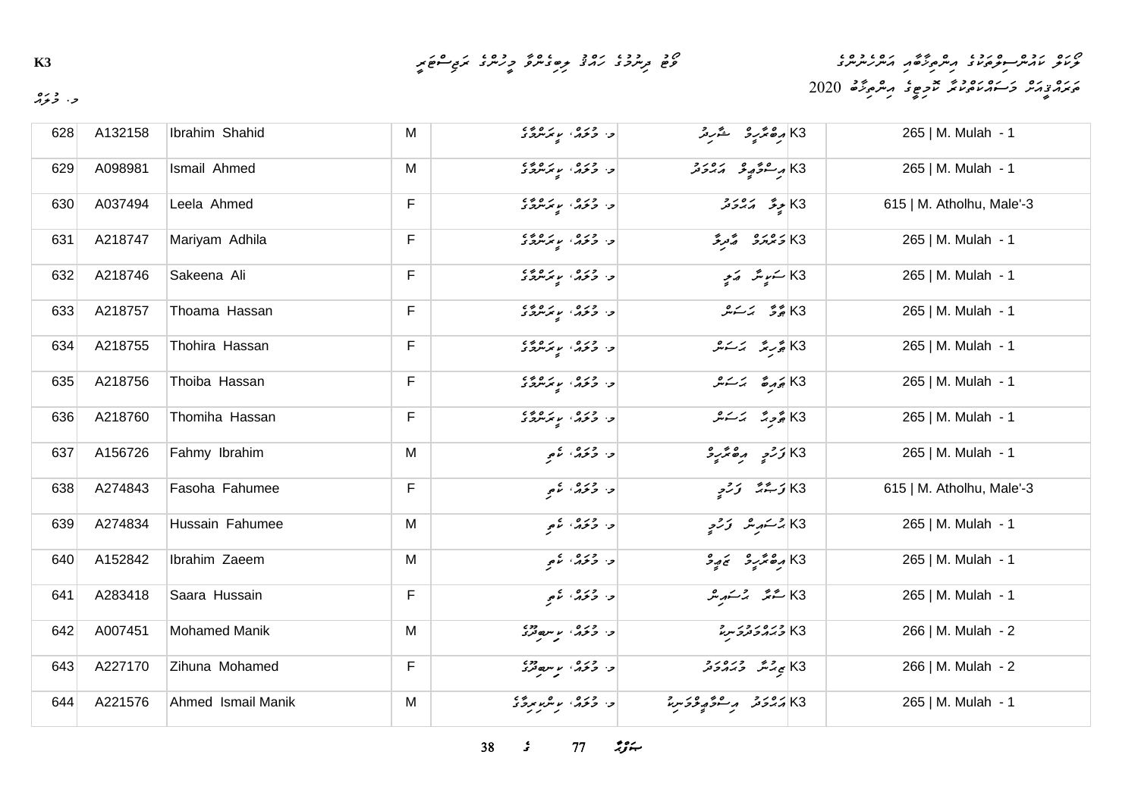*sCw7q7s5w7m< o<n9nOoAw7o< sCq;mAwBoEw7q<m; wBm;vB* م من المرة المرة المرة المرجع المرجع في المركبة 2020<br>مجم*د المريض المربوط المربع المرجع في المراجع المركبة* 

| 628 | A132158 | Ibrahim Shahid       | M           | و وده پرسرده                             | K3 م <i>وڭ مۇرى</i> ق ھۇرى <i>تى</i>     | 265   M. Mulah - 1        |
|-----|---------|----------------------|-------------|------------------------------------------|------------------------------------------|---------------------------|
| 629 | A098981 | Ismail Ahmed         | M           | ور و ده په ترمرون                        | K3 مەش <i>ۇم بۇ مەدە</i> ر               | 265   M. Mulah - 1        |
| 630 | A037494 | Leela Ahmed          | F           | و. وره په ترمرون                         | K3 م <sub>ج</sub> وً <i>م</i> مرونر      | 615   M. Atholhu, Male'-3 |
| 631 | A218747 | Mariyam Adhila       | $\mathsf F$ | و. وره، په پرسروره                       | K3 كەنگەر <i>ى گەي</i> رگە               | 265   M. Mulah - 1        |
| 632 | A218746 | Sakeena Ali          | $\mathsf F$ | والمحروم الإيمان                         | K3 س <i>تموینگر مت</i> عبہ               | 265   M. Mulah - 1        |
| 633 | A218757 | Thoama Hassan        | $\mathsf F$ | و وده پرسرد                              | K3 چُرَ <i>مَّ بَرْسَ</i> سُ             | 265   M. Mulah - 1        |
| 634 | A218755 | Thohira Hassan       | $\mathsf F$ | و وده پرسرد                              | K3 پۇرى <i>گە بەسەنل</i>                 | 265   M. Mulah - 1        |
| 635 | A218756 | Thoiba Hassan        | $\mathsf F$ | و. وره په ترمرون                         | $222$ $225$ $83$                         | 265   M. Mulah - 1        |
| 636 | A218760 | Thomiha Hassan       | F           | ور وره ، په پرسرور                       | K3 چٌوبدٌ بَرَسَ <i>م</i> دٌ             | 265   M. Mulah - 1        |
| 637 | A156726 | Fahmy Ibrahim        | M           | والمحرق المعمج                           | K3 زَرْحٍ بِ <i>مِ®مَّرْبِ</i> وْ        | 265   M. Mulah - 1        |
| 638 | A274843 | Fasoha Fahumee       | $\mathsf F$ | و . و څوکه ، مامو                        | K3 كۆرىنىڭ كەر <i>گى</i> چ               | 615   M. Atholhu, Male'-3 |
| 639 | A274834 | Hussain Fahumee      | M           | والمحتوارا المعمج                        | K3   پرستهر شرکزی چ                      | 265   M. Mulah - 1        |
| 640 | A152842 | Ibrahim Zaeem        | M           | والمحروم المامج                          | K3 مەھەمگەر ئەھمەتى ئىچە ئىچە ئالىرى ئىس | 265   M. Mulah - 1        |
| 641 | A283418 | Saara Hussain        | F           | والمحركة المميم                          | K3 گەنگە كەسكە <i>ر نى</i> گە            | 265   M. Mulah - 1        |
| 642 | A007451 | <b>Mohamed Manik</b> | M           | و . و و ه .<br>  و . و و چر ، مو سرچ تری | K3 دېره د ور سره                         | 266   M. Mulah - 2        |
| 643 | A227170 | Zihuna Mohamed       | F           | د. وره ، رسودرو                          | K3 ىې تەش <i>ەر ئەنەۋەت</i> ر            | 266   M. Mulah - 2        |
| 644 | A221576 | Ahmed Ismail Manik   | M           | ور وحرم، برمر روز و                      | K3 <i>ב</i> .25 مار مائە ئەر ئەر ئىس     | 265   M. Mulah - 1        |

**38** *s* **77** *n***<sub>s</sub>**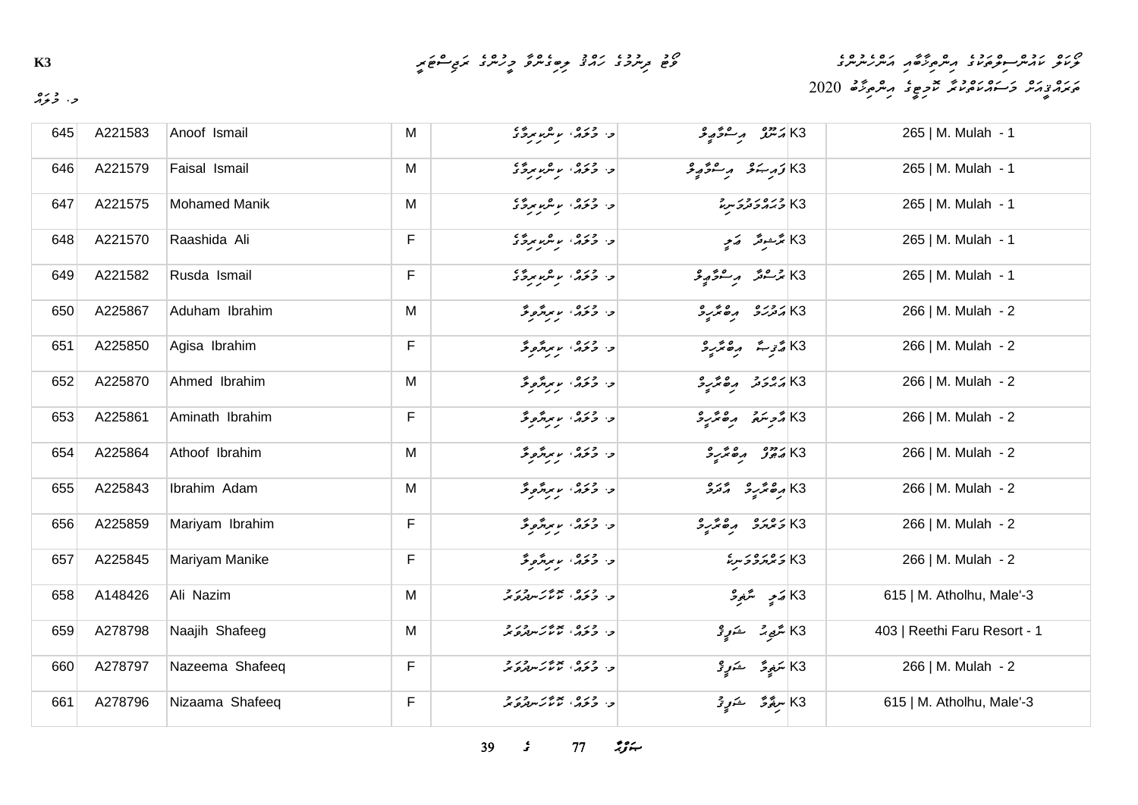*sCw7q7s5w7m< o<n9nOoAw7o< sCq;mAwBoEw7q<m; wBm;vB* م من المرة المرة المرة المرجع المرجع في المركبة 2020<br>مجم*د المريض المربوط المربع المرجع في المراجع المركبة* 

| 645 | A221583 | Anoof Ismail         | M           | د کا کار موسر کار دیگر                 | K3 كەنترىق ب <sub>ە</sub> ر شۇر <sub>بو</sub> تۇ | 265   M. Mulah - 1           |
|-----|---------|----------------------|-------------|----------------------------------------|--------------------------------------------------|------------------------------|
| 646 | A221579 | Faisal Ismail        | M           | د. و و در سر سر سر د د                 | K3 زَەبىكى مەش <i>ۇم</i> ۇ                       | 265   M. Mulah - 1           |
| 647 | A221575 | <b>Mohamed Manik</b> | M           | و و و وها المسلم و د و د               | K3 دېم <i>ډېرو ترو</i>                           | 265   M. Mulah - 1           |
| 648 | A221570 | Raashida Ali         | $\mathsf F$ | والمحركة المستعد والمحمدة              | K3 مُرْحوثَر <sub>2</sub> كو                     | 265   M. Mulah - 1           |
| 649 | A221582 | Rusda Ismail         | F           | و و و و ده مو شرو برو د                | K3 بۇسىمۇ <sub>م</sub> ېسىمۇمپى                  | 265   M. Mulah - 1           |
| 650 | A225867 | Aduham Ibrahim       | M           | د د دوه، معروفو د                      | K3 <i>הُتركر و مُتَّصِرُو</i>                    | 266   M. Mulah - 2           |
| 651 | A225850 | Agisa Ibrahim        | F           | د وتوه، معلموتی                        | K3  مُتمِّبةً مُتَّصَمَّرِةً                     | 266   M. Mulah - 2           |
| 652 | A225870 | Ahmed Ibrahim        | M           | د د دوه، معروفو د                      | K3 <i>בא</i> כבע <i>הھۆر</i> ב                   | 266   M. Mulah - 2           |
| 653 | A225861 | Aminath Ibrahim      | F           | و وده، معده و                          | K3 <i>مُجْرِسَمُ مُسْتَمِرِدْ</i>                | 266   M. Mulah - 2           |
| 654 | A225864 | Athoof Ibrahim       | M           | د د دوه، معروفو د                      | K3 روده م <i>ه مدّي</i> د و                      | 266   M. Mulah - 2           |
| 655 | A225843 | Ibrahim Adam         | M           | و وده، معده و                          | K3 <sub>م</sub> ەتمەر ئەتەر                      | 266   M. Mulah - 2           |
| 656 | A225859 | Mariyam Ibrahim      | F           | د د دوه، معهود د                       | K3 <i>وَبُرْمَرْ وَهُبَّرِدُ</i>                 | 266   M. Mulah - 2           |
| 657 | A225845 | Mariyam Manike       | F           | و و و ده، معده و د                     | K3 كەبرىگە كەسرى <i>تا</i>                       | 266   M. Mulah - 2           |
| 658 | A148426 | Ali Nazim            | M           | د دره بدنور برد د                      | K3 کړ <i>و گرو</i> و                             | 615   M. Atholhu, Male'-3    |
| 659 | A278798 | Naajih Shafeeg       | M           | د دره بدور در د<br>د ونور، نانارسهروبر | K3 س <i>ُّمَعِ بُرَّ سُورٍ وَ</i>                | 403   Reethi Faru Resort - 1 |
| 660 | A278797 | Nazeema Shafeeq      | F           | د دره بدور در د<br>د ونور، نانارسهروبر | K3 سَمْرٍءٌ شَ <i>ورٍ وَ</i>                     | 266   M. Mulah - 2           |
| 661 | A278796 | Nizaama Shafeeq      | F           | د . دره . پرورو .<br>د . و <i>و ه</i>  | K3 سِهَّرَّ شَرْرٍ تَرَ                          | 615   M. Atholhu, Male'-3    |

*39 sC 77 nNw?mS*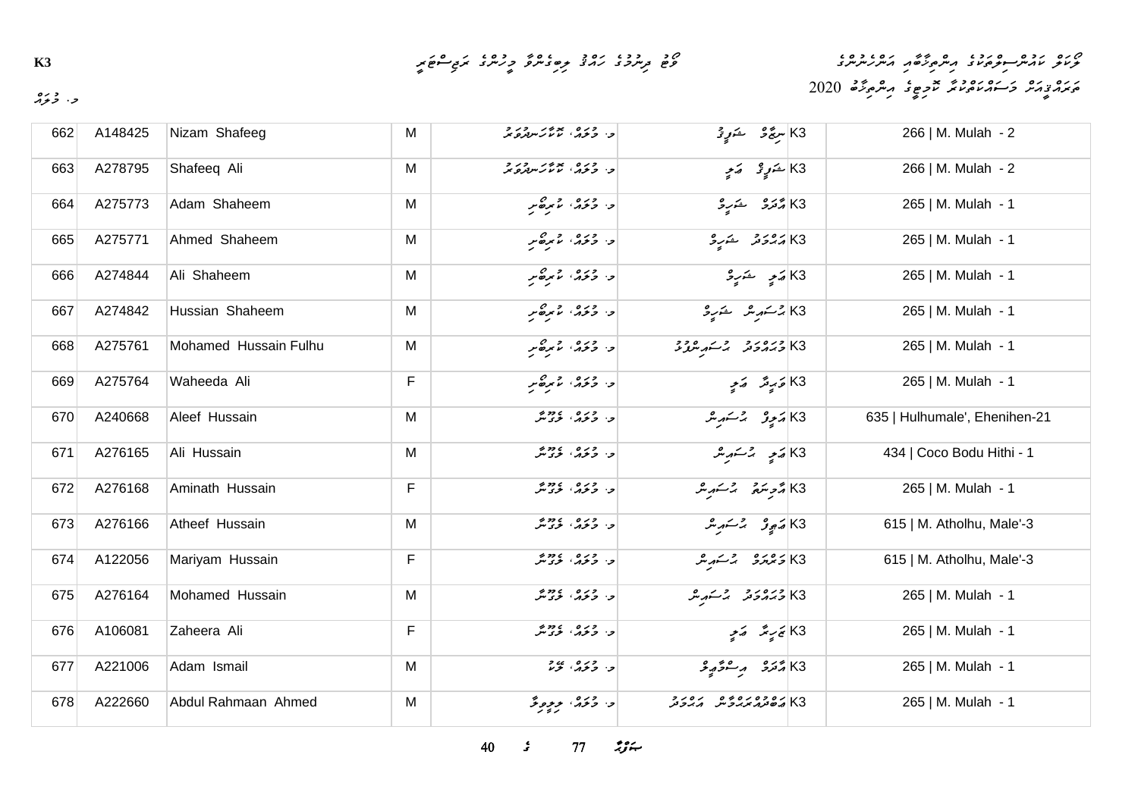*sCw7q7s5w7m< o<n9nOoAw7o< sCq;mAwBoEw7q<m; wBm;vB* م من المرة المرة المرة المرجع المرجع في المركبة 2020<br>مجم*د المريض المربوط المربع المرجع في المراجع المركبة* 

| 662 | A148425 | Nizam Shafeeg         | M           | در وره مورد در در در د                  | K3 سرچٌو شکورٍ تح                     | 266   M. Mulah - 2            |
|-----|---------|-----------------------|-------------|-----------------------------------------|---------------------------------------|-------------------------------|
| 663 | A278795 | Shafeeq Ali           | M           | د دره بدور در در<br>د ونور، نانارسهروبر | K3 ڪ <i>ُوپِر ڏو</i>                  | 266   M. Mulah - 2            |
| 664 | A275773 | Adam Shaheem          | M           | والمحركة المعرضين                       | K3∫م <i>ُّدَدُ</i> شَرِدُ             | 265   M. Mulah - 1            |
| 665 | A275771 | Ahmed Shaheem         | M           | والمحروم الممرضور                       | K3 <i>جَهُدُونَة</i> الحَكَمَرِينَّةِ | 265   M. Mulah - 1            |
| 666 | A274844 | Ali Shaheem           | M           | כי כיכה' עישית                          | K3 كەمچە سەرپى                        | 265   M. Mulah - 1            |
| 667 | A274842 | Hussian Shaheem       | M           | والمحروم الممرض                         | K3  2ستمبر هم ستمرٍ في                | 265   M. Mulah - 1            |
| 668 | A275761 | Mohamed Hussain Fulhu | M           | و. ووه، لابرهبر                         | K3 <i>دېم</i> ونر بر شهر شور          | 265   M. Mulah - 1            |
| 669 | A275764 | Waheeda Ali           | $\mathsf F$ | والمحركة المعرض                         | K3 ق پين <i>گھ ق</i> يمي              | 265   M. Mulah - 1            |
| 670 | A240668 | Aleef Hussain         | M           | ور وره عصري<br>ور ونور، نوی س           | K3 كەمچە بۇ سىمبەيلىر                 | 635   Hulhumale', Ehenihen-21 |
| 671 | A276165 | Ali Hussain           | M           | ور وره، ودور<br>ور ونور، نوی س          | K3 <i>ڇَجِ جُڪمِ پُرُ</i>             | 434   Coco Bodu Hithi - 1     |
| 672 | A276168 | Aminath Hussain       | F           | ور وره عصري<br>ور ونوه، نوی س           | K3 مَّ حِسَمَةٌ حَمَّ سَمَّ سِرْ مِسْ | 265   M. Mulah - 1            |
| 673 | A276166 | Atheef Hussain        | M           | ور وره عصري<br>ور و بور کوی س           | K3 كەب <i>و</i> ۇ جەسىرى <i>گ</i>     | 615   M. Atholhu, Male'-3     |
| 674 | A122056 | Mariyam Hussain       | $\mathsf F$ | والمحروم المجاوري                       | K3 كالمحكم مركز بالتسمي محمد بالكر    | 615   M. Atholhu, Male'-3     |
| 675 | A276164 | Mohamed Hussain       | M           | ور وره، ودور.<br>ور ونور، نوی س         | K3 دېم د د مختصر شر                   | 265   M. Mulah - 1            |
| 676 | A106081 | Zaheera Ali           | F           | ور وره، ودور<br>ور ونوه، نوی س          | K3 نج په تر چې                        | 265   M. Mulah - 1            |
| 677 | A221006 | Adam Ismail           | M           | و· وتوه، عام                            | K3 جۇيرى ب <i>ېرىشۇم</i> بۇ           | 265   M. Mulah - 1            |
| 678 | A222660 | Abdul Rahmaan Ahmed   | M           | و: وُتَوَهُ، ووِهِ وَّ                  | K3   دەدەەرەۋەرە بەردە                | 265   M. Mulah - 1            |

*40 sC 77 nNw?mS*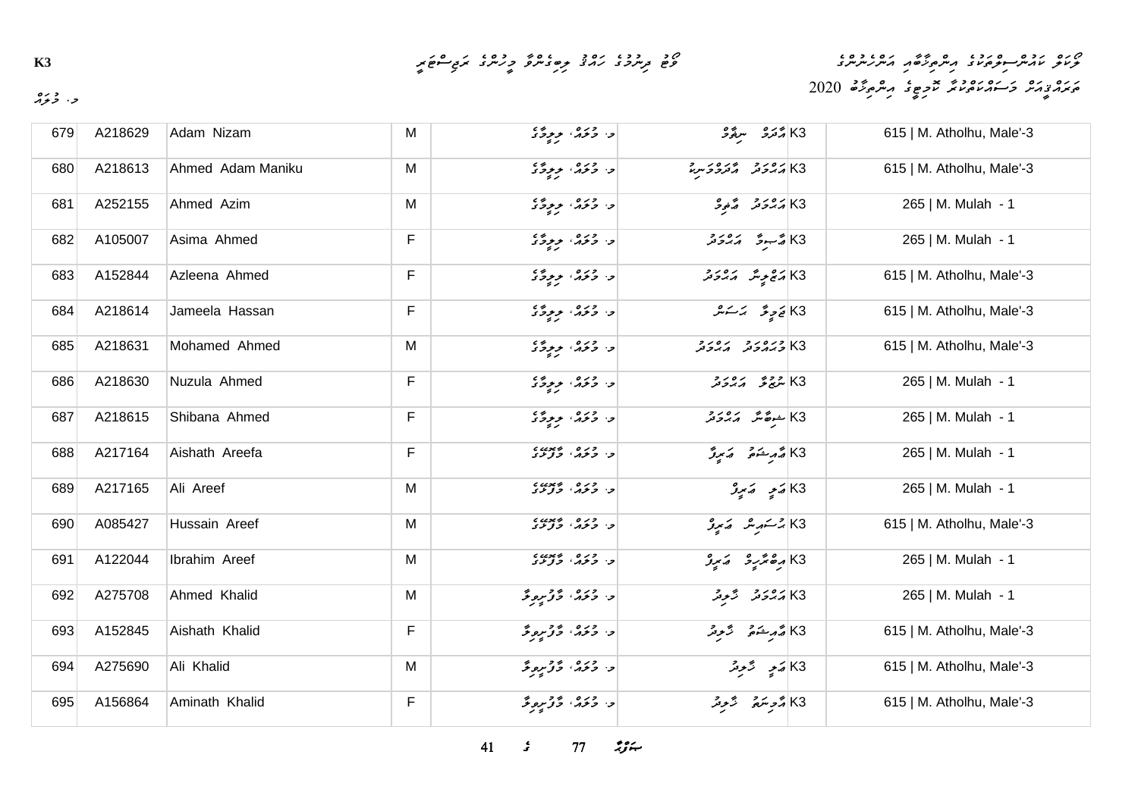*sCw7q7s5w7m< o<n9nOoAw7o< sCq;mAwBoEw7q<m; wBm;vB* م من المرة المرة المرة المرجع المرجع في المركبة 2020<br>مجم*د المريض المربوط المربع المرجع في المراجع المركبة* 

| 679 | A218629 | Adam Nizam        | M           | و: وَوَهُ، ووِوْدَ            | K3 مَرْتَرَدُ سِهْرَدُ                                  | 615   M. Atholhu, Male'-3 |
|-----|---------|-------------------|-------------|-------------------------------|---------------------------------------------------------|---------------------------|
| 680 | A218613 | Ahmed Adam Maniku | M           | د ونوه، وودی                  | K3 كەندى قەر ئەر كەندىق بىر                             | 615   M. Atholhu, Male'-3 |
| 681 | A252155 | Ahmed Azim        | M           | والمحتوكة المحتج والمحالج     | K3 كەش <sup>ى</sup> رى ھەمبى                            | 265   M. Mulah - 1        |
| 682 | A105007 | Asima Ahmed       | F           | د ونوه، وودی                  | K3 م <sup>ح</sup> ب س <i>وڭ مەندى</i> تىر               | 265   M. Mulah - 1        |
| 683 | A152844 | Azleena Ahmed     | F           | والمحتوكة المحتج والمحالج     | K3 كەيج مەيدى كەردىتە                                   | 615   M. Atholhu, Male'-3 |
| 684 | A218614 | Jameela Hassan    | $\mathsf F$ | د ونوه، ووؤد                  | K3 تح بر تحر بر تر <i>سر بل</i>                         | 615   M. Atholhu, Male'-3 |
| 685 | A218631 | Mohamed Ahmed     | M           | د ونوه، وودی                  | K3 ديره د بره د د                                       | 615   M. Atholhu, Male'-3 |
| 686 | A218630 | Nuzula Ahmed      | $\mathsf F$ | والمحتوكة المحتج والمحالج     | K3 يُرْجِعُ - <i>مُدْوَ</i> مْرَ                        | 265   M. Mulah - 1        |
| 687 | A218615 | Shibana Ahmed     | F           | د ونوه، وودی                  | K3 شو <i>ھً مَدْ دَبْ</i> دَوْمَر                       | 265   M. Mulah - 1        |
| 688 | A217164 | Aishath Areefa    | F           | وره معین<br>د ونرم وزن        | K3 مەم شىم كىم يوتى                                     | 265   M. Mulah - 1        |
| 689 | A217165 | Ali Areef         | M           | ور وره کوبیده<br>د ونور، وزنړ | K3 <i>ڇَجِ ڇَجِرُوْ</i>                                 | 265   M. Mulah - 1        |
| 690 | A085427 | Hussain Areef     | M           | ور وره محمدی<br>د ونرم وزنرد  | K3 پرستمبر میں کامیرو<br>ا                              | 615   M. Atholhu, Male'-3 |
| 691 | A122044 | Ibrahim Areef     | M           | ور و دره<br>و کرمري کرونو د   | K3 مەھەمگەيى ھەمبەر<br></td <td>265   M. Mulah - 1</td> | 265   M. Mulah - 1        |
| 692 | A275708 | Ahmed Khalid      | M           | د. دىدە، دۇنروتۇ              | K3 كەندى قىم ئىلىنى ئىلىنى ئىل                          | 265   M. Mulah - 1        |
| 693 | A152845 | Aishath Khalid    | $\mathsf F$ | د. دىدە، دۇنروتۇ              | K3 مُرِيسَمُ گَرِيْرُ                                   | 615   M. Atholhu, Male'-3 |
| 694 | A275690 | Ali Khalid        | M           | د وده، وُوُبرە وُ             | K3  كەمچە گەمەتىر                                       | 615   M. Atholhu, Male'-3 |
| 695 | A156864 | Aminath Khalid    | F           | ە - ئەنگە، ئۇترىۋى            | K3 مُّحِسَمُ گَجِمُ                                     | 615   M. Atholhu, Male'-3 |

*41 sC 77 nNw?mS*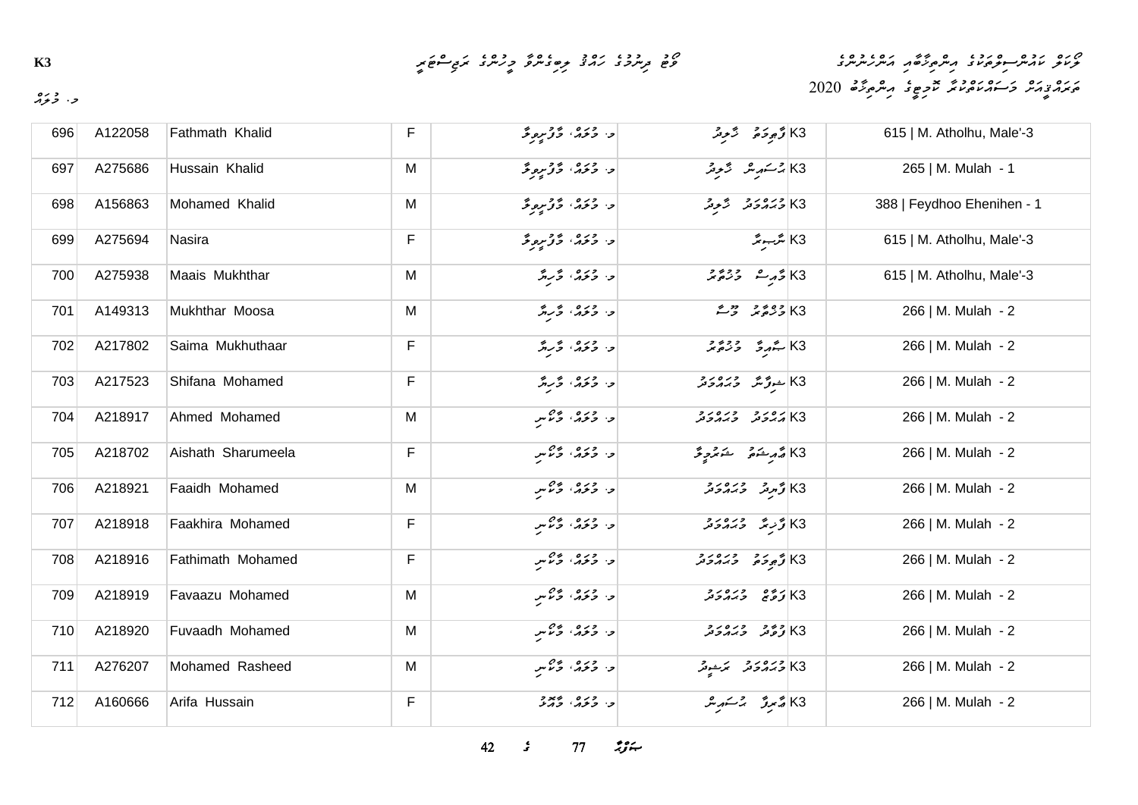*sCw7q7s5w7m< o<n9nOoAw7o< sCq;mAwBoEw7q<m; wBm;vB* م من المرة المرة المرة المرجع المرجع في المركبة 2020<br>مجم*د المريض المربوط المربع المرجع في المراجع المركبة* 

| 696 | A122058 | Fathmath Khalid    | F            | د . د د د . د توپرو د   | K3 رَّجِودَة گَرْمِةْ                         | 615   M. Atholhu, Male'-3  |
|-----|---------|--------------------|--------------|-------------------------|-----------------------------------------------|----------------------------|
| 697 | A275686 | Hussain Khalid     | M            | د - د <i>ډه</i> گوگره گ | K3   پرستمبر شر مگر بردگر                     | 265   M. Mulah - 1         |
| 698 | A156863 | Mohamed Khalid     | M            | و· 33°، 35° بروتى       | K3 دُبَرْدُوَتْرَ ۔ دَّمِيْرُ                 | 388   Feydhoo Ehenihen - 1 |
| 699 | A275694 | Nasira             | $\mathsf F$  | د. دره، دُرْبورْ        | K3 مَدْسِع <i>ة</i> ً                         | 615   M. Atholhu, Male'-3  |
| 700 | A275938 | Maais Mukhthar     | M            | د. ووه، ورش             | K3 دَّەبْ دۇرْمَة د                           | 615   M. Atholhu, Male'-3  |
| 701 | A149313 | Mukhthar Moosa     | M            | د. ويوه، وُرِيْرُ       | $23$ $222$ $83$                               | 266   M. Mulah - 2         |
| 702 | A217802 | Saima Mukhuthaar   | $\mathsf{F}$ | د. ويوه، وُرِيْرُ       | K3 جُمْدِةً وَرْجْرَ                          | 266   M. Mulah - 2         |
| 703 | A217523 | Shifana Mohamed    | F            | د. و داره و درگ         | K3 جو <i>ڙنگ 5،25 د</i>                       | 266   M. Mulah - 2         |
| 704 | A218917 | Ahmed Mohamed      | M            | ه دره، دیمبر            | K3 كەبرو دىرەرو                               | 266   M. Mulah - 2         |
| 705 | A218702 | Aishath Sharumeela | F            | د. وده، وتأس            | K3 مُرمِسَمُ صَمْرِيْرَ                       | 266   M. Mulah - 2         |
| 706 | A218921 | Faaidh Mohamed     | $\mathsf{M}$ | د. ووه، ولاس            | K3 رُّمِينٌ دُيَمُ دَيْرَ                     | 266   M. Mulah - 2         |
| 707 | A218918 | Faakhira Mohamed   | F            | د. ووه، ولاس            | K3 وَّزِيَّر فَرَمَّ فَرَسَ                   | 266   M. Mulah - 2         |
| 708 | A218916 | Fathimath Mohamed  | $\mathsf{F}$ | د. وره، وړس             | K3 رُجوحَة حَمَدَ مَعَ                        | 266   M. Mulah - 2         |
| 709 | A218919 | Favaazu Mohamed    | M            | د. وده، وړس             | K3 زۇي <sub>م</sub> دىرەرد                    | 266   M. Mulah - 2         |
| 710 | A218920 | Fuvaadh Mohamed    | M            | د. ووه، ولاس            | K3 زۇتر بەيرەبە                               | 266   M. Mulah - 2         |
| 711 | A276207 | Mohamed Rasheed    | M            | د. وده، ولاس            | K3 <i>وُبَدُوُدَوْ</i> بَرَحِي <sup>و</sup> َ | 266   M. Mulah - 2         |
| 712 | A160666 | Arifa Hussain      | F            | $3 \times 6 = 0.25 - 5$ | K3 م <i>ەيبۇ جىمبۇرىر</i>                     | 266   M. Mulah - 2         |

*42 sC 77 nNw?mS*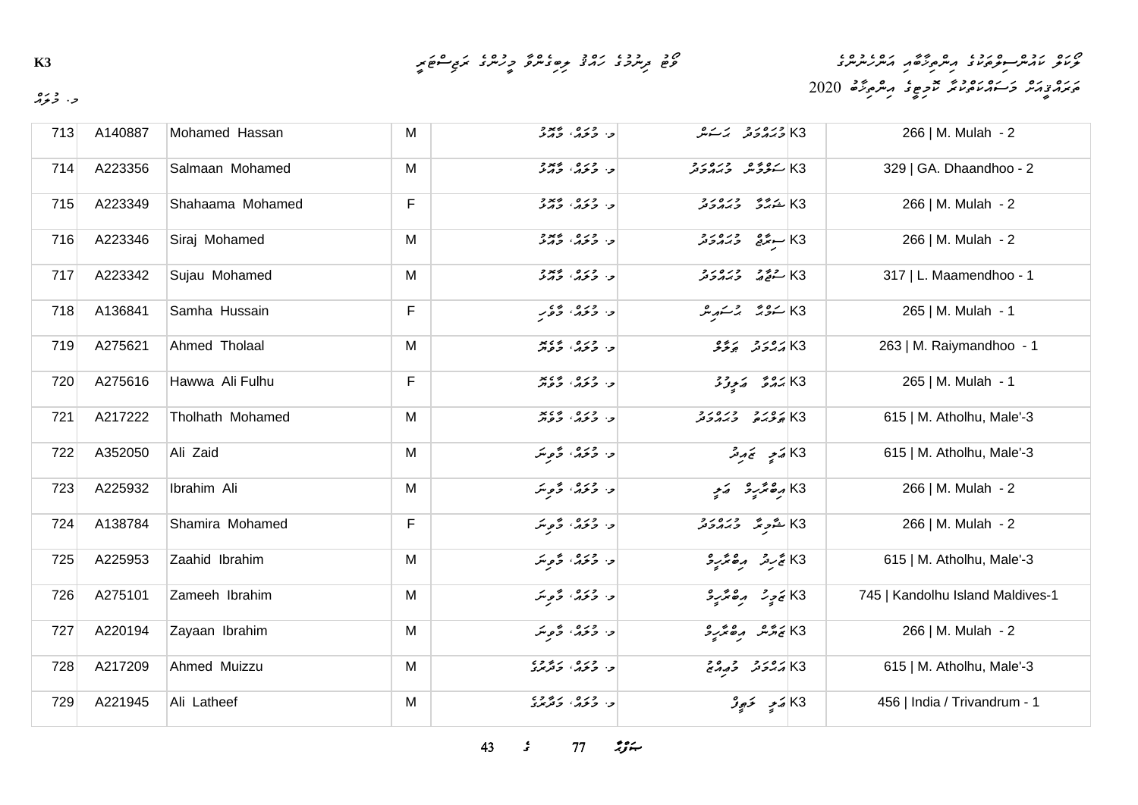*sCw7q7s5w7m< o<n9nOoAw7o< sCq;mAwBoEw7q<m; wBm;vB* م من المرة المرة المرة المرجع المرجع في المركبة 2020<br>مجم*د المريض المربوط المربع المرجع في المراجع المركبة* 

| 713 | A140887 | Mohamed Hassan   | M           | والمحروم المجيوم                                    | K3 <i>52828 برُسَ</i> سٌر            | 266   M. Mulah - 2               |
|-----|---------|------------------|-------------|-----------------------------------------------------|--------------------------------------|----------------------------------|
| 714 | A223356 | Salmaan Mohamed  | M           | و ووه، ويوو<br>و وفره، ويو                          | K3 ئىۋۇش <i>دىن</i> ەرد              | 329   GA. Dhaandhoo - 2          |
| 715 | A223349 | Shahaama Mohamed | F           | כי כנים, ימיב<br>כי כב <i>ר</i> ה <sup>,</sup> כחיב | K3 خەنزى <i>دىمەدەر</i>              | 266   M. Mulah - 2               |
| 716 | A223346 | Siraj Mohamed    | M           | ور وره محدو<br>ور وفراد کردن                        | K3 ج <i>معًة وبمم</i> حقر            | 266   M. Mulah - 2               |
| 717 | A223342 | Sujau Mohamed    | M           | כי כיבה <sup>,</sup> בזיב                           | K3 جوم ورەرو                         | 317   L. Maamendhoo - 1          |
| 718 | A136841 | Samha Hussain    | $\mathsf F$ | والمحتوكما المحفرب                                  | K3 س <i>ترونژ بر شهر مگ</i> ر        | 265   M. Mulah - 1               |
| 719 | A275621 | Ahmed Tholaal    | M           | ور وره په پوځ بو                                    |                                      | 263   M. Raiymandhoo - 1         |
| 720 | A275616 | Hawwa Ali Fulhu  | F           | ور وره په دور<br>و۰ و وړ، ورور                      |                                      | 265   M. Mulah - 1               |
| 721 | A217222 | Tholhath Mohamed | M           | والمتحمر المحمد                                     | K3 يومرو ورەرو                       | 615   M. Atholhu, Male'-3        |
| 722 | A352050 | Ali Zaid         | M           | والمحرقرة المحافيات                                 | K3 کیے تج <i>او</i> ٹر               | 615   M. Atholhu, Male'-3        |
| 723 | A225932 | Ibrahim Ali      | M           | والمحتواري وحجم وتكر                                | K3 مەھم <i>گىي</i> ھەمچ              | 266   M. Mulah - 2               |
| 724 | A138784 | Shamira Mohamed  | F           | والمحركرة المحافيات                                 | K3 څونگ و <i>ټرو</i> ونر             | 266   M. Mulah - 2               |
| 725 | A225953 | Zaahid Ibrahim   | M           | والمحرقرة المحافيات                                 | K3 تجريتر ب <i>رھ ترب</i> و          | 615   M. Atholhu, Male'-3        |
| 726 | A275101 | Zameeh Ibrahim   | M           | والمحروم كمحافيس                                    | K3 يَجْرِ <sup>ح</sup> مِنْ مَحْرِدْ | 745   Kandolhu Island Maldives-1 |
| 727 | A220194 | Zayaan Ibrahim   | M           | والمحركرة المحافيات                                 | K3 يَهْرَسْ بِر <i>ەڭرى</i> رْد      | 266   M. Mulah - 2               |
| 728 | A217209 | Ahmed Muizzu     | M           | ور ه رو و .<br>و۰ و برجم، کوتربری                   | $29.2$ $22.2$ $K3$                   | 615   M. Atholhu, Male'-3        |
| 729 | A221945 | Ali Latheef      | M           | وره، رووه<br>و· وفرص، وتریمزی                       | K3  رَمٍ کَ مَع <i>ِودٌ</i>          | 456   India / Trivandrum - 1     |

*43 sC 77 nNw?mS*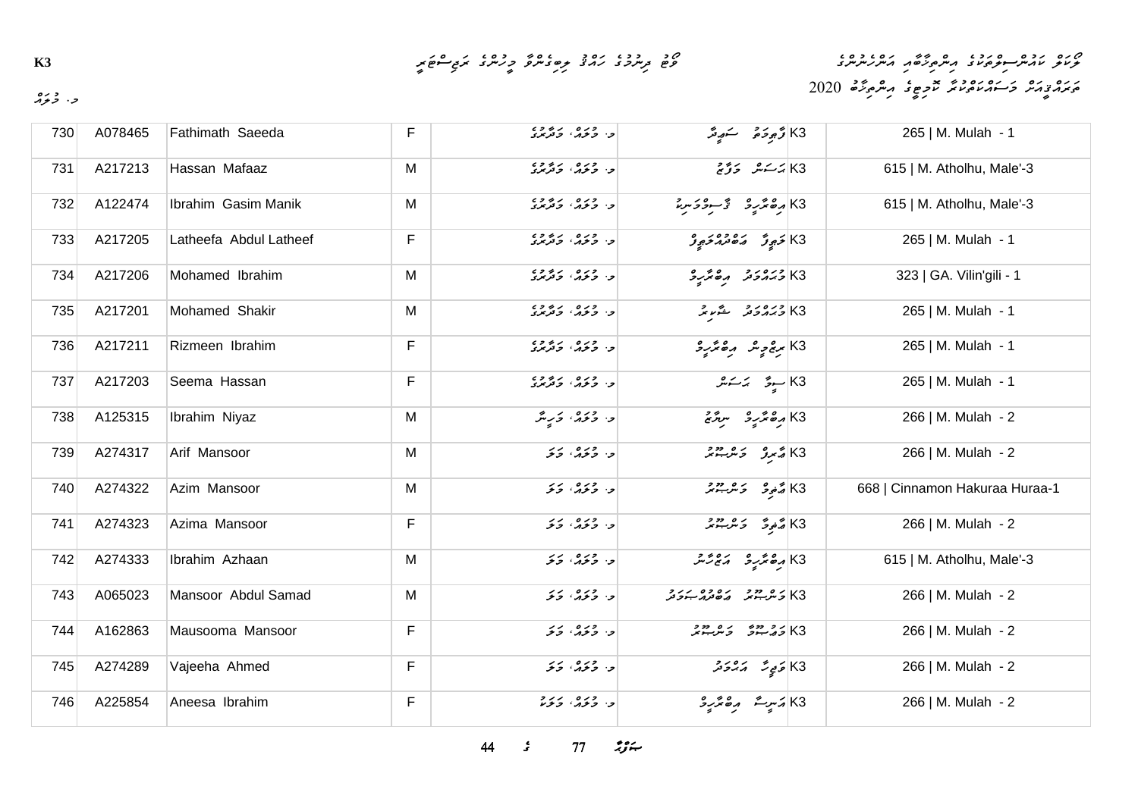*sCw7q7s5w7m< o<n9nOoAw7o< sCq;mAwBoEw7q<m; wBm;vB* م من المرة المرة المرة المرجع المرجع في المركبة 2020<br>مجم*د المريض المربوط المربع المرجع في المراجع المركبة* 

| 730 | A078465 | Fathimath Saeeda       | F            | وره، روود<br>و· وفرص، وتریمزی           | K3 وَّجِرَةَ حَصَّرٍ مَّذَ                | 265   M. Mulah - 1             |
|-----|---------|------------------------|--------------|-----------------------------------------|-------------------------------------------|--------------------------------|
| 731 | A217213 | Hassan Mafaaz          | M            | ور ه رو و .<br>و۰ و برجم، کوتربری       | K3 پرسەش ئ <i>وۋى</i> ج                   | 615   M. Atholhu, Male'-3      |
| 732 | A122474 | Ibrahim Gasim Manik    | M            | و . وړه . و و و .<br>و . و وړ . و ترمرو | K3 مەھەر بۇ سۇڭ ئور ئارىر                 | 615   M. Atholhu, Male'-3      |
| 733 | A217205 | Latheefa Abdul Latheef | F            | وره، رووه<br>و· وفرا، وتربری            | K3 خَيْرٍ مُصْرَمْ <i>خَيْرٍ وْ</i>       | 265   M. Mulah - 1             |
| 734 | A217206 | Mohamed Ibrahim        | M            | ور ه رو و .<br>و۰ و برجم، کوتربری       | K3 ديرورو م <i>ھڻرو</i>                   | 323   GA. Vilin'gili - 1       |
| 735 | A217201 | Mohamed Shakir         | M            | وره، روود<br>و· وفرص، وتریمزی           | K3 <i>جُهُدُونَة حُمَّ</i> ي              | 265   M. Mulah - 1             |
| 736 | A217211 | Rizmeen Ibrahim        | F            | و . وره . رو و ،<br>و . و نوړ . و ترمرو | K3 برجم <i>چ</i> ش م <i>ے مُرْبِ</i> وْ   | 265   M. Mulah - 1             |
| 737 | A217203 | Seema Hassan           | $\mathsf{F}$ | و . وړه . وه وه<br>و . ونوار . وترمرو   | K3∣سودٌ – ټر <i>ش</i> هر                  | 265   M. Mulah - 1             |
| 738 | A125315 | Ibrahim Niyaz          | M            | د وی کارنگ                              | K3 مەھەرىپ <sup>ى</sup> سرىرىمى           | 266   M. Mulah - 2             |
| 739 | A274317 | Arif Mansoor           | M            | د. وي. وي                               | K3 گەيبرۇ كەش <i>رىيىتى</i> ر             | 266   M. Mulah - 2             |
| 740 | A274322 | Azim Mansoor           | M            | د وی. دی                                | K3 مَّ <i>فوق كَ مَرْجَعَة مَّ</i>        | 668   Cinnamon Hakuraa Huraa-1 |
| 741 | A274323 | Azima Mansoor          | F            | والمتحقرة المتكفى                       | K3 مَّ <i>فِرِدَّ - كَارْجَعْر</i> َ      | 266   M. Mulah - 2             |
| 742 | A274333 | Ibrahim Azhaan         | M            | والمتحقرة المتحافى                      | K3 مەھە <i>گرى</i> دە مەھ ئىر             | 615   M. Atholhu, Male'-3      |
| 743 | A065023 | Mansoor Abdul Samad    | M            | والمحتجمة المحتى                        | K3 كەشرىيەتمە بەر <i>ھەر بەر د</i> ە      | 266   M. Mulah - 2             |
| 744 | A162863 | Mausooma Mansoor       | $\mathsf{F}$ | د وی. دی                                | K3 <i>ذور دور دور دور</i>                 | 266   M. Mulah - 2             |
| 745 | A274289 | Vajeeha Ahmed          | F            | د گروه، ژوَ                             | K3  وَمٍرٌ     دَرُدُوَ دَرْ              | 266   M. Mulah - 2             |
| 746 | A225854 | Aneesa Ibrahim         | F            | والمتحاورة كالمروج                      | K3 كەسپ <sup>ىق</sup> ە مەھە <i>گەب</i> ە | 266   M. Mulah - 2             |

*44 sC 77 nNw?mS*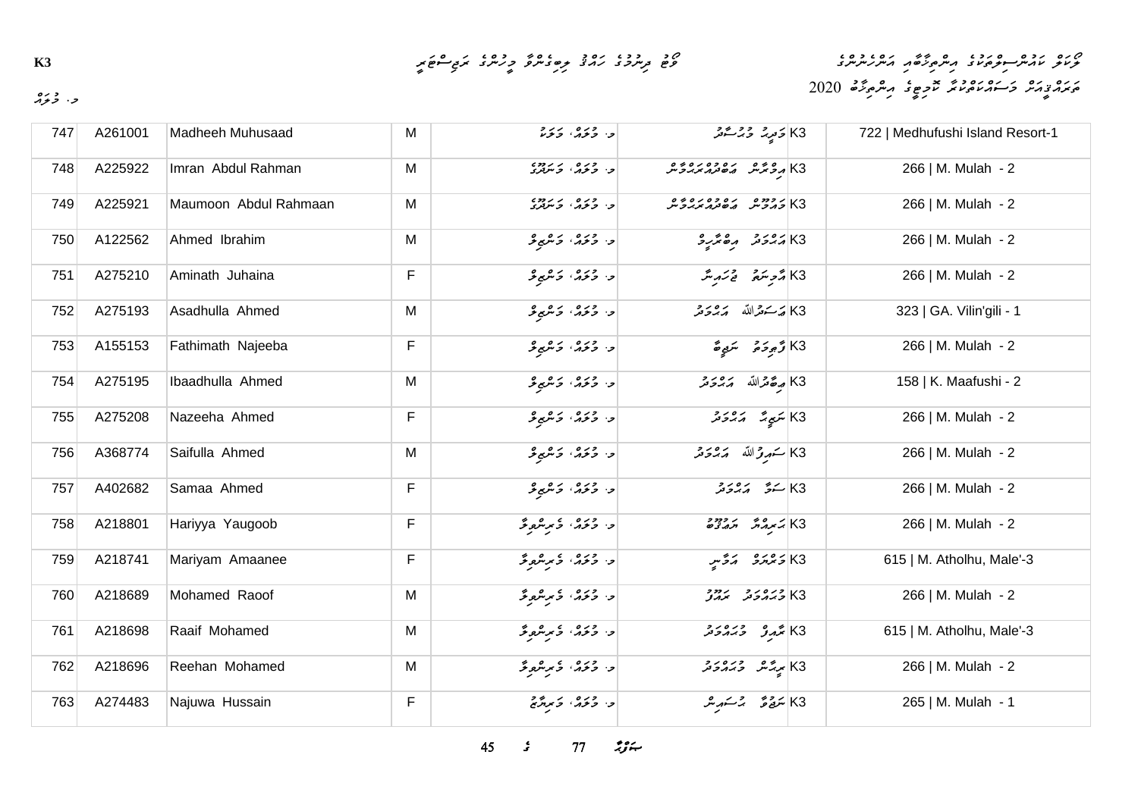*sCw7q7s5w7m< o<n9nOoAw7o< sCq;mAwBoEw7q<m; wBm;vB* م من المرة المرة المرة المرجع المرجع في المركبة 2020<br>مجم*د المريض المربوط المربع المرجع في المراجع المركبة* 

| 747 | A261001 | Madheeh Muhusaad      | M | والمتحصم كالمروح         | K3  كاميريز كوير محاكمته             | 722   Medhufushi Island Resort-1 |
|-----|---------|-----------------------|---|--------------------------|--------------------------------------|----------------------------------|
| 748 | A225922 | Imran Abdul Rahman    | M | د. وړه، ژبردوه           | K3 رەمگىر مەمەرەمەر بول              | 266   M. Mulah - 2               |
| 749 | A225921 | Maumoon Abdul Rahmaan | M | ور و ده کردود و          | K3 - 220 - 2010 - 2010 K3            | 266   M. Mulah - 2               |
| 750 | A122562 | Ahmed Ibrahim         | M | د ويوه، وکرم و           | K3 كەبروتىر م <i>ەمگرى</i> ۋ         | 266   M. Mulah - 2               |
| 751 | A275210 | Aminath Juhaina       | F | د وده، وکره و            | K3 مُحرِسَمُ مِنْ مَرْمَرِسُّر       | 266   M. Mulah - 2               |
| 752 | A275193 | Asadhulla Ahmed       | M | والمحمض كالمهافي         | K3 كەسكەتراللە كەبر <i>ە</i> تر      | 323   GA. Vilin'gili - 1         |
| 753 | A155153 | Fathimath Najeeba     | F | د. وده، وکرم و           | K3 <i>وَّجوحَةْ</i> سَمِعٍ <b>ةَ</b> | 266   M. Mulah - 2               |
| 754 | A275195 | Ibaadhulla Ahmed      | M | د. وده، وتربع و          | K3 مەھقراللە <i>مەدە</i> مر          | 158   K. Maafushi - 2            |
| 755 | A275208 | Nazeeha Ahmed         | F | د. وده، وتربع و          | K3 سَمِيرٌ <i>مَدْدَورٌ</i>          | 266   M. Mulah - 2               |
| 756 | A368774 | Saifulla Ahmed        | M | د وده، وکرد              | K3 كمرتر الله ك <sup>رو</sup> دتر    | 266   M. Mulah - 2               |
| 757 | A402682 | Samaa Ahmed           | F | د وره، وکردنو            | K3 يَدُوَّ مَدْرَوْرٌ                | 266   M. Mulah - 2               |
| 758 | A218801 | Hariyya Yaugoob       | F | د. وتوكه، وبرسموتو       | K3 برمرمز م <i>رودو</i>              | 266   M. Mulah - 2               |
| 759 | A218741 | Mariyam Amaanee       | F | د ويوه، وبرشورٌ          | K3 كا <i>كەنگەر ئەڭ بىر</i>          | 615   M. Atholhu, Male'-3        |
| 760 | A218689 | Mohamed Raoof         | M | د و دوه، و بر شور د      | K3 ديره د بردو                       | 266   M. Mulah - 2               |
| 761 | A218698 | Raaif Mohamed         | M | د· دَرَمْ، دَبِرْسْمِرَّ | K3 بَرْمِ وَمَسْرَوْمَرْ             | 615   M. Atholhu, Male'-3        |
| 762 | A218696 | Reehan Mohamed        | M | د· وَوَكَّ، وَمِرْسُومٌ  | K3 برِيَّسْ وَيَرْدُونْر             | 266   M. Mulah - 2               |
| 763 | A274483 | Najuwa Hussain        | F | כי כיכת' כיתותים         | K3 يَتَمَعَ حَمْدَ مِسْتَمَدِيْثَرَ  | 265   M. Mulah - 1               |

*45 sC 77 nNw?mS*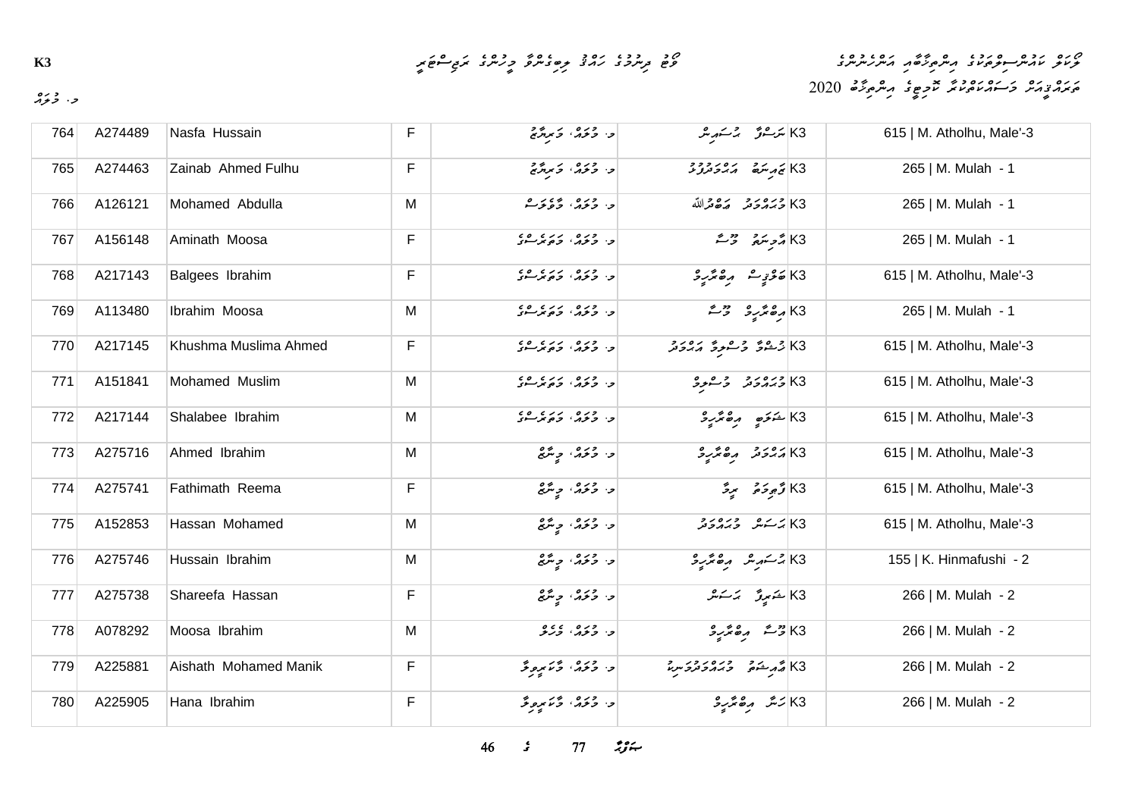*sCw7q7s5w7m< o<n9nOoAw7o< sCq;mAwBoEw7q<m; wBm;vB* م من المرة المرة المرة المرجع المرجع في المركبة 2020<br>مجم*د المريض المربوط المربع المرجع في المراجع المركبة* 

| 764 | A274489 | Nasfa Hussain         | F           | والمحركر كالمراكز   | K3 ىترىشۇ - ج. شەرىئى                    | 615   M. Atholhu, Male'-3 |
|-----|---------|-----------------------|-------------|---------------------|------------------------------------------|---------------------------|
| 765 | A274463 | Zainab Ahmed Fulhu    | F           | والمحركر كالمراكز   | K3 يَومِسَمَّة وَرَدْ دَورْ دَ           | 265   M. Mulah - 1        |
| 766 | A126121 | Mohamed Abdulla       | M           | ور ووه، وه وب       | K3 32025 مَرْدَة اللّه                   | 265   M. Mulah - 1        |
| 767 | A156148 | Aminath Moosa         | F           | ور وره در د ده      | K3 گھ جو سنگھ ڪر شگ                      | 265   M. Mulah - 1        |
| 768 | A217143 | Balgees Ibrahim       | F           | و وی در در ده       | K3 ھَوْرٍتْ مِھْتَرِيْتَ A3              | 615   M. Atholhu, Male'-3 |
| 769 | A113480 | Ibrahim Moosa         | M           | ور وره در د ده      | K3 وەڭرىرى ق <sup>ىم</sup>               | 265   M. Mulah - 1        |
| 770 | A217145 | Khushma Muslima Ahmed | F           | ور ووه، در د ده د   | K3 ژَڪرُ وَڪْمِرَ <i>مَدُونَ</i>         | 615   M. Atholhu, Male'-3 |
| 771 | A151841 | Mohamed Muslim        | M           | ور و ده، در ده ده د | K3 دېرونو وگړو                           | 615   M. Atholhu, Male'-3 |
| 772 | A217144 | Shalabee Ibrahim      | M           | ور وره درره وه      | K3 شَوَهٍ مِـ صَمَّرِةِ E                | 615   M. Atholhu, Male'-3 |
| 773 | A275716 | Ahmed Ibrahim         | M           | د· دَنَوْرٌ، دِسَّي | K3 <i>محمد حق م</i> ص <i>مر ب</i> و      | 615   M. Atholhu, Male'-3 |
| 774 | A275741 | Fathimath Reema       | $\mathsf F$ | د. ژرو، دِسمَّ      | K3 <i>وَّجِودَة</i> بِرِدًّ              | 615   M. Atholhu, Male'-3 |
| 775 | A152853 | Hassan Mohamed        | M           | د. ویژه، ویژه       | K3 ئەسەمبەر <i>2505د</i>                 | 615   M. Atholhu, Male'-3 |
| 776 | A275746 | Hussain Ibrahim       | M           | ور دمخور و پرتمع    | K3 يُرسَمبر شرع مُرْسِرْ \$              | 155   K. Hinmafushi - 2   |
| 777 | A275738 | Shareefa Hassan       | F           | د کا کار د کرده     | K3 خەمرى <sup>س كە</sup> شىر             | 266   M. Mulah - 2        |
| 778 | A078292 | Moosa Ibrahim         | M           | و· وره، ورو         | K3 ترقيق ب <i>رھ مُدب</i> و              | 266   M. Mulah - 2        |
| 779 | A225881 | Aishath Mohamed Manik | $\mathsf F$ | و وده، دُنمبروژ     | K3 مەم ئىكتىمە مەم <i>دەر دىكتىرى</i> ئى | 266   M. Mulah - 2        |
| 780 | A225905 | Hana Ibrahim          | F           | د وتوكر، وتميزون    | K3   كَنْثَر مِنْ مُحْدِرِ 2             | 266   M. Mulah - 2        |

*46 sC 77 nNw?mS*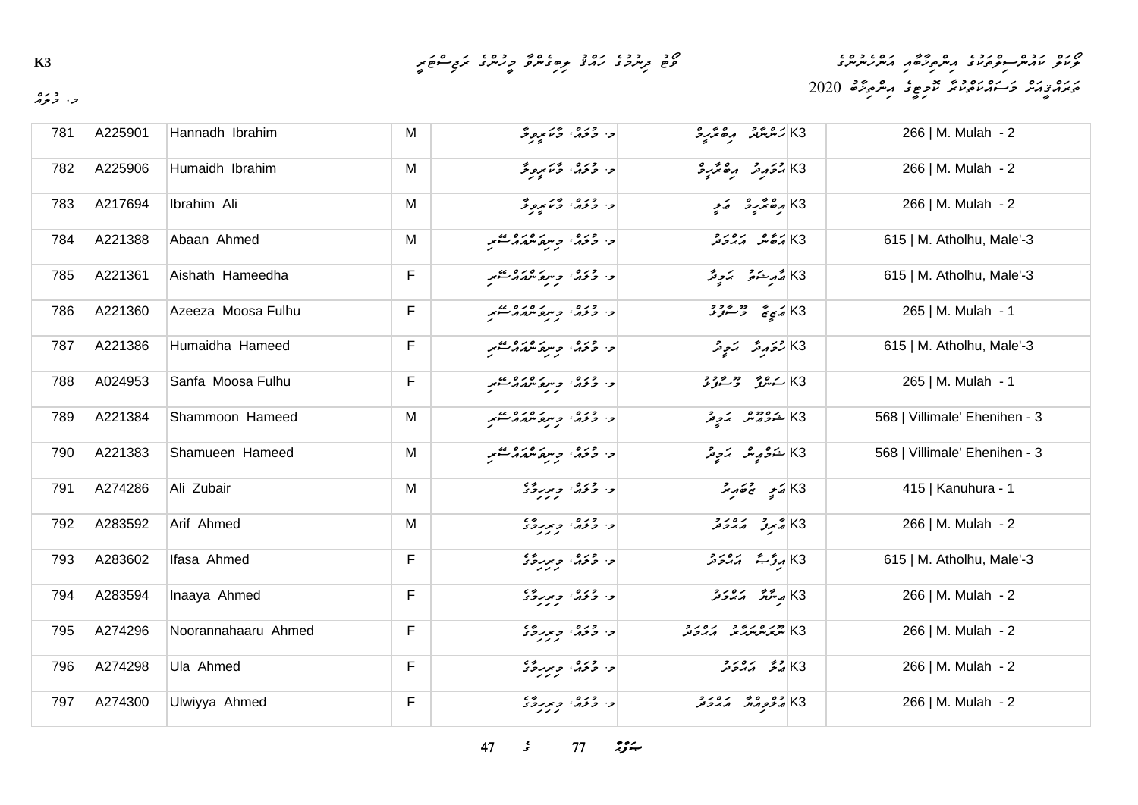*sCw7q7s5w7m< o<n9nOoAw7o< sCq;mAwBoEw7q<m; wBm;vB* م من المرة المرة المرة المرجع المرجع في المركبة 2020<br>مجم*د المريض المربوط المربع المرجع في المراجع المركبة* 

| 781 | A225901 | Hannadh Ibrahim     | M           | د وتحكما وتميزون        | K3  كەش ھەمگەر ئ                       | 266   M. Mulah - 2            |
|-----|---------|---------------------|-------------|-------------------------|----------------------------------------|-------------------------------|
| 782 | A225906 | Humaidh Ibrahim     | M           | د وده، ڈىئىرونۇ         | K3  جۇمبەتر م <i>ەھترى</i> دى          | 266   M. Mulah - 2            |
| 783 | A217694 | Ibrahim Ali         | M           | والمحفظ وتمعرونى        | K3 ر <i>ەڭزى</i> رۇ ك <i>ەي</i>        | 266   M. Mulah - 2            |
| 784 | A221388 | Abaan Ahmed         | M           | و ونور، وسوسمدر دره     | K3 كەنتەر كەبىر <i>دى</i> ر            | 615   M. Atholhu, Male'-3     |
| 785 | A221361 | Aishath Hameedha    | F           | و و و و د مره ده ده .   | K3 مەم ئىقىم كىم تەرە <i>م</i>         | 615   M. Atholhu, Male'-3     |
| 786 | A221360 | Azeeza Moosa Fulhu  | F           | و ونور، وسوسمدر عبر     | K3 <sub>م</sub> َبِيِّ وَشَوْرٌ        | 265   M. Mulah - 1            |
| 787 | A221386 | Humaidha Hameed     | F           | و ونور، وسوسمدر عبر     | K3 رُحَ بِرِ مَّزْ بِرَ بِرَ بِرَ الله | 615   M. Atholhu, Male'-3     |
| 788 | A024953 | Sanfa Moosa Fulhu   | F           | و ونور، وسوسمدر دره     | K3 جەنزىق ق <i>ەشۇرى</i>               | 265   M. Mulah - 1            |
| 789 | A221384 | Shammoon Hameed     | M           | و ويوه، وسوسمده منه     | K3 څن <i>وه پر پر چ</i> ر              | 568   Villimale' Ehenihen - 3 |
| 790 | A221383 | Shamueen Hameed     | M           | و و وه، و سع سمد السمبر | K3 خ <i>ۇم شەر ئىچ</i> تر              | 568   Villimale' Ehenihen - 3 |
| 791 | A274286 | Ali Zubair          | M           | والمحروم وبرردى         | K3 <i>ھَجِ تحقوم</i> تُر               | 415   Kanuhura - 1            |
| 792 | A283592 | Arif Ahmed          | M           | والمحركة وبرردى         | K3 گەمبرق كەش <sup>ى</sup> دىگە        | 266   M. Mulah - 2            |
| 793 | A283602 | Ifasa Ahmed         | $\mathsf F$ | والمحتوك وبرردى         | K3 م <i>وڈے مم</i> حوص                 | 615   M. Atholhu, Male'-3     |
| 794 | A283594 | Inaaya Ahmed        | F           | والمحروم وبرردى         | K3 مەشتر مەممى <i>دى</i> ر             | 266   M. Mulah - 2            |
| 795 | A274296 | Noorannahaaru Ahmed | F           | والمحروم وبرردى         | K3 تېربرېزېر م <i>رو</i> رو            | 266   M. Mulah - 2            |
| 796 | A274298 | Ula Ahmed           | F           | و وی و پروی             | K3 چۇ <i>مەدە</i> تر                   | 266   M. Mulah - 2            |
| 797 | A274300 | Ulwiyya Ahmed       | F           | والمحركة وبرروى         | K3 <i>محوم محمد محمد الم</i> حمد       | 266   M. Mulah - 2            |

*47 sC 77 nNw?mS*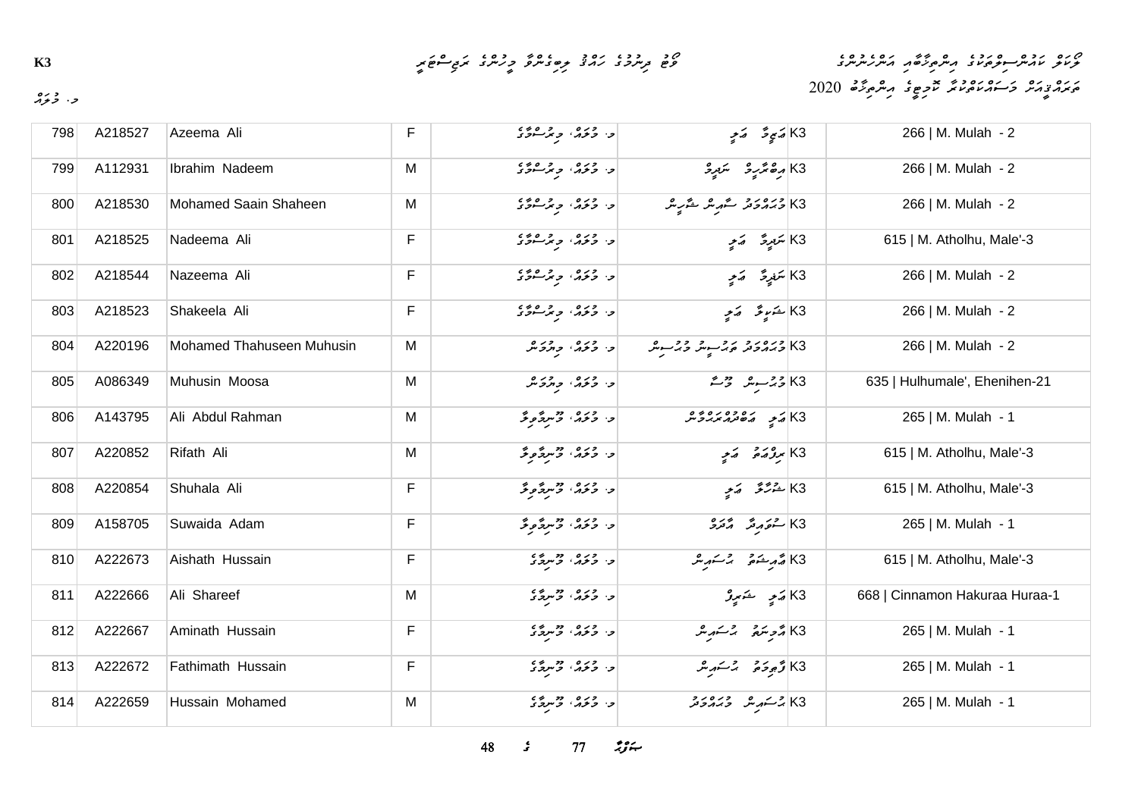*sCw7q7s5w7m< o<n9nOoAw7o< sCq;mAwBoEw7q<m; wBm;vB* م من المرة المرة المرة المرجع المرجع في المركبة 2020<br>مجم*د المريض المربوط المربع المرجع في المراجع المركبة* 

| 798 | A218527 | Azeema Ali                | $\mathsf F$ | و وره و پرسور              | K3 كەيپ <i>قەم</i> چ                                                                   | 266   M. Mulah - 2             |
|-----|---------|---------------------------|-------------|----------------------------|----------------------------------------------------------------------------------------|--------------------------------|
| 799 | A112931 | Ibrahim Nadeem            | M           | و وړه وتر ووه              | K3 ب <i>ر&amp;ټرْرِ \$سکيږ</i> و                                                       | 266   M. Mulah - 2             |
| 800 | A218530 | Mohamed Saain Shaheen     | M           | ور وره و پرسور             | K3 <i>دېممبروتر سگهبر شگړيگ</i> ر                                                      | 266   M. Mulah - 2             |
| 801 | A218525 | Nadeema Ali               | $\mathsf F$ | وره ويره وده               | K3 سَمِرِیَّ کَے پِ                                                                    | 615   M. Atholhu, Male'-3      |
| 802 | A218544 | Nazeema Ali               | F           | ور وره و پرسور             | K3 سَمْدِیَّ کَہ مِ                                                                    | 266   M. Mulah - 2             |
| 803 | A218523 | Shakeela Ali              | $\mathsf F$ | و وره و پرسور              | K3 خىرى <i>گە مەي</i>                                                                  | 266   M. Mulah - 2             |
| 804 | A220196 | Mohamed Thahuseen Muhusin | M           | أورا وده والمروش           | K3 ديره د د مرد سونتر و بر سونتر                                                       | 266   M. Mulah - 2             |
| 805 | A086349 | Muhusin Moosa             | M           | د. وده، وترونگر            | K3 كەبرىسىر بۇستە                                                                      | 635   Hulhumale', Ehenihen-21  |
| 806 | A143795 | Ali Abdul Rahman          | M           | د. دره «مروًوتر            | K3 <i>جَرِ ج</i> ەھە <i>رە جەر</i>                                                     | 265   M. Mulah - 1             |
| 807 | A220852 | Rifath Ali                | M           | د وده، وسرورتو             | K3 بر <i>وګرو کې</i> په                                                                | 615   M. Atholhu, Male'-3      |
| 808 | A220854 | Shuhala Ali               | $\mathsf F$ | والمحمد والمتحاطية         | K3 ش <sup>و</sup> گر کرم                                                               | 615   M. Atholhu, Male'-3      |
| 809 | A158705 | Suwaida Adam              | F           | والمحروم المحسرة وتخر      | K3 ست <i>وَم</i> ِیتَر مُرْتَزَرُ                                                      | 265   M. Mulah - 1             |
| 810 | A222673 | Aishath Hussain           | $\mathsf F$ | ور وره دورد                | K3 مەمرىش <i>ەق بى</i> سەمبەش                                                          | 615   M. Atholhu, Male'-3      |
| 811 | A222666 | Ali Shareef               | M           | כי כיבג'י ביינב'ב          | K3 كەمچە سىمب <i>و</i> گر                                                              | 668   Cinnamon Hakuraa Huraa-1 |
| 812 | A222667 | Aminath Hussain           | F           | و ونور، وسروء              |                                                                                        | 265   M. Mulah - 1             |
| 813 | A222672 | Fathimath Hussain         | F           | والمحرور وولدي             | K3 <i>ۋې<sub>و</sub>خۇ بى-ئىرى</i> ر                                                   | 265   M. Mulah - 1             |
| 814 | A222659 | Hussain Mohamed           | M           | والمحروم المحاسرة والمحالج | K3 يُرْسَمْ مِنْ مُحْمَّدَة مِنْ لِمَجْمَعَة مِنْ الْمَجْمَعَة مِنْ الْمُجْمَّدَة مِنْ | 265   M. Mulah - 1             |

*48 sC 77 nNw?mS*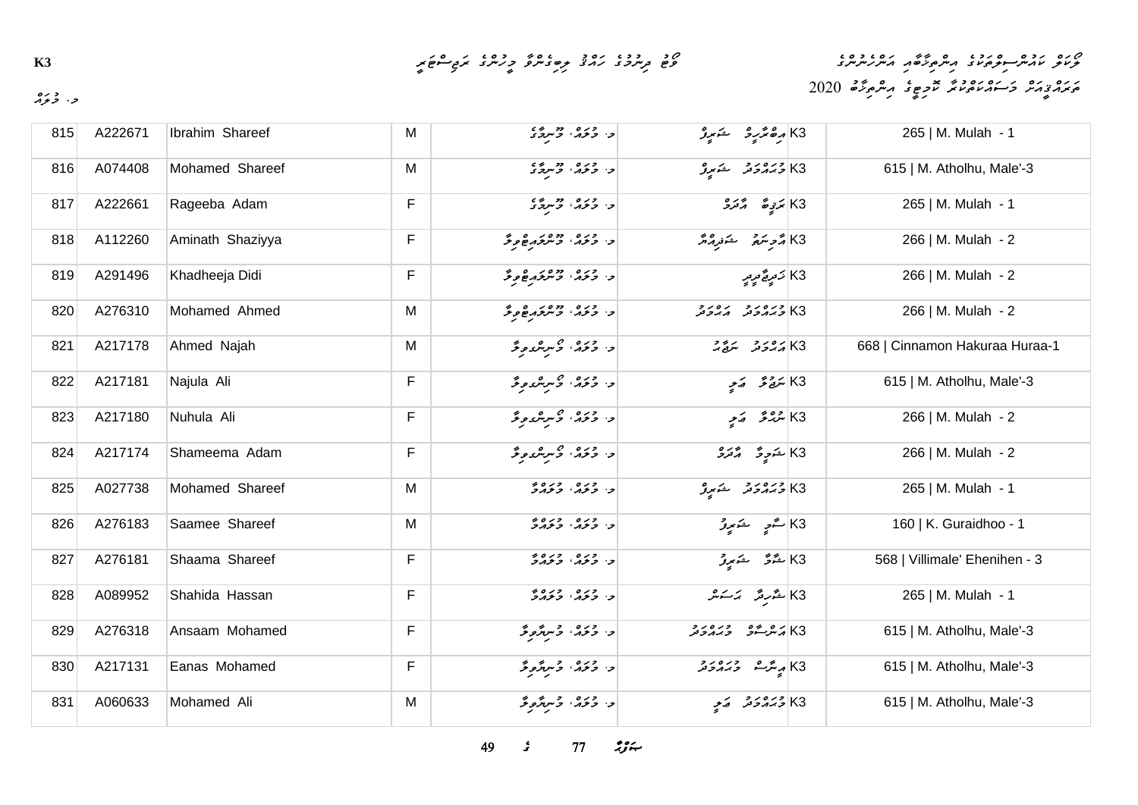*sCw7q7s5w7m< o<n9nOoAw7o< sCq;mAwBoEw7q<m; wBm;vB* م من المرة المرة المرة المرجع المرجع في المركبة 2020<br>مجم*د المريض المربوط المربع المرجع في المراجع المركبة* 

| 815 | A222671 | Ibrahim Shareef  | M           | د. ژبزه، ژبردگی                                   | K3 بر <i>ے پڑ<sub>ے گ</sub>ے ہو</i> و             | 265   M. Mulah - 1             |
|-----|---------|------------------|-------------|---------------------------------------------------|---------------------------------------------------|--------------------------------|
| 816 | A074408 | Mohamed Shareef  | M           | כי כיבולי ביינביב                                 | K3 <i>جُهُدُونُو حُمَيِنُ</i>                     | 615   M. Atholhu, Male'-3      |
| 817 | A222661 | Rageeba Adam     | F           | والمحروم المحسري                                  | K3 <i>مَدَّةٍ هُ</i> " مُرْمَر \$                 | 265   M. Mulah - 1             |
| 818 | A112260 | Aminath Shaziyya | $\mathsf F$ | والمحمد المستخدم ولمحمد                           | K3 تَ <i>رْحِ سَمَعْ</i> شَم <i>َّوْرِهْ تَرَ</i> | 266   M. Mulah - 2             |
| 819 | A291496 | Khadheeja Didi   | $\mathsf F$ | والمحكم ومعتقد فالمحافية                          | K3 زَمرِيَّ مِرِمرِ                               | 266   M. Mulah - 2             |
| 820 | A276310 | Mohamed Ahmed    | M           | والمحروم المعتقد والمحافية                        | K3 ديره د بره دورو                                | 266   M. Mulah - 2             |
| 821 | A217178 | Ahmed Najah      | M           | د. دېمه، د سرسي د گ                               | K3 كەبرى قىرىقى ئىس                               | 668   Cinnamon Hakuraa Huraa-1 |
| 822 | A217181 | Najula Ali       | $\mathsf F$ | د. د د کار کامر شروع د                            | K3 سَھَءٌ کَمَ مِ                                 | 615   M. Atholhu, Male'-3      |
| 823 | A217180 | Nuhula Ali       | F           | د. د د کار کامریگرونگ                             | K3 جُرْدَّ – <sub>م</sub> َجِ                     | 266   M. Mulah - 2             |
| 824 | A217174 | Shameema Adam    | $\mathsf F$ | د. وتور، وسرهر دیگر                               | K3 خَوِيَّ مُحَمَّدَ                              | 266   M. Mulah - 2             |
| 825 | A027738 | Mohamed Shareef  | M           | ور وره<br><i>ون ونوه، ونو</i> ړو                  | K3 <i>وُبَرُوُدُو َ</i> شَمِيرُ                   | 265   M. Mulah - 1             |
| 826 | A276183 | Saamee Shareef   | M           | כי כנם, כנסיב<br>כי כי <i>ב</i> תי                | K3 گو خ <i>تېرۇ</i>                               | 160   K. Guraidhoo - 1         |
| 827 | A276181 | Shaama Shareef   | $\mathsf F$ | ور وره وره په<br>و <sup>.</sup> ونوړ، ونوړو       | K3 شَرَّ شَمَيِّرُ                                | 568   Villimale' Ehenihen - 3  |
| 828 | A089952 | Shahida Hassan   | $\mathsf F$ | כי כנם, כנסיב<br>כי כי <i>ב</i> ג' כי <i>ב</i> גב | K3 ڪري <i>گ بزڪيل</i>                             | 265   M. Mulah - 1             |
| 829 | A276318 | Ansaam Mohamed   | $\mathsf F$ | د. د دُور، د سرگرو گ                              | K3 كەشرىشى <i>ھەدەر د</i>                         | 615   M. Atholhu, Male'-3      |
| 830 | A217131 | Eanas Mohamed    | F           | د. د دَر الله الله د ک                            | K3 <sub>م</sub> يترت ت <i>حدّم دو</i>             | 615   M. Atholhu, Male'-3      |
| 831 | A060633 | Mohamed Ali      | M           | د. وَوَكْ، وُسِرَّهِ وَ                           | K3  <i>جەنەم</i> قىر كەيچ                         | 615   M. Atholhu, Male'-3      |

*49 sC 77 nNw?mS*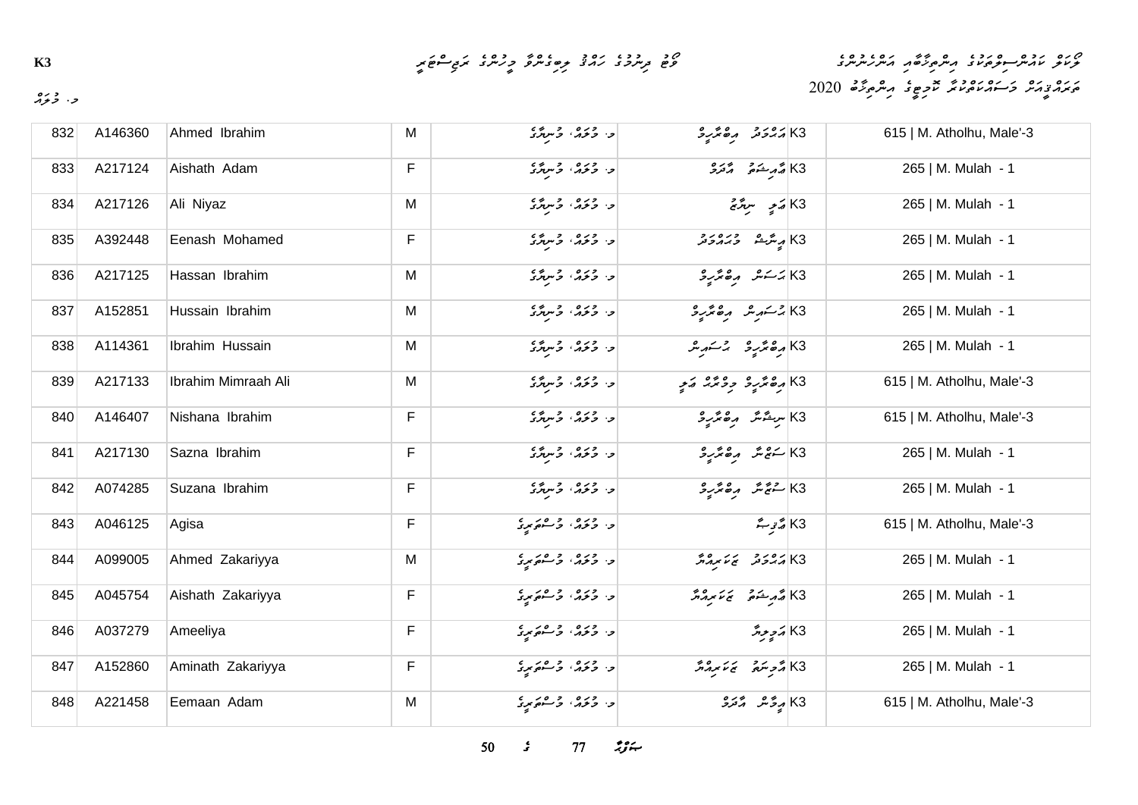*sCw7q7s5w7m< o<n9nOoAw7o< sCq;mAwBoEw7q<m; wBm;vB* م من المرة المرة المرة المرجع المرجع في المركبة 2020<br>مجم*د المريض المربوط المربع المرجع في المراجع المركبة* 

| 832 | A146360 | Ahmed Ibrahim       | M           | و. وفور، وسرور          | K3 <i>גֿ גُڅو تر مُره ټر</i> ېو         | 615   M. Atholhu, Male'-3 |
|-----|---------|---------------------|-------------|-------------------------|-----------------------------------------|---------------------------|
| 833 | A217124 | Aishath Adam        | F           | و. وفور، وسردي          | K3 مُمبِّسَمُ مُمَرَّد                  | 265   M. Mulah - 1        |
| 834 | A217126 | Ali Niyaz           | M           | و. ووه، وسرو،           | K3 کی می <i>نگی</i> ج                   | 265   M. Mulah - 1        |
| 835 | A392448 | Eenash Mohamed      | $\mathsf F$ | و ووه، وسرو،            | K3 برىترىشە <i>مەندە تەر</i>            | 265   M. Mulah - 1        |
| 836 | A217125 | Hassan Ibrahim      | M           | و. وفور، وسرور          | K3 ئەسەش مەھە <i>مەر ۋ</i>              | 265   M. Mulah - 1        |
| 837 | A152851 | Hussain Ibrahim     | M           | ور و ده. و سرگری        | K3 يُرْسَمبر شَر مِرْحَدَّرِ وَ         | 265   M. Mulah - 1        |
| 838 | A114361 | Ibrahim Hussain     | M           | و. ووه، وسرو،           | K3 مەھەرىرى بىر شەمبەش                  | 265   M. Mulah - 1        |
| 839 | A217133 | Ibrahim Mimraah Ali | M           | و. ووه، وسروه           | K3 مەھەمەر <i>5 دوم</i> گە كەم          | 615   M. Atholhu, Male'-3 |
| 840 | A146407 | Nishana Ibrahim     | F           | ور و ده. و سرگری        | K3 سرشگىنگر ب <i>ر ھىمگرى</i> گ         | 615   M. Atholhu, Male'-3 |
| 841 | A217130 | Sazna Ibrahim       | F           | و. ووه، وسرور           | K3 سَنَّعْ شَرِّ مِنْ مَحْرِ فِي 13     | 265   M. Mulah - 1        |
| 842 | A074285 | Suzana Ibrahim      | F           | و ووه، وسروء            | K3 جۇنئر م <i>ەھترى</i> د               | 265   M. Mulah - 1        |
| 843 | A046125 | Agisa               | F           | والمتحرم المتحر والمراج | K3 مُتَّوِسَةً                          | 615   M. Atholhu, Male'-3 |
| 844 | A099005 | Ahmed Zakariyya     | M           | وره وره دره             | K3 <i>הُהْحَة بِيَ مَعِهْدَة</i>        | 265   M. Mulah - 1        |
| 845 | A045754 | Aishath Zakariyya   | F           | وره وره د دره           | K3 مەم ئىكى ئىم ئىرمەتر                 | 265   M. Mulah - 1        |
| 846 | A037279 | Ameeliya            | F           | و. وړه وگورۍ            | K3 أرَّج مِرَّزٌ                        | 265   M. Mulah - 1        |
| 847 | A152860 | Aminath Zakariyya   | $\mathsf F$ | وره وره د دره           | K3 مُجِسَعَ بِمَ <i>مَ مَ</i> مِهْدَ    | 265   M. Mulah - 1        |
| 848 | A221458 | Eemaan Adam         | M           | والمحرور والمستومرى     | K3 <sub>مو</sub> وَّش م <i>مَّ</i> حَرو | 615   M. Atholhu, Male'-3 |

*50 sC 77 nNw?mS*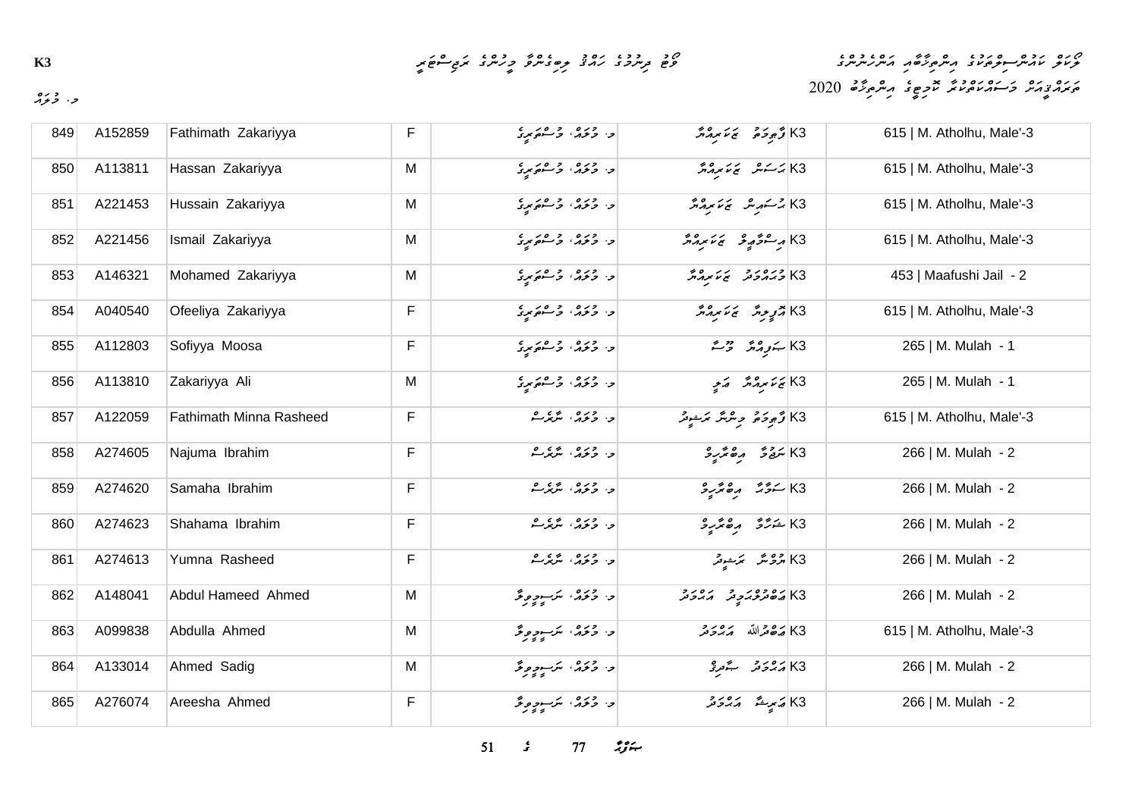*sCw7q7s5w7m< o<n9nOoAw7o< sCq;mAwBoEw7q<m; wBm;vB* م من المرة المرة المرة المرجع المرجع في المركبة 2020<br>مجم*د المريض المربوط المربع المرجع في المراجع المركبة* 

| 849 | A152859 | Fathimath Zakariyya            | F           | د. ووه، وسهويږي   | K3 <i>وَّجوحَمْ تم مَ</i> عبر مهم           | 615   M. Atholhu, Male'-3 |
|-----|---------|--------------------------------|-------------|-------------------|---------------------------------------------|---------------------------|
| 850 | A113811 | Hassan Zakariyya               | M           | د. دره د مرد ،    | K3 ئەسەمىر ئ <i>ەندىدى</i> گە               | 615   M. Atholhu, Male'-3 |
| 851 | A221453 | Hussain Zakariyya              | M           | وره وره دره       | K3 يُرْسَمَ مِينَ سَمْ مَعِي <i>مَ مَيْ</i> | 615   M. Atholhu, Male'-3 |
| 852 | A221456 | Ismail Zakariyya               | M           | د. وره، وسهوس     | K3 مەش <i>ۇم بۇ تەنىر مەر</i>               | 615   M. Atholhu, Male'-3 |
| 853 | A146321 | Mohamed Zakariyya              | M           | د. وده، وسهوس     | K3 ديرورو پر <i>ميرونگ</i>                  | 453   Maafushi Jail - 2   |
| 854 | A040540 | Ofeeliya Zakariyya             | F           | د. دره د مرد ،    | K3  تەرِ ج <i>ەنگە ئەسىمى</i> تەر           | 615   M. Atholhu, Male'-3 |
| 855 | A112803 | Sofiyya Moosa                  | F           | د. دره د مرد ،    | K3 بەر <i>ونۇ</i> ۋىتە                      | 265   M. Mulah - 1        |
| 856 | A113810 | Zakariyya Ali                  | M           | وره وره د دره د   | K3 ئ <i>ى ئىرى ھەمچ</i>                     | 265   M. Mulah - 1        |
| 857 | A122059 | <b>Fathimath Minna Rasheed</b> | F           | و. ووه، شرکت      | K3 <i>وَّجِودَة وِ مَرْسَّ بَرَ</i> حْدِثَر | 615   M. Atholhu, Male'-3 |
| 858 | A274605 | Najuma Ibrahim                 | $\mathsf F$ | و ووه، شرکت       | K3 يتر <i>يج في مرھ مُرْبِ</i> و            | 266   M. Mulah - 2        |
| 859 | A274620 | Samaha Ibrahim                 | $\mathsf F$ | د. دره، سگرگ      | K3 جۇڭ م <i>ەھترى</i> د                     | 266   M. Mulah - 2        |
| 860 | A274623 | Shahama Ibrahim                | F           | د. دره، سرگرگ     | K3 ش <i>ۇرۇ مەمۇر</i> ۇ                     | 266   M. Mulah - 2        |
| 861 | A274613 | Yumna Rasheed                  | $\mathsf F$ | د. درو، شرکت      | K3 برو بمر برسوتر                           | 266   M. Mulah - 2        |
| 862 | A148041 | Abdul Hameed Ahmed             | M           | و. د ده، مرسوره د | K3 בטיבלקייק מידי בית K3                    | 266   M. Mulah - 2        |
| 863 | A099838 | Abdulla Ahmed                  | M           | و. وتۇە، سەسور بۇ | K3 مَەمْراللە مَەدىر                        | 615   M. Atholhu, Male'-3 |
| 864 | A133014 | Ahmed Sadig                    | M           | و. وی. سرسوه و گ  | K3 كەش <sub>ە</sub> كۆرگە سەھرىتى           | 266   M. Mulah - 2        |
| 865 | A276074 | Areesha Ahmed                  | F           | و وی. شهروه گ     | K3 كەمرىگ كەندى5ىگە                         | 266   M. Mulah - 2        |

 $51$  *s*  $77$  *n*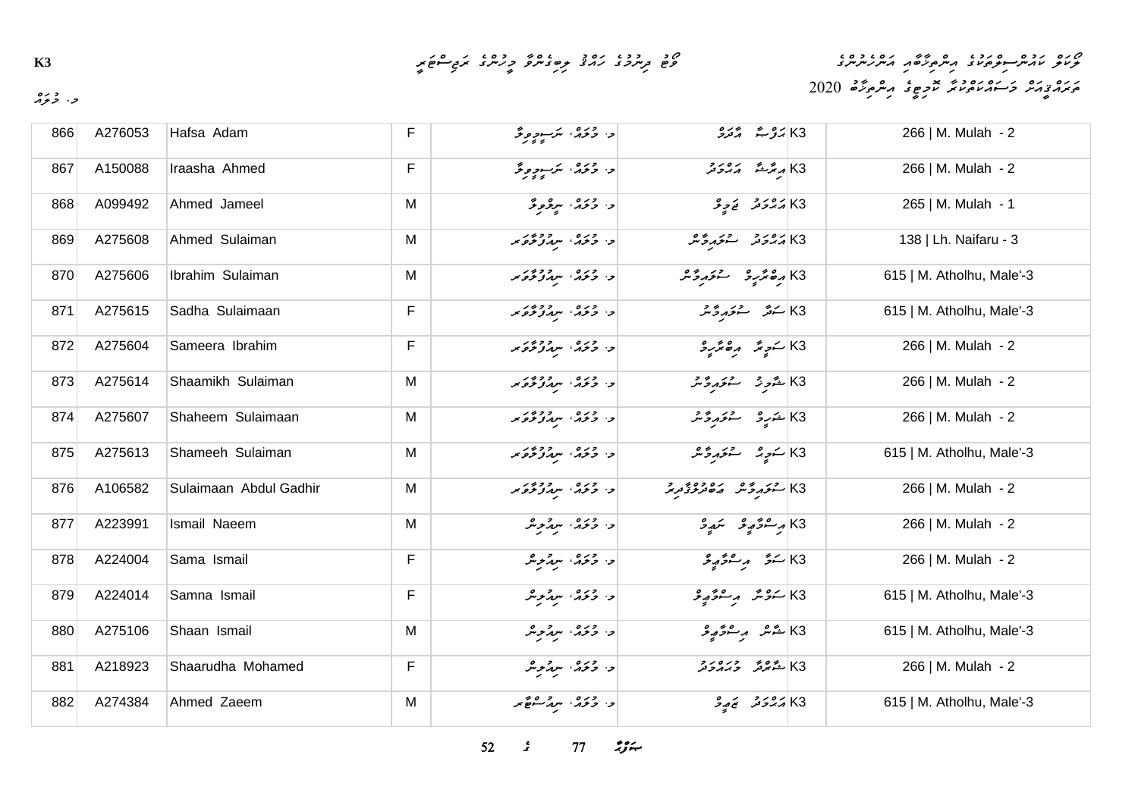*sCw7q7s5w7m< o<n9nOoAw7o< sCq;mAwBoEw7q<m; wBm;vB* م من المرة المرة المرة المرجع المرجع في المركبة 2020<br>مجم*د المريض المربوط المربع المرجع في المراجع المركبة* 

| 866 | A276053 | Hafsa Adam             | F | و . و د د کار او د و د گ   | K3 بَرُوْبَۃُ بَرْتَ <i>روْ</i>                                                                             | 266   M. Mulah - 2        |
|-----|---------|------------------------|---|----------------------------|-------------------------------------------------------------------------------------------------------------|---------------------------|
| 867 | A150088 | Iraasha Ahmed          | F | والمحكمة الكرسولي          | K3 مِتَرْتَ مَ <sup>ر</sup> ْدَدَ                                                                           | 266   M. Mulah - 2        |
| 868 | A099492 | Ahmed Jameel           | M | د. ژرو، سروه دُ            | K3 كەنزى كىم تەرىجە                                                                                         | 265   M. Mulah - 1        |
| 869 | A275608 | Ahmed Sulaiman         | M | والمحروم البروتمونجوند     | K3 <i>مەدەبىر ئىغ</i> رۇش                                                                                   | 138   Lh. Naifaru - 3     |
| 870 | A275606 | Ibrahim Sulaiman       | M | والمحركم المتعاد فركامه    | K3 مەھم <i>گىر</i> ئىسىم ئىككىنى ئىككىنى ئىككىنى ئىككىنى ئىككىنى ئىككىنى ئىككىنى ئىككىنى ئىككىنى ئىككىنى ئى | 615   M. Atholhu, Male'-3 |
| 871 | A275615 | Sadha Sulaimaan        | F | و و و وه سرو و و در        | K3 سَتَرَ سُنَوَرِدَّسَ                                                                                     | 615   M. Atholhu, Male'-3 |
| 872 | A275604 | Sameera Ibrahim        | F | والمحوكما المتعاد والمحافظ | K3 سَوِيرٌ م <i>ِ هُ بَدْرٍ دُ</i>                                                                          | 266   M. Mulah - 2        |
| 873 | A275614 | Shaamikh Sulaiman      | M | والمحوكما المتعاد والمحافظ | K3 ئىموت <sub>ى</sub> ش <i>ىخور</i> گىر                                                                     | 266   M. Mulah - 2        |
| 874 | A275607 | Shaheem Sulaimaan      | M | والمحتوم المتعرفون         | K3 خ <i>ېرى شۆم</i> ۇش                                                                                      | 266   M. Mulah - 2        |
| 875 | A275613 | Shameeh Sulaiman       | M | والمحوكما المتعاد فرقائد   | K3 خوب <sup>و</sup> سى <i>خوم</i> ۇش                                                                        | 615   M. Atholhu, Male'-3 |
| 876 | A106582 | Sulaimaan Abdul Gadhir | M | والمحتوم المتعرفون         | K3 جۇمۇمۇ مەھىر <i>ۈ</i> ۋىرىر                                                                              | 266   M. Mulah - 2        |
| 877 | A223991 | Ismail Naeem           | M | و. وفره، سرگرس             | K3 م <i>وس<sup>و</sup>ڈم</i> ی بھر سکھیے                                                                    | 266   M. Mulah - 2        |
| 878 | A224004 | Sama Ismail            | F | د. وده، سرگریگر            | K3 سَتَرَّ مِ <sup>2</sup> مَرَّم <i>و</i> نَوْ                                                             | 266   M. Mulah - 2        |
| 879 | A224014 | Samna Ismail           | F | و. وفره، سرگرس             | K3 س <i>َوْمَرْ بِرِحْوَيْوْ</i>                                                                            | 615   M. Atholhu, Male'-3 |
| 880 | A275106 | Shaan Ismail           | M | و . و دره ، سرد و شر       | K3 ئەمەر مەر <i>گەۋە</i> يد                                                                                 | 615   M. Atholhu, Male'-3 |
| 881 | A218923 | Shaarudha Mohamed      | F | د. وده، سرگرس              | K3 څونگر وره د و                                                                                            | 266   M. Mulah - 2        |
| 882 | A274384 | Ahmed Zaeem            | M | والمحروم البرام المقامر    | K3 <i>كەبۇ ئۇ تەم</i> وق                                                                                    | 615   M. Atholhu, Male'-3 |

 $52$   $\cancel{3}$   $\cancel{77}$   $\cancel{23}$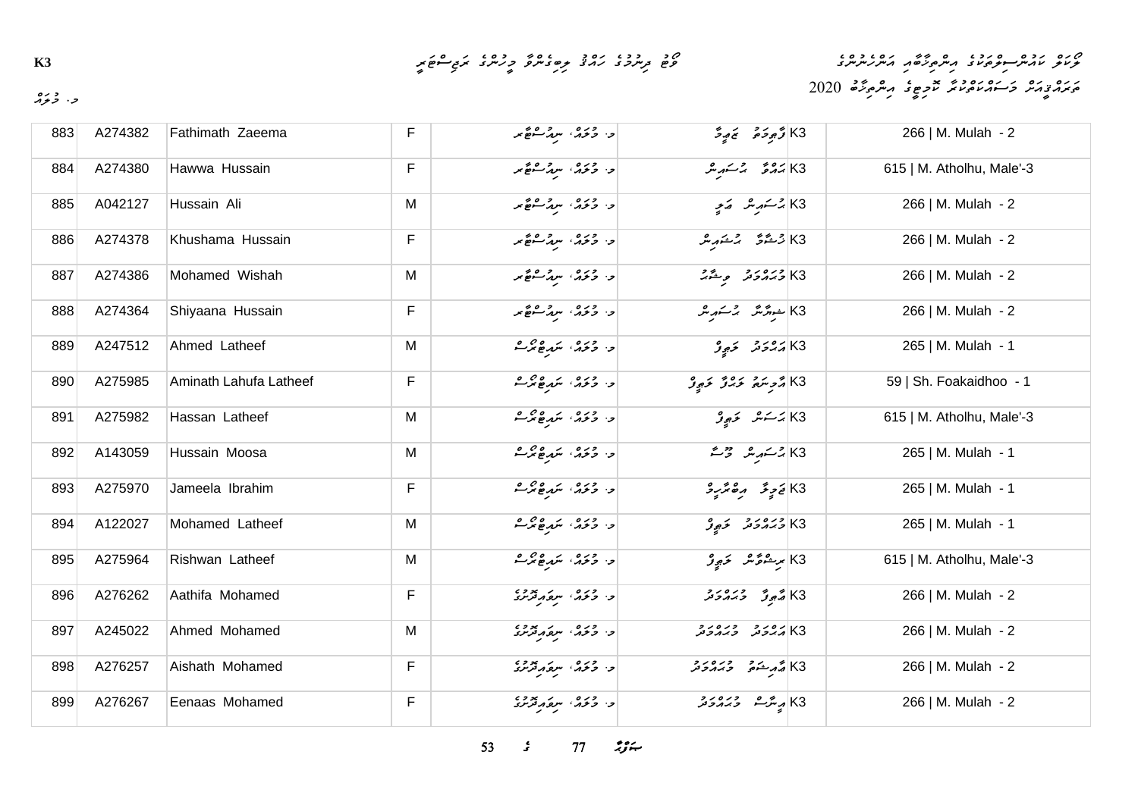*sCw7q7s5w7m< o<n9nOoAw7o< sCq;mAwBoEw7q<m; wBm;vB* م من المرة المرة المرة المرجع المرجع في المركبة 2020<br>مجم*د المريض المربوط المربع المرجع في المراجع المركبة* 

| 883 | A274382 | Fathimath Zaeema       | F           | و. وُوَكُّ، سِمْ سُوْطٍ مَد   | K3 <i>وَّجِوحَمْ نَجْهِرْ</i>                | 266   M. Mulah - 2        |
|-----|---------|------------------------|-------------|-------------------------------|----------------------------------------------|---------------------------|
| 884 | A274380 | Hawwa Hussain          | $\mathsf F$ | و. وَوَه، سِمْ سَمْعَ مَد     | K3 <i>يَدْهُمُ بِرْسَهِ بِ</i> رْ            | 615   M. Atholhu, Male'-3 |
| 885 | A042127 | Hussain Ali            | M           | و. وَوَكَّ، سِمْ سُمَّعَ مَرَ | K3 پرستمبر <i>پر م</i> حکم کی                | 266   M. Mulah - 2        |
| 886 | A274378 | Khushama Hussain       | $\mathsf F$ | و. وَوَكَّ، سِمْ سُمَّعَ مَرَ | K3∫رَّحَدَّةَ بُرْحَمَ <i>دٍ بُنْ</i>        | 266   M. Mulah - 2        |
| 887 | A274386 | Mohamed Wishah         | M           | و. وَوَكَّ سِمْ سُوَّعَ       | K3 <i>جەنگە خەشقى</i> گە                     | 266   M. Mulah - 2        |
| 888 | A274364 | Shiyaana Hussain       | $\mathsf F$ | و. ووه، سه مقطعه              | K3 ج <sub>وت</sub> رنگر گرستمبرنگر           | 266   M. Mulah - 2        |
| 889 | A247512 | Ahmed Latheef          | M           | و. وَوَهُ، سَمْهِ عَلَمْ سَمْ |                                              | 265   M. Mulah - 1        |
| 890 | A275985 | Aminath Lahufa Latheef | F           | والمحمد والملاح محمد المحمد   | K3 مَّ <i>جِسَمَۃ حَدَّرٌ</i> حَب <i>ورٌ</i> | 59   Sh. Foakaidhoo - 1   |
| 891 | A275982 | Hassan Latheef         | M           | و. ووه، سَمَّ صحيحت           | K3   يَرْسَمْسُ نَحْمِ وِرْ                  | 615   M. Atholhu, Male'-3 |
| 892 | A143059 | Hussain Moosa          | M           | و. و وه، سَم عمر علي          | K3 پرڪبريش وحيث                              | 265   M. Mulah - 1        |
| 893 | A275970 | Jameela Ibrahim        | $\mathsf F$ | و. و وه، سَم عمر علي          |                                              | 265   M. Mulah - 1        |
| 894 | A122027 | Mohamed Latheef        | M           | والمحمد والملاحقين والمحمد    | K3 دېم <i>ډېرو توپو</i> ژ                    | 265   M. Mulah - 1        |
| 895 | A275964 | Rishwan Latheef        | M           | و. و و ده سمه ۱۳۵             | K3 برڪو <i>گر چو</i> ڙ                       | 615   M. Atholhu, Male'-3 |
| 896 | A276262 | Aathifa Mohamed        | F           | و و و وه سره بروه             | K3 مَّ مِوتَرَ حَمَدَ مَد                    | 266   M. Mulah - 2        |
| 897 | A245022 | Ahmed Mohamed          | M           | و و وه سره بوده               | K3 كەبرو مەمدەر                              | 266   M. Mulah - 2        |
| 898 | A276257 | Aishath Mohamed        | F           | و وی مهاجوده                  | K3 مُمْ مِسْمَعْ وَبَرْمُ وَمَدْ             | 266   M. Mulah - 2        |
| 899 | A276267 | Eenaas Mohamed         | F           | و وی و وه سره موده            | K3 <sub>م</sub> يترت وبرەرە                  | 266   M. Mulah - 2        |

 $53$   $\cancel{5}$   $77$   $\cancel{25}$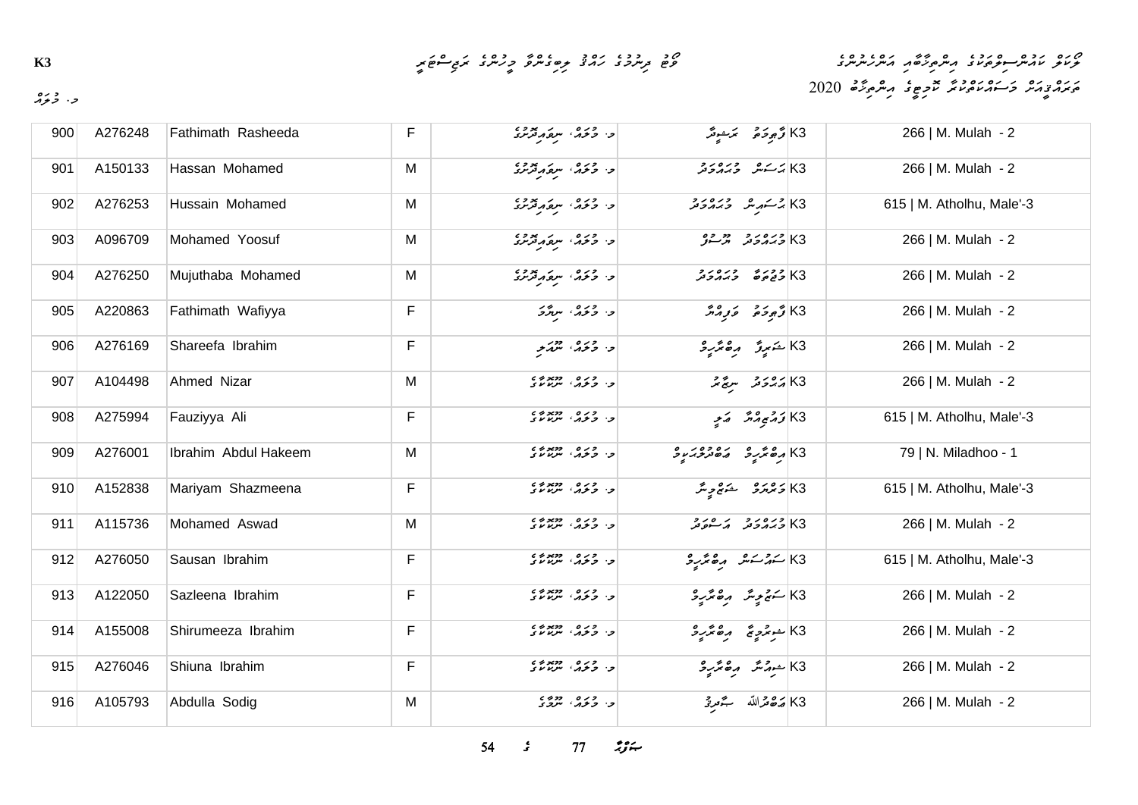*sCw7q7s5w7m< o<n9nOoAw7o< sCq;mAwBoEw7q<m; wBm;vB* م من المرة المرة المرة المرجع المرجع في المركبة 2020<br>مجم*د المريض المربوط المربع المرجع في المراجع المركبة* 

| 900 | A276248 | Fathimath Rasheeda   | F | و و و وه، سوړونده                                   | K3  <i>وَّجِوَدَةْ - مَرْ</i> شِي <i>دَّ</i> ر | 266   M. Mulah - 2        |
|-----|---------|----------------------|---|-----------------------------------------------------|------------------------------------------------|---------------------------|
| 901 | A150133 | Hassan Mohamed       | M | و و وه سره بدوه                                     | K3 ئەسەھرە <i>دەرەرە</i>                       | 266   M. Mulah - 2        |
| 902 | A276253 | Hussain Mohamed      | M | و وتحمد سعد بدوه                                    | K3 يُرَمَّدِسُ وَيَرْدُونَرُ                   | 615   M. Atholhu, Male'-3 |
| 903 | A096709 | Mohamed Yoosuf       | M | و و وه سره بود ،                                    | K3 دېږونه پر دو                                | 266   M. Mulah - 2        |
| 904 | A276250 | Mujuthaba Mohamed    | M | و و وه سره بود ،                                    | K3 دوم دره دره                                 | 266   M. Mulah - 2        |
| 905 | A220863 | Fathimath Wafiyya    | F | و و و و استرو                                       | K3 <i>وَّجِوَدَهُ</i> عَ <i>وِدْهُ</i> ّ       | 266   M. Mulah - 2        |
| 906 | A276169 | Shareefa Ibrahim     | F | والمحروم الميمر                                     | K3 خىمبى <i>رَ مەمگى</i> رۇ                    | 266   M. Mulah - 2        |
| 907 | A104498 | Ahmed Nizar          | M | כי כנס, ממבים<br>כי כי <i>בר</i> י יינט <i>ע</i>    | K3 كەبرى قىر سېنى ئىر                          | 266   M. Mulah - 2        |
| 908 | A275994 | Fauziyya Ali         | F | כי כנס, ממינים<br>כי כי <i>בר</i> י ייטענ           | K3 <i>ڌ ۾ ۽ دُبڻ ھَ ج</i> ِ                    | 615   M. Atholhu, Male'-3 |
| 909 | A276001 | Ibrahim Abdul Hakeem | M | כי כיבה יימידים                                     | K3 رەئرىرى مەھىر <i>ۈمكى</i> رە                | 79   N. Miladhoo - 1      |
| 910 | A152838 | Mariyam Shazmeena    | F | כי כנים, ממיד שי<br>כי כי <i>בר</i> י יינט <i>ע</i> | K3 كەبىر ئىرىمى ئىس ئىرىگىر بىر ئىس            | 615   M. Atholhu, Male'-3 |
| 911 | A115736 | Mohamed Aswad        | M | כי כנס ממבים<br>כי כי <i>ב</i> תי יי <i>טעי</i> ב   | K3 دېږدونر کم شونر                             | 266   M. Mulah - 2        |
| 912 | A276050 | Sausan Ibrahim       | F | כי כיברי ממים ב                                     | K3 سەرسىس مەھ <i>مگرى</i> دى                   | 615   M. Atholhu, Male'-3 |
| 913 | A122050 | Sazleena Ibrahim     | F | כי כנס, ממינים<br>כי כי <i>בר</i> י ייטענ           | K3 سَنَجْرِينَرَ مِنْ مُرْسِرْدَ               | 266   M. Mulah - 2        |
| 914 | A155008 | Shirumeeza Ibrahim   | F | כי כיברי ממיני ב                                    | K3 حو <i>مزوِجَ وەمزَّرٍ</i> وَ                | 266   M. Mulah - 2        |
| 915 | A276046 | Shiuna Ibrahim       | F | כי כנס ממים<br>כי כי <i>בר</i> י ייטעט              | K3 جوړننگ بر <i>هنگرې</i> و                    | 266   M. Mulah - 2        |
| 916 | A105793 | Abdulla Sodig        | M | כי כנס, מכים<br>כי כברה <sup>,</sup> יינבב          | K3 رَصْحَرْاللّه جَعْرَتْزَ                    | 266   M. Mulah - 2        |

 $54$   $\cancel{5}$   $77$   $\cancel{25}$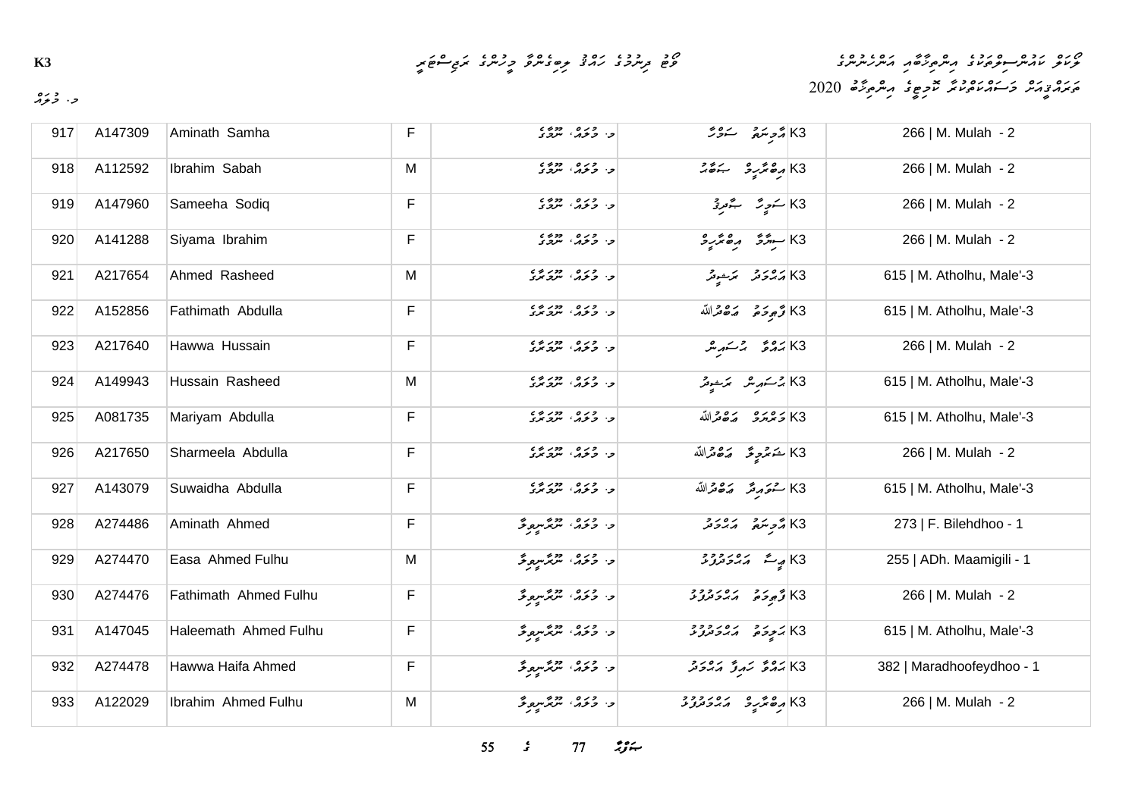*sCw7q7s5w7m< o<n9nOoAw7o< sCq;mAwBoEw7q<m; wBm;vB* م من المرة المرة المرة المرجع المرجع في المركبة 2020<br>مجم*د المريض المربوط المربع المرجع في المراجع المركبة* 

| 917 | A147309 | Aminath Samha         | F           | כי כי <i>ברי יינב</i> ל                                 | K3  مُّحِسَمُ مُسَوَّرٌ                  | 266   M. Mulah - 2        |
|-----|---------|-----------------------|-------------|---------------------------------------------------------|------------------------------------------|---------------------------|
| 918 | A112592 | Ibrahim Sabah         | M           | כי כנים, כבשים<br>כי כיבו <i>ר</i> י יינבצ              | $222 - 222$                              | 266   M. Mulah - 2        |
| 919 | A147960 | Sameeha Sodiq         | F           | و وړه .<br>د ونور، سرور                                 | K3∣ڪوپ <sup>و</sup> جُنوبوتو             | 266   M. Mulah - 2        |
| 920 | A141288 | Siyama Ibrahim        | F           | כי כיבה ובכים<br>כי כיבה יינבצ                          | K3 سو <i>مرڈ م</i> ھ <i>مگرد</i> ی       | 266   M. Mulah - 2        |
| 921 | A217654 | Ahmed Rasheed         | M           | כי כנם חבנים.<br>כי כיבה יינביבב                        | K3 كەبرى كىم كەر ئىرىدى كىرىدى كىل       | 615   M. Atholhu, Male'-3 |
| 922 | A152856 | Fathimath Abdulla     | F           | כי כנים, חבובים<br>כי כיבו <i>ת</i> , יי <i>נביו</i> בי | K3 رُجِعَة حَدَّة لله                    | 615   M. Atholhu, Male'-3 |
| 923 | A217640 | Hawwa Hussain         | F           | כי כיבה ומגנים<br>כי כיבה ייעבינים                      | K3 <i>يَدُوَّة بِرْسَهِ بِ</i> رْ        | 266   M. Mulah - 2        |
| 924 | A149943 | Hussain Rasheed       | M           | כי כנם חבנים.<br>כי כיבה יינביבב                        | K3 پرسکوپٹر کر <sub>شو</sub> یٹر         | 615   M. Atholhu, Male'-3 |
| 925 | A081735 | Mariyam Abdulla       | F           | כי כנם - חביבים<br>כי כיכה' יינביבים                    | K3 كريرد كا محافرالله                    | 615   M. Atholhu, Male'-3 |
| 926 | A217650 | Sharmeela Abdulla     | F           | כי כיבה יחדשים<br>כי כיבה יינביבב                       | K3 ڪمتر <i>چ ۾ چي</i> هرالله             | 266   M. Mulah - 2        |
| 927 | A143079 | Suwaidha Abdulla      | $\mathsf F$ | כי כים, יחז זה<br>כי כיבה <sup>,</sup> יינדינד          | K3 جۇم <i>وتۇ مەھەتر</i> اللە            | 615   M. Atholhu, Male'-3 |
| 928 | A274486 | Aminath Ahmed         | $\mathsf F$ | د. ژرو، شرخ سره د                                       | K3 مُجِسَعَة مَدْحَقَّ                   | 273   F. Bilehdhoo - 1    |
| 929 | A274470 | Easa Ahmed Fulhu      | M           | و وړه مرغم سرعر تر                                      | K3 <sub>جو</sub> ت پروتونونو             | 255   ADh. Maamigili - 1  |
| 930 | A274476 | Fathimath Ahmed Fulhu | F           | و و و وه، شرچم پوځ                                      | K3 زَّجِرَة دَرْدَتْرُوْتَ               | 266   M. Mulah - 2        |
| 931 | A147045 | Haleemath Ahmed Fulhu | $\mathsf F$ | د. دره، شره مورد                                        | K3 يَرِدَةُ 1945 وَدِيَّةِ               | 615   M. Atholhu, Male'-3 |
| 932 | A274478 | Hawwa Haifa Ahmed     | F           | د. دى، شەر بور                                          | K3 يَ <i>زْدُوُّ بَرْدِوُّ مَدْدَوْر</i> | 382   Maradhoofeydhoo - 1 |
| 933 | A122029 | Ibrahim Ahmed Fulhu   | M           | د. دره، شرگتبورگ                                        | K3 رەئۇر <i>5.25 دو</i> ر                | 266   M. Mulah - 2        |

*55 sC 77 nNw?mS*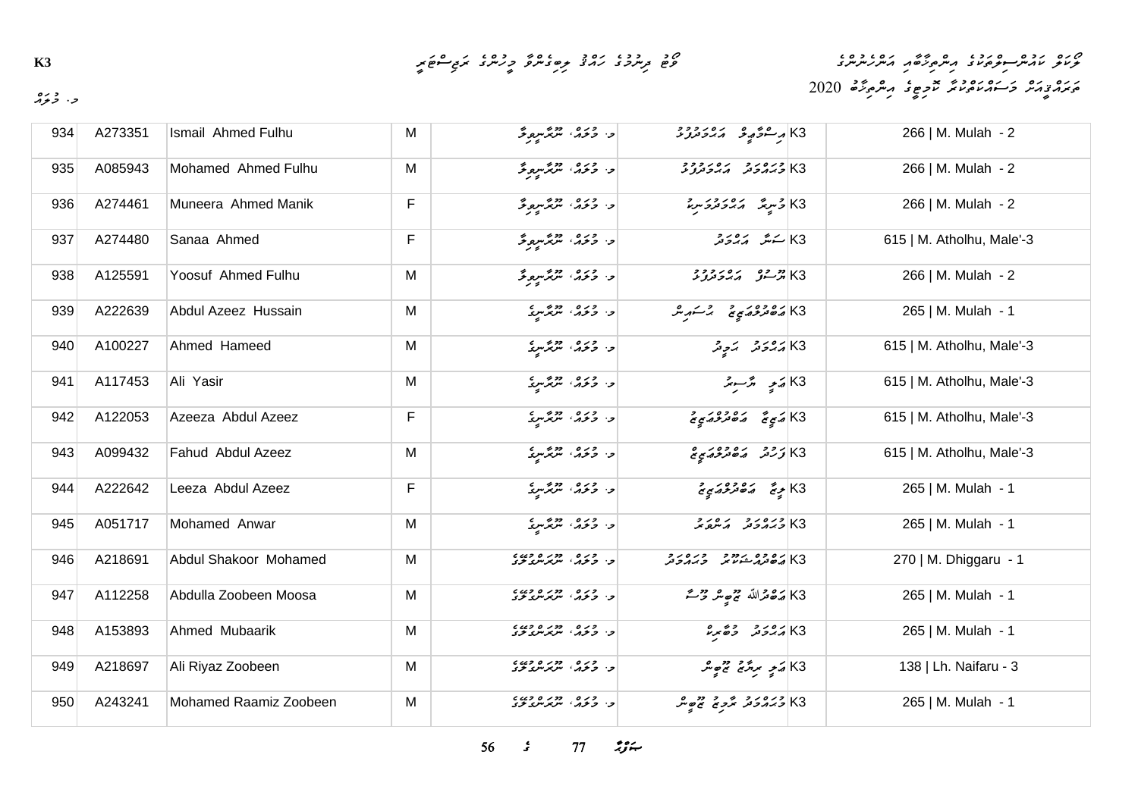*sCw7q7s5w7m< o<n9nOoAw7o< sCq;mAwBoEw7q<m; wBm;vB* م من المرة المرة المرة المرجع المرجع في المركبة 2020<br>مجم*د المريض المربوط المربع المرجع في المراجع المركبة* 

| 934 | A273351 | <b>Ismail Ahmed Fulhu</b> | M           | د. دُنگر، شرمگرسره گ                                                       | K3 <sub>م</sub> رگۇم بۇ ئەرەپرىتى كەرلىق ئالىرى ئالىرى ئىلگا بىر سىزىلىق ئا | 266   M. Mulah - 2        |
|-----|---------|---------------------------|-------------|----------------------------------------------------------------------------|-----------------------------------------------------------------------------|---------------------------|
| 935 | A085943 | Mohamed Ahmed Fulhu       | M           | د. دىمە، شەسىر                                                             | K3 درورو برورورو                                                            | 266   M. Mulah - 2        |
| 936 | A274461 | Muneera Ahmed Manik       | F           | د. دره، شرگسرونگر                                                          | K3 دُسِعٌ مَدْوَمْرَدَ سِرْءُ                                               | 266   M. Mulah - 2        |
| 937 | A274480 | Sanaa Ahmed               | $\mathsf F$ | د. دره. شرگسورگ                                                            | K3 سەنىژ كەندۇنىر                                                           | 615   M. Atholhu, Male'-3 |
| 938 | A125591 | Yoosuf Ahmed Fulhu        | M           | د. دره. شرگسورگ                                                            | K3 پژے و پر دورو د                                                          | 266   M. Mulah - 2        |
| 939 | A222639 | Abdul Azeez Hussain       | M           | و. ووه، سرچمبری                                                            | K3 مەھ <i>ىر ۋە بىج ج. شەر بىر</i>                                          | 265   M. Mulah - 1        |
| 940 | A100227 | Ahmed Hameed              | M           | د. دره معرض                                                                | K3 كەبرى <i>قىرى</i> كەر بىر                                                | 615   M. Atholhu, Male'-3 |
| 941 | A117453 | Ali Yasir                 | M           | و. ووه، سرچمبری                                                            | K3 كەمچە مەسىرىمە                                                           | 615   M. Atholhu, Male'-3 |
| 942 | A122053 | Azeeza Abdul Azeez        | F           | و. ووه، مرتزمین                                                            | K3 <i>مَې ئ</i> <sup>ھ م</sup> ەھى <i>ر دە</i> ئې                           | 615   M. Atholhu, Male'-3 |
| 943 | A099432 | Fahud Abdul Azeez         | M           | د. وره، شرعه سر                                                            | K3 زرد مەھەر <i>ۈم يى</i>                                                   | 615   M. Atholhu, Male'-3 |
| 944 | A222642 | Leeza Abdul Azeez         | $\mathsf F$ | و. ووه، مرتزمبر                                                            | K3 <i>جنگ مەھىرىمەينى</i>                                                   | 265   M. Mulah - 1        |
| 945 | A051717 | Mohamed Anwar             | M           | د. دره معرض                                                                | K3 در در در در در د                                                         | 265   M. Mulah - 1        |
| 946 | A218691 | Abdul Shakoor Mohamed     | M           | כי כיכולי ייקו <i>י מכני</i> ם<br>כי כי <i>כ</i> ולי ייקו <i>יקו מכ</i> יכ | K3 كەھەر مەددە يەر ئەرگەردىر                                                | 270   M. Dhiggaru - 1     |
| 947 | A112258 | Abdulla Zoobeen Moosa     | M           | כנים, כבנים כנים<br>כי כיבהי ייתו <i>ב ייטב כ</i> ב                        | K3 كَرْحْمْدْاللَّهُ تَجْرُحُومْدْ قَرْسَةُ                                 | 265   M. Mulah - 1        |
| 948 | A153893 | Ahmed Mubaarik            | M           | כי כיכולי יידוע פנים.<br>כי כיכולי יידוע משפיכב                            | K3 كەبروتىر جىھىر                                                           | 265   M. Mulah - 1        |
| 949 | A218697 | Ali Riyaz Zoobeen         | M           | כנים, כבנים בגוב<br>כי כיבה <sup>,</sup> ייט <i>ונייטביב</i> ב             | K3 کی پر پر پیچ میچ چاپ می                                                  | 138   Lh. Naifaru - 3     |
| 950 | A243241 | Mohamed Raamiz Zoobeen    | M           | כי כיכו <i>רי יירוע כנו</i> טי<br>כי כי <i>כ</i> ורי יירוע מינג <i>כ</i> ב | K3 دېم ده د څرخ مخ موس                                                      | 265   M. Mulah - 1        |

 $56$   $\frac{2}{3}$   $77$   $\frac{2}{3}$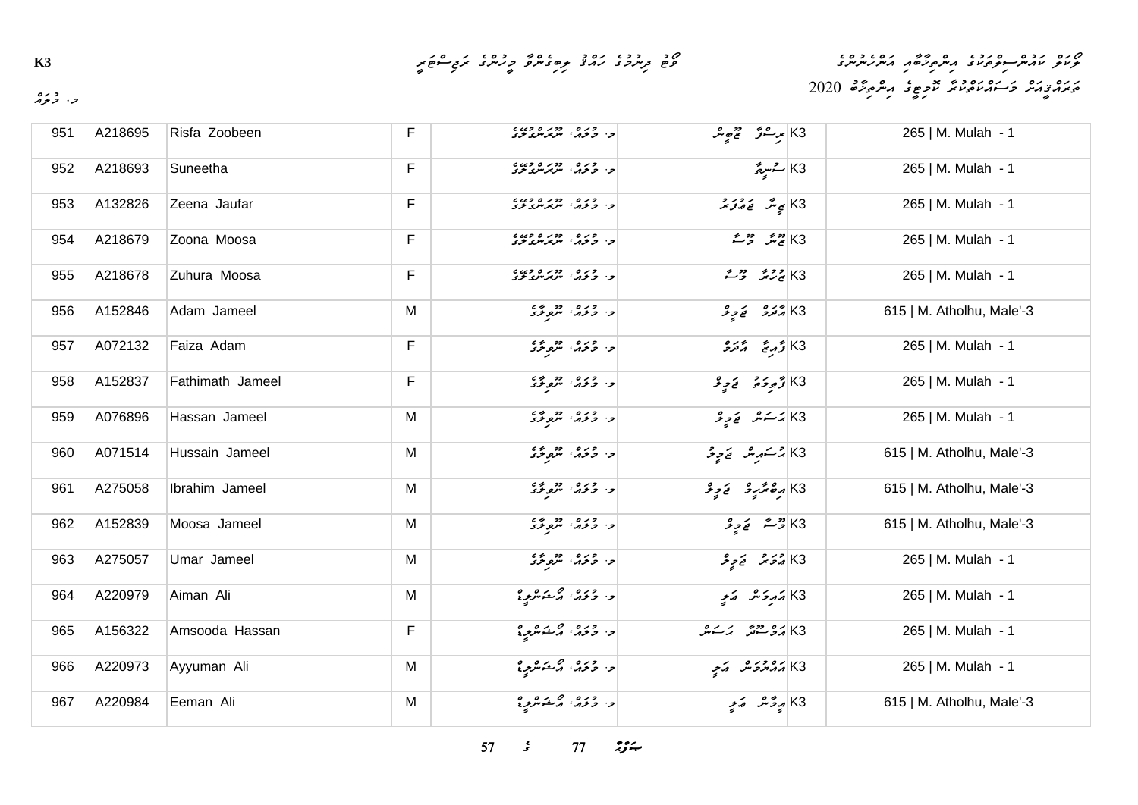*sCw7q7s5w7m< o<n9nOoAw7o< sCq;mAwBoEw7q<m; wBm;vB* م من المرة المرة المرة المرجع المرجع في المركبة 2020<br>مجم*د المريض المربوط المربع المرجع في المراجع المركبة* 

| 951 | A218695 | Risfa Zoobeen    | F | כי כיכו <i>לי יינ</i> היינגיבג                                  | K3 برگۇ چىمچە شە                      | 265   M. Mulah - 1        |
|-----|---------|------------------|---|-----------------------------------------------------------------|---------------------------------------|---------------------------|
| 952 | A218693 | Suneetha         | F | כי כיכולי ייקו <i>י מכני</i> ם.<br>כי כי <i>כולי ייקויקופיב</i> | K3 سقىيى <i>گە</i>                    | 265   M. Mulah - 1        |
| 953 | A132826 | Zeena Jaufar     | F | وره . دوره ددن و.<br>د ونور، سرپرسونور                          | K3 بې <i>شقىق قەقەتت</i>              | 265   M. Mulah - 1        |
| 954 | A218679 | Zoona Moosa      | F | כי כיכולי יידוע פנונים<br>כי כיכולי יידוע משפיכו                | 13) جي شر حي شر                       | 265   M. Mulah - 1        |
| 955 | A218678 | Zuhura Moosa     | F | כנים, כבנים כגבים<br>כי כיבהי ייתו <i>ינייטביב</i> ב            | $23$ $22$ K3                          | 265   M. Mulah - 1        |
| 956 | A152846 | Adam Jameel      | M | و. ووه، شهر وه                                                  | K3 جُمَرَوْ گ <sub>ے تو</sub> ثو      | 615   M. Atholhu, Male'-3 |
| 957 | A072132 | Faiza Adam       | F | د. دره، شهر د،                                                  | K3 وَّرِيحَ     مُرْمَرْدُ            | 265   M. Mulah - 1        |
| 958 | A152837 | Fathimath Jameel | F | و. ووه، شهر وه                                                  | K3 <i>وَّجِوَدَةَ</i> تَحَرِّدُ       | 265   M. Mulah - 1        |
| 959 | A076896 | Hassan Jameel    | M | و وړه، شونوی                                                    | K3  تەس <i>ەنلى</i> ق <sub>ە</sub> مى | 265   M. Mulah - 1        |
| 960 | A071514 | Hussain Jameel   | M | و وره همون                                                      | K3   پرستهر م <i>نگ او</i> توریخ      | 615   M. Atholhu, Male'-3 |
| 961 | A275058 | Ibrahim Jameel   | M | و وړه، شونوی                                                    | K3 <sub>م</sub> ەنگەر قىم يەر         | 615   M. Atholhu, Male'-3 |
| 962 | A152839 | Moosa Jameel     | M | د. دره، شهر د،                                                  | K3 تخریحہ <sub>تھے جو</sub> ی         | 615   M. Atholhu, Male'-3 |
| 963 | A275057 | Umar Jameel      | M | و وړه، شونوی                                                    | K3 <i>مەنى ق</i> وق                   | 265   M. Mulah - 1        |
| 964 | A220979 | Aiman Ali        | M | د. وده، کاڪسر                                                   | K3   كەرىخە مىچ                       | 265   M. Mulah - 1        |
| 965 | A156322 | Amsooda Hassan   | F | والمحروم المستوسر                                               | K3 كەبۇ سىمبىر كەسكەنلەر              | 265   M. Mulah - 1        |
| 966 | A220973 | Ayyuman Ali      | M | والمحرور وكالشرائع                                              | K3 <i>پروژونگ پرو</i>                 | 265   M. Mulah - 1        |
| 967 | A220984 | Eeman Ali        | M | والمحروم المتشاهرة                                              | K3 پ <sub>و</sub> ڱن <i>د چَ</i> ڃِ   | 615   M. Atholhu, Male'-3 |

*57 sC 77 nNw?mS*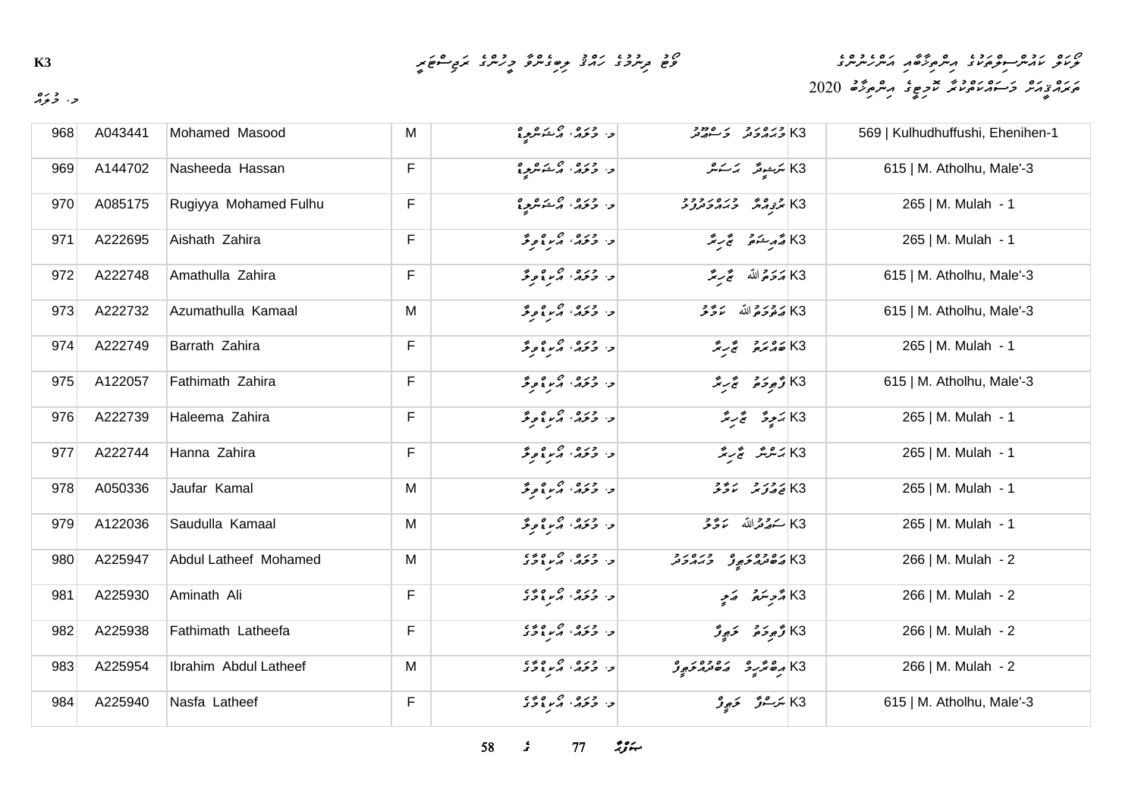*sCw7q7s5w7m< o<n9nOoAw7o< sCq;mAwBoEw7q<m; wBm;vB* م من المرة المرة المرة المرجع المرجع في المركبة 2020<br>مجم*د المريض المربوط المربع المرجع في المراجع المركبة* 

| 968 | A043441 | Mohamed Masood        | M | د· د د کار مان مشکور د کار | K3 دېرونر و شهير                           | 569   Kulhudhuffushi, Ehenihen-1 |
|-----|---------|-----------------------|---|----------------------------|--------------------------------------------|----------------------------------|
| 969 | A144702 | Nasheeda Hassan       | F | والمحروم المستوهور         | K3 سَرَجِيرٌ - بَرَسَ <i>مَ</i> رُ         | 615   M. Atholhu, Male'-3        |
| 970 | A085175 | Rugiyya Mohamed Fulhu | F | والمحروم المحشر والمعروج   | K3 تر <i>وم</i> ورەرورور                   | 265   M. Mulah - 1               |
| 971 | A222695 | Aishath Zahira        | F | والمحترم المراء وتحر       | K3 مۇم شەھرە سىم <i>بەت</i> ر              | 265   M. Mulah - 1               |
| 972 | A222748 | Amathulla Zahira      | F | و وده، مرووث               | K3 مَرَّدَّة للَّه گُمْ سِمَّد             | 615   M. Atholhu, Male'-3        |
| 973 | A222732 | Azumathulla Kamaal    | M | د. درو، چې په پوځ          | K3 مَنْ وَمَرْ وَاللّه مَدَّرَ قَرْ        | 615   M. Atholhu, Male'-3        |
| 974 | A222749 | Barrath Zahira        | F | د وده، چې په چې            | K3 <i>کاه ډېره تج پ</i> ېتر                | 265   M. Mulah - 1               |
| 975 | A122057 | Fathimath Zahira      | F | د. درو، چې په پوځ          | K3 رَّج <i>وحَمْ پِحْ بِ</i> يَّر          | 615   M. Atholhu, Male'-3        |
| 976 | A222739 | Haleema Zahira        | F | والمحمد والملاه والمحمد    | K3 بَرْجِرَةٌ گُرِيْتُهُ                   | 265   M. Mulah - 1               |
| 977 | A222744 | Hanna Zahira          | F | والمحروم أوراه وتحر        | K3 بَرْتْرْتَرْ مَحْ بِ <del>رَ</del> ّ    | 265   M. Mulah - 1               |
| 978 | A050336 | Jaufar Kamal          | M | والمحرور وكالمعالج ومحر    | K3 كۆرگەنزىر ئىرگەنز                       | 265   M. Mulah - 1               |
| 979 | A122036 | Saudulla Kamaal       | M | والمحرق وماءوفر            | K3 كەچرىتىراللە ئەڭ ئى                     | 265   M. Mulah - 1               |
| 980 | A225947 | Abdul Latheef Mohamed | M | $598\nu$ , $0.955.5$       | K3 كەھەم ھەم مەدەر د                       | 266   M. Mulah - 2               |
| 981 | A225930 | Aminath Ali           | F |                            | K3 مُجرِسَعُہُ     مَبِي                   | 266   M. Mulah - 2               |
| 982 | A225938 | Fathimath Latheefa    | F |                            | K3 رَّجِ دَمَّ حَجِرَ                      | 266   M. Mulah - 2               |
| 983 | A225954 | Ibrahim Abdul Latheef | M | 5924, 0.000                | K3 رەئرى <sub>ر</sub> ۇ مەمەر <i>كې</i> رۇ | 266   M. Mulah - 2               |
| 984 | A225940 | Nasfa Latheef         | F |                            | K3 بترىشۇ تخ <i>ې</i> رۇ                   | 615   M. Atholhu, Male'-3        |

*58 sC 77 nNw?mS*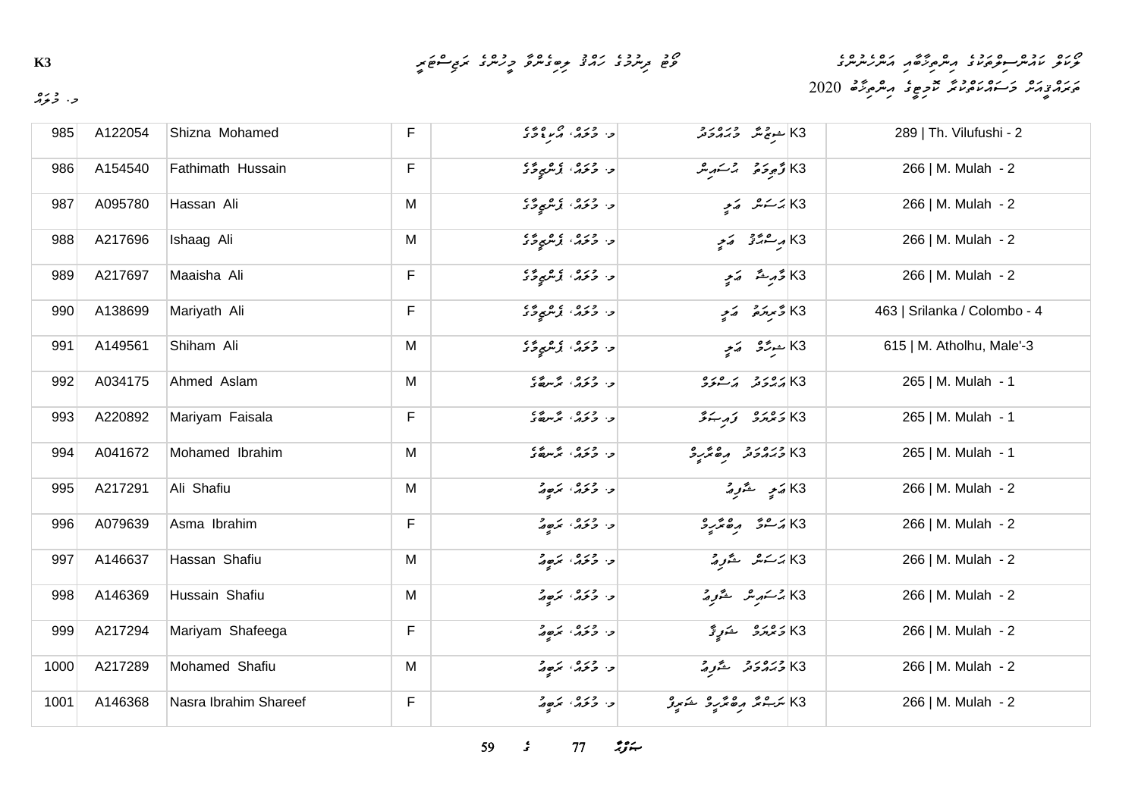*sCw7q7s5w7m< o<n9nOoAw7o< sCq;mAwBoEw7q<m; wBm;vB* م من المرة المرة المرة المرجع المرجع في المركبة 2020<br>مجم*د المريض المربوط المربع المرجع في المراجع المركبة* 

| 985  | A122054 | Shizna Mohamed        | F           | ور ولوه، حرم ولولا | K3 جويج <i>مگر 3، جرو</i> تر                 | 289   Th. Vilufushi - 2      |
|------|---------|-----------------------|-------------|--------------------|----------------------------------------------|------------------------------|
| 986  | A154540 | Fathimath Hussain     | F           | د. دره، ژیر وی     | K3 <i>وَّجِوَدَةْ</i> يُرْسَم <i>ُ بِ</i> رْ | 266   M. Mulah - 2           |
| 987  | A095780 | Hassan Ali            | M           | د. دره، ژیربېژنی   | K3 ټريند ک <i>ړې</i>                         | 266   M. Mulah - 2           |
| 988  | A217696 | Ishaag Ali            | M           | و. وده، وکرمېود    | K3 پ <i>رے پچ</i> ج کے پر                    | 266   M. Mulah - 2           |
| 989  | A217697 | Maaisha Ali           | F           | د. دره، ویرج دی    | K3 <i>ڈو</i> ٹ کرم                           | 266   M. Mulah - 2           |
| 990  | A138699 | Mariyath Ali          | F           | د. دره ویرون       | K3 <i>وَّسِرْمَةْ مَ</i> عِي                 | 463   Srilanka / Colombo - 4 |
| 991  | A149561 | Shiham Ali            | M           | و. وره، وگرونو     | K3 خو <i>رگ</i> و ک <i>ړې</i>                | 615   M. Atholhu, Male'-3    |
| 992  | A034175 | Ahmed Aslam           | M           | و. ووه، شهره و     | K3 كەبروتىر كەسىر <i>ۈ</i>                   | 265   M. Mulah - 1           |
| 993  | A220892 | Mariyam Faisala       | F           | و. ووه، مؤسيق      | K3 كانترندنى كەرىتەنى                        | 265   M. Mulah - 1           |
| 994  | A041672 | Mohamed Ibrahim       | M           | و. ووه، شهره و     | K3 دُيرونو مِهْتَرِدْ                        | 265   M. Mulah - 1           |
| 995  | A217291 | Ali Shafiu            | M           | والمحرور المركبة   | K3 كەمچە مىگە <i>ر</i> گە                    | 266   M. Mulah - 2           |
| 996  | A079639 | Asma Ibrahim          | F           | والمحرور المركبة   | K3  كاسىمى مەھەر ئىچ                         | 266   M. Mulah - 2           |
| 997  | A146637 | Hassan Shafiu         | M           | والمحروم المركبة   | K3 پرسکس ڪ <i>و</i> ه                        | 266   M. Mulah - 2           |
| 998  | A146369 | Hussain Shafiu        | M           | والمحركوا بمركه    | K3 يُرْسَمب <sup>9</sup> شَوْرِهُ            | 266   M. Mulah - 2           |
| 999  | A217294 | Mariyam Shafeega      | F           | والمحركون بمرحور   | K3 كۆچ <i>رى خۇر</i> گە                      | 266   M. Mulah - 2           |
| 1000 | A217289 | Mohamed Shafiu        | M           | والمحركون بمركاه   | K3  <i>وټرونو څوړ</i>                        | 266   M. Mulah - 2           |
| 1001 | A146368 | Nasra Ibrahim Shareef | $\mathsf F$ | د و و در نمود      | K3 مَرْجَعَّہُ مِرْھَمَّرِ وَ حَمَدٍوْ       | 266   M. Mulah - 2           |

*59 sC 77 nNw?mS*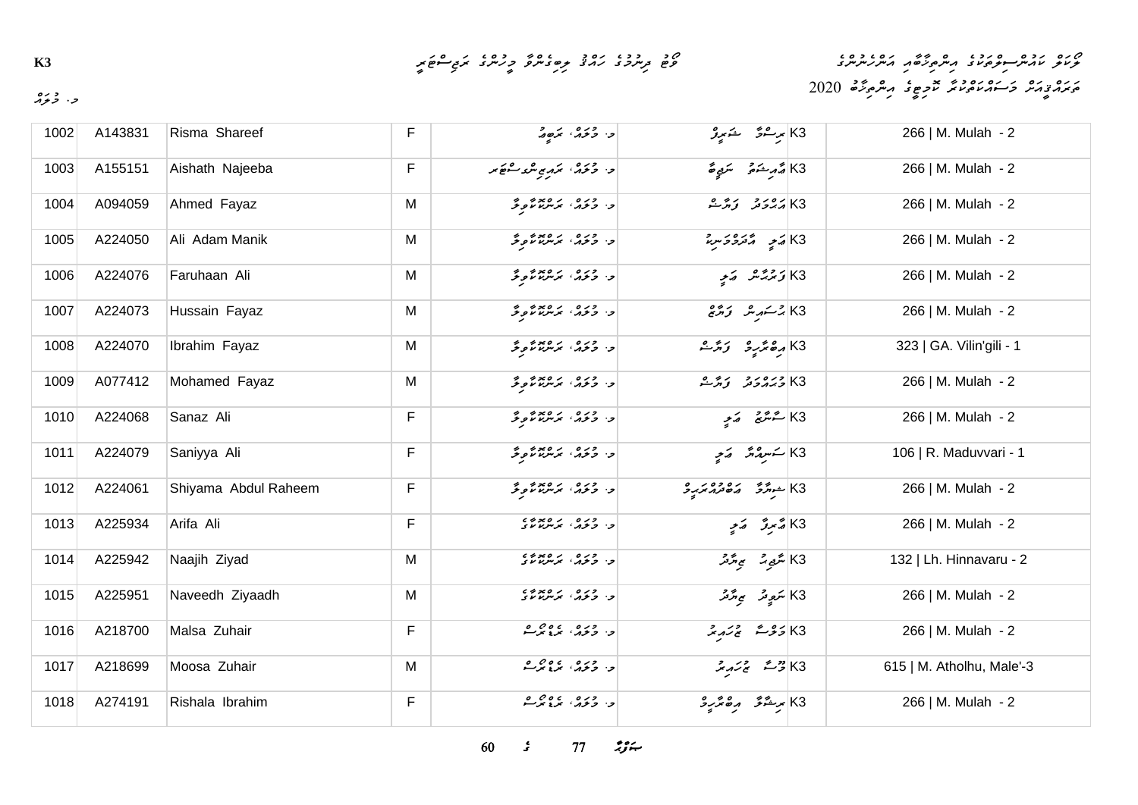*sCw7q7s5w7m< o<n9nOoAw7o< sCq;mAwBoEw7q<m; wBm;vB* م من المرة المرة المرة المرجع المرجع في المركبة 2020<br>مجم*د المريض المربوط المربع المرجع في المراجع المركبة* 

| 1002 | A143831 | Risma Shareef        | F           | د و ده، نره د                 | K3 برگۇ شە <i>پ</i> و <i>گ</i>             | 266   M. Mulah - 2        |
|------|---------|----------------------|-------------|-------------------------------|--------------------------------------------|---------------------------|
| 1003 | A155151 | Aishath Najeeba      | $\mathsf F$ | والمحركر المحمدي محمد سقطهر   | K3 مُدمِسْدَة مَرْبِعٍ صَّ                 | 266   M. Mulah - 2        |
| 1004 | A094059 | Ahmed Fayaz          | M           | و وی پرسرانوی                 | K3 كەبرى قىر ئەرگەن بىر                    | 266   M. Mulah - 2        |
| 1005 | A224050 | Ali Adam Manik       | M           | و و وه. پرسرانگاه و گ         | K3   كەبىي كەتىرى 2.4%                     | 266   M. Mulah - 2        |
| 1006 | A224076 | Faruhaan Ali         | M           | و وی پرورد کوی                | K3 <i>وَ پَرْبُ</i> شَرِ کَرَمِ            | 266   M. Mulah - 2        |
| 1007 | A224073 | Hussain Fayaz        | M           | د. دره، رمدر نور              | K3 برسمبر بھر مح                           | 266   M. Mulah - 2        |
| 1008 | A224070 | Ibrahim Fayaz        | M           | و وده، برمده نود              | K3 ب <i>ر&amp;ټرپر\$ ۆتر</i> ٌت            | 323   GA. Vilin'gili - 1  |
| 1009 | A077412 | Mohamed Fayaz        | M           | و وده، برمړندونو              | K3 <i>جەممى تىر ئى</i> رگىنىگىز            | 266   M. Mulah - 2        |
| 1010 | A224068 | Sanaz Ali            | $\mathsf F$ | والمحروم الره بده متموتى      | K3 سَمَّتَهُ <sub>صَ</sub> عِ              | 266   M. Mulah - 2        |
| 1011 | A224079 | Saniyya Ali          | F           | والمحروم المره بمعرم بمعمولي  | K3 س <i>تمبره، مَ</i> مِ                   | 106   R. Maduvvari - 1    |
| 1012 | A224061 | Shiyama Abdul Raheem | $\mathsf F$ | و وی پرویده توگه              | K3 خو <i>مرڈ ماھوم مرب</i> و               | 266   M. Mulah - 2        |
| 1013 | A225934 | Arifa Ali            | $\mathsf F$ | כי כבה' <sub>איי</sub> טאיז ב | K3 م <i>حبوق مک</i> ح                      | 266   M. Mulah - 2        |
| 1014 | A225942 | Naajih Ziyad         | M           | כי כיבה <sup>,</sup> יביע עיר | K3 سَّمَعِ <sup>پر</sup> سِ پَرُ <i>مَ</i> | 132   Lh. Hinnavaru - 2   |
| 1015 | A225951 | Naveedh Ziyaadh      | M           | כי כלה' מימשים                | K3 سَمِية بِحَمَّة مِنْ رَحْمَة بِهِ       | 266   M. Mulah - 2        |
| 1016 | A218700 | Malsa Zuhair         | $\mathsf F$ | و. وره عمع عرف                | K3 كەنزىقى ئە <i>رى</i> رىتى               | 266   M. Mulah - 2        |
| 1017 | A218699 | Moosa Zuhair         | M           | و. وره عمع عمد ا              | 5) فۇستە ئە <i>بەتە</i> ئىر                | 615   M. Atholhu, Male'-3 |
| 1018 | A274191 | Rishala Ibrahim      | $\mathsf F$ |                               | K3 برىشى <i>ۋ م@ئۇر</i> ئ                  | 266   M. Mulah - 2        |

*60 sC 77 nNw?mS*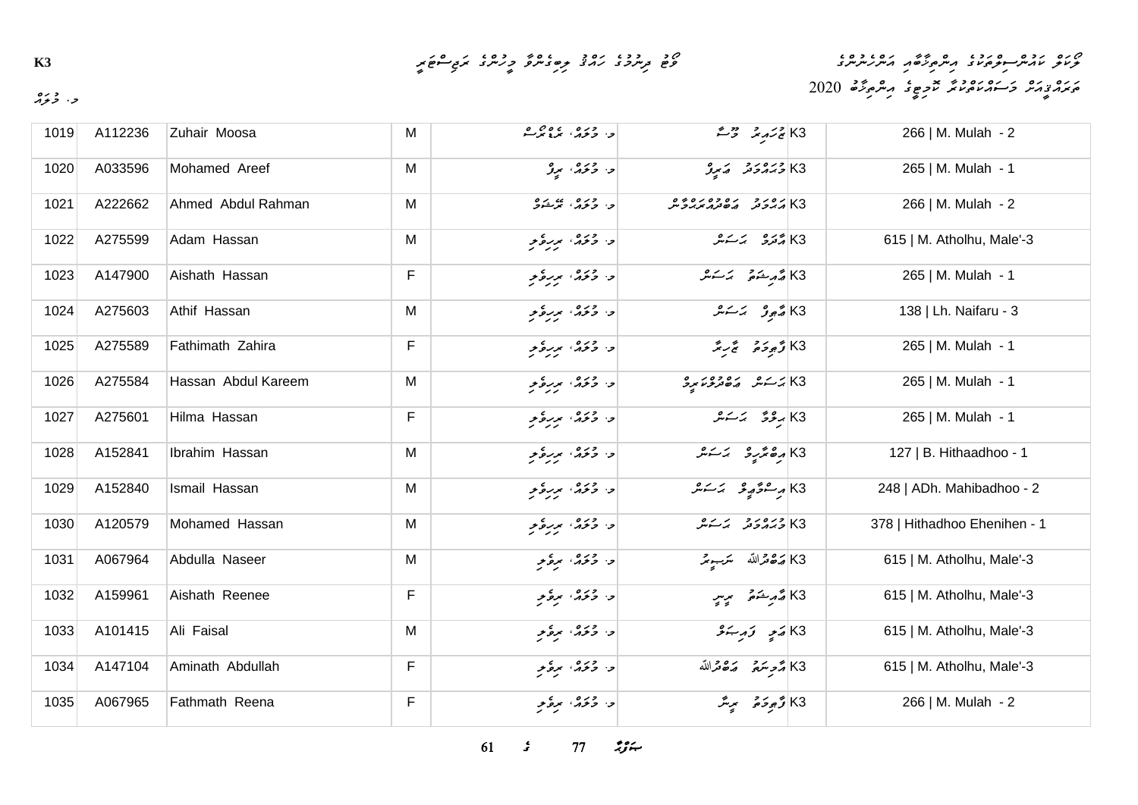*sCw7q7s5w7m< o<n9nOoAw7o< sCq;mAwBoEw7q<m; wBm;vB* م من المرة المرة المرة المرجع المرجع في المركبة 2020<br>مجم*د المريض المربوط المربع المرجع في المراجع المركبة* 

| 1019 | A112236 | Zuhair Moosa        | M           | ور ووه، برومړے        | K3 پی <i>ت</i> ہریمہ تخ <sup>مت</sup>                                                                         | 266   M. Mulah - 2           |
|------|---------|---------------------|-------------|-----------------------|---------------------------------------------------------------------------------------------------------------|------------------------------|
| 1020 | A033596 | Mohamed Areef       | M           | د گروه، برو           | K3   <i>3223 كەيو</i> گ                                                                                       | 265   M. Mulah - 1           |
| 1021 | A222662 | Ahmed Abdul Rahman  | M           | والمتحرم المتخرشون    | K3  مەدرە مەدەرەپەر ئال                                                                                       | 266   M. Mulah - 2           |
| 1022 | A275599 | Adam Hassan         | M           | ه د و ده. مرزه و      | K3 گەترى - ئەسەئىر                                                                                            | 615   M. Atholhu, Male'-3    |
| 1023 | A147900 | Aishath Hassan      | $\mathsf F$ | والمحتوك المرزعج      | K3 <i>مۇم ھۇسىمىتى كەست</i> ىر                                                                                | 265   M. Mulah - 1           |
| 1024 | A275603 | Athif Hassan        | M           | ه د و ده. مرزه و      | K3 گەچ <sub>و</sub> ۋ بەسەنلە                                                                                 | 138   Lh. Naifaru - 3        |
| 1025 | A275589 | Fathimath Zahira    | F           | والمحترج المرزعات     | K3 <i>وَّجوحَ</i> هُمْ سِمَّ                                                                                  | 265   M. Mulah - 1           |
| 1026 | A275584 | Hassan Abdul Kareem | M           | والمحترج بررتمو       | K3 ئەسەمىر مەھ <i>ەر دە</i> برو                                                                               | 265   M. Mulah - 1           |
| 1027 | A275601 | Hilma Hassan        | F           | والمحتمده المرزعو     | K3 برقری - ټر <i>ش</i> ر                                                                                      | 265   M. Mulah - 1           |
| 1028 | A152841 | Ibrahim Hassan      | M           | والمحترج المرزعات     | K3 رەئمەر ئەسەملىرىنى كىلىنىشى ئىسىمىلىكىنى ئىسىمىلىكى ئىسىمىلىكى ئىسىمىلىكى ئىسىمىسى ئىسىمىسى بىلەن ئىسىمىسى | 127   B. Hithaadhoo - 1      |
| 1029 | A152840 | Ismail Hassan       | M           | والمحترج بررتمو       | K3 <sub>م</sub> ېشتۇم تىلى كىسىسىسىتى كىتىلىكى بىر                                                            | 248   ADh. Mahibadhoo - 2    |
| 1030 | A120579 | Mohamed Hassan      | M           | ه د وره برره و        | K3 <i>جەممى بىر يىشى</i>                                                                                      | 378   Hithadhoo Ehenihen - 1 |
| 1031 | A067964 | Abdulla Naseer      | M           | والمحتوها المرةبو     | K3 كَدَهْقْرَاللَّهُ      مَرْسِوِمْرُ                                                                        | 615   M. Atholhu, Male'-3    |
| 1032 | A159961 | Aishath Reenee      | F           | والمحتوك المركامي     | K3 <i>مُذْمِرْ شَوْمُ م</i> َّ سِمِيْدِ                                                                       | 615   M. Atholhu, Male'-3    |
| 1033 | A101415 | Ali Faisal          | M           | ه . و و و الله مورو م | K3 كەير قەرىبكى                                                                                               | 615   M. Atholhu, Male'-3    |
| 1034 | A147104 | Aminath Abdullah    | F           | د. وتحمد موقوم        | K3 مُرْحِ سَمَّة مُصَّفَّرِ اللَّهُ                                                                           | 615   M. Atholhu, Male'-3    |
| 1035 | A067965 | Fathmath Reena      | F           | ه د څخه، برونو        | K3 <i>وَّجودَة</i> مِرِسَّر                                                                                   | 266   M. Mulah - 2           |

 $61$  *s* 77  $23$   $\div$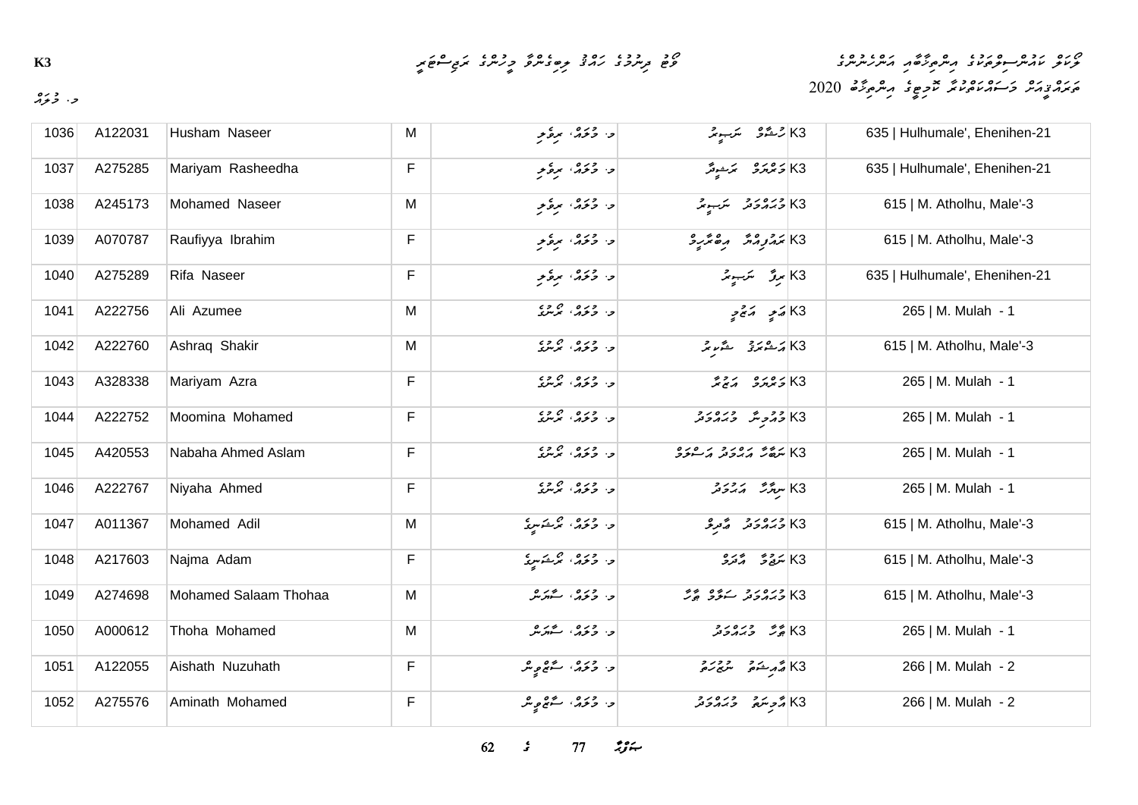*sCw7q7s5w7m< o<n9nOoAw7o< sCq;mAwBoEw7q<m; wBm;vB* م من المرة المرة المرة المرجع المرجع في المركبة 2020<br>مجم*د المريض المربوط المربع المرجع في المراجع المركبة* 

| 1036 | A122031 | Husham Naseer         | M           | د· د دَرَمْ، برهٔ دِ       | K3  رحسم محرسومر                       | 635   Hulhumale', Ehenihen-21 |
|------|---------|-----------------------|-------------|----------------------------|----------------------------------------|-------------------------------|
| 1037 | A275285 | Mariyam Rasheedha     | $\mathsf F$ | والمحتوها المرقامي         | K3 ك <i>ر برگر كر بر برگردگر</i>       | 635   Hulhumale', Ehenihen-21 |
| 1038 | A245173 | Mohamed Naseer        | M           | د. وتوه، بروگر             | K3 <i>وُبَهُ دُو دُ</i> سَرَسِي        | 615   M. Atholhu, Male'-3     |
| 1039 | A070787 | Raufiyya Ibrahim      | $\mathsf F$ | والمحوكة المحافر           | K3 <i>تَمَدُّوِمَّةً مِ</i> صَحَّرٍ حَ | 615   M. Atholhu, Male'-3     |
| 1040 | A275289 | Rifa Naseer           | $\mathsf F$ | ه وتوه، بروتو              | K3 مردٌ - سَرَسومُرُ-                  | 635   Hulhumale', Ehenihen-21 |
| 1041 | A222756 | Ali Azumee            | M           | و. ووه، چوبره              | K3 <i>ڇَوِ پرچ</i> و                   | 265   M. Mulah - 1            |
| 1042 | A222760 | Ashraq Shakir         | M           | و. ووه، چوندی              | K3 كەشقىر ئۇ سەمبەتتى                  | 615   M. Atholhu, Male'-3     |
| 1043 | A328338 | Mariyam Azra          | $\mathsf F$ | ور وره ه وه<br>و وفره، نرس | K3 <i>خىمىدۇ مىي ئ</i>                 | 265   M. Mulah - 1            |
| 1044 | A222752 | Moomina Mohamed       | $\mathsf F$ | د. وړه، شرعه               | K3 دُيْرِمِتْرَ وَيَهْدُونَرَ          | 265   M. Mulah - 1            |
| 1045 | A420553 | Nabaha Ahmed Aslam    | $\mathsf F$ | د. دره، برگرده             | K3 بَرَجَّةَ بِرَبْرَةٍ بِرَبْدِةٍ وَ  | 265   M. Mulah - 1            |
| 1046 | A222767 | Niyaha Ahmed          | $\mathsf F$ | و. ووه، چوند               | K3 سِرْرٌ کَ کَرَکُونَگَر              | 265   M. Mulah - 1            |
| 1047 | A011367 | Mohamed Adil          | M           | د. وده، برخسره             | K3 <i>\$نەۋى گەبو</i> گ                | 615   M. Atholhu, Male'-3     |
| 1048 | A217603 | Najma Adam            | F           | أور وتوها الرحشوري         | K3 يَرْدِحُ مَرْتَزَرُّ                | 615   M. Atholhu, Male'-3     |
| 1049 | A274698 | Mohamed Salaam Thohaa | M           | و. ووه، گەرھ               | K3 دېروبر خوڅ پې <sup>م</sup> ځ        | 615   M. Atholhu, Male'-3     |
| 1050 | A000612 | Thoha Mohamed         | M           | و ووه، گېزی                | K3 چۇ دىمەدد                           | 265   M. Mulah - 1            |
| 1051 | A122055 | Aishath Nuzuhath      | $\mathsf F$ | ه دره گوهر                 | K3 مەم شەم ئىسى مەم ئىس                | 266   M. Mulah - 2            |
| 1052 | A275576 | Aminath Mohamed       | F           | و. وره، سهم مهر            | K3 <i>مُوسَعة حمدودو</i>               | 266   M. Mulah - 2            |

*62 sC 77 nNw?mS*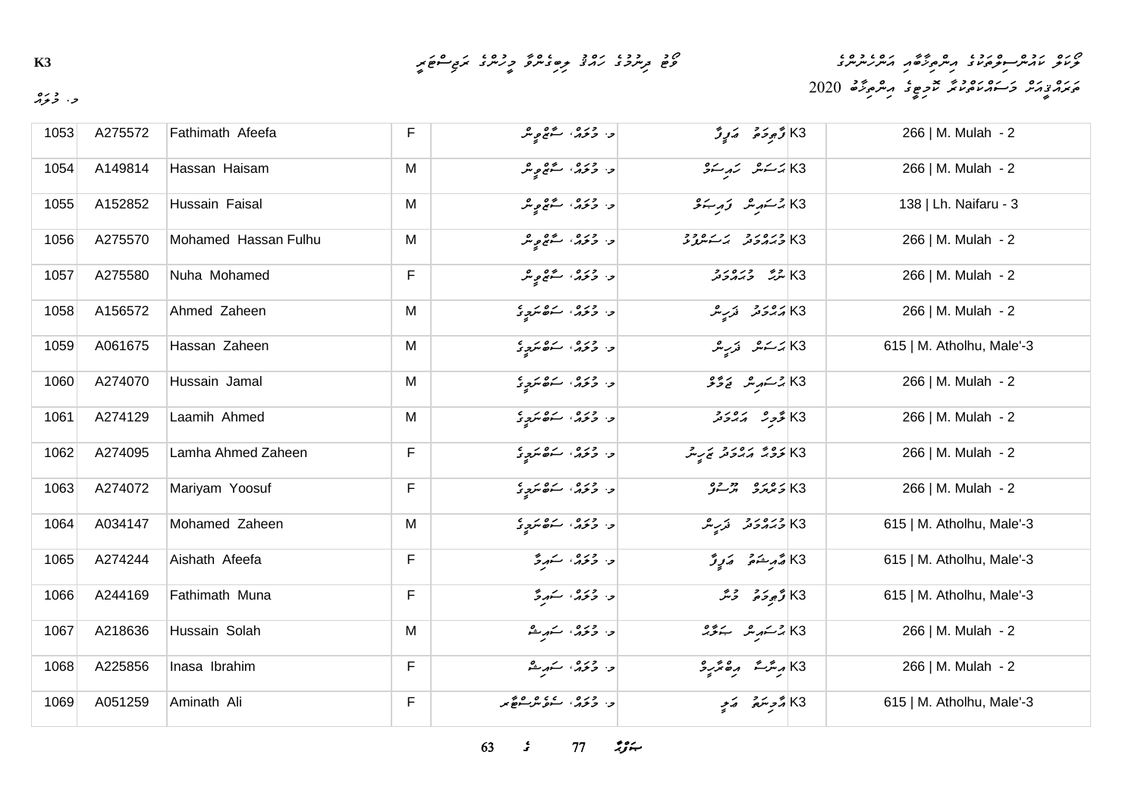*sCw7q7s5w7m< o<n9nOoAw7o< sCq;mAwBoEw7q<m; wBm;vB* م من المرة المرة المرة المرجع المرجع في المركبة 2020<br>مجم*د المريض المربوط المربع المرجع في المراجع المركبة* 

| 1053 | A275572 | Fathimath Afeefa     | F           | د. ژکره، گرگوهر       | K3 <i>وَّجِوحَةُ مَرْدٍوَّ</i>                | 266   M. Mulah - 2        |
|------|---------|----------------------|-------------|-----------------------|-----------------------------------------------|---------------------------|
| 1054 | A149814 | Hassan Haisam        | M           | د. دره، گوهوش         | K3   يَرْسَسُ كَبِرِسَوْ                      | 266   M. Mulah - 2        |
| 1055 | A152852 | Hussain Faisal       | M           | ه دره شخوش            | K3 يُرْسَمبر مَثَّر وَبِرْسَدَوْ              | 138   Lh. Naifaru - 3     |
| 1056 | A275570 | Mohamed Hassan Fulhu | M           | ه دره شخوش            | K3 <i>جەممى ھىرى جەم</i> رىم                  | 266   M. Mulah - 2        |
| 1057 | A275580 | Nuha Mohamed         | $\mathsf F$ | و. وره، سگهچ مگر      | K3 برج وبرورو                                 | 266   M. Mulah - 2        |
| 1058 | A156572 | Ahmed Zaheen         | M           | ور وره دره دره        | K3 <i>ړېږ ترې</i> ش                           | 266   M. Mulah - 2        |
| 1059 | A061675 | Hassan Zaheen        | M           | والمحروم الكوه للرداء | K3  ترسَّسْ قَ <i>رَرِ مَّ</i> رُ             | 615   M. Atholhu, Male'-3 |
| 1060 | A274070 | Hussain Jamal        | M           | والمحرور المتصرور     | K3   يُرْسَمبر مَمْر قَوَرَ وَ                | 266   M. Mulah - 2        |
| 1061 | A274129 | Laamih Ahmed         | M           | ور وره سنه شرور       | K3 تَحْرِرُ <i>مَدْدَمْ</i> رَ                | 266   M. Mulah - 2        |
| 1062 | A274095 | Lamha Ahmed Zaheen   | F           | ور وره دره دره        | K3 ى <i>ؤۋىگە مەندەتى يارى</i> تر             | 266   M. Mulah - 2        |
| 1063 | A274072 | Mariyam Yoosuf       | $\mathsf F$ | ور وره دره دره        | K3 كەبىر بىر يور يور                          | 266   M. Mulah - 2        |
| 1064 | A034147 | Mohamed Zaheen       | M           | وره دره ده دو         | K3 دُبَرْدْدَتْرَ   نَرْرِسْر                 | 615   M. Atholhu, Male'-3 |
| 1065 | A274244 | Aishath Afeefa       | $\mathsf F$ | والمحتوها استهرئ      | K3 صَّمَ <i>ّ <sup>مَ</sup>مَّةٍ صَوِّرَّ</i> | 615   M. Atholhu, Male'-3 |
| 1066 | A244169 | Fathimath Muna       | F           | أوا وقرها استهرق      | K3 <i>وَّجِودَة دُمَّرَ</i>                   | 615   M. Atholhu, Male'-3 |
| 1067 | A218636 | Hussain Solah        | M           | ه وده، سکه شو         | K3 يُرْسَمْ مِيْتَ سِيَوْرُ                   | 266   M. Mulah - 2        |
| 1068 | A225856 | Inasa Ibrahim        | $\mathsf F$ | ه وده، سکه شو         | K3 برى <i>نگەھ بەھەتگەپ</i> ۇ                 | 266   M. Mulah - 2        |
| 1069 | A051259 | Aminath Ali          | F           | وره، دعه وه په        | K3 مُجْرِسَة مَ مَد                           | 615   M. Atholhu, Male'-3 |

*63 sC 77 nNw?mS*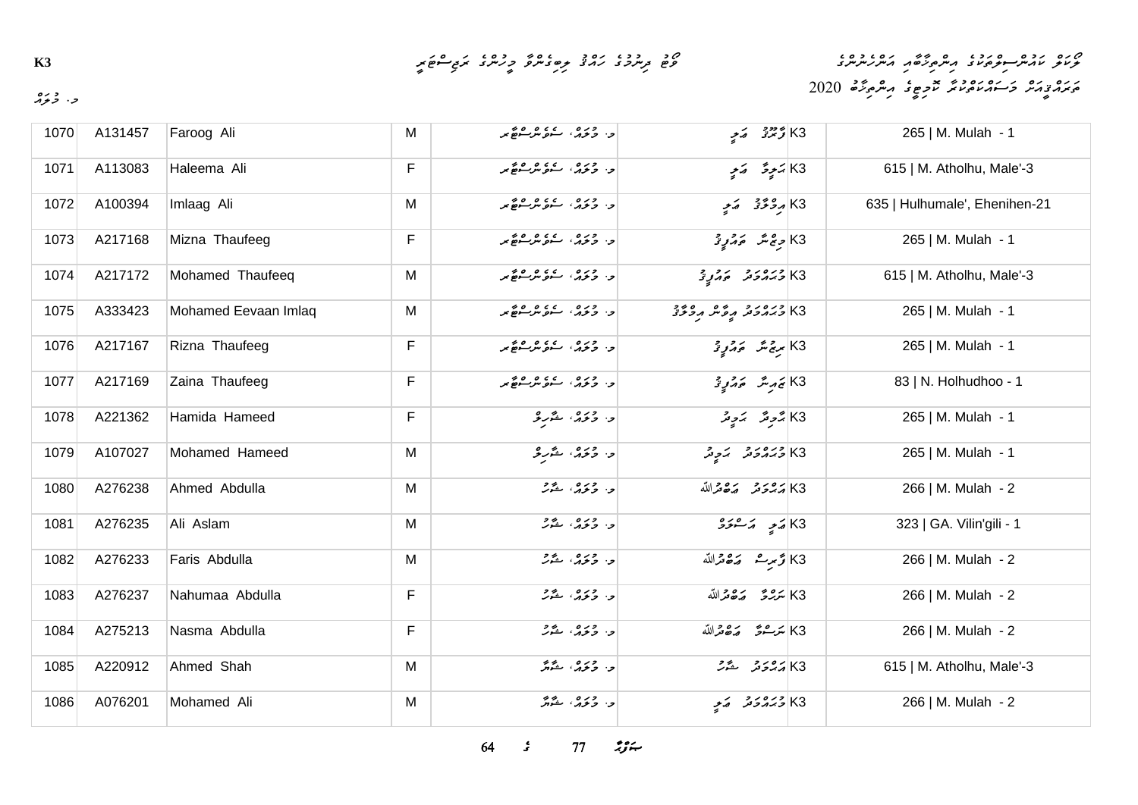*sCw7q7s5w7m< o<n9nOoAw7o< sCq;mAwBoEw7q<m; wBm;vB* م من المرة المرة المرة المرجع المرجع في المركبة 2020<br>مجم*د المريض المربوط المربع المرجع في المراجع المركبة* 

| 1070 | A131457 | Faroog Ali           | M           | ى دىرە، شۇش ھۇير           | K3 <i>وَجَرْةَ مَ</i> حِ                                    | 265   M. Mulah - 1            |
|------|---------|----------------------|-------------|----------------------------|-------------------------------------------------------------|-------------------------------|
| 1071 | A113083 | Haleema Ali          | F           | وا وده، سوه مرشوع بر       | K3 بَر <sub>ْمٍر</sub> تَز مَرْمٍ                           | 615   M. Atholhu, Male'-3     |
| 1072 | A100394 | Imlaag Ali           | M           | د. دره، کوه شرکتونیم       | K3 پروگ <sup>و</sup> ژ ک <i>ړې</i>                          | 635   Hulhumale', Ehenihen-21 |
| 1073 | A217168 | Mizna Thaufeeg       | $\mathsf F$ | والمحمد والمعقوم والمتعاقص | K3 <i>جي چگ جو آرپ</i> وٽر                                  | 265   M. Mulah - 1            |
| 1074 | A217172 | Mohamed Thaufeeq     | M           | ور وره دره ده ورا          | K3 <i>جېزمونتر مومړن</i> و                                  | 615   M. Atholhu, Male'-3     |
| 1075 | A333423 | Mohamed Eevaan Imlaq | M           | و. ووه، ڪوھرڪھير           | K3 <i>وَبَهُ وَبَرْ وِوَّبَرْ و</i> ِوَثَّرَتْهِ            | 265   M. Mulah - 1            |
| 1076 | A217167 | Rizna Thaufeeg       | $\mathsf F$ | ى دىرە، سۇھەستىھىر         | K3 بىرىنى مىر ئەرقىرىتى<br></td <td>265   M. Mulah - 1</td> | 265   M. Mulah - 1            |
| 1077 | A217169 | Zaina Thaufeeg       | $\mathsf F$ | ور وره دعه و ه ه و         | K3 ئىم بىگە ئ <i>وم<sup>3</sup>وپ</i> تى                    | 83   N. Holhudhoo - 1         |
| 1078 | A221362 | Hamida Hameed        | F           | أوا وتوها القرنو           | K3 گەچەم كەچەر                                              | 265   M. Mulah - 1            |
| 1079 | A107027 | Mohamed Hameed       | M           | و. وَوَهُ، شَرَوْ          | K3  ج <i>رَ جگو جو ج</i> گو                                 | 265   M. Mulah - 1            |
| 1080 | A276238 | Ahmed Abdulla        | M           | و. ووه، شګ                 | K3 كەبروتر كەھ قراللە                                       | 266   M. Mulah - 2            |
| 1081 | A276235 | Ali Aslam            | M           | والمحتمده المشرح           | K3  رَمٍ دَ سُنحرَ حَ                                       | 323   GA. Vilin'gili - 1      |
| 1082 | A276233 | Faris Abdulla        | M           | أوا وتوكرا الشرح           | K3 وَمِرِ صَدَّة مَدَّاللَّه                                | 266   M. Mulah - 2            |
| 1083 | A276237 | Nahumaa Abdulla      | $\mathsf F$ | والمحركة المشرح            | K3 يتر <i>برد من ه</i> قرالله                               | 266   M. Mulah - 2            |
| 1084 | A275213 | Nasma Abdulla        | $\mathsf F$ | والمحترق المقرح            | K3 ترْدْدَّ كَمْ صُوْرَاللَّه                               | 266   M. Mulah - 2            |
| 1085 | A220912 | Ahmed Shah           | M           | و. وَوَكْ، شَكْيَرُ        | K3 كەبەد ئەر ئىش <sup>ى</sup> ر                             | 615   M. Atholhu, Male'-3     |
| 1086 | A076201 | Mohamed Ali          | M           | والمحرومي المشكل           | K3  <i>وټرونگر ټې</i>                                       | 266   M. Mulah - 2            |

*64 sC 77 nNw?mS*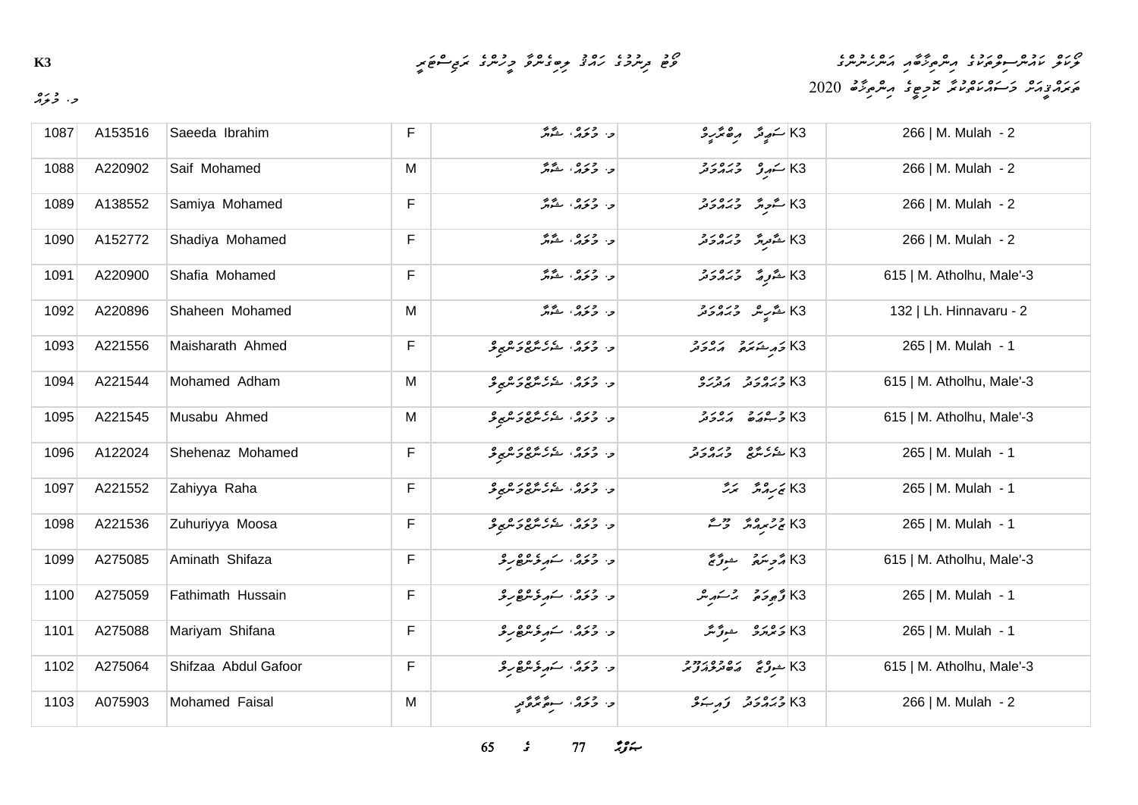*sCw7q7s5w7m< o<n9nOoAw7o< sCq;mAwBoEw7q<m; wBm;vB* م من المرة المرة المرة المرجع المراجع المراجع المراجع المراجع المراجع المراجع المراجع المراجع المراجع المراجع<br>مرين المراجع المراجع المرجع المراجع المراجع المراجع المراجع المراجع المراجع المراجع المراجع المراجع المراجع ال

| 1087 | A153516 | Saeeda Ibrahim       | F           | و٠ ووه، ڪرڙ                                                                                                    | K3 سَمرٍ مَّر مِرْھ مَرْرِدْ        | 266   M. Mulah - 2        |
|------|---------|----------------------|-------------|----------------------------------------------------------------------------------------------------------------|-------------------------------------|---------------------------|
| 1088 | A220902 | Saif Mohamed         | M           | و. وَوَكْ، شَكْتَرُ                                                                                            | K3 سَمبروْ وَبَرْمُ وَمَدْ          | 266   M. Mulah - 2        |
| 1089 | A138552 | Samiya Mohamed       | F           | والمحروم المشكل                                                                                                | K3 جُوبِرٌ وَبَرُودَرٌ              | 266   M. Mulah - 2        |
| 1090 | A152772 | Shadiya Mohamed      | F           | والمحروم المشكل                                                                                                | K3 څومر <i>گر څن</i> ه <i>څو</i> مر | 266   M. Mulah - 2        |
| 1091 | A220900 | Shafia Mohamed       | F           | أورا وتوكدا الشكر                                                                                              | K3 ش <i>ۇرۇ دېم</i> مەدىر           | 615   M. Atholhu, Male'-3 |
| 1092 | A220896 | Shaheen Mohamed      | M           | د. دره، شگر                                                                                                    | K3 څرپر <i>وټه</i> ونر              | 132   Lh. Hinnavaru - 2   |
| 1093 | A221556 | Maisharath Ahmed     | F           | و وره دوره وره و                                                                                               | K3 <i>قەبىشكى مەدە</i> تر           | 265   M. Mulah - 1        |
| 1094 | A221544 | Mohamed Adham        | M           | والمحموم المتحدة والمعاني والمحمدة المحمدة والمحمدة والمحمدة والمحمدة والمحمدة والمحمدة والمحمدة والمحمدة والم | K3 دره در کاردره                    | 615   M. Atholhu, Male'-3 |
| 1095 | A221545 | Musabu Ahmed         | M           | و ووه، څرمربولوړي                                                                                              | $5.201$ $2.002$ $2.03$              | 615   M. Atholhu, Male'-3 |
| 1096 | A122024 | Shehenaz Mohamed     | F           | والمحروم المعدومين والمرجاني                                                                                   | K3 څرنگې <i>د ډو</i> رو             | 265   M. Mulah - 1        |
| 1097 | A221552 | Zahiyya Raha         | $\mathsf F$ | والمحروم المعدومين والمرجوع                                                                                    | K3 ئىرى <i>مىڭ ئىڭ</i>              | 265   M. Mulah - 1        |
| 1098 | A221536 | Zuhuriyya Moosa      | F           | ور ووه، ڪريمپورهي و                                                                                            | $23$ $22$ $8$ $83$                  | 265   M. Mulah - 1        |
| 1099 | A275085 | Aminath Shifaza      | $\mathsf F$ | ه دره، سهردمهورد                                                                                               | K3 مُرْحِبَتَهُمْ سُورٌ يُحَ        | 615   M. Atholhu, Male'-3 |
| 1100 | A275059 | Fathimath Hussain    | F           | والمحكم التمر كالمعاصر                                                                                         | K3 <i>وَّجوحَمْ بِرْسَمْرِ</i> سْر  | 265   M. Mulah - 1        |
| 1101 | A275088 | Mariyam Shifana      | $\mathsf F$ | د دره، سه دهورو                                                                                                | K3 كۆپر <i>ۇ خېرگى</i> گە           | 265   M. Mulah - 1        |
| 1102 | A275064 | Shifzaa Abdul Gafoor | F           | ه د ترکه، سه تورو و د                                                                                          | K3 خو <i>دي مەھەردە د</i>           | 615   M. Atholhu, Male'-3 |
| 1103 | A075903 | Mohamed Faisal       | M           | و وره سوترومر                                                                                                  | K3 دُيَرُودَ وَمِسَوَ               | 266   M. Mulah - 2        |

*65 sC 77 nNw?mS*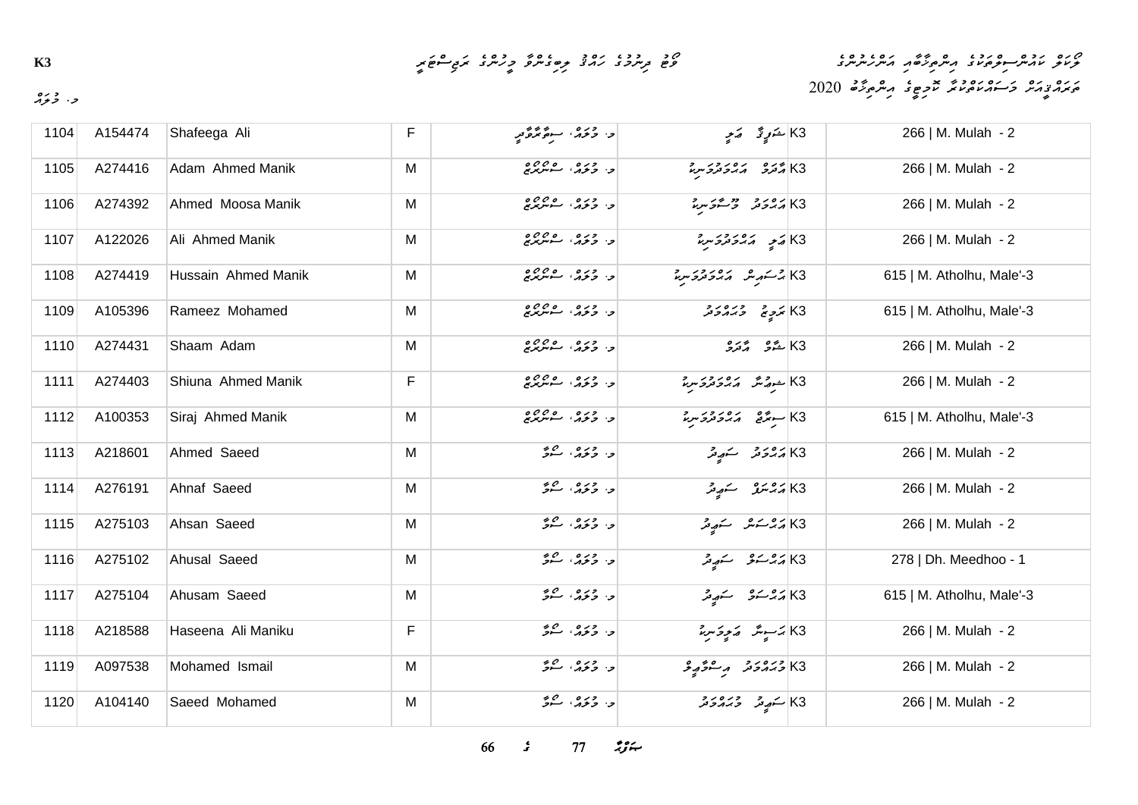*sCw7q7s5w7m< o<n9nOoAw7o< sCq;mAwBoEw7q<m; wBm;vB* م من المرة المرة المرة المرجع المراجع المراجع المراجع المراجع المراجع المراجع المراجع المراجع المراجع المراجع<br>مرين المراجع المراجع المرجع المراجع المراجع المراجع المراجع المراجع المراجع المراجع المراجع المراجع المراجع ال

| 1104 | A154474 | Shafeega Ali        | F | <i>د : د دُه</i> ، سوءٌ مُرَهٌ م <sub>و</sub> | K3 ڪَموِتَر <i>مَ</i> حِرِ                  | 266   M. Mulah - 2        |
|------|---------|---------------------|---|-----------------------------------------------|---------------------------------------------|---------------------------|
| 1105 | A274416 | Adam Ahmed Manik    | M | وره، دوره و                                   | K3 <i>جُمُّرة م</i> حد <i>و مرة</i> سِرة    | 266   M. Mulah - 2        |
| 1106 | A274392 | Ahmed Moosa Manik   | M | ور وره شوره وه                                | $2.222$ $2.25$ $1.3$                        | 266   M. Mulah - 2        |
| 1107 | A122026 | Ali Ahmed Manik     | M | وره دوره وره و                                | K3 كەير كەبمەد <i>قىرى بىرى</i> ق           | 266   M. Mulah - 2        |
| 1108 | A274419 | Hussain Ahmed Manik | м | و. ووه، سه مرضي                               | K3 يُرْسَمْ مِيْتَ مُرْمَرْ وَمُرْدَ سِرْءَ | 615   M. Atholhu, Male'-3 |
| 1109 | A105396 | Rameez Mohamed      | M | وره، ده ۵۵۵۰                                  | K3 بَرَجٍ حَ مَرَ مَرَّ مَرَّ               | 615   M. Atholhu, Male'-3 |
| 1110 | A274431 | Shaam Adam          | M | و. ووه، ڪشمپر                                 | K3 څ <i>و ډېرو</i>                          | 266   M. Mulah - 2        |
| 1111 | A274403 | Shiuna Ahmed Manik  | F | ور وره ده ۵۵۵                                 | K3 جوړنگر اوبر د ترکو سربر                  | 266   M. Mulah - 2        |
| 1112 | A100353 | Siraj Ahmed Manik   | M | و. ووه، سه مرضي                               | K3 سو <i>مرَّة مركز دُوَ مرير</i>           | 615   M. Atholhu, Male'-3 |
| 1113 | A218601 | Ahmed Saeed         | M | د. ووه، سکو                                   | K3 كەبرى ئىر سىمبرىتى (                     | 266   M. Mulah - 2        |
| 1114 | A276191 | Ahnaf Saeed         | M | والمحوكما الكافح                              | K3 كەبرىترى كەر قىر                         | 266   M. Mulah - 2        |
| 1115 | A275103 | Ahsan Saeed         | M | د. د دي. گ                                    | K3 كەبۇسكەنلەر سك <i>ەپەنل</i>              | 266   M. Mulah - 2        |
| 1116 | A275102 | Ahusal Saeed        | M | و. ووه، سکو                                   | K3 كەبۇسىگى سى <i>مپى</i> تى                | 278   Dh. Meedhoo - 1     |
| 1117 | A275104 | Ahusam Saeed        | M | د. ووه، سکو                                   | K3 كەبۇسىگى سى <i>مپى</i> تر                | 615   M. Atholhu, Male'-3 |
| 1118 | A218588 | Haseena Ali Maniku  | F | د. د دي. گ                                    | K3 كەسپەنگە كەمچەكەس <i>رى</i> قە           | 266   M. Mulah - 2        |
| 1119 | A097538 | Mohamed Ismail      | M | د. د د کار کار                                | K3 <i>دېمم</i> ونر برگر <i>گړ</i> و         | 266   M. Mulah - 2        |
| 1120 | A104140 | Saeed Mohamed       | M | و. و و دار منگر                               | K3 س <i>َموِيْر وَبَرُوُد</i> ِّر           | 266   M. Mulah - 2        |

*66 sC 77 nNw?mS*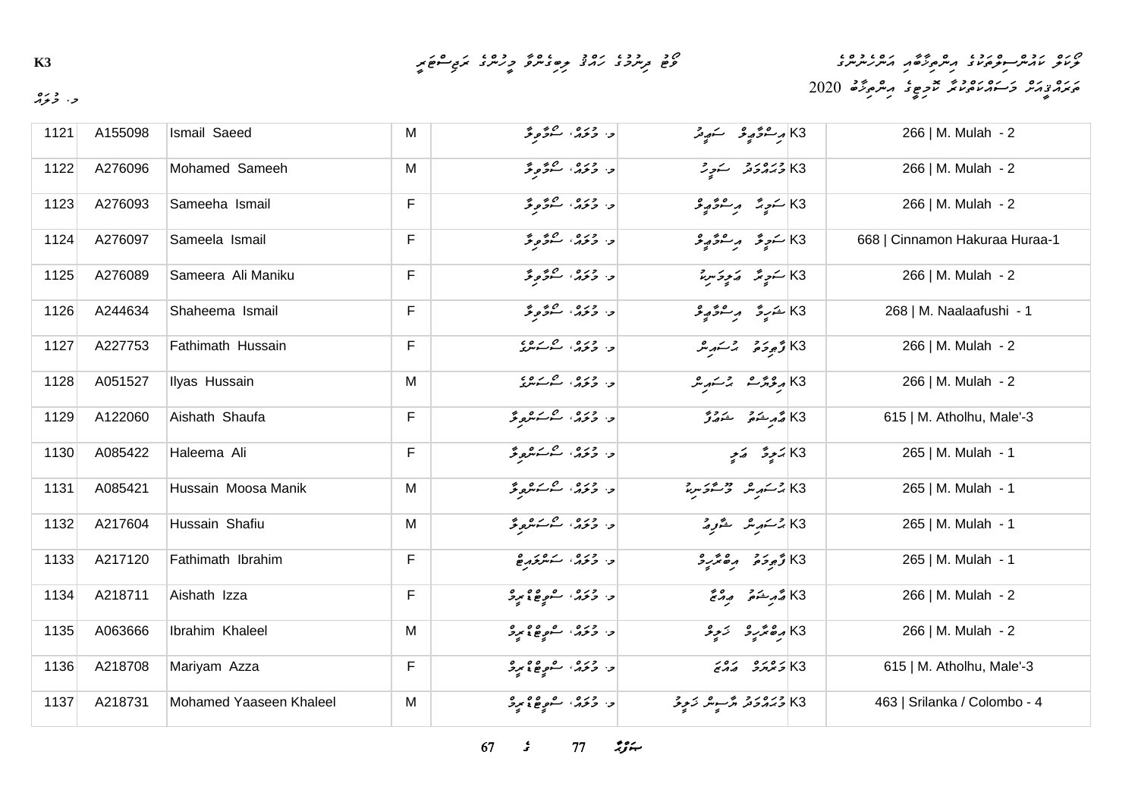*sCw7q7s5w7m< o<n9nOoAw7o< sCq;mAwBoEw7q<m; wBm;vB* م من المرة المرة المرة المرجع المراجع المراجع المراجع المراجع المراجع المراجع المراجع المراجع المراجع المراجع<br>مرين المراجع المراجع المرجع المراجع المراجع المراجع المراجع المراجع المراجع المراجع المراجع المراجع المراجع ال

| 1121 | A155098 | <b>Ismail Saeed</b>     | M           | د· د ده، شوگوځه       | K3 م <i>ې</i> شۇمۇ سەمەتر                     | 266   M. Mulah - 2             |
|------|---------|-------------------------|-------------|-----------------------|-----------------------------------------------|--------------------------------|
| 1122 | A276096 | Mohamed Sameeh          | M           | د. دره، گوگونو        | K3 <i>ڈیزون</i> وٹر س <i>کو</i> ڑ             | 266   M. Mulah - 2             |
| 1123 | A276093 | Sameeha Ismail          | F           | د. دىدە، شۇھۇ         | K3 خوپر مرگو <i>گو</i> ی ک                    | 266   M. Mulah - 2             |
| 1124 | A276097 | Sameela Ismail          | $\mathsf F$ | و. ووه، ڪوڻوڻو        | K3 جَرِءٌ مِ سُءُمٍ وُ                        | 668   Cinnamon Hakuraa Huraa-1 |
| 1125 | A276089 | Sameera Ali Maniku      | $\mathsf F$ | و. ووه، ڪوڻوڻو        | K3 سَوِيرٌ <sub>مَ</sub> وِدَ <sub>س</sub> رة | 266   M. Mulah - 2             |
| 1126 | A244634 | Shaheema Ismail         | F           | د. دره، گوگونو        | K3 خَرِيَّ مِرْ مُوَّمِرٍ \$                  | 268   M. Naalaafushi - 1       |
| 1127 | A227753 | Fathimath Hussain       | F           | و. ووه، کے کے معندی   | K3 <i>ۋ<sub>ې</sub>وخۇ بىغىدى</i> ر           | 266   M. Mulah - 2             |
| 1128 | A051527 | Ilyas Hussain           | M           | و. ووه، کے کے مرد ع   | K3 مەمگەر ئەسىر ئىسكەر بىر                    | 266   M. Mulah - 2             |
| 1129 | A122060 | Aishath Shaufa          | $\mathsf F$ | و و و ده کرکره و گر   | K3 مُرِيدَة شَمَرَتَرَ                        | 615   M. Atholhu, Male'-3      |
| 1130 | A085422 | Haleema Ali             | F           | و و دوه، کے کامونگر   | K3 ټر <sub>م</sub> وگ ک <i>ړې</i>             | 265   M. Mulah - 1             |
| 1131 | A085421 | Hussain Moosa Manik     | M           | و و دوه، کے کے عرو    | K3 يُرْسَمَ مِيْرٌ وَمُسَتَّحَ <i>سِ</i> رَ   | 265   M. Mulah - 1             |
| 1132 | A217604 | Hussain Shafiu          | M           | و و دور، ساسکورو د    | K3 يُرْسَمب <sup>9</sup> شَوْرِيْرُ           | 265   M. Mulah - 1             |
| 1133 | A217120 | Fathimath Ibrahim       | $\mathsf F$ | والمحروم سكروكموها    | K3 <i>وَجوحَمْ بِرەڭرى</i> گ                  | 265   M. Mulah - 1             |
| 1134 | A218711 | Aishath Izza            | F           | و و و وه عوظ و ده و   | K3 مەم ئىقتىم مەم ئىچ                         | 266   M. Mulah - 2             |
| 1135 | A063666 | Ibrahim Khaleel         | M           | د. د دو. شوه، مرد     | K3 <sub>م</sub> ەنگەپى ئە <b>پ</b> ى          | 266   M. Mulah - 2             |
| 1136 | A218708 | Mariyam Azza            | $\mathsf F$ | و. و دُور، سوءٍ ۽ برد | $62.2$ $57.3$ $83$                            | 615   M. Atholhu, Male'-3      |
| 1137 | A218731 | Mohamed Yaaseen Khaleel | M           | د. د دو. شوه، مرد     | K3 <i>وُبَرُوْدُو وُسِيِسْ دَوِدْ</i>         | 463   Srilanka / Colombo - 4   |

*67 sC 77 nNw?mS*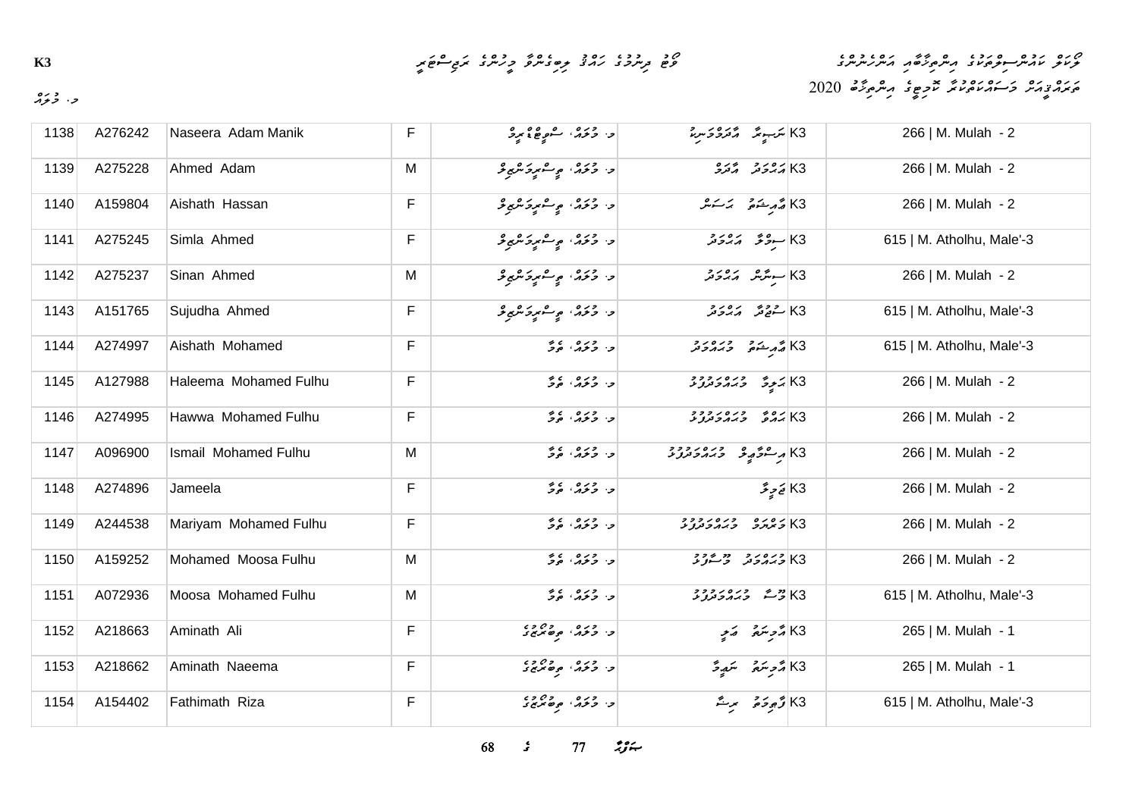*sCw7q7s5w7m< o<n9nOoAw7o< sCq;mAwBoEw7q<m; wBm;vB* م من المرة المرة المرة المرجع المراجع المراجع المراجع المراجع المراجع المراجع المراجع المراجع المراجع المراجع<br>مرين المراجع المراجع المرجع المراجع المراجع المراجع المراجع المراجع المراجع المراجع المراجع المراجع المراجع ال

| 1138 | A276242 | Naseera Adam Manik    | F           | د. ژکره، سوه علامرد                                                                                                                                                                                                                                                                                                          | K3 ىئزىبوب <i>ىڭ مۇنىۋې تېرىن</i>                                     | 266   M. Mulah - 2        |
|------|---------|-----------------------|-------------|------------------------------------------------------------------------------------------------------------------------------------------------------------------------------------------------------------------------------------------------------------------------------------------------------------------------------|-----------------------------------------------------------------------|---------------------------|
| 1139 | A275228 | Ahmed Adam            | M           | د و دوه، موسورو شهو                                                                                                                                                                                                                                                                                                          | K3 كەبر <i>ۇنىڭ مەنى</i> ر <i>ى</i>                                   | 266   M. Mulah - 2        |
| 1140 | A159804 | Aishath Hassan        | F           | ه د و وه، م سورو شهو د                                                                                                                                                                                                                                                                                                       | K3  م <i>ۇم ھۇم بىر سەنگ</i> ر                                        | 266   M. Mulah - 2        |
| 1141 | A275245 | Simla Ahmed           | $\mathsf F$ | ه د و وه، م سورو شهو د                                                                                                                                                                                                                                                                                                       | K3 جوءً <i>525 د</i>                                                  | 615   M. Atholhu, Male'-3 |
| 1142 | A275237 | Sinan Ahmed           | M           | د دره، پر شهرد شهر                                                                                                                                                                                                                                                                                                           | K3 سو <i>مترین پر دی</i> وتر                                          | 266   M. Mulah - 2        |
| 1143 | A151765 | Sujudha Ahmed         | $\mathsf F$ | د و دوه، محسور شهو                                                                                                                                                                                                                                                                                                           | K3 جوفر <i>مردون</i> ر                                                | 615   M. Atholhu, Male'-3 |
| 1144 | A274997 | Aishath Mohamed       | F           | والمتحرق المحافر                                                                                                                                                                                                                                                                                                             | K3 مەم شەھ بىر دىر دىر                                                | 615   M. Atholhu, Male'-3 |
| 1145 | A127988 | Haleema Mohamed Fulhu | $\mathsf F$ | 55.25.7                                                                                                                                                                                                                                                                                                                      | K3 يَرِوٌ وَيَرْدُونُونَ                                              | 266   M. Mulah - 2        |
| 1146 | A274995 | Hawwa Mohamed Fulhu   | $\mathsf F$ | 50.055.5                                                                                                                                                                                                                                                                                                                     | K3 زەم دىرەردود                                                       | 266   M. Mulah - 2        |
| 1147 | A096900 | Ismail Mohamed Fulhu  | M           | 55.25.7                                                                                                                                                                                                                                                                                                                      | K3 <sub>م</sub> ر مۇم <sub>ب</sub> ۇ ئەر ئەر ئىلىرى ئىلىرى ئىلىرى ئىل | 266   M. Mulah - 2        |
| 1148 | A274896 | Jameela               | $\mathsf F$ | و٠ وتور، ء و                                                                                                                                                                                                                                                                                                                 | K3 تخ <sub>ح</sub> و گ                                                | 266   M. Mulah - 2        |
| 1149 | A244538 | Mariyam Mohamed Fulhu | $\mathsf F$ | و· وتوه، ءو                                                                                                                                                                                                                                                                                                                  | K3 د وړه ورورو ووو                                                    | 266   M. Mulah - 2        |
| 1150 | A159252 | Mohamed Moosa Fulhu   | M           | 50.015.5                                                                                                                                                                                                                                                                                                                     | K3 دره در در در                                                       | 266   M. Mulah - 2        |
| 1151 | A072936 | Moosa Mohamed Fulhu   | M           | و ووه، وو                                                                                                                                                                                                                                                                                                                    | 5322012 محرور ووورو در ورو                                            | 615   M. Atholhu, Male'-3 |
| 1152 | A218663 | Aminath Ali           | $\mathsf F$ | د دره ده در<br>د ونور، موه مرد د                                                                                                                                                                                                                                                                                             | K3 مُجِسَعَةً صَعِ                                                    | 265   M. Mulah - 1        |
| 1153 | A218662 | Aminath Naeema        | F           | $\begin{bmatrix} 1 & 0 & 0 & 0 & 0 & 0 \\ 0 & 0 & 0 & 0 & 0 \\ 0 & 0 & 0 & 0 & 0 \\ 0 & 0 & 0 & 0 & 0 \\ 0 & 0 & 0 & 0 & 0 \\ 0 & 0 & 0 & 0 & 0 \\ 0 & 0 & 0 & 0 & 0 \\ 0 & 0 & 0 & 0 & 0 \\ 0 & 0 & 0 & 0 & 0 \\ 0 & 0 & 0 & 0 & 0 \\ 0 & 0 & 0 & 0 & 0 \\ 0 & 0 & 0 & 0 & 0 \\ 0 & 0 & 0 & 0 & 0 \\ 0 & 0 & 0 & 0 & 0 \\ $ | K3 مُتَّحِسَّعَ سَمِيعًا                                              | 265   M. Mulah - 1        |
| 1154 | A154402 | Fathimath Riza        | $\mathsf F$ | $\begin{bmatrix} 0 & 0 & 0 & 0 & 0 & 0 \\ 0 & 0 & 0 & 0 & 0 & 0 \\ 0 & 0 & 0 & 0 & 0 & 0 \\ 0 & 0 & 0 & 0 & 0 & 0 \\ 0 & 0 & 0 & 0 & 0 & 0 \\ 0 & 0 & 0 & 0 & 0 & 0 \\ 0 & 0 & 0 & 0 & 0 & 0 \\ 0 & 0 & 0 & 0 & 0 & 0 \\ 0 & 0 & 0 & 0 & 0 & 0 \\ 0 & 0 & 0 & 0 & 0 & 0 & 0 \\ 0 & 0 & 0 & 0 & 0 & 0 & 0 \\ 0 & 0 & 0 & $    | K3 <i>وَّجودَة</i> برِتَّة                                            | 615   M. Atholhu, Male'-3 |

*68 sC 77 nNw?mS*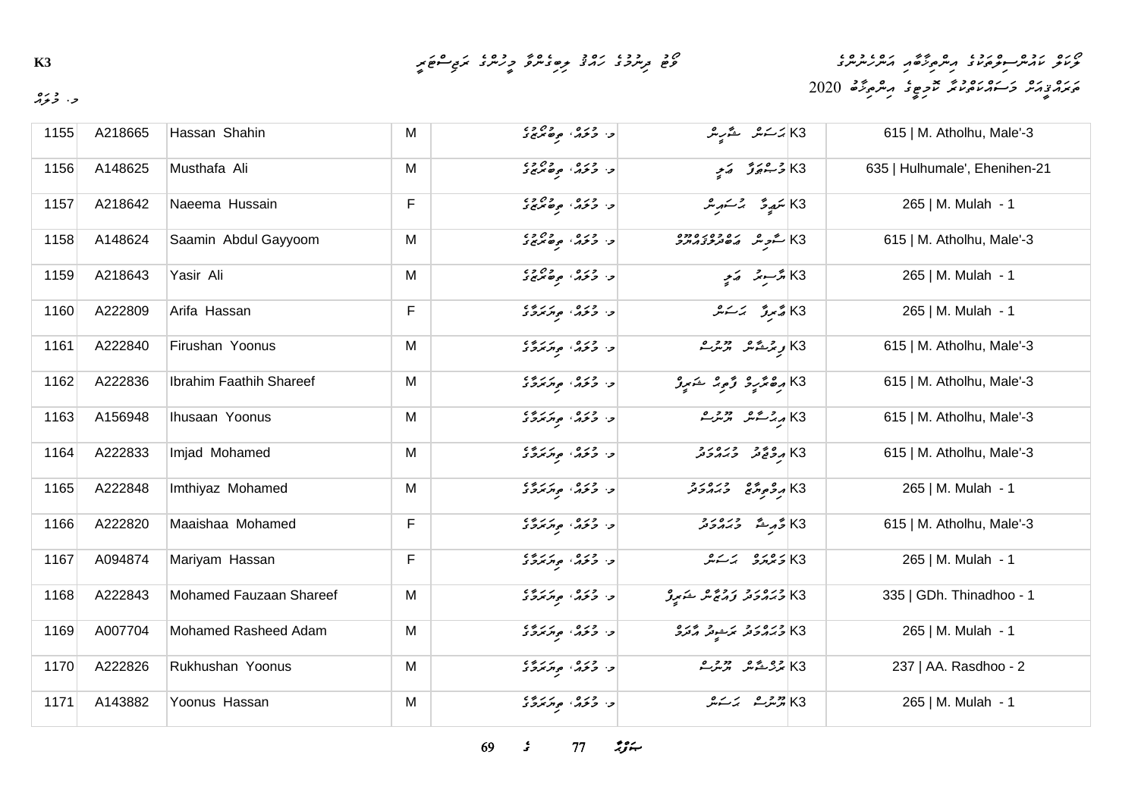*sCw7q7s5w7m< o<n9nOoAw7o< sCq;mAwBoEw7q<m; wBm;vB* م من المرة المرة المرة المرجع المراجع المراجع المراجع المراجع المراجع المراجع المراجع المراجع المراجع المراجع<br>مرين المراجع المراجع المرجع المراجع المراجع المراجع المراجع المراجع المراجع المراجع المراجع المراجع المراجع ال

| 1155 | A218665 | Hassan Shahin           | M | و . وره<br>و . و وه، محمد پرو                                                                                                                                                                                                                                                                                                                               | K3   پرستريمبر مستم <i>رينر</i>                                                                      | 615   M. Atholhu, Male'-3     |
|------|---------|-------------------------|---|-------------------------------------------------------------------------------------------------------------------------------------------------------------------------------------------------------------------------------------------------------------------------------------------------------------------------------------------------------------|------------------------------------------------------------------------------------------------------|-------------------------------|
| 1156 | A148625 | Musthafa Ali            | M |                                                                                                                                                                                                                                                                                                                                                             | K3 څ <i>ېڅوڅ خې</i>                                                                                  | 635   Hulhumale', Ehenihen-21 |
| 1157 | A218642 | Naeema Hussain          | F | $\begin{array}{cc} c > 0 & 0 & c > 0 \\ c : & \mathcal{C} \times \mathcal{A} \end{array}$                                                                                                                                                                                                                                                                   | K3 بت <sub>م</sub> يرد - جر شرير                                                                     | 265   M. Mulah - 1            |
| 1158 | A148624 | Saamin Abdul Gayyoom    | M |                                                                                                                                                                                                                                                                                                                                                             | K3 گروش مەھىر <i>ە دەرە</i>                                                                          | 615   M. Atholhu, Male'-3     |
| 1159 | A218643 | Yasir Ali               | M | $\begin{array}{cc} c > C > & 0 \; / \; > \\ c > C \; \times \; \mathcal{O} & \mathcal{O} \end{array} \quad , \begin{array}{c} \mathcal{O} \; / \; > \\ \mathcal{O} \; \times \; \mathcal{O} & \mathcal{O} \end{array} \quad , \begin{array}{c} \mathcal{O} \; / \; > \\ \mathcal{O} \; \times \; \mathcal{O} & \mathcal{O} \end{array} \quad , \end{array}$ | K3 پڑے پڑ کی پر                                                                                      | 265   M. Mulah - 1            |
| 1160 | A222809 | Arifa Hassan            | F | و و وه. و پر ده و                                                                                                                                                                                                                                                                                                                                           | K3 گەيرۇ كەسكەش                                                                                      | 265   M. Mulah - 1            |
| 1161 | A222840 | Firushan Yoonus         | M | و· وره ، وتربرون                                                                                                                                                                                                                                                                                                                                            | K3 بو برسته شرکت انداز می برد.<br>ا                                                                  | 615   M. Atholhu, Male'-3     |
| 1162 | A222836 | Ibrahim Faathih Shareef | M | ور وره<br>ور ونور، ج در بروی                                                                                                                                                                                                                                                                                                                                | K3 مەھەرىرى ئ <i>ۆم</i> ە خىمبىر                                                                     | 615   M. Atholhu, Male'-3     |
| 1163 | A156948 | Ihusaan Yoonus          | M | ور وره په دروه                                                                                                                                                                                                                                                                                                                                              | K3 مەيرىشىش مەيرىشى                                                                                  | 615   M. Atholhu, Male'-3     |
| 1164 | A222833 | Imjad Mohamed           | M | כי כיכת' החיניבי                                                                                                                                                                                                                                                                                                                                            | K3 موقع ورەرو<br>K3 موقع ورموس                                                                       | 615   M. Atholhu, Male'-3     |
| 1165 | A222848 | Imthiyaz Mohamed        | M | כי כיכת' החיניבי                                                                                                                                                                                                                                                                                                                                            | K3 موجود محمد المعدد و حمد المستخدم المستخدم المستخدم المستخدم المستخدم المستخدم المستخدم المستخدم ا | 265   M. Mulah - 1            |
| 1166 | A222820 | Maaishaa Mohamed        | F | و وره پرده                                                                                                                                                                                                                                                                                                                                                  | K3 وَمِثْہٗ وَيَمُوَمَّرُ                                                                            | 615   M. Atholhu, Male'-3     |
| 1167 | A094874 | Mariyam Hassan          | F | ور وره په دروه                                                                                                                                                                                                                                                                                                                                              | K3 كەبىر بەر يەر يەر يەر بىر ئاسىر                                                                   | 265   M. Mulah - 1            |
| 1168 | A222843 | Mohamed Fauzaan Shareef | M | ور وره په دروه                                                                                                                                                                                                                                                                                                                                              | K3 <i>ويرورو ووي ش ختيرو</i>                                                                         | 335   GDh. Thinadhoo - 1      |
| 1169 | A007704 | Mohamed Rasheed Adam    | M | ور وره<br>ور ونور، ج در بروی                                                                                                                                                                                                                                                                                                                                | K3 <i>وَبَهُ وَبَوْ</i> بَرَسُوِيْرَ مُرْتَزَرُ                                                      | 265   M. Mulah - 1            |
| 1170 | A222826 | Rukhushan Yoonus        | M | و· وره ، وتربرون                                                                                                                                                                                                                                                                                                                                            | K3 برازشگاندار از براز می                                                                            | 237   AA. Rasdhoo - 2         |
| 1171 | A143882 | Yoonus Hassan           | M | و و وه. و پر ده و                                                                                                                                                                                                                                                                                                                                           | K3 ټريز پر ټر ټرين پر                                                                                | 265   M. Mulah - 1            |

*69 sC 77 nNw?mS*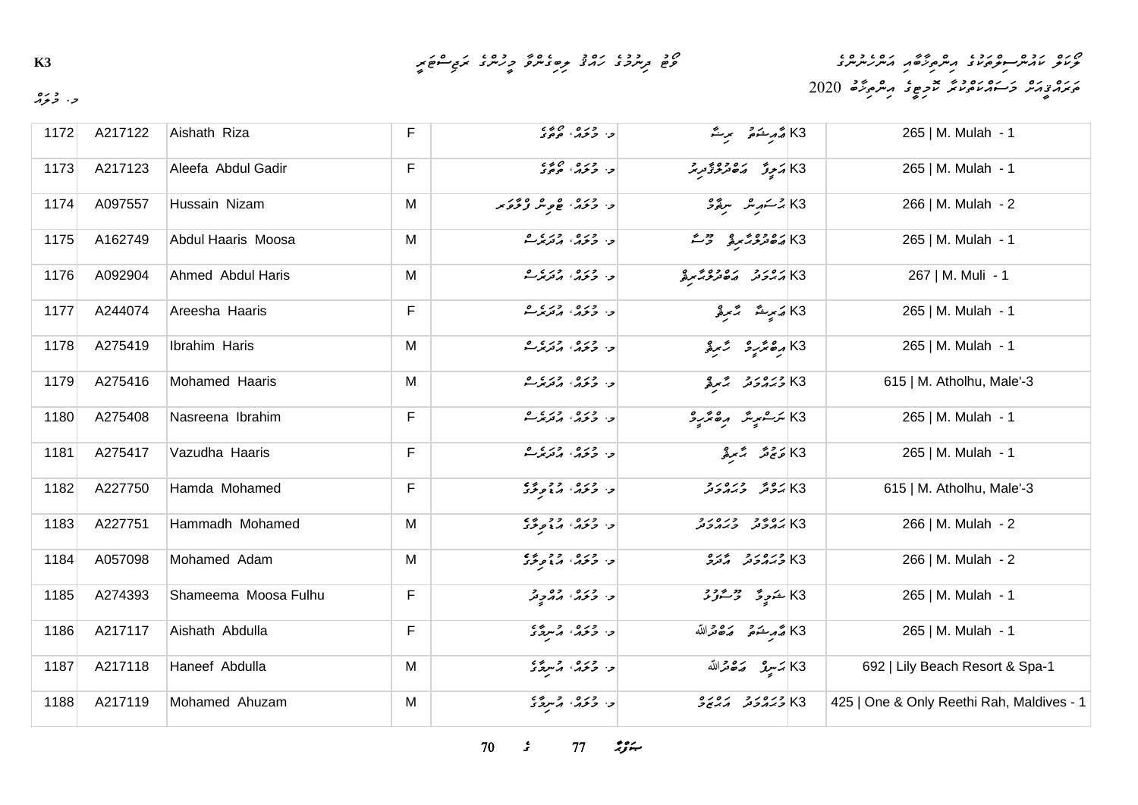*sCw7q7s5w7m< o<n9nOoAw7o< sCq;mAwBoEw7q<m; wBm;vB* م من المرة المرة المرة المرجع المراجع المراجع المراجع المراجع المراجع المراجع المراجع المراجع المراجع المراجع<br>مرين المراجع المراجع المرجع المراجع المراجع المراجع المراجع المراجع المراجع المراجع المراجع المراجع المراجع ال

| 1172 | A217122 | Aishath Riza         | F           | כי כיכרי יסיביב<br>כי כי <i>ברי יס</i> פיב                                                                                                                                                                                                                                                                                      | K3 صَّمِرِ شَمَّعَ مَّ سِنَّہُ            | 265   M. Mulah - 1                        |
|------|---------|----------------------|-------------|---------------------------------------------------------------------------------------------------------------------------------------------------------------------------------------------------------------------------------------------------------------------------------------------------------------------------------|-------------------------------------------|-------------------------------------------|
| 1173 | A217123 | Aleefa Abdul Gadir   | $\mathsf F$ | $\begin{array}{cc} 0 & 0 & 0 & 0 \\ 0 & 0 & 0 & 0 \\ 0 & 0 & 0 & 0 \\ 0 & 0 & 0 & 0 \\ 0 & 0 & 0 & 0 \\ 0 & 0 & 0 & 0 \\ 0 & 0 & 0 & 0 \\ 0 & 0 & 0 & 0 \\ 0 & 0 & 0 & 0 \\ 0 & 0 & 0 & 0 \\ 0 & 0 & 0 & 0 \\ 0 & 0 & 0 & 0 \\ 0 & 0 & 0 & 0 & 0 \\ 0 & 0 & 0 & 0 & 0 \\ 0 & 0 & 0 & 0 & 0 \\ 0 & 0 & 0 & 0 & 0 \\ 0 & 0 & 0 &$ | K3 كەمرى <i>گە كەھەر ئۇتوپىر</i>          | 265   M. Mulah - 1                        |
| 1174 | A097557 | Hussain Nizam        | M           | والمحركما المحافيل وتحاويمه                                                                                                                                                                                                                                                                                                     |                                           | 266   M. Mulah - 2                        |
| 1175 | A162749 | Abdul Haaris Moosa   | M           | و٠ ووه، مترترے                                                                                                                                                                                                                                                                                                                  | K3 كەھەر <i>ۋە جۇ</i> م ق                 | 265   M. Mulah - 1                        |
| 1176 | A092904 | Ahmed Abdul Haris    | M           | و . و و و . و د بر عرب                                                                                                                                                                                                                                                                                                          | K3 كەبرو بەھ <i>مەھ بوبۇ بىر ئ</i>        | 267   M. Muli - 1                         |
| 1177 | A244074 | Areesha Haaris       | F           | و . و و و . و . و . و .                                                                                                                                                                                                                                                                                                         | K3 كەمرىش گەمرى <sub>ۋە</sub>             | 265   M. Mulah - 1                        |
| 1178 | A275419 | Ibrahim Haris        | M           | و٠ ووه، مترترے                                                                                                                                                                                                                                                                                                                  | K3 م <i>وڭ ئۇرۇ گىرۇ</i>                  | 265   M. Mulah - 1                        |
| 1179 | A275416 | Mohamed Haaris       | M           | و . و و و . و د بر عرب                                                                                                                                                                                                                                                                                                          | K3 د <i>برود د</i> سمبر                   | 615   M. Atholhu, Male'-3                 |
| 1180 | A275408 | Nasreena Ibrahim     | F           | و . و و و . و . و . و .                                                                                                                                                                                                                                                                                                         | K3 ىترىشمېرى <i>گە مەھەتگەي</i> گە        | 265   M. Mulah - 1                        |
| 1181 | A275417 | Vazudha Haaris       | F           | و٠ وتور، دېرېږگ                                                                                                                                                                                                                                                                                                                 | K3 كونج محر مجمعرفو                       | 265   M. Mulah - 1                        |
| 1182 | A227750 | Hamda Mohamed        | F           | وره وو وو<br>وسرحمد الملاحِمى                                                                                                                                                                                                                                                                                                   | K3 يَرْوَشُ وَيَرْمُرُونَرْ               | 615   M. Atholhu, Male'-3                 |
| 1183 | A227751 | Hammadh Mohamed      | M           | ور و ده.<br>ور و بوړ، مرغ و بور                                                                                                                                                                                                                                                                                                 | K3 ג'ה כנסיב                              | 266   M. Mulah - 2                        |
| 1184 | A057098 | Mohamed Adam         | M           |                                                                                                                                                                                                                                                                                                                                 | K3 ديرە دىر ئەرە                          | 266   M. Mulah - 2                        |
| 1185 | A274393 | Shameema Moosa Fulhu | F           | و ونور، ممدح تر                                                                                                                                                                                                                                                                                                                 | K3 خورمًا وحرَّثَرَ تَرَ                  | 265   M. Mulah - 1                        |
| 1186 | A217117 | Aishath Abdulla      | F           | و. ووه، مسروره                                                                                                                                                                                                                                                                                                                  | K3 مَ <i>ذْمِ</i> شَمَعْ مَدَّةَ لَّلَّهُ | 265   M. Mulah - 1                        |
| 1187 | A217118 | Haneef Abdulla       | M           | و. ووه، مسروره                                                                                                                                                                                                                                                                                                                  | K3 بَرْسِيْرٌ      بَرْصُوْرَاللّهِ       | 692   Lily Beach Resort & Spa-1           |
| 1188 | A217119 | Mohamed Ahuzam       | M           | و ووه، چسروی                                                                                                                                                                                                                                                                                                                    | $22222$ $2222$                            | 425   One & Only Reethi Rah, Maldives - 1 |

*70 sC 77 nNw?mS*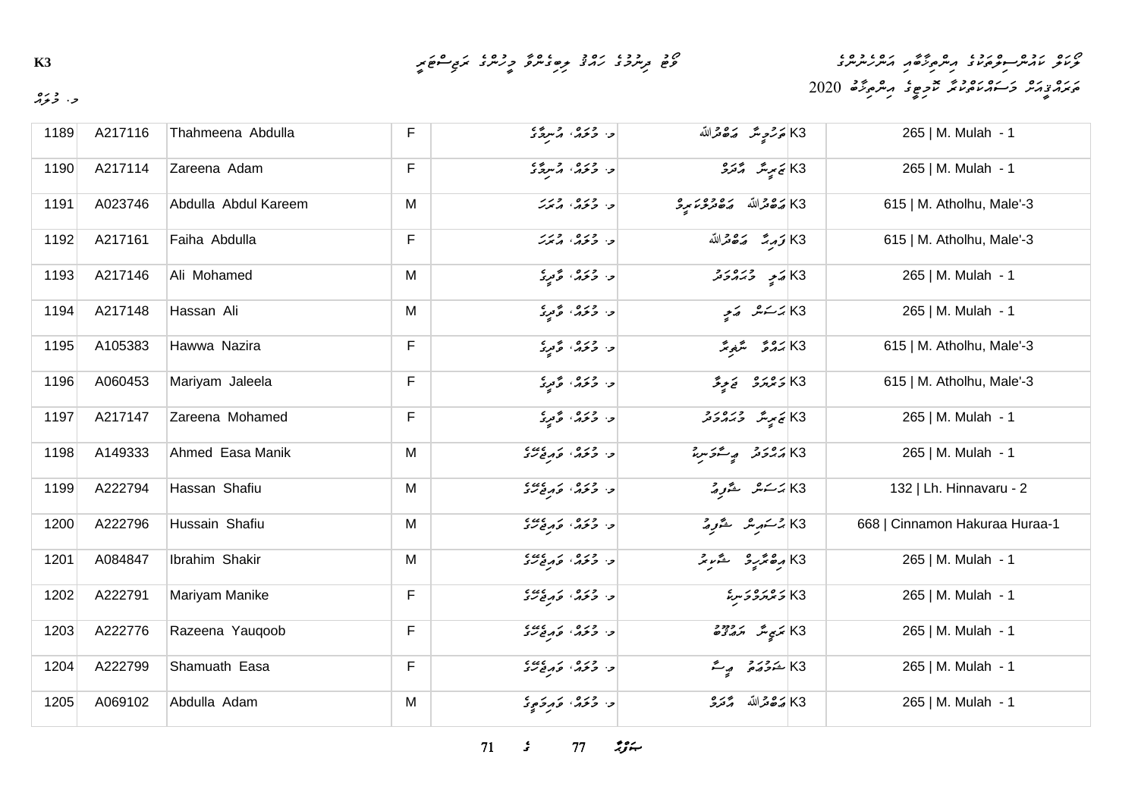*sCw7q7s5w7m< o<n9nOoAw7o< sCq;mAwBoEw7q<m; wBm;vB* م من المرة المرة المرة المرجع المراجع المراجع المراجع المراجع المراجع المراجع المراجع المراجع المراجع المراجع<br>مرين المراجع المراجع المرجع المراجع المراجع المراجع المراجع المراجع المراجع المراجع المراجع المراجع المراجع ال

| 1189 | A217116 | Thahmeena Abdulla    | F           | و وده، مسرد د              | K3 كورحي متر كور كانتي كانتيا بين الم      | 265   M. Mulah - 1             |
|------|---------|----------------------|-------------|----------------------------|--------------------------------------------|--------------------------------|
| 1190 | A217114 | Zareena Adam         | F           | د. وده، مسرده              | K3 ى <sub>ح</sub> موسى مگ <i>ىرى</i>       | 265   M. Mulah - 1             |
| 1191 | A023746 | Abdulla Abdul Kareem | M           | والمحرقماء فمتركز          | K3 مَەھمَراللە مەھ <i>مرى م</i> وق         | 615   M. Atholhu, Male'-3      |
| 1192 | A217161 | Faiha Abdulla        | $\mathsf F$ | والمتحص ودر                | K3 قَرَمِدَّ صَدَّدَاللَّه                 | 615   M. Atholhu, Male'-3      |
| 1193 | A217146 | Ali Mohamed          | M           | و . و تو چه ، محمود        | K3 كەبىر ب <sup>ور</sup> دىگر              | 265   M. Mulah - 1             |
| 1194 | A217148 | Hassan Ali           | M           | و . و تو په ، و توری       | K3   پرسته که مح <b>ر</b> م                | 265   M. Mulah - 1             |
| 1195 | A105383 | Hawwa Nazira         | F           | و . و و ه . و . و          | K3 ئەيرقە ش <sub>ەنب</sub> ىر              | 615   M. Atholhu, Male'-3      |
| 1196 | A060453 | Mariyam Jaleela      | F           | و . و و په هم و در         | K3 كۆپرى قىم <i>م</i> ىگە                  | 615   M. Atholhu, Male'-3      |
| 1197 | A217147 | Zareena Mohamed      | F           | د. وتوه، وٌمير             | K3 ى <sub>م</sub> ېرى <i>گ دېمم</i> ۇنر    | 265   M. Mulah - 1             |
| 1198 | A149333 | Ahmed Easa Manik     | M           | ه دره عدد .                | K3 كەبروتىر ب <sub>ە</sub> ستۇسرى <i>ن</i> | 265   M. Mulah - 1             |
| 1199 | A222794 | Hassan Shafiu        | M           | ور وره<br>ور ونور، وديوري  | K3 بز <i>کشور شگور</i> ژ                   | 132   Lh. Hinnavaru - 2        |
| 1200 | A222796 | Hussain Shafiu       | M           | ور وره که دوره             | K3 پرستمبر شگور <sup>2</sup>               | 668   Cinnamon Hakuraa Huraa-1 |
| 1201 | A084847 | Ibrahim Shakir       | M           | ور وره<br>ور ونژه، وَدِين  | K3 مەھە <i>مگەي</i> ر ھەممىسى ئى           | 265   M. Mulah - 1             |
| 1202 | A222791 | Mariyam Manike       | F           | ور وره که دی د             | K3 كەچرىرى <i>كەبىرى</i> ك                 | 265   M. Mulah - 1             |
| 1203 | A222776 | Razeena Yauqoob      | F           | ور وره<br>ور ونژه، وَدِي ر | K3 <i>تدېږ ترویزه</i>                      | 265   M. Mulah - 1             |
| 1204 | A222799 | Shamuath Easa        | F           | ه دره عدده                 | K3 خ <i>ەۋەۋە بې</i> گ                     | 265   M. Mulah - 1             |
| 1205 | A069102 | Abdulla Adam         | M           | و ويوه، وَدِوْمٍى          | K3 مَەھىراللە م <i>ەترى</i>                | 265   M. Mulah - 1             |

 $71$  *s*  $77$   $23$   $\div$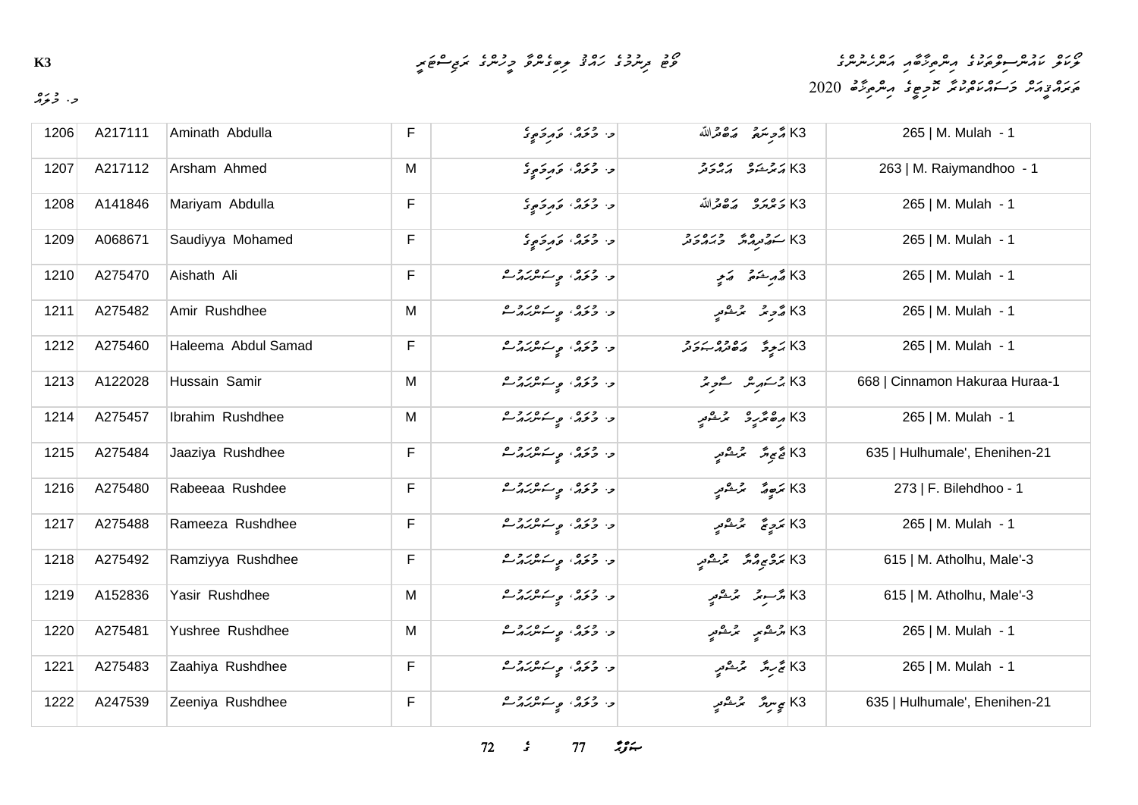*sCw7q7s5w7m< o<n9nOoAw7o< sCq;mAwBoEw7q<m; wBm;vB* م من المرة المرة المرة المرجع المراجع المراجع المراجع المراجع المراجع المراجع المراجع المراجع المراجع المراجع<br>مرين المراجع المراجع المرجع المراجع المراجع المراجع المراجع المراجع المراجع المراجع المراجع المراجع المراجع ال

| 1206 | A217111 | Aminath Abdulla     | F           | و· د د وړه کورکوري       | K3 مُرْحِ سَرَة مُ مُرَكَّلاً لله                       | 265   M. Mulah - 1             |
|------|---------|---------------------|-------------|--------------------------|---------------------------------------------------------|--------------------------------|
| 1207 | A217112 | Arsham Ahmed        | м           | والمحروم كمدكرة          | K3 كەيمرىشكى كەندىر تەر                                 | 263   M. Raiymandhoo - 1       |
| 1208 | A141846 | Mariyam Abdulla     | F           | و ويوه، وَدِوْمٍى        | K3 كربر مركز مركات الله                                 | 265   M. Mulah - 1             |
| 1209 | A068671 | Saudiyya Mohamed    | $\mathsf F$ | و. وره، ورومود           | K3 شەمەمەر 250.00                                       | 265   M. Mulah - 1             |
| 1210 | A275470 | Aishath Ali         | F           | و وی و عشرته             | K3 مەم ھەم ھەم                                          | 265   M. Mulah - 1             |
| 1211 | A275482 | Amir Rushdhee       | M           | د وتور، وب مرد ده        | K3 م <i>مَّحِ بمَّ</i> مَحْسُورِ                        | 265   M. Mulah - 1             |
| 1212 | A275460 | Haleema Abdul Samad | F           | د و دور، و سکردر م       | K3 يَر <i>وِدُ جَـ هُ مُرَ جَرَ جَ</i>                  | 265   M. Mulah - 1             |
| 1213 | A122028 | Hussain Samir       | M           | و وی و عشرته             | K3 پرستهر ش ستمویژ                                      | 668   Cinnamon Hakuraa Huraa-1 |
| 1214 | A275457 | Ibrahim Rushdhee    | M           | و وی و عشرته             | K3 م <i>ەھترى</i> رى مرشور                              | 265   M. Mulah - 1             |
| 1215 | A275484 | Jaaziya Rushdhee    | F           | ور و ده، و سکردار و ه    | K3 قَمَّعٍ مَّرْ مَرْشُورٍ                              | 635   Hulhumale', Ehenihen-21  |
| 1216 | A275480 | Rabeeaa Rushdee     | $\mathsf F$ | والمحرق ويتمرزها         | K3 <i>بَرْھِ ۾َ</i> - بُرُڪْ <sup>م</sup> ِرِ           | 273   F. Bilehdhoo - 1         |
| 1217 | A275488 | Rameeza Rushdhee    | F           | ور و و و په کار د هر د ه | K3 <i>مَرْحٍ کَمْ مُرْتَّدُّمْرٍ</i>                    | 265   M. Mulah - 1             |
| 1218 | A275492 | Ramziyya Rushdhee   | $\mathsf F$ | ور و ده، و سکردار و ه    | K3 <i>تروّج م<sup>8</sup>مرَ</i> مرَش <sub>ورِ</sub>    | 615   M. Atholhu, Male'-3      |
| 1219 | A152836 | Yasir Rushdhee      | M           | د و دور، و سکردر م       | K3 مرَّسومَدُ مَرْتَقَامِرِ                             | 615   M. Atholhu, Male'-3      |
| 1220 | A275481 | Yushree Rushdhee    | M           | و وتور، وب مرد ده        | K3 <sub>م</sub> رْڪ <sub>ر</sub> پر برُڪر <sub>پر</sub> | 265   M. Mulah - 1             |
| 1221 | A275483 | Zaahiya Rushdhee    | F           | و . و و په عبد د کرد و ه | K3 تج س <i>رمگر</i> محر مشور <sub>م</sub>               | 265   M. Mulah - 1             |
| 1222 | A247539 | Zeeniya Rushdhee    | F           | و وی و عرص در ده         | K3 <sub>مج</sub> سرتهٔ گرش <sup>و</sup> ندٍ             | 635   Hulhumale', Ehenihen-21  |

*72 sC 77 nNw?mS*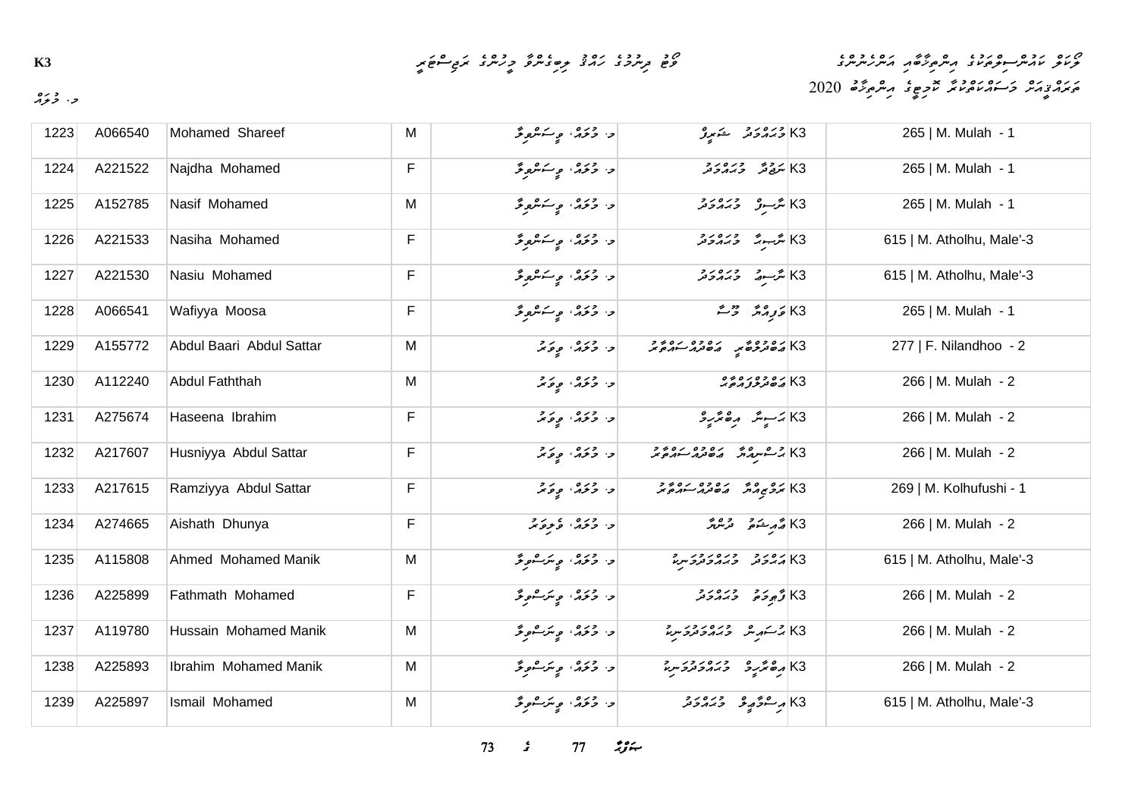*sCw7q7s5w7m< o<n9nOoAw7o< sCq;mAwBoEw7q<m; wBm;vB* **2020**<br>*په محمد الله عليه الله عليه الله عليه الله عليه الأولاد المصرية الدولاد المصرية العليه المصرية العليه المصرية* 

| 1223 | A066540 | Mohamed Shareef          | M           | د و و در پر سور د        | K3 <i>ڈیزوڈو شمیرو</i>                               | 265   M. Mulah - 1        |
|------|---------|--------------------------|-------------|--------------------------|------------------------------------------------------|---------------------------|
| 1224 | A221522 | Najdha Mohamed           | F           | د. وتوه، وٍ خسموتٌ       | K3 يَرْمِعُ مَنْ مَرْمُومَ                           | 265   M. Mulah - 1        |
| 1225 | A152785 | Nasif Mohamed            | M           | د. وَوَه، وِسَسْمِوَّ    | K3 بترجو <i>ز وبرودو</i>                             | 265   M. Mulah - 1        |
| 1226 | A221533 | Nasiha Mohamed           | $\mathsf F$ | د. وَوَه، وِسَسْمِوَّ    | K3 ترجيد <i>محدد دو</i>                              | 615   M. Atholhu, Male'-3 |
| 1227 | A221530 | Nasiu Mohamed            | F           | والمحرقما لمح سكرهم في   | K3 بترجيه وبره در                                    | 615   M. Atholhu, Male'-3 |
| 1228 | A066541 | Wafiyya Moosa            | F           | والمحرق ويتمنعون         | K3 ك <i>ۈچ<sup>ى</sup> جى</i> گە                     | 265   M. Mulah - 1        |
| 1229 | A155772 | Abdul Baari Abdul Sattar | M           | أوا وتخارا ووتر          | K3 הפכפי הפנה הבנה הפי                               | 277   F. Nilandhoo - 2    |
| 1230 | A112240 | Abdul Faththah           | M           | والمحتوازا وتحامر        | K3 پره وه پره پره<br>K3 پره تربرتو پرموبر            | 266   M. Mulah - 2        |
| 1231 | A275674 | Haseena Ibrahim          | F           | و . و و ده، و و بر       | K3 ئەسەن <i>ىگە مەھەتگەي</i> ى                       | 266   M. Mulah - 2        |
| 1232 | A217607 | Husniyya Abdul Sattar    | F           | و وی و در                | K3 200000 2000000000                                 | 266   M. Mulah - 2        |
| 1233 | A217615 | Ramziyya Abdul Sattar    | $\mathsf F$ | د ويه، وويز              | 5201 מפי 2007 בשנת 2201                              | 269   M. Kolhufushi - 1   |
| 1234 | A274665 | Aishath Dhunya           | F           | والمحركما كالمروجر       | K3 مەم ئىكتەم قىرىنى <i>گە</i>                       | 266   M. Mulah - 2        |
| 1235 | A115808 | Ahmed Mohamed Manik      | M           | د· وتوه، وٍ سَرَكْوتَوْ  | K3 ג'בציג בג'ו בינצייני                              | 615   M. Atholhu, Male'-3 |
| 1236 | A225899 | Fathmath Mohamed         | F           | و: وَوَه، وٍسَرَ شَوِوَّ | K3 <i>وَّجِوَدُو وَبَهُ</i> وَمَرُ                   | 266   M. Mulah - 2        |
| 1237 | A119780 | Hussain Mohamed Manik    | M           | والمحترق، ويترسكونج      | K3 يُرْسَمْ مِرْ وَيُرْمُ وَتَرَوْسُ مِرْدَ          | 266   M. Mulah - 2        |
| 1238 | A225893 | Ibrahim Mohamed Manik    | M           | أوا وتحكما أو يترسكونج   | K3 مەھمەد ئەمەدە ئىرە ئىرىد                          | 266   M. Mulah - 2        |
| 1239 | A225897 | Ismail Mohamed           | M           | د· وتوه، وٍ سَرَكْوتَوْ  | K3 <sub>م</sub> رعۇم <sub>ي</sub> ۇ ئ <i>ېگەدى</i> ر | 615   M. Atholhu, Male'-3 |

*73 sC 77 nNw?mS*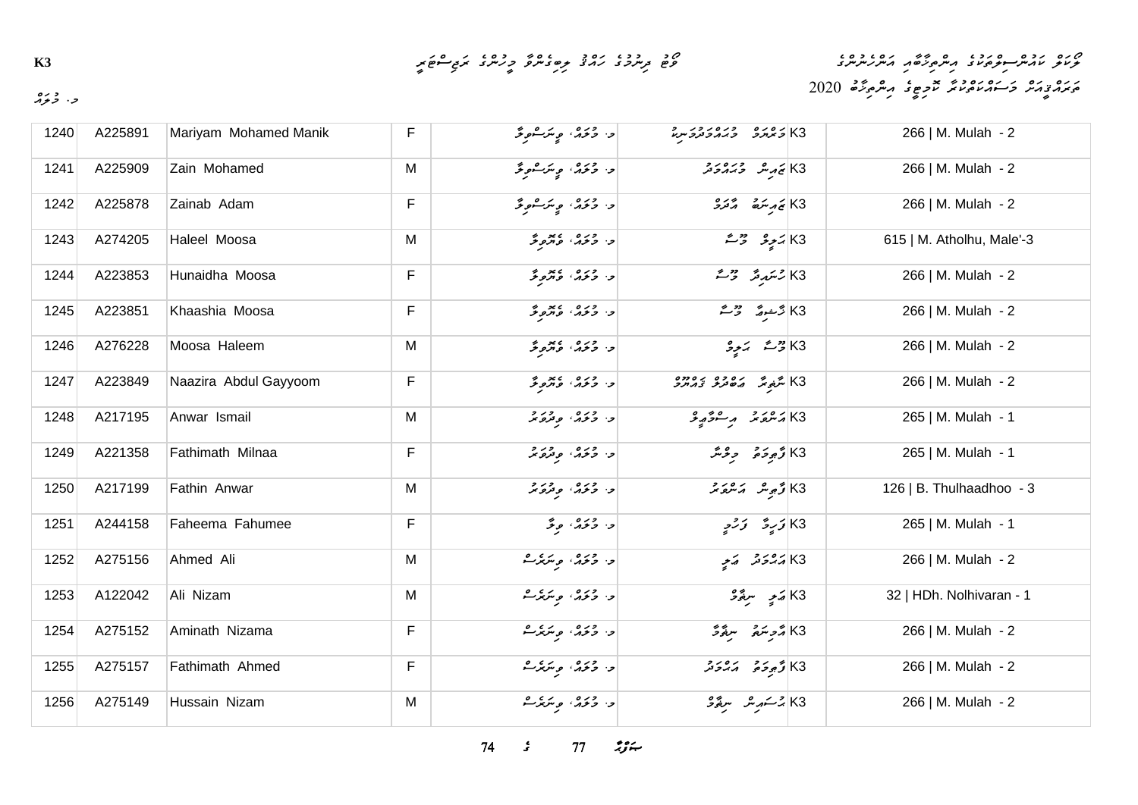*sCw7q7s5w7m< o<n9nOoAw7o< sCq;mAwBoEw7q<m; wBm;vB* **2020**<br>*په محمد الله عليه الله عليه الله عليه الله عليه الأولاد المصرية الدولاد المصرية العليه المصرية العليه المصرية* 

| 1240 | A225891 | Mariyam Mohamed Manik | F           | و: وَوَكْرٌ، وٍسَرَسُووٌ                                                                              | K3 במחב כממכתבית 2                                     | 266   M. Mulah - 2        |
|------|---------|-----------------------|-------------|-------------------------------------------------------------------------------------------------------|--------------------------------------------------------|---------------------------|
| 1241 | A225909 | Zain Mohamed          | M           | و· وَوَهُ، وِسَرْسُووٌ                                                                                | K3 يَومِسْ وَيَمْدُونَرْ                               | 266   M. Mulah - 2        |
| 1242 | A225878 | Zainab Adam           | $\mathsf F$ | د· وَوَكَّ، وِسَرَحْوِرٌ                                                                              | K3 تج م <i>جد مقرقر</i>                                | 266   M. Mulah - 2        |
| 1243 | A274205 | Haleel Moosa          | M           | والمحرور المعرفي                                                                                      | K3 كەربى تەسىم                                         | 615   M. Atholhu, Male'-3 |
| 1244 | A223853 | Hunaidha Moosa        | $\mathsf F$ | ور وره عبود و                                                                                         | K3 پر پیر تھ تھا۔<br>                                  | 266   M. Mulah - 2        |
| 1245 | A223851 | Khaashia Moosa        | $\mathsf F$ | ور وره عبود و                                                                                         | K3 اِگْسُوهٌ وَ"گ                                      | 266   M. Mulah - 2        |
| 1246 | A276228 | Moosa Haleem          | M           | والمحروم المميح وترجد تخر                                                                             | K3 گرمنگ - ټرمونځ                                      | 266   M. Mulah - 2        |
| 1247 | A223849 | Naazira Abdul Gayyoom | $\mathsf F$ | ور وره عبو و علم الله علم الله علم الله الله علم الله علم الله علم الله علم الله علم الله علم الله عل | K3 تَتَّهِ تَرَّ مُقْرَّحِ وَمَعْرَفَ مَنْ الْمَرْحَدِ | 266   M. Mulah - 2        |
| 1248 | A217195 | Anwar Ismail          | M           | و وی و ورو                                                                                            | K3 كەشھەتمە بەس <i>ەۋەپ</i> ى                          | 265   M. Mulah - 1        |
| 1249 | A221358 | Fathimath Milnaa      | $\mathsf F$ | و وی و ورو                                                                                            | K3  <i>وَّجِوَدَة</i> وِعْسً                           | 265   M. Mulah - 1        |
| 1250 | A217199 | Fathin Anwar          | M           | و· وتحمد المعلومة                                                                                     | K3 رَّ <sub>جو</sub> سْ مَسْعَ <i>دَ</i>               | 126   B. Thulhaadhoo - 3  |
| 1251 | A244158 | Faheema Fahumee       | $\mathsf F$ | والمحترش جرقم                                                                                         | K3 كۆرىچە كەر <i>گى</i> چ                              | 265   M. Mulah - 1        |
| 1252 | A275156 | Ahmed Ali             | M           | والمحروم ويتربره                                                                                      | K3 كەبۇر <i>5 كەي</i>                                  | 266   M. Mulah - 2        |
| 1253 | A122042 | Ali Nizam             | M           | والمحركرة ويتربرك                                                                                     | K3 كەمچە س <i>ىۋ</i> ۇ                                 | 32   HDh. Nolhivaran - 1  |
| 1254 | A275152 | Aminath Nizama        | $\mathsf F$ | والمحروم ويتربره                                                                                      | K3 مُّحِسَمَةٌ سِمَّةٌ ۖ                               | 266   M. Mulah - 2        |
| 1255 | A275157 | Fathimath Ahmed       | F           | والمحرور ويتربره                                                                                      | K3 وَجِعَة مَدَوَمَرَ                                  | 266   M. Mulah - 2        |
| 1256 | A275149 | Hussain Nizam         | M           | و با و ده و سربر ع                                                                                    | K3 يُرْسَمبر سُر سِيَّرْدُ عَلَيْ                      | 266   M. Mulah - 2        |

*74 sC 77 nNw?mS*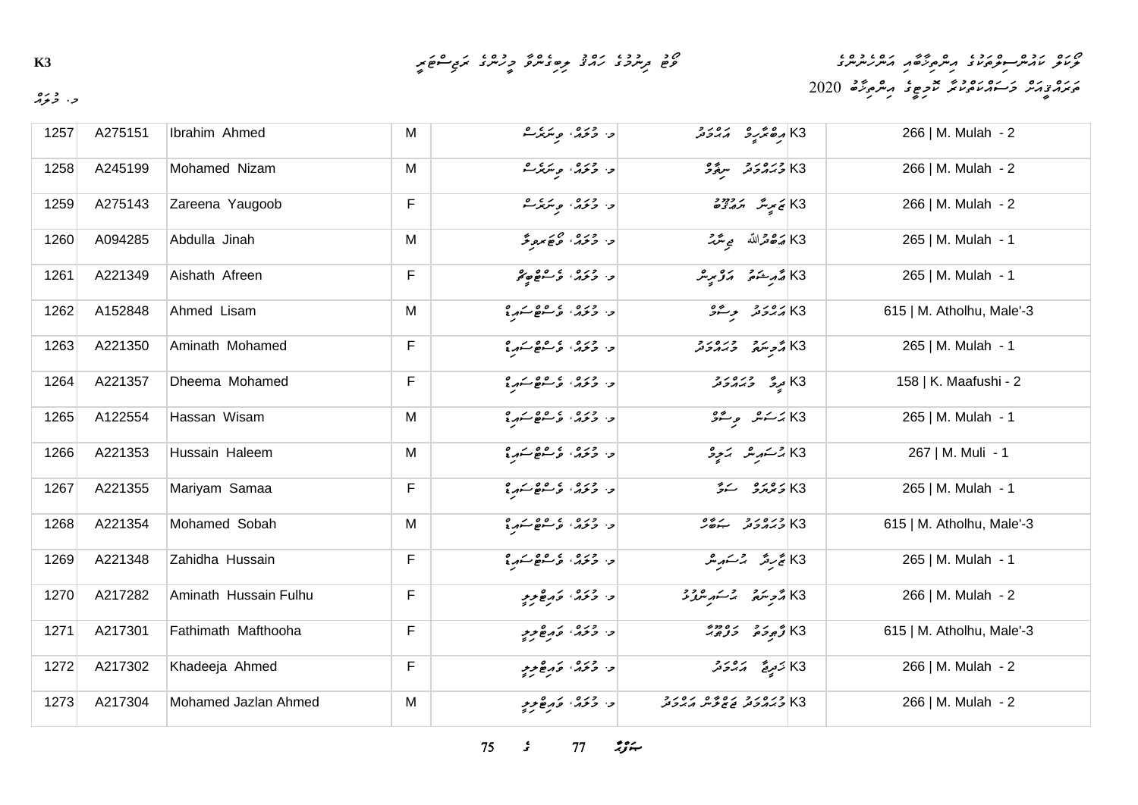*sCw7q7s5w7m< o<n9nOoAw7o< sCq;mAwBoEw7q<m; wBm;vB* **2020**<br>*په محمد الله عليه الله عليه الله عليه الله عليه الأولاد المصرية الدولاد المصرية العليه المصرية العليه المصرية* 

| 1257 | A275151 | Ibrahim Ahmed         | м            | د· د دو، و سَرَمَّرُ -                                                                                                                                                                                                                                                                                                    | K3 مەھە <i>گرى</i> دۇ مەردىمە                                 | 266   M. Mulah - 2        |
|------|---------|-----------------------|--------------|---------------------------------------------------------------------------------------------------------------------------------------------------------------------------------------------------------------------------------------------------------------------------------------------------------------------------|---------------------------------------------------------------|---------------------------|
| 1258 | A245199 | Mohamed Nizam         | M            | و ویره، ویترنگ                                                                                                                                                                                                                                                                                                            | K3 <i>جەمگە ئىر ئىبغۇ</i>                                     | 266   M. Mulah - 2        |
| 1259 | A275143 | Zareena Yaugoob       | F            | د· دُنگر، وِسَرَيْرُ -                                                                                                                                                                                                                                                                                                    | K3 ئىمپىگە ب <i>ەدەنى</i> ق                                   | 266   M. Mulah - 2        |
| 1260 | A094285 | Abdulla Jinah         | M            | والمحروم المكام وتحرير ومحر                                                                                                                                                                                                                                                                                               | K3 رَصْحَرْاللّه مِ سَرَبَّ                                   | 265   M. Mulah - 1        |
| 1261 | A221349 | Aishath Afreen        | F            |                                                                                                                                                                                                                                                                                                                           | K3 <i>مۇم شۇمۇھىر بولىرىتى</i>                                | 265   M. Mulah - 1        |
| 1262 | A152848 | Ahmed Lisam           | M            | والمحرور وسقط شوره                                                                                                                                                                                                                                                                                                        | K3 <i>جەنجىقى</i> م <i>وسىگ</i> ى                             | 615   M. Atholhu, Male'-3 |
| 1263 | A221350 | Aminath Mohamed       | F            | وره وره عصوره                                                                                                                                                                                                                                                                                                             | K3 مُجِسَمَة حَبَيْدَحَتْر                                    | 265   M. Mulah - 1        |
| 1264 | A221357 | Dheema Mohamed        | F            | والمتحمد المحافظ والمحمدة                                                                                                                                                                                                                                                                                                 | K3 مِر <i>دَّ حُمَدُودَوْ</i>                                 | 158   K. Maafushi - 2     |
| 1265 | A122554 | Hassan Wisam          | M            | والمحتمدة والمنفي المردة                                                                                                                                                                                                                                                                                                  | K3   يَرْسَسْ وِسَّوْتَ                                       | 265   M. Mulah - 1        |
| 1266 | A221353 | Hussain Haleem        | M            | والمحتمدة والمنفي المردة                                                                                                                                                                                                                                                                                                  | K3  پرست <sub>م</sub> ر مر بر برو<br>د                        | 267   M. Muli - 1         |
| 1267 | A221355 | Mariyam Samaa         | $\mathsf F$  | والمحرور وكالمحاج كمروج                                                                                                                                                                                                                                                                                                   | $52.$ $57.$ $58.3$                                            | 265   M. Mulah - 1        |
| 1268 | A221354 | Mohamed Sobah         | M            | والمحرور وكالمحاج كمروج                                                                                                                                                                                                                                                                                                   | $2222$ $-2222$ $-82$                                          | 615   M. Atholhu, Male'-3 |
| 1269 | A221348 | Zahidha Hussain       | F            | $\begin{bmatrix} 0 & 0 & 0 & 0 & 0 & 0 & 0 \\ 0 & 0 & 0 & 0 & 0 & 0 \\ 0 & 0 & 0 & 0 & 0 & 0 \\ 0 & 0 & 0 & 0 & 0 & 0 \\ 0 & 0 & 0 & 0 & 0 & 0 \\ 0 & 0 & 0 & 0 & 0 & 0 \\ 0 & 0 & 0 & 0 & 0 & 0 \\ 0 & 0 & 0 & 0 & 0 & 0 \\ 0 & 0 & 0 & 0 & 0 & 0 \\ 0 & 0 & 0 & 0 & 0 & 0 & 0 \\ 0 & 0 & 0 & 0 & 0 & 0 & 0 \\ 0 & 0 & $ | K3  غ برنڈ    پر شہر نثر                                      | 265   M. Mulah - 1        |
| 1270 | A217282 | Aminath Hussain Fulhu | F            | ه د و ده. و رج د د                                                                                                                                                                                                                                                                                                        | K3 مەھ بىر ئەسەر يىر ئوقرى                                    | 266   M. Mulah - 2        |
| 1271 | A217301 | Fathimath Mafthooha   | $\mathsf{F}$ | و وتحمل تمده وتو                                                                                                                                                                                                                                                                                                          | K3 رُجِودَة رُومِيَّة                                         | 615   M. Atholhu, Male'-3 |
| 1272 | A217302 | Khadeeja Ahmed        | F            | ه د و ده. و رج د د                                                                                                                                                                                                                                                                                                        | K3 كَ <sup>م</sup> ْرِيَّةُ - <i>مُكْ</i> حَ <sup>و</sup> َدُ | 266   M. Mulah - 2        |
| 1273 | A217304 | Mohamed Jazlan Ahmed  | M            | ه د د ده. و ره د د                                                                                                                                                                                                                                                                                                        | K3 درەر د رەپە دەر د                                          | 266   M. Mulah - 2        |

*75 sC 77 nNw?mS*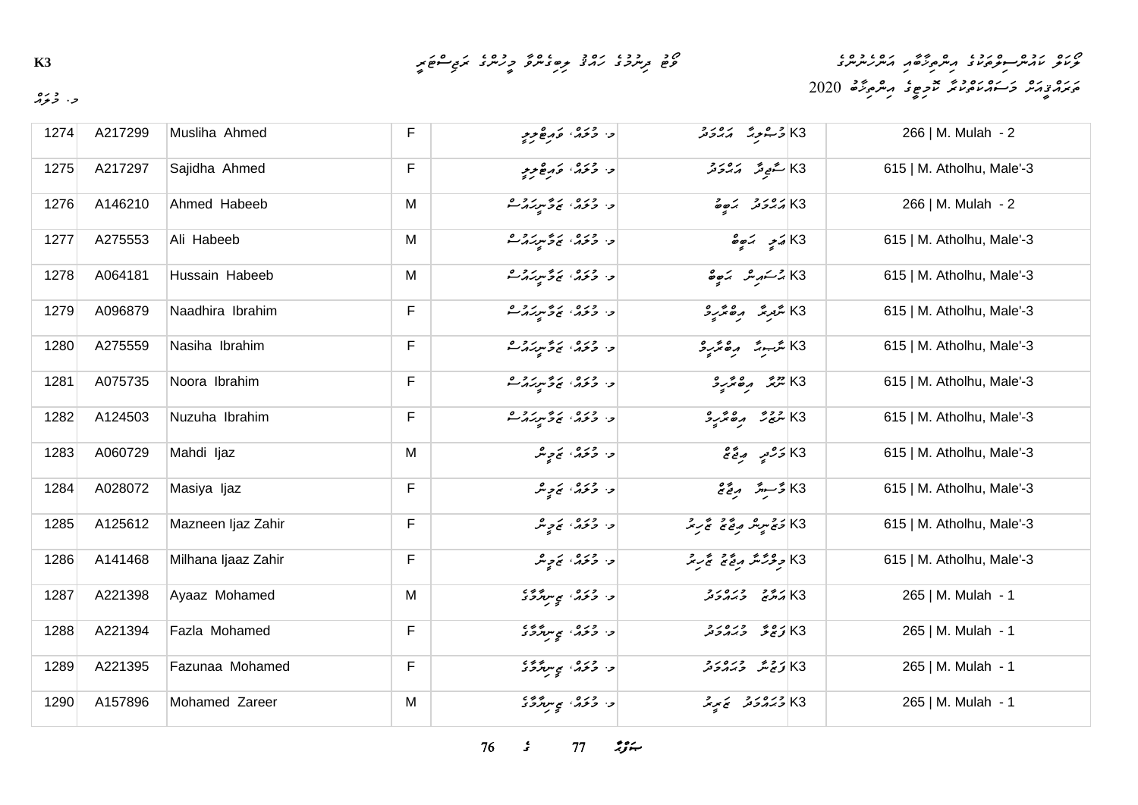*sCw7q7s5w7m< o<n9nOoAw7o< sCq;mAwBoEw7q<m; wBm;vB* **2020**<br>*په محمد الله عليه الله عليه الله عليه الله عليه الأولاد المصرية الدولاد المصرية العليه المصرية العليه المصرية* 

| 1274 | A217299 | Musliha Ahmed       | F           | والمحرق ورقور              | K3 ۇجۇم <i>ۇ مەدە</i> تر                                 | 266   M. Mulah - 2        |
|------|---------|---------------------|-------------|----------------------------|----------------------------------------------------------|---------------------------|
| 1275 | A217297 | Sajidha Ahmed       | F           | د وره، ورومور              | K3 ڪيون <i>گر پر ج</i> ونر                               | 615   M. Atholhu, Male'-3 |
| 1276 | A146210 | Ahmed Habeeb        | M           | والمحتمد المحافية والمحافظ | $602 - 3522$ K3                                          | 266   M. Mulah - 2        |
| 1277 | A275553 | Ali Habeeb          | M           | و و و و ده پرو سرد ده      | $\frac{2}{3}$ $\frac{2}{3}$ K3                           | 615   M. Atholhu, Male'-3 |
| 1278 | A064181 | Hussain Habeeb      | M           | و و و ده، ځو سرزه ک        | K3 برسكو <i>ر برقع في</i>                                | 615   M. Atholhu, Male'-3 |
| 1279 | A096879 | Naadhira Ibrahim    | $\mathsf F$ | و و و و ده پرو سرد ده      | K3 سَّمِرِسَّ مِـ صَحَّرٍ وَ                             | 615   M. Atholhu, Male'-3 |
| 1280 | A275559 | Nasiha Ibrahim      | F           | د. و دُور، پروُسِرَدُ ک    | K3 بترجي <sup>ب</sup> م <i>تفترب</i> و                   | 615   M. Atholhu, Male'-3 |
| 1281 | A075735 | Noora Ibrahim       | F           | و و و و ده پرو سرد ده      | K3 تتربح م <i>ت محركي</i> ر                              | 615   M. Atholhu, Male'-3 |
| 1282 | A124503 | Nuzuha Ibrahim      | F           | و. وَوَكَّ يَوَسِّرَكَ فَ  | K3 بىرى ئىق مەھەر ئىر ئى                                 | 615   M. Atholhu, Male'-3 |
| 1283 | A060729 | Mahdi ljaz          | M           | د و و و ده نموین           | K3 ك <sup>رو</sup> مبر م <i>وقع</i>                      | 615   M. Atholhu, Male'-3 |
| 1284 | A028072 | Masiya Ijaz         | $\mathsf F$ | د و و و ده نم په           | K3 گۈسىد <i>ە</i> مەنىج چ                                | 615   M. Atholhu, Male'-3 |
| 1285 | A125612 | Mazneen Ijaz Zahir  | F           | د و و و و ان نام د م       | K3 كَرَجْسِرِيْرْ مِرْجَجْ جَ سِرْبَرْ                   | 615   M. Atholhu, Male'-3 |
| 1286 | A141468 | Milhana Ijaaz Zahir | F           | د و و و ده نموین           | K3 ج <i>وڭنگە م</i> ېقى <sup>چ</sup> ئ <sub>ى</sub> رىتى | 615   M. Atholhu, Male'-3 |
| 1287 | A221398 | Ayaaz Mohamed       | M           | و. ووه، پېښودو             | אבי האבי הריטיביה K3                                     | 265   M. Mulah - 1        |
| 1288 | A221394 | Fazla Mohamed       | $\mathsf F$ | و. ووه، پېښترون            | K3 زَج دَ حَ بَرُ مَرَ مَرَ                              | 265   M. Mulah - 1        |
| 1289 | A221395 | Fazunaa Mohamed     | F           | و. ووه، پېښترون            | K3 كۈيچ شەر ج <i>ەندە</i> تەر                            | 265   M. Mulah - 1        |
| 1290 | A157896 | Mohamed Zareer      | M           | و: ووه، پېښود              | K3  <i>\$نەۋۇقى تەپرى</i> گ                              | 265   M. Mulah - 1        |

*76 sC 77 nNw?mS*